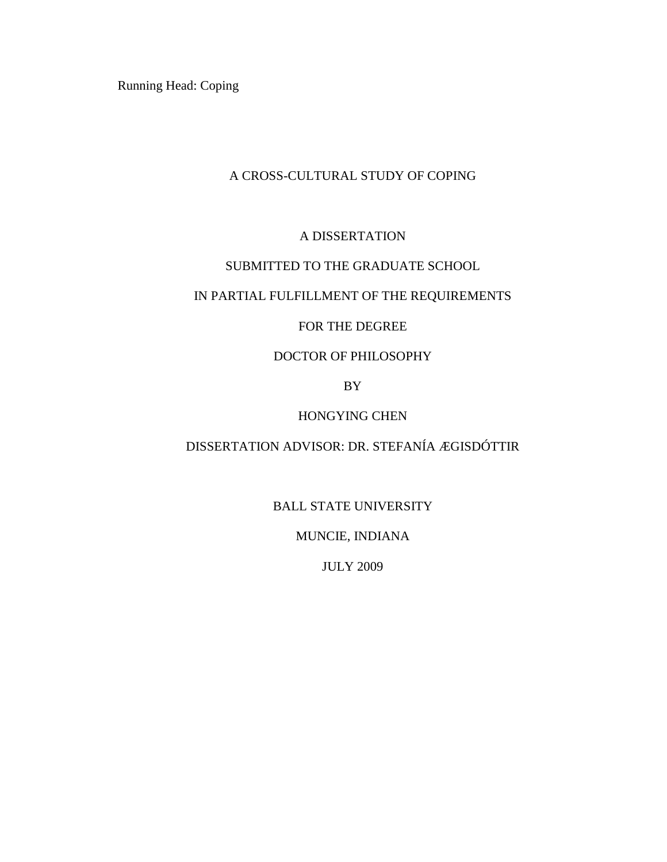Running Head: Coping

# A CROSS-CULTURAL STUDY OF COPING

# A DISSERTATION

### SUBMITTED TO THE GRADUATE SCHOOL

# IN PARTIAL FULFILLMENT OF THE REQUIREMENTS

# FOR THE DEGREE

# DOCTOR OF PHILOSOPHY

BY

# HONGYING CHEN

# DISSERTATION ADVISOR: DR. STEFANÍA ÆGISDÓTTIR

BALL STATE UNIVERSITY

MUNCIE, INDIANA

JULY 2009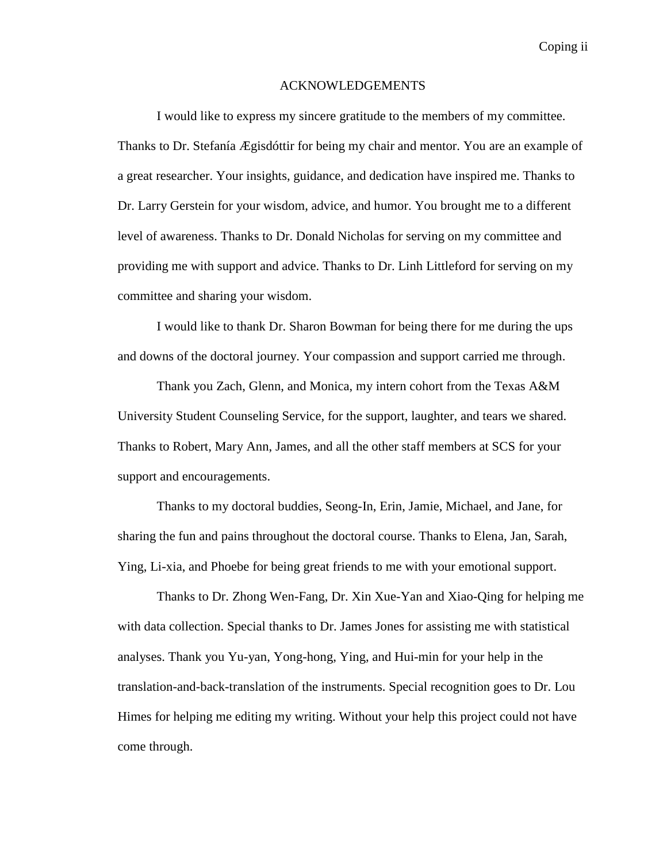#### ACKNOWLEDGEMENTS

I would like to express my sincere gratitude to the members of my committee. Thanks to Dr. Stefanía Ægisdóttir for being my chair and mentor. You are an example of a great researcher. Your insights, guidance, and dedication have inspired me. Thanks to Dr. Larry Gerstein for your wisdom, advice, and humor. You brought me to a different level of awareness. Thanks to Dr. Donald Nicholas for serving on my committee and providing me with support and advice. Thanks to Dr. Linh Littleford for serving on my committee and sharing your wisdom.

I would like to thank Dr. Sharon Bowman for being there for me during the ups and downs of the doctoral journey. Your compassion and support carried me through.

Thank you Zach, Glenn, and Monica, my intern cohort from the Texas A&M University Student Counseling Service, for the support, laughter, and tears we shared. Thanks to Robert, Mary Ann, James, and all the other staff members at SCS for your support and encouragements.

Thanks to my doctoral buddies, Seong-In, Erin, Jamie, Michael, and Jane, for sharing the fun and pains throughout the doctoral course. Thanks to Elena, Jan, Sarah, Ying, Li-xia, and Phoebe for being great friends to me with your emotional support.

Thanks to Dr. Zhong Wen-Fang, Dr. Xin Xue-Yan and Xiao-Qing for helping me with data collection. Special thanks to Dr. James Jones for assisting me with statistical analyses. Thank you Yu-yan, Yong-hong, Ying, and Hui-min for your help in the translation-and-back-translation of the instruments. Special recognition goes to Dr. Lou Himes for helping me editing my writing. Without your help this project could not have come through.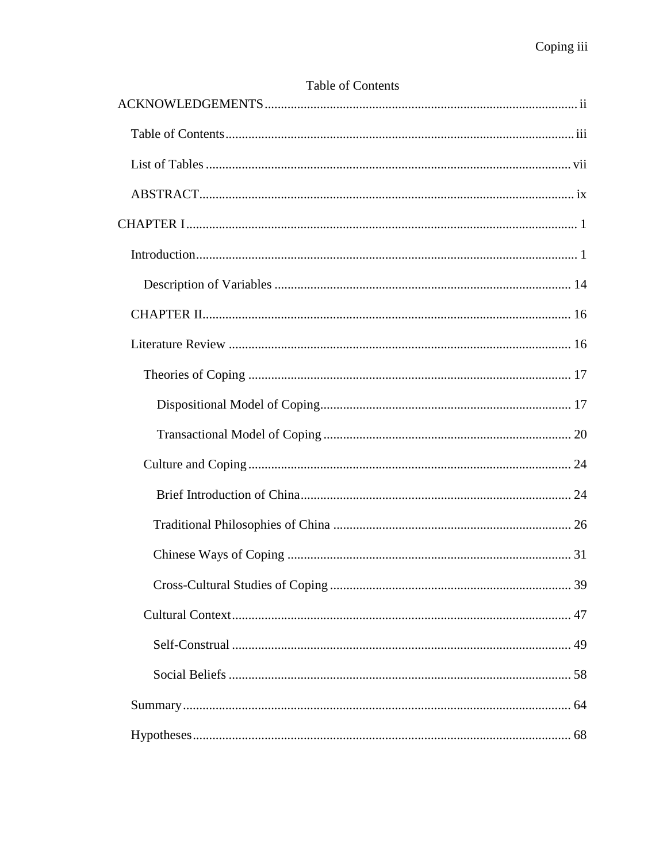# Table of Contents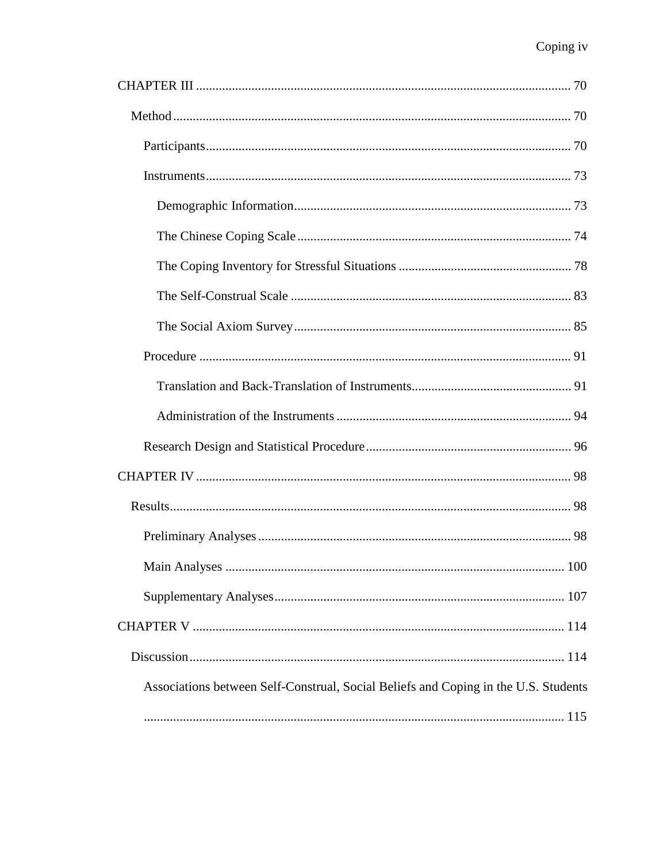| Associations between Self-Construal, Social Beliefs and Coping in the U.S. Students |
|-------------------------------------------------------------------------------------|
|                                                                                     |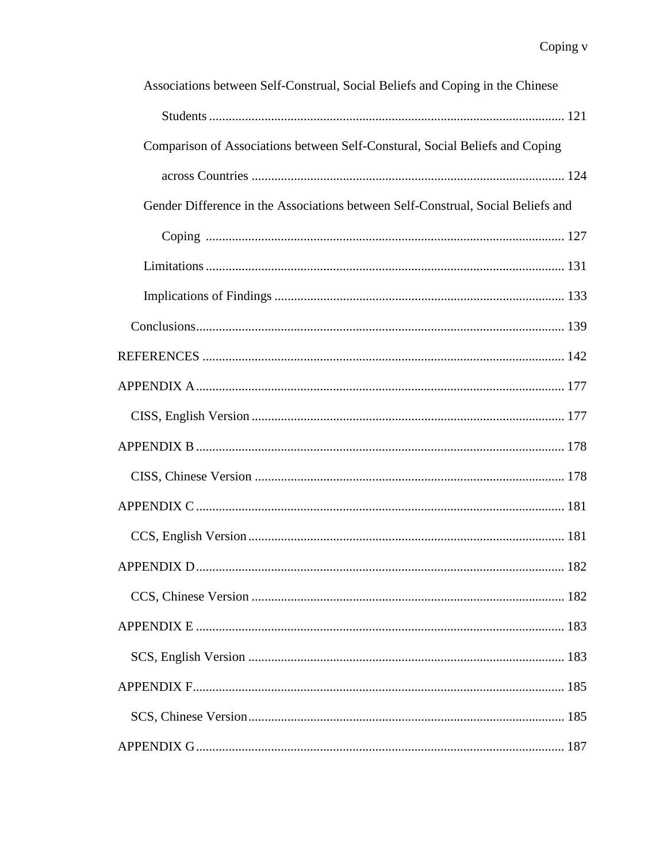| Associations between Self-Construal, Social Beliefs and Coping in the Chinese    |
|----------------------------------------------------------------------------------|
|                                                                                  |
| Comparison of Associations between Self-Constural, Social Beliefs and Coping     |
|                                                                                  |
| Gender Difference in the Associations between Self-Construal, Social Beliefs and |
|                                                                                  |
|                                                                                  |
|                                                                                  |
|                                                                                  |
|                                                                                  |
|                                                                                  |
|                                                                                  |
|                                                                                  |
|                                                                                  |
|                                                                                  |
|                                                                                  |
| 182                                                                              |
|                                                                                  |
|                                                                                  |
|                                                                                  |
|                                                                                  |
|                                                                                  |
|                                                                                  |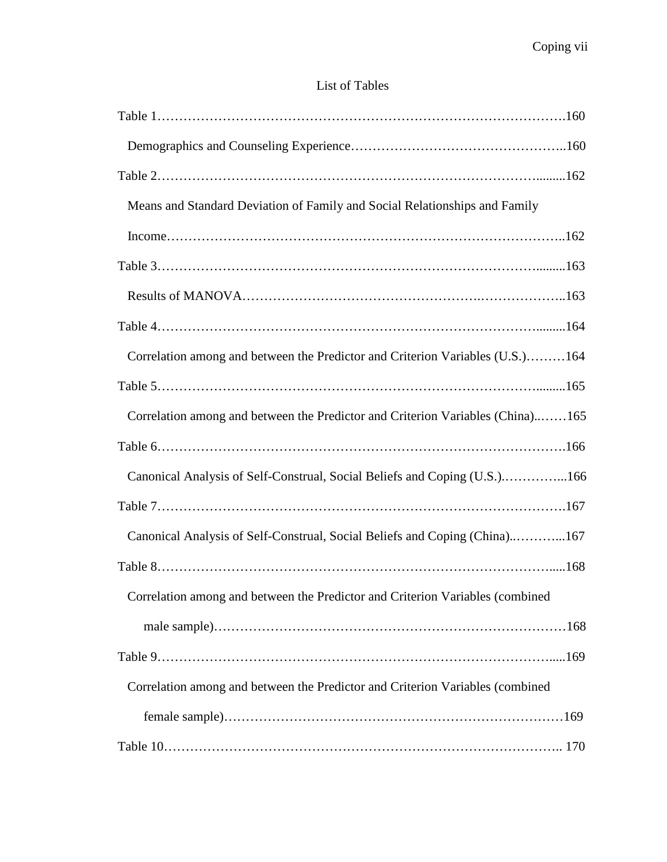# List of Tables

| Means and Standard Deviation of Family and Social Relationships and Family     |
|--------------------------------------------------------------------------------|
|                                                                                |
|                                                                                |
|                                                                                |
|                                                                                |
| Correlation among and between the Predictor and Criterion Variables (U.S.)164  |
|                                                                                |
| Correlation among and between the Predictor and Criterion Variables (China)165 |
|                                                                                |
| Canonical Analysis of Self-Construal, Social Beliefs and Coping (U.S.)166      |
|                                                                                |
| Canonical Analysis of Self-Construal, Social Beliefs and Coping (China)167     |
|                                                                                |
| Correlation among and between the Predictor and Criterion Variables (combined  |
|                                                                                |
|                                                                                |
| Correlation among and between the Predictor and Criterion Variables (combined  |
|                                                                                |
|                                                                                |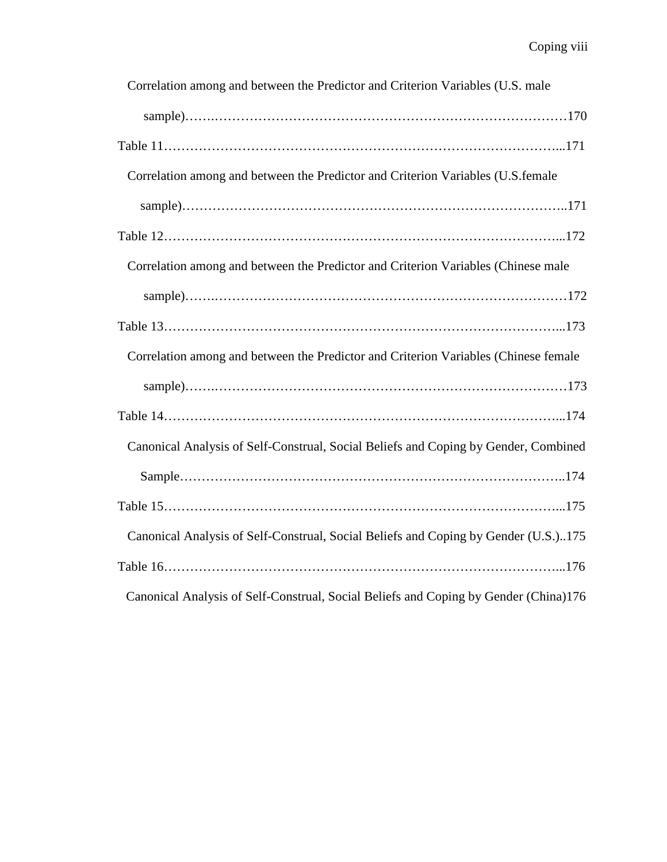| Correlation among and between the Predictor and Criterion Variables (U.S. male       |
|--------------------------------------------------------------------------------------|
|                                                                                      |
|                                                                                      |
| Correlation among and between the Predictor and Criterion Variables (U.S.female      |
|                                                                                      |
|                                                                                      |
| Correlation among and between the Predictor and Criterion Variables (Chinese male    |
|                                                                                      |
|                                                                                      |
| Correlation among and between the Predictor and Criterion Variables (Chinese female  |
|                                                                                      |
|                                                                                      |
| Canonical Analysis of Self-Construal, Social Beliefs and Coping by Gender, Combined  |
|                                                                                      |
|                                                                                      |
| Canonical Analysis of Self-Construal, Social Beliefs and Coping by Gender (U.S.)175  |
|                                                                                      |
| Canonical Analysis of Self-Construal, Social Beliefs and Coping by Gender (China)176 |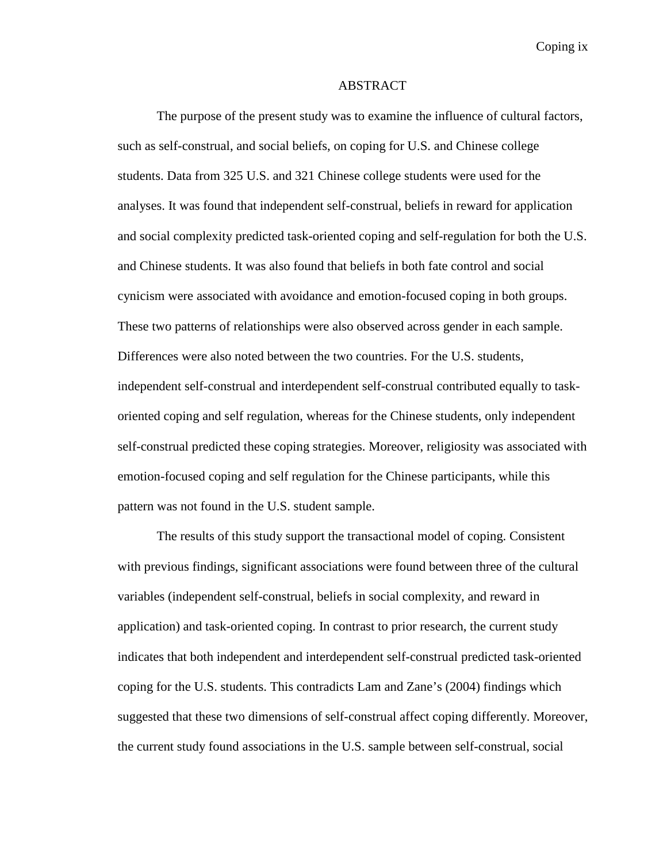Coping ix

#### ABSTRACT

The purpose of the present study was to examine the influence of cultural factors, such as self-construal, and social beliefs, on coping for U.S. and Chinese college students. Data from 325 U.S. and 321 Chinese college students were used for the analyses. It was found that independent self-construal, beliefs in reward for application and social complexity predicted task-oriented coping and self-regulation for both the U.S. and Chinese students. It was also found that beliefs in both fate control and social cynicism were associated with avoidance and emotion-focused coping in both groups. These two patterns of relationships were also observed across gender in each sample. Differences were also noted between the two countries. For the U.S. students, independent self-construal and interdependent self-construal contributed equally to taskoriented coping and self regulation, whereas for the Chinese students, only independent self-construal predicted these coping strategies. Moreover, religiosity was associated with emotion-focused coping and self regulation for the Chinese participants, while this pattern was not found in the U.S. student sample.

The results of this study support the transactional model of coping. Consistent with previous findings, significant associations were found between three of the cultural variables (independent self-construal, beliefs in social complexity, and reward in application) and task-oriented coping. In contrast to prior research, the current study indicates that both independent and interdependent self-construal predicted task-oriented coping for the U.S. students. This contradicts Lam and Zane's (2004) findings which suggested that these two dimensions of self-construal affect coping differently. Moreover, the current study found associations in the U.S. sample between self-construal, social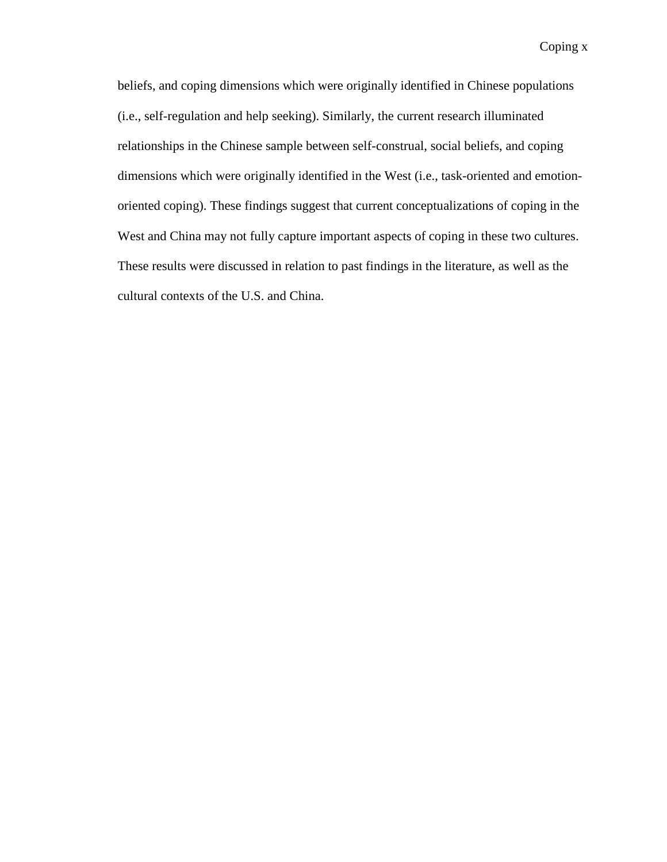beliefs, and coping dimensions which were originally identified in Chinese populations (i.e., self-regulation and help seeking). Similarly, the current research illuminated relationships in the Chinese sample between self-construal, social beliefs, and coping dimensions which were originally identified in the West (i.e., task-oriented and emotionoriented coping). These findings suggest that current conceptualizations of coping in the West and China may not fully capture important aspects of coping in these two cultures. These results were discussed in relation to past findings in the literature, as well as the cultural contexts of the U.S. and China.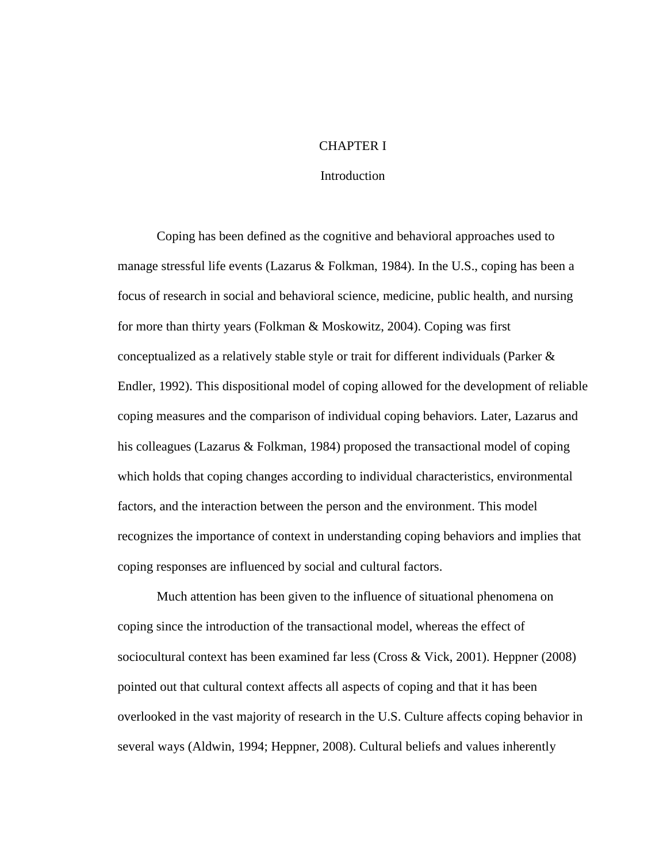#### CHAPTER I

#### **Introduction**

Coping has been defined as the cognitive and behavioral approaches used to manage stressful life events (Lazarus & Folkman, 1984). In the U.S., coping has been a focus of research in social and behavioral science, medicine, public health, and nursing for more than thirty years (Folkman & Moskowitz, 2004). Coping was first conceptualized as a relatively stable style or trait for different individuals (Parker & Endler, 1992). This dispositional model of coping allowed for the development of reliable coping measures and the comparison of individual coping behaviors. Later, Lazarus and his colleagues (Lazarus & Folkman, 1984) proposed the transactional model of coping which holds that coping changes according to individual characteristics, environmental factors, and the interaction between the person and the environment. This model recognizes the importance of context in understanding coping behaviors and implies that coping responses are influenced by social and cultural factors.

Much attention has been given to the influence of situational phenomena on coping since the introduction of the transactional model, whereas the effect of sociocultural context has been examined far less (Cross & Vick, 2001). Heppner (2008) pointed out that cultural context affects all aspects of coping and that it has been overlooked in the vast majority of research in the U.S. Culture affects coping behavior in several ways (Aldwin, 1994; Heppner, 2008). Cultural beliefs and values inherently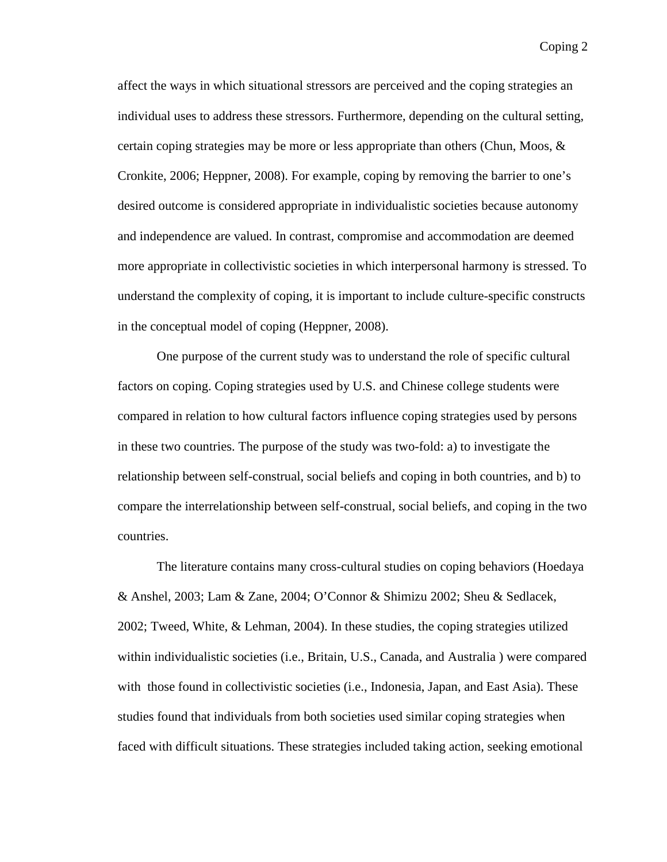affect the ways in which situational stressors are perceived and the coping strategies an individual uses to address these stressors. Furthermore, depending on the cultural setting, certain coping strategies may be more or less appropriate than others (Chun, Moos, & Cronkite, 2006; Heppner, 2008). For example, coping by removing the barrier to one's desired outcome is considered appropriate in individualistic societies because autonomy and independence are valued. In contrast, compromise and accommodation are deemed more appropriate in collectivistic societies in which interpersonal harmony is stressed. To understand the complexity of coping, it is important to include culture-specific constructs in the conceptual model of coping (Heppner, 2008).

One purpose of the current study was to understand the role of specific cultural factors on coping. Coping strategies used by U.S. and Chinese college students were compared in relation to how cultural factors influence coping strategies used by persons in these two countries. The purpose of the study was two-fold: a) to investigate the relationship between self-construal, social beliefs and coping in both countries, and b) to compare the interrelationship between self-construal, social beliefs, and coping in the two countries.

The literature contains many cross-cultural studies on coping behaviors (Hoedaya & Anshel, 2003; Lam & Zane, 2004; O'Connor & Shimizu 2002; Sheu & Sedlacek, 2002; Tweed, White, & Lehman, 2004). In these studies, the coping strategies utilized within individualistic societies (i.e., Britain, U.S., Canada, and Australia ) were compared with those found in collectivistic societies (i.e., Indonesia, Japan, and East Asia). These studies found that individuals from both societies used similar coping strategies when faced with difficult situations. These strategies included taking action, seeking emotional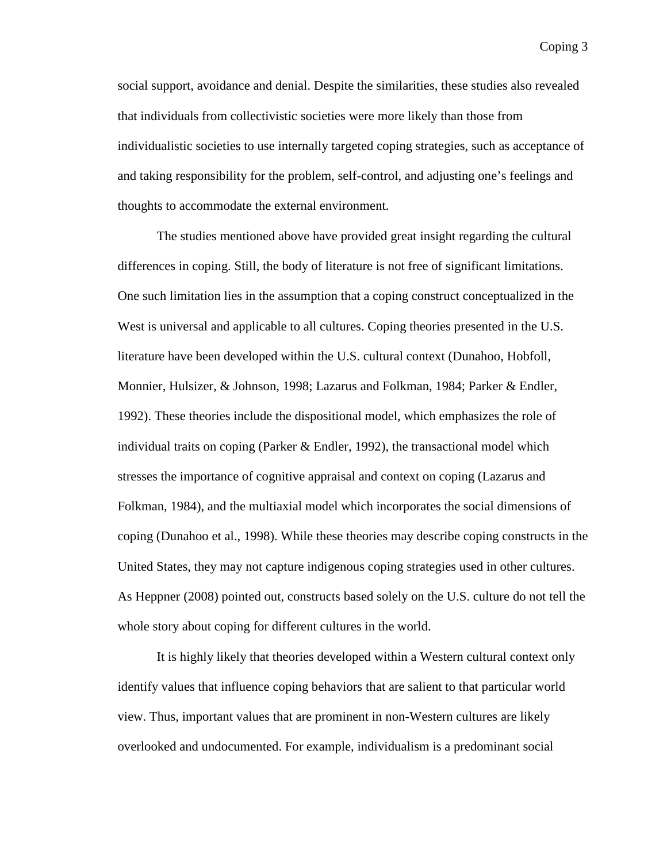social support, avoidance and denial. Despite the similarities, these studies also revealed that individuals from collectivistic societies were more likely than those from individualistic societies to use internally targeted coping strategies, such as acceptance of and taking responsibility for the problem, self-control, and adjusting one's feelings and thoughts to accommodate the external environment.

The studies mentioned above have provided great insight regarding the cultural differences in coping. Still, the body of literature is not free of significant limitations. One such limitation lies in the assumption that a coping construct conceptualized in the West is universal and applicable to all cultures. Coping theories presented in the U.S. literature have been developed within the U.S. cultural context (Dunahoo, Hobfoll, Monnier, Hulsizer, & Johnson, 1998; Lazarus and Folkman, 1984; Parker & Endler, 1992). These theories include the dispositional model, which emphasizes the role of individual traits on coping (Parker & Endler, 1992), the transactional model which stresses the importance of cognitive appraisal and context on coping (Lazarus and Folkman, 1984), and the multiaxial model which incorporates the social dimensions of coping (Dunahoo et al., 1998). While these theories may describe coping constructs in the United States, they may not capture indigenous coping strategies used in other cultures. As Heppner (2008) pointed out, constructs based solely on the U.S. culture do not tell the whole story about coping for different cultures in the world.

It is highly likely that theories developed within a Western cultural context only identify values that influence coping behaviors that are salient to that particular world view. Thus, important values that are prominent in non-Western cultures are likely overlooked and undocumented. For example, individualism is a predominant social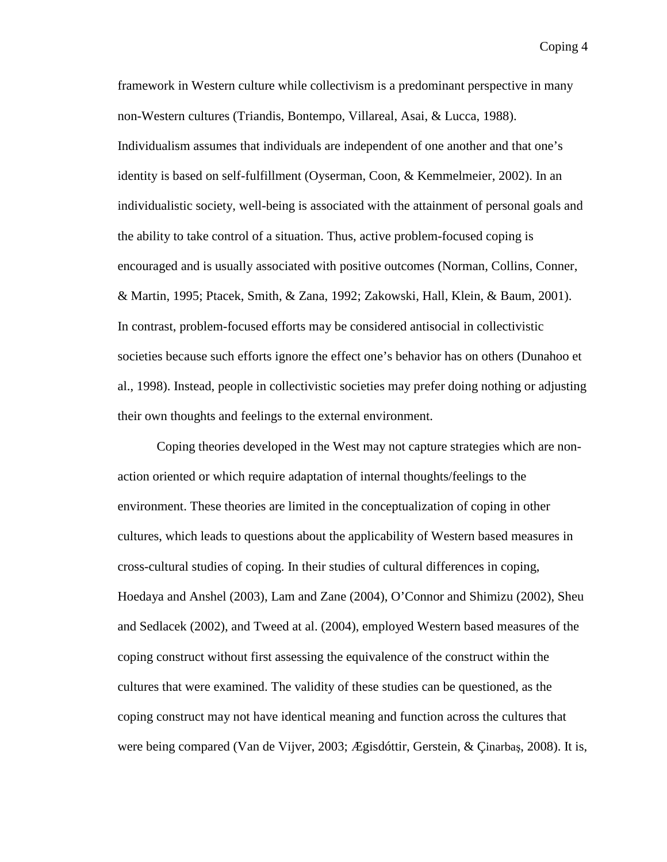framework in Western culture while collectivism is a predominant perspective in many non-Western cultures (Triandis, Bontempo, Villareal, Asai, & Lucca, 1988). Individualism assumes that individuals are independent of one another and that one's identity is based on self-fulfillment (Oyserman, Coon, & Kemmelmeier, 2002). In an individualistic society, well-being is associated with the attainment of personal goals and the ability to take control of a situation. Thus, active problem-focused coping is encouraged and is usually associated with positive outcomes (Norman, Collins, Conner, & Martin, 1995; Ptacek, Smith, & Zana, 1992; Zakowski, Hall, Klein, & Baum, 2001). In contrast, problem-focused efforts may be considered antisocial in collectivistic societies because such efforts ignore the effect one's behavior has on others (Dunahoo et al., 1998). Instead, people in collectivistic societies may prefer doing nothing or adjusting their own thoughts and feelings to the external environment.

Coping theories developed in the West may not capture strategies which are nonaction oriented or which require adaptation of internal thoughts/feelings to the environment. These theories are limited in the conceptualization of coping in other cultures, which leads to questions about the applicability of Western based measures in cross-cultural studies of coping. In their studies of cultural differences in coping, Hoedaya and Anshel (2003), Lam and Zane (2004), O'Connor and Shimizu (2002), Sheu and Sedlacek (2002), and Tweed at al. (2004), employed Western based measures of the coping construct without first assessing the equivalence of the construct within the cultures that were examined. The validity of these studies can be questioned, as the coping construct may not have identical meaning and function across the cultures that were being compared (Van de Vijver, 2003; Ægisdóttir, Gerstein, & Çinarbaş, 2008). It is,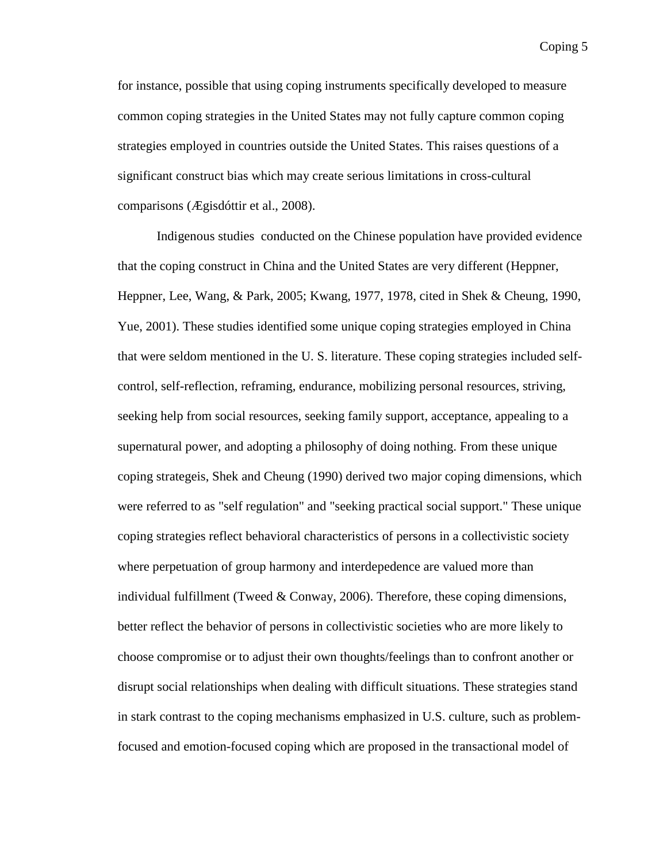for instance, possible that using coping instruments specifically developed to measure common coping strategies in the United States may not fully capture common coping strategies employed in countries outside the United States. This raises questions of a significant construct bias which may create serious limitations in cross-cultural comparisons (Ægisdóttir et al., 2008).

Indigenous studies conducted on the Chinese population have provided evidence that the coping construct in China and the United States are very different (Heppner, Heppner, Lee, Wang, & Park, 2005; Kwang, 1977, 1978, cited in Shek & Cheung, 1990, Yue, 2001). These studies identified some unique coping strategies employed in China that were seldom mentioned in the U. S. literature. These coping strategies included selfcontrol, self-reflection, reframing, endurance, mobilizing personal resources, striving, seeking help from social resources, seeking family support, acceptance, appealing to a supernatural power, and adopting a philosophy of doing nothing. From these unique coping strategeis, Shek and Cheung (1990) derived two major coping dimensions, which were referred to as "self regulation" and "seeking practical social support." These unique coping strategies reflect behavioral characteristics of persons in a collectivistic society where perpetuation of group harmony and interdepedence are valued more than individual fulfillment (Tweed & Conway, 2006). Therefore, these coping dimensions, better reflect the behavior of persons in collectivistic societies who are more likely to choose compromise or to adjust their own thoughts/feelings than to confront another or disrupt social relationships when dealing with difficult situations. These strategies stand in stark contrast to the coping mechanisms emphasized in U.S. culture, such as problemfocused and emotion-focused coping which are proposed in the transactional model of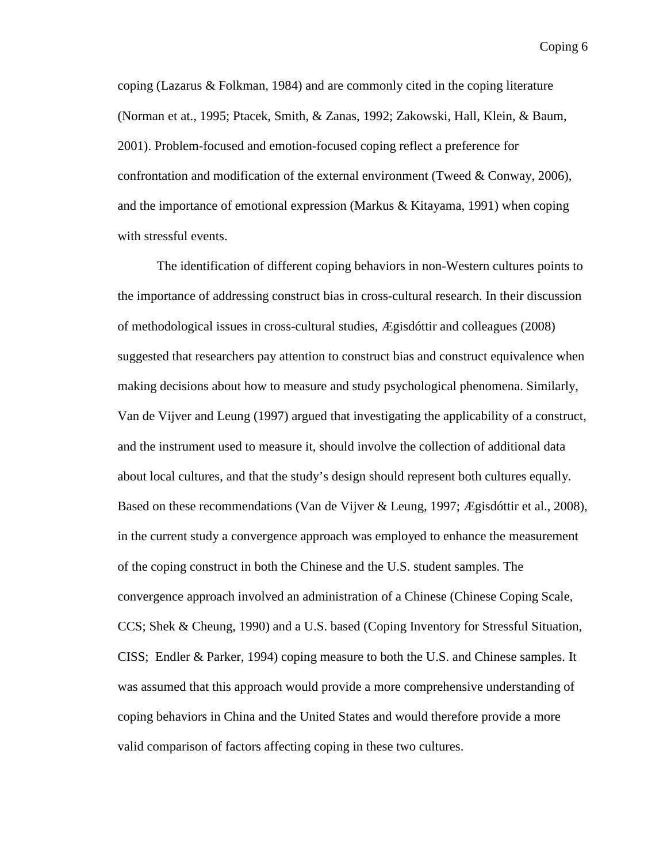coping (Lazarus & Folkman, 1984) and are commonly cited in the coping literature (Norman et at., 1995; Ptacek, Smith, & Zanas, 1992; Zakowski, Hall, Klein, & Baum, 2001). Problem-focused and emotion-focused coping reflect a preference for confrontation and modification of the external environment (Tweed  $& Conway, 2006$ ), and the importance of emotional expression (Markus & Kitayama, 1991) when coping with stressful events.

The identification of different coping behaviors in non-Western cultures points to the importance of addressing construct bias in cross-cultural research. In their discussion of methodological issues in cross-cultural studies, Ægisdóttir and colleagues (2008) suggested that researchers pay attention to construct bias and construct equivalence when making decisions about how to measure and study psychological phenomena. Similarly, Van de Vijver and Leung (1997) argued that investigating the applicability of a construct, and the instrument used to measure it, should involve the collection of additional data about local cultures, and that the study's design should represent both cultures equally. Based on these recommendations (Van de Vijver & Leung, 1997; Ægisdóttir et al., 2008), in the current study a convergence approach was employed to enhance the measurement of the coping construct in both the Chinese and the U.S. student samples. The convergence approach involved an administration of a Chinese (Chinese Coping Scale, CCS; Shek & Cheung, 1990) and a U.S. based (Coping Inventory for Stressful Situation, CISS; Endler & Parker, 1994) coping measure to both the U.S. and Chinese samples. It was assumed that this approach would provide a more comprehensive understanding of coping behaviors in China and the United States and would therefore provide a more valid comparison of factors affecting coping in these two cultures.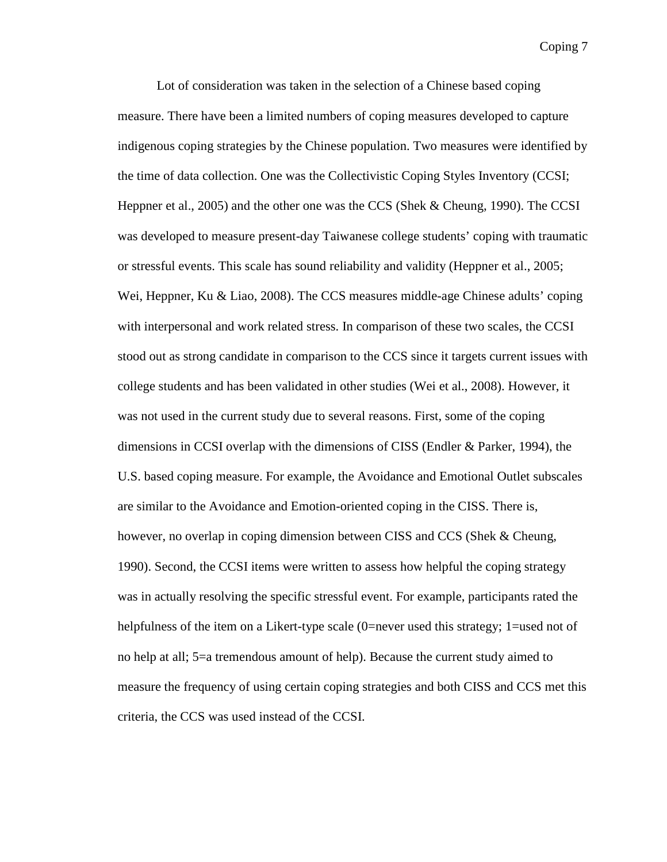Lot of consideration was taken in the selection of a Chinese based coping measure. There have been a limited numbers of coping measures developed to capture indigenous coping strategies by the Chinese population. Two measures were identified by the time of data collection. One was the Collectivistic Coping Styles Inventory (CCSI; Heppner et al., 2005) and the other one was the CCS (Shek & Cheung, 1990). The CCSI was developed to measure present-day Taiwanese college students' coping with traumatic or stressful events. This scale has sound reliability and validity (Heppner et al., 2005; Wei, Heppner, Ku & Liao, 2008). The CCS measures middle-age Chinese adults' coping with interpersonal and work related stress. In comparison of these two scales, the CCSI stood out as strong candidate in comparison to the CCS since it targets current issues with college students and has been validated in other studies (Wei et al., 2008). However, it was not used in the current study due to several reasons. First, some of the coping dimensions in CCSI overlap with the dimensions of CISS (Endler & Parker, 1994), the U.S. based coping measure. For example, the Avoidance and Emotional Outlet subscales are similar to the Avoidance and Emotion-oriented coping in the CISS. There is, however, no overlap in coping dimension between CISS and CCS (Shek & Cheung, 1990). Second, the CCSI items were written to assess how helpful the coping strategy was in actually resolving the specific stressful event. For example, participants rated the helpfulness of the item on a Likert-type scale (0=never used this strategy; 1=used not of no help at all; 5=a tremendous amount of help). Because the current study aimed to measure the frequency of using certain coping strategies and both CISS and CCS met this criteria, the CCS was used instead of the CCSI.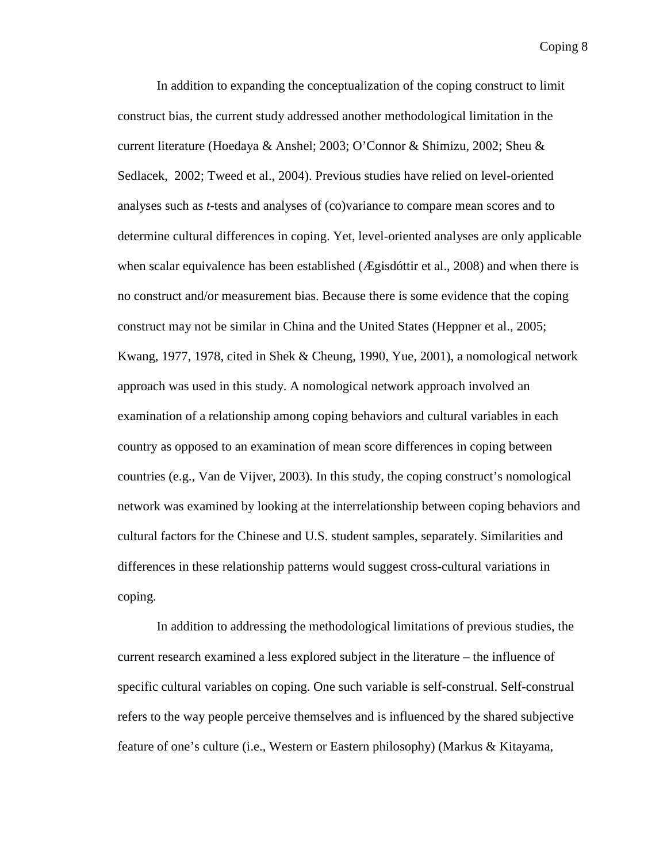In addition to expanding the conceptualization of the coping construct to limit construct bias, the current study addressed another methodological limitation in the current literature (Hoedaya & Anshel; 2003; O'Connor & Shimizu, 2002; Sheu & Sedlacek, 2002; Tweed et al., 2004). Previous studies have relied on level-oriented analyses such as *t*-tests and analyses of (co)variance to compare mean scores and to determine cultural differences in coping. Yet, level-oriented analyses are only applicable when scalar equivalence has been established (*Ægisdóttir et al.*, 2008) and when there is no construct and/or measurement bias. Because there is some evidence that the coping construct may not be similar in China and the United States (Heppner et al., 2005; Kwang, 1977, 1978, cited in Shek & Cheung, 1990, Yue, 2001), a nomological network approach was used in this study. A nomological network approach involved an examination of a relationship among coping behaviors and cultural variables in each country as opposed to an examination of mean score differences in coping between countries (e.g., Van de Vijver, 2003). In this study, the coping construct's nomological network was examined by looking at the interrelationship between coping behaviors and cultural factors for the Chinese and U.S. student samples, separately. Similarities and differences in these relationship patterns would suggest cross-cultural variations in coping.

In addition to addressing the methodological limitations of previous studies, the current research examined a less explored subject in the literature – the influence of specific cultural variables on coping. One such variable is self-construal. Self-construal refers to the way people perceive themselves and is influenced by the shared subjective feature of one's culture (i.e., Western or Eastern philosophy) (Markus & Kitayama,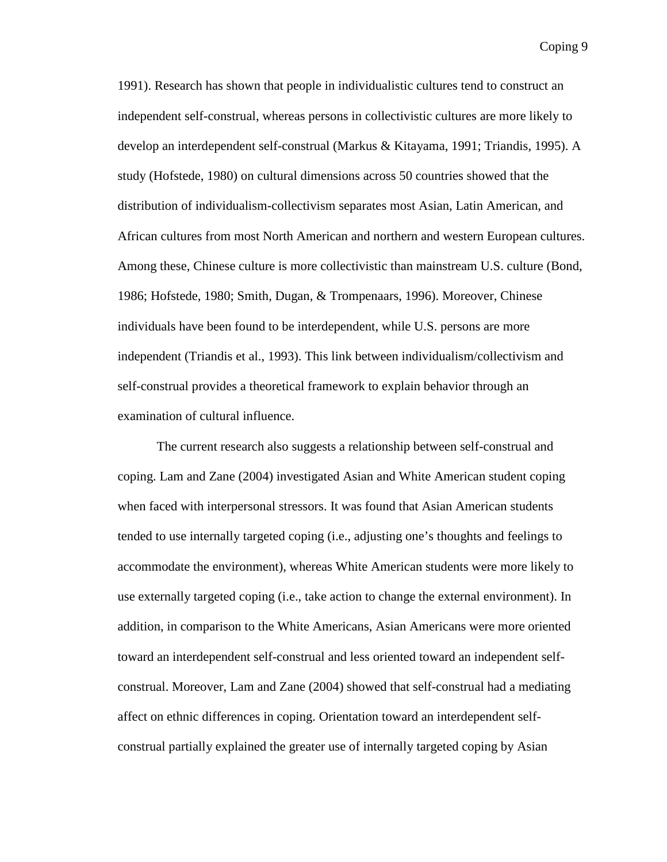1991). Research has shown that people in individualistic cultures tend to construct an independent self-construal, whereas persons in collectivistic cultures are more likely to develop an interdependent self-construal (Markus & Kitayama, 1991; Triandis, 1995). A study (Hofstede, 1980) on cultural dimensions across 50 countries showed that the distribution of individualism-collectivism separates most Asian, Latin American, and African cultures from most North American and northern and western European cultures. Among these, Chinese culture is more collectivistic than mainstream U.S. culture (Bond, 1986; Hofstede, 1980; Smith, Dugan, & Trompenaars, 1996). Moreover, Chinese individuals have been found to be interdependent, while U.S. persons are more independent (Triandis et al., 1993). This link between individualism/collectivism and self-construal provides a theoretical framework to explain behavior through an examination of cultural influence.

The current research also suggests a relationship between self-construal and coping. Lam and Zane (2004) investigated Asian and White American student coping when faced with interpersonal stressors. It was found that Asian American students tended to use internally targeted coping (i.e., adjusting one's thoughts and feelings to accommodate the environment), whereas White American students were more likely to use externally targeted coping (i.e., take action to change the external environment). In addition, in comparison to the White Americans, Asian Americans were more oriented toward an interdependent self-construal and less oriented toward an independent selfconstrual. Moreover, Lam and Zane (2004) showed that self-construal had a mediating affect on ethnic differences in coping. Orientation toward an interdependent selfconstrual partially explained the greater use of internally targeted coping by Asian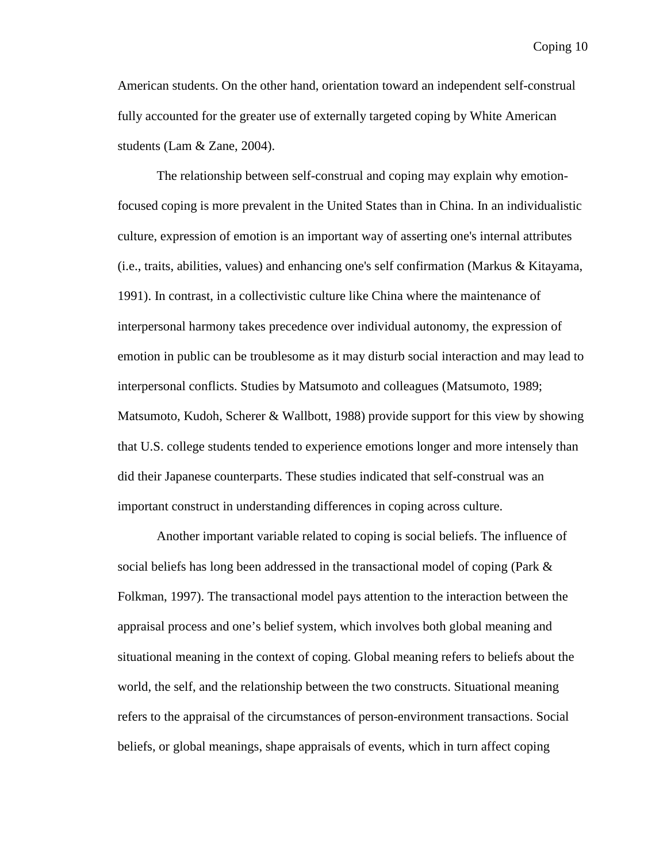American students. On the other hand, orientation toward an independent self-construal fully accounted for the greater use of externally targeted coping by White American students (Lam & Zane, 2004).

The relationship between self-construal and coping may explain why emotionfocused coping is more prevalent in the United States than in China. In an individualistic culture, expression of emotion is an important way of asserting one's internal attributes (i.e., traits, abilities, values) and enhancing one's self confirmation (Markus & Kitayama, 1991). In contrast, in a collectivistic culture like China where the maintenance of interpersonal harmony takes precedence over individual autonomy, the expression of emotion in public can be troublesome as it may disturb social interaction and may lead to interpersonal conflicts. Studies by Matsumoto and colleagues (Matsumoto, 1989; Matsumoto, Kudoh, Scherer & Wallbott, 1988) provide support for this view by showing that U.S. college students tended to experience emotions longer and more intensely than did their Japanese counterparts. These studies indicated that self-construal was an important construct in understanding differences in coping across culture.

Another important variable related to coping is social beliefs. The influence of social beliefs has long been addressed in the transactional model of coping (Park & Folkman, 1997). The transactional model pays attention to the interaction between the appraisal process and one's belief system, which involves both global meaning and situational meaning in the context of coping. Global meaning refers to beliefs about the world, the self, and the relationship between the two constructs. Situational meaning refers to the appraisal of the circumstances of person-environment transactions. Social beliefs, or global meanings, shape appraisals of events, which in turn affect coping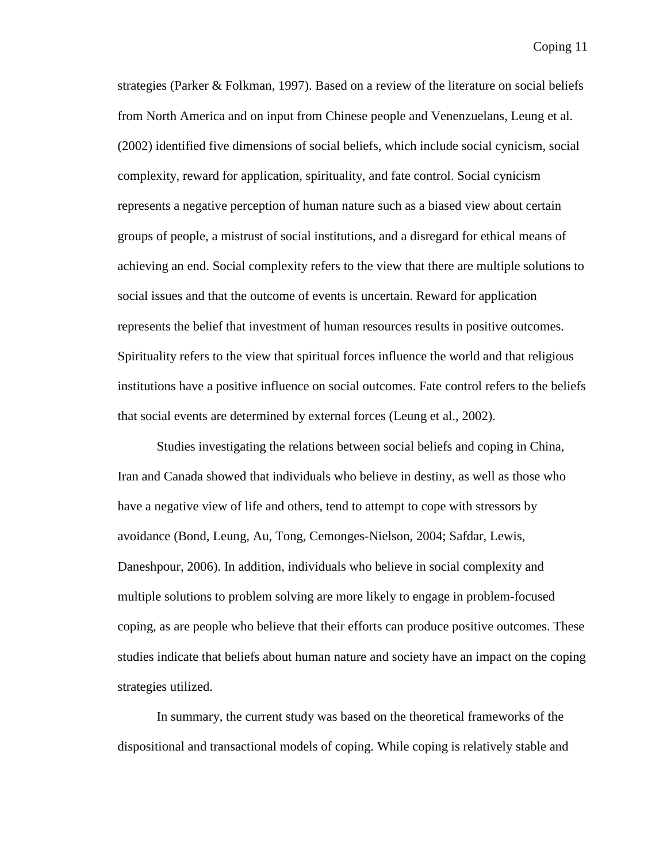strategies (Parker & Folkman, 1997). Based on a review of the literature on social beliefs from North America and on input from Chinese people and Venenzuelans, Leung et al. (2002) identified five dimensions of social beliefs, which include social cynicism, social complexity, reward for application, spirituality, and fate control. Social cynicism represents a negative perception of human nature such as a biased view about certain groups of people, a mistrust of social institutions, and a disregard for ethical means of achieving an end. Social complexity refers to the view that there are multiple solutions to social issues and that the outcome of events is uncertain. Reward for application represents the belief that investment of human resources results in positive outcomes. Spirituality refers to the view that spiritual forces influence the world and that religious institutions have a positive influence on social outcomes. Fate control refers to the beliefs that social events are determined by external forces (Leung et al., 2002).

Studies investigating the relations between social beliefs and coping in China, Iran and Canada showed that individuals who believe in destiny, as well as those who have a negative view of life and others, tend to attempt to cope with stressors by avoidance (Bond, Leung, Au, Tong, Cemonges-Nielson, 2004; Safdar, Lewis, Daneshpour, 2006). In addition, individuals who believe in social complexity and multiple solutions to problem solving are more likely to engage in problem-focused coping, as are people who believe that their efforts can produce positive outcomes. These studies indicate that beliefs about human nature and society have an impact on the coping strategies utilized.

In summary, the current study was based on the theoretical frameworks of the dispositional and transactional models of coping. While coping is relatively stable and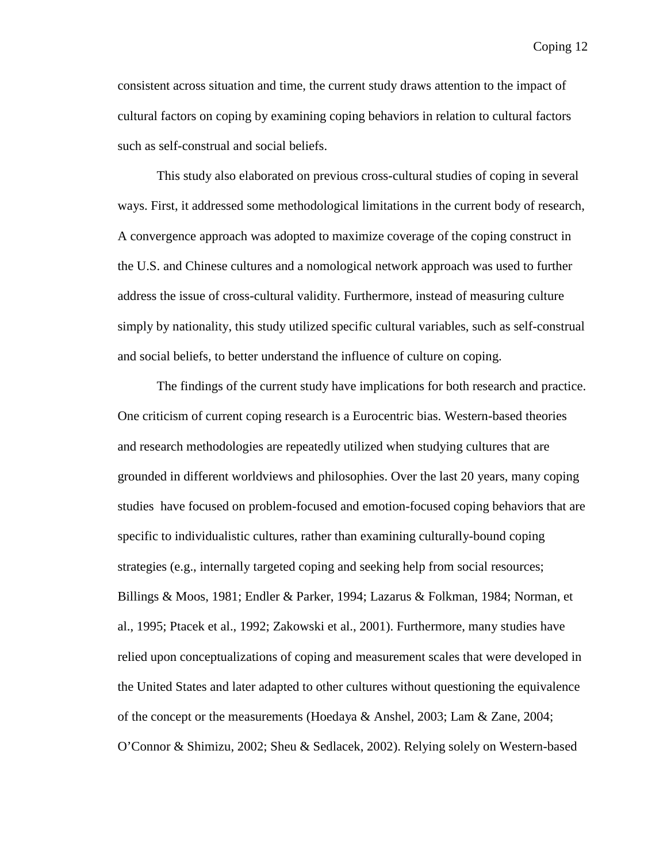consistent across situation and time, the current study draws attention to the impact of cultural factors on coping by examining coping behaviors in relation to cultural factors such as self-construal and social beliefs.

This study also elaborated on previous cross-cultural studies of coping in several ways. First, it addressed some methodological limitations in the current body of research, A convergence approach was adopted to maximize coverage of the coping construct in the U.S. and Chinese cultures and a nomological network approach was used to further address the issue of cross-cultural validity. Furthermore, instead of measuring culture simply by nationality, this study utilized specific cultural variables, such as self-construal and social beliefs, to better understand the influence of culture on coping.

The findings of the current study have implications for both research and practice. One criticism of current coping research is a Eurocentric bias. Western-based theories and research methodologies are repeatedly utilized when studying cultures that are grounded in different worldviews and philosophies. Over the last 20 years, many coping studies have focused on problem-focused and emotion-focused coping behaviors that are specific to individualistic cultures, rather than examining culturally-bound coping strategies (e.g., internally targeted coping and seeking help from social resources; Billings & Moos, 1981; Endler & Parker, 1994; Lazarus & Folkman, 1984; Norman, et al., 1995; Ptacek et al., 1992; Zakowski et al., 2001). Furthermore, many studies have relied upon conceptualizations of coping and measurement scales that were developed in the United States and later adapted to other cultures without questioning the equivalence of the concept or the measurements (Hoedaya & Anshel, 2003; Lam & Zane, 2004; O'Connor & Shimizu, 2002; Sheu & Sedlacek, 2002). Relying solely on Western-based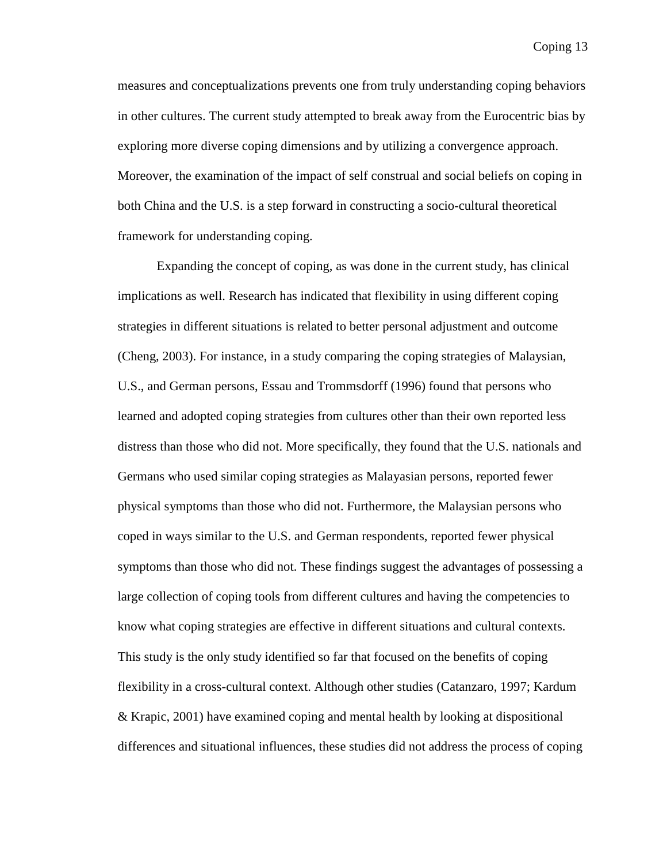measures and conceptualizations prevents one from truly understanding coping behaviors in other cultures. The current study attempted to break away from the Eurocentric bias by exploring more diverse coping dimensions and by utilizing a convergence approach. Moreover, the examination of the impact of self construal and social beliefs on coping in both China and the U.S. is a step forward in constructing a socio-cultural theoretical framework for understanding coping.

Expanding the concept of coping, as was done in the current study, has clinical implications as well. Research has indicated that flexibility in using different coping strategies in different situations is related to better personal adjustment and outcome (Cheng, 2003). For instance, in a study comparing the coping strategies of Malaysian, U.S., and German persons, Essau and Trommsdorff (1996) found that persons who learned and adopted coping strategies from cultures other than their own reported less distress than those who did not. More specifically, they found that the U.S. nationals and Germans who used similar coping strategies as Malayasian persons, reported fewer physical symptoms than those who did not. Furthermore, the Malaysian persons who coped in ways similar to the U.S. and German respondents, reported fewer physical symptoms than those who did not. These findings suggest the advantages of possessing a large collection of coping tools from different cultures and having the competencies to know what coping strategies are effective in different situations and cultural contexts. This study is the only study identified so far that focused on the benefits of coping flexibility in a cross-cultural context. Although other studies (Catanzaro, 1997; Kardum & Krapic, 2001) have examined coping and mental health by looking at dispositional differences and situational influences, these studies did not address the process of coping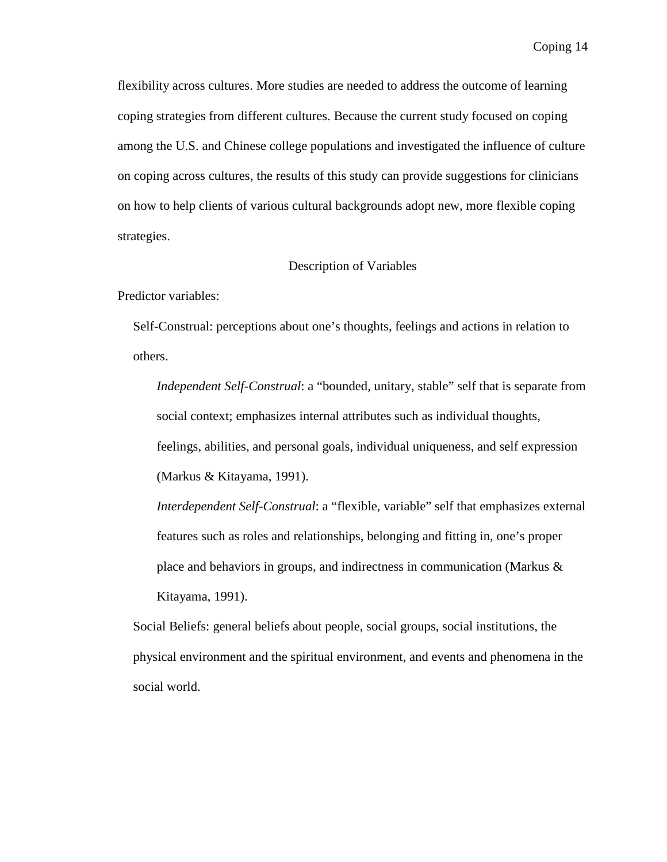flexibility across cultures. More studies are needed to address the outcome of learning coping strategies from different cultures. Because the current study focused on coping among the U.S. and Chinese college populations and investigated the influence of culture on coping across cultures, the results of this study can provide suggestions for clinicians on how to help clients of various cultural backgrounds adopt new, more flexible coping strategies.

#### Description of Variables

Predictor variables:

Self-Construal: perceptions about one's thoughts, feelings and actions in relation to others.

*Independent Self-Construal*: a "bounded, unitary, stable" self that is separate from social context; emphasizes internal attributes such as individual thoughts, feelings, abilities, and personal goals, individual uniqueness, and self expression (Markus & Kitayama, 1991).

*Interdependent Self-Construal*: a "flexible, variable" self that emphasizes external features such as roles and relationships, belonging and fitting in, one's proper place and behaviors in groups, and indirectness in communication (Markus & Kitayama, 1991).

Social Beliefs: general beliefs about people, social groups, social institutions, the physical environment and the spiritual environment, and events and phenomena in the social world.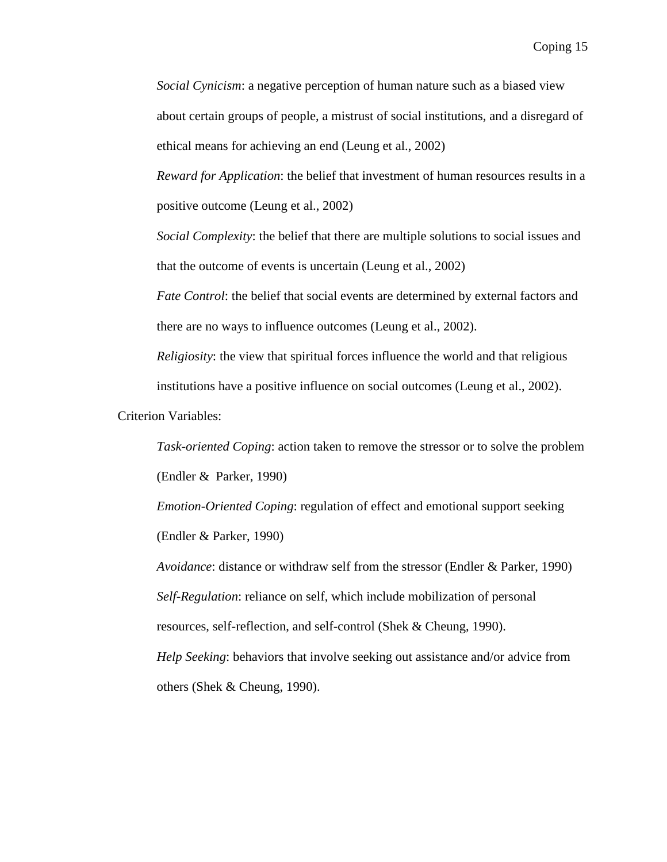*Social Cynicism*: a negative perception of human nature such as a biased view about certain groups of people, a mistrust of social institutions, and a disregard of ethical means for achieving an end (Leung et al., 2002)

*Reward for Application*: the belief that investment of human resources results in a positive outcome (Leung et al., 2002)

*Social Complexity*: the belief that there are multiple solutions to social issues and that the outcome of events is uncertain (Leung et al., 2002)

*Fate Control*: the belief that social events are determined by external factors and there are no ways to influence outcomes (Leung et al., 2002).

*Religiosity*: the view that spiritual forces influence the world and that religious institutions have a positive influence on social outcomes (Leung et al., 2002).

Criterion Variables:

*Task-oriented Coping*: action taken to remove the stressor or to solve the problem (Endler & Parker, 1990)

*Emotion-Oriented Coping*: regulation of effect and emotional support seeking (Endler & Parker, 1990)

*Avoidance*: distance or withdraw self from the stressor (Endler & Parker, 1990) *Self-Regulation*: reliance on self, which include mobilization of personal resources, self-reflection, and self-control (Shek & Cheung, 1990). *Help Seeking*: behaviors that involve seeking out assistance and/or advice from others (Shek & Cheung, 1990).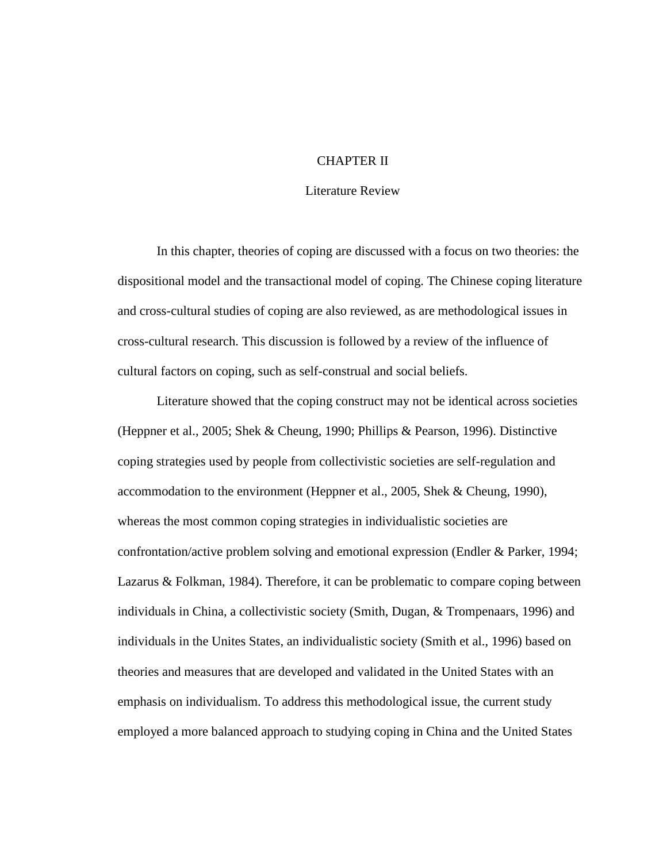#### CHAPTER II

#### Literature Review

In this chapter, theories of coping are discussed with a focus on two theories: the dispositional model and the transactional model of coping. The Chinese coping literature and cross-cultural studies of coping are also reviewed, as are methodological issues in cross-cultural research. This discussion is followed by a review of the influence of cultural factors on coping, such as self-construal and social beliefs.

Literature showed that the coping construct may not be identical across societies (Heppner et al., 2005; Shek & Cheung, 1990; Phillips & Pearson, 1996). Distinctive coping strategies used by people from collectivistic societies are self-regulation and accommodation to the environment (Heppner et al., 2005, Shek & Cheung, 1990), whereas the most common coping strategies in individualistic societies are confrontation/active problem solving and emotional expression (Endler & Parker, 1994; Lazarus & Folkman, 1984). Therefore, it can be problematic to compare coping between individuals in China, a collectivistic society (Smith, Dugan, & Trompenaars, 1996) and individuals in the Unites States, an individualistic society (Smith et al., 1996) based on theories and measures that are developed and validated in the United States with an emphasis on individualism. To address this methodological issue, the current study employed a more balanced approach to studying coping in China and the United States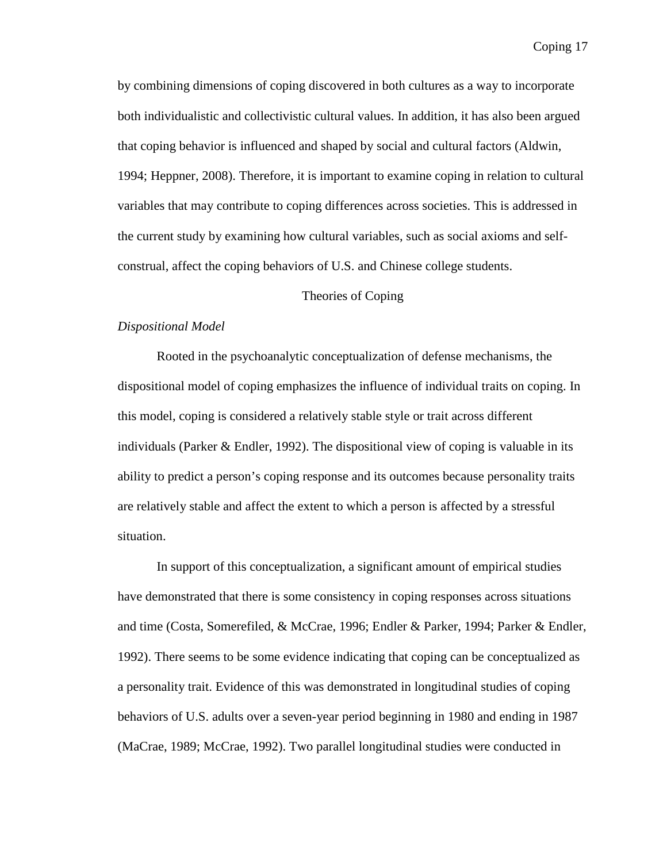by combining dimensions of coping discovered in both cultures as a way to incorporate both individualistic and collectivistic cultural values. In addition, it has also been argued that coping behavior is influenced and shaped by social and cultural factors (Aldwin, 1994; Heppner, 2008). Therefore, it is important to examine coping in relation to cultural variables that may contribute to coping differences across societies. This is addressed in the current study by examining how cultural variables, such as social axioms and selfconstrual, affect the coping behaviors of U.S. and Chinese college students.

#### Theories of Coping

#### *Dispositional Model*

Rooted in the psychoanalytic conceptualization of defense mechanisms, the dispositional model of coping emphasizes the influence of individual traits on coping. In this model, coping is considered a relatively stable style or trait across different individuals (Parker & Endler, 1992). The dispositional view of coping is valuable in its ability to predict a person's coping response and its outcomes because personality traits are relatively stable and affect the extent to which a person is affected by a stressful situation.

In support of this conceptualization, a significant amount of empirical studies have demonstrated that there is some consistency in coping responses across situations and time (Costa, Somerefiled, & McCrae, 1996; Endler & Parker, 1994; Parker & Endler, 1992). There seems to be some evidence indicating that coping can be conceptualized as a personality trait. Evidence of this was demonstrated in longitudinal studies of coping behaviors of U.S. adults over a seven-year period beginning in 1980 and ending in 1987 (MaCrae, 1989; McCrae, 1992). Two parallel longitudinal studies were conducted in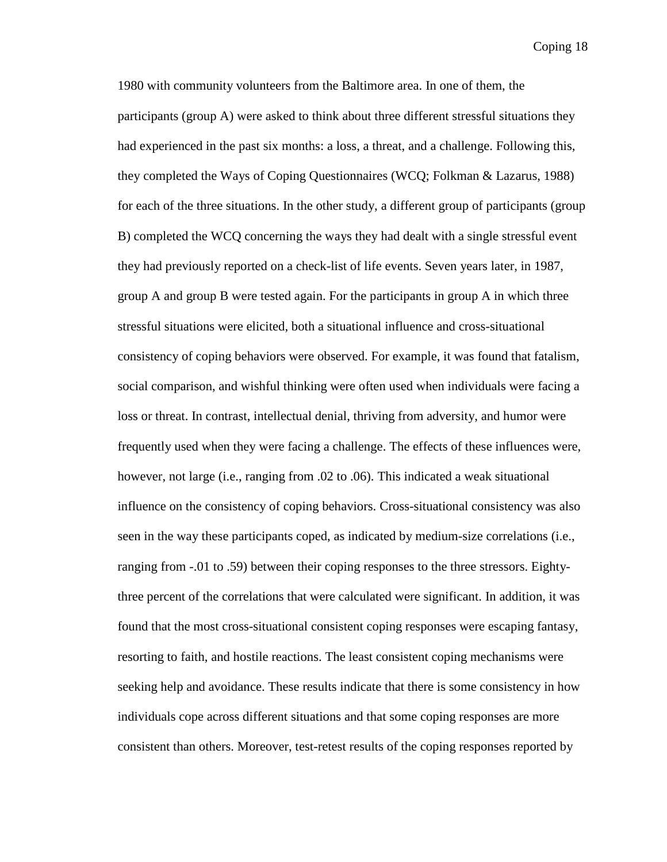1980 with community volunteers from the Baltimore area. In one of them, the participants (group A) were asked to think about three different stressful situations they had experienced in the past six months: a loss, a threat, and a challenge. Following this, they completed the Ways of Coping Questionnaires (WCQ; Folkman & Lazarus, 1988) for each of the three situations. In the other study, a different group of participants (group B) completed the WCQ concerning the ways they had dealt with a single stressful event they had previously reported on a check-list of life events. Seven years later, in 1987, group A and group B were tested again. For the participants in group A in which three stressful situations were elicited, both a situational influence and cross-situational consistency of coping behaviors were observed. For example, it was found that fatalism, social comparison, and wishful thinking were often used when individuals were facing a loss or threat. In contrast, intellectual denial, thriving from adversity, and humor were frequently used when they were facing a challenge. The effects of these influences were, however, not large (i.e., ranging from .02 to .06). This indicated a weak situational influence on the consistency of coping behaviors. Cross-situational consistency was also seen in the way these participants coped, as indicated by medium-size correlations (i.e., ranging from -.01 to .59) between their coping responses to the three stressors. Eightythree percent of the correlations that were calculated were significant. In addition, it was found that the most cross-situational consistent coping responses were escaping fantasy, resorting to faith, and hostile reactions. The least consistent coping mechanisms were seeking help and avoidance. These results indicate that there is some consistency in how individuals cope across different situations and that some coping responses are more consistent than others. Moreover, test-retest results of the coping responses reported by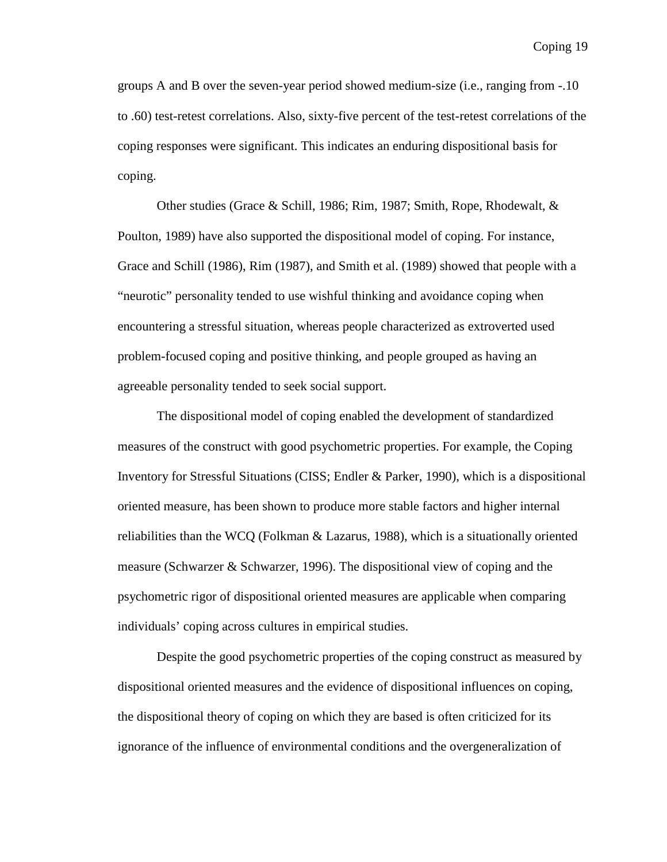groups A and B over the seven-year period showed medium-size (i.e., ranging from -.10 to .60) test-retest correlations. Also, sixty-five percent of the test-retest correlations of the coping responses were significant. This indicates an enduring dispositional basis for coping.

Other studies (Grace & Schill, 1986; Rim, 1987; Smith, Rope, Rhodewalt, & Poulton, 1989) have also supported the dispositional model of coping. For instance, Grace and Schill (1986), Rim (1987), and Smith et al. (1989) showed that people with a "neurotic" personality tended to use wishful thinking and avoidance coping when encountering a stressful situation, whereas people characterized as extroverted used problem-focused coping and positive thinking, and people grouped as having an agreeable personality tended to seek social support.

The dispositional model of coping enabled the development of standardized measures of the construct with good psychometric properties. For example, the Coping Inventory for Stressful Situations (CISS; Endler & Parker, 1990), which is a dispositional oriented measure, has been shown to produce more stable factors and higher internal reliabilities than the WCQ (Folkman & Lazarus, 1988), which is a situationally oriented measure (Schwarzer & Schwarzer, 1996). The dispositional view of coping and the psychometric rigor of dispositional oriented measures are applicable when comparing individuals' coping across cultures in empirical studies.

Despite the good psychometric properties of the coping construct as measured by dispositional oriented measures and the evidence of dispositional influences on coping, the dispositional theory of coping on which they are based is often criticized for its ignorance of the influence of environmental conditions and the overgeneralization of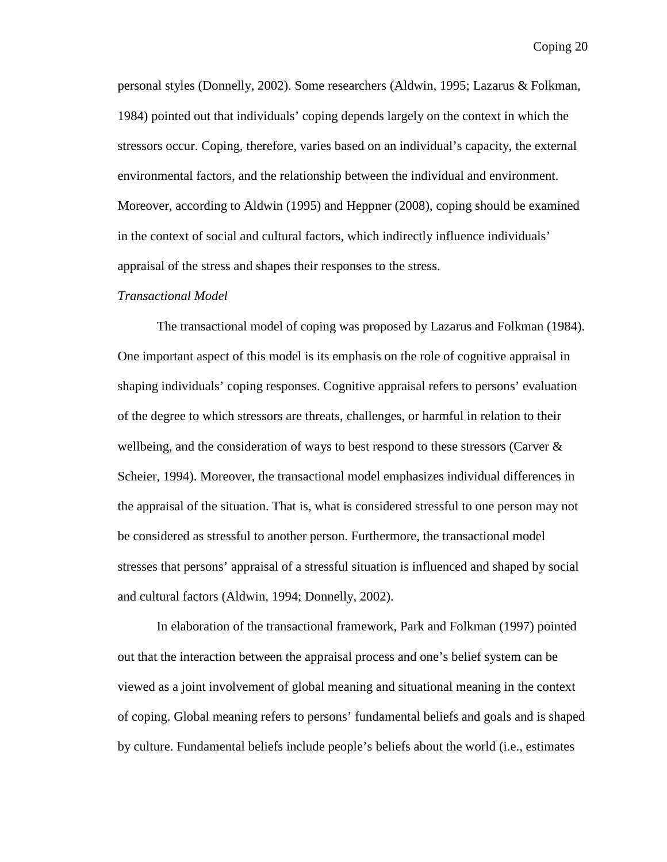personal styles (Donnelly, 2002). Some researchers (Aldwin, 1995; Lazarus & Folkman, 1984) pointed out that individuals' coping depends largely on the context in which the stressors occur. Coping, therefore, varies based on an individual's capacity, the external environmental factors, and the relationship between the individual and environment. Moreover, according to Aldwin (1995) and Heppner (2008), coping should be examined in the context of social and cultural factors, which indirectly influence individuals' appraisal of the stress and shapes their responses to the stress.

#### *Transactional Model*

The transactional model of coping was proposed by Lazarus and Folkman (1984). One important aspect of this model is its emphasis on the role of cognitive appraisal in shaping individuals' coping responses. Cognitive appraisal refers to persons' evaluation of the degree to which stressors are threats, challenges, or harmful in relation to their wellbeing, and the consideration of ways to best respond to these stressors (Carver & Scheier, 1994). Moreover, the transactional model emphasizes individual differences in the appraisal of the situation. That is, what is considered stressful to one person may not be considered as stressful to another person. Furthermore, the transactional model stresses that persons' appraisal of a stressful situation is influenced and shaped by social and cultural factors (Aldwin, 1994; Donnelly, 2002).

In elaboration of the transactional framework, Park and Folkman (1997) pointed out that the interaction between the appraisal process and one's belief system can be viewed as a joint involvement of global meaning and situational meaning in the context of coping. Global meaning refers to persons' fundamental beliefs and goals and is shaped by culture. Fundamental beliefs include people's beliefs about the world (i.e., estimates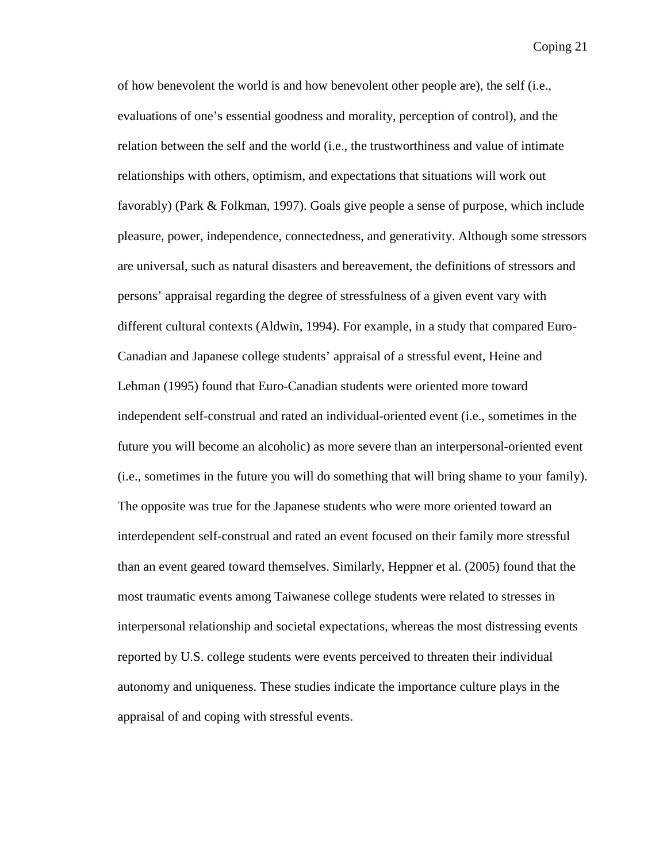of how benevolent the world is and how benevolent other people are), the self (i.e., evaluations of one's essential goodness and morality, perception of control), and the relation between the self and the world (i.e., the trustworthiness and value of intimate relationships with others, optimism, and expectations that situations will work out favorably) (Park & Folkman, 1997). Goals give people a sense of purpose, which include pleasure, power, independence, connectedness, and generativity. Although some stressors are universal, such as natural disasters and bereavement, the definitions of stressors and persons' appraisal regarding the degree of stressfulness of a given event vary with different cultural contexts (Aldwin, 1994). For example, in a study that compared Euro-Canadian and Japanese college students' appraisal of a stressful event, Heine and Lehman (1995) found that Euro-Canadian students were oriented more toward independent self-construal and rated an individual-oriented event (i.e., sometimes in the future you will become an alcoholic) as more severe than an interpersonal-oriented event (i.e., sometimes in the future you will do something that will bring shame to your family). The opposite was true for the Japanese students who were more oriented toward an interdependent self-construal and rated an event focused on their family more stressful than an event geared toward themselves. Similarly, Heppner et al. (2005) found that the most traumatic events among Taiwanese college students were related to stresses in interpersonal relationship and societal expectations, whereas the most distressing events reported by U.S. college students were events perceived to threaten their individual autonomy and uniqueness. These studies indicate the importance culture plays in the appraisal of and coping with stressful events.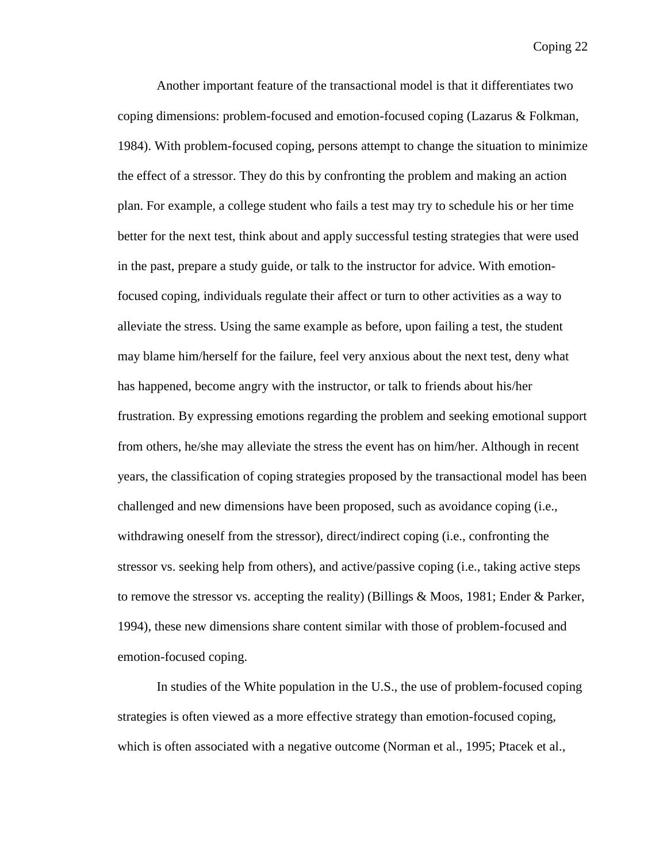Another important feature of the transactional model is that it differentiates two coping dimensions: problem-focused and emotion-focused coping (Lazarus & Folkman, 1984). With problem-focused coping, persons attempt to change the situation to minimize the effect of a stressor. They do this by confronting the problem and making an action plan. For example, a college student who fails a test may try to schedule his or her time better for the next test, think about and apply successful testing strategies that were used in the past, prepare a study guide, or talk to the instructor for advice. With emotionfocused coping, individuals regulate their affect or turn to other activities as a way to alleviate the stress. Using the same example as before, upon failing a test, the student may blame him/herself for the failure, feel very anxious about the next test, deny what has happened, become angry with the instructor, or talk to friends about his/her frustration. By expressing emotions regarding the problem and seeking emotional support from others, he/she may alleviate the stress the event has on him/her. Although in recent years, the classification of coping strategies proposed by the transactional model has been challenged and new dimensions have been proposed, such as avoidance coping (i.e., withdrawing oneself from the stressor), direct/indirect coping (i.e., confronting the stressor vs. seeking help from others), and active/passive coping (i.e., taking active steps to remove the stressor vs. accepting the reality) (Billings & Moos, 1981; Ender & Parker, 1994), these new dimensions share content similar with those of problem-focused and emotion-focused coping.

In studies of the White population in the U.S., the use of problem-focused coping strategies is often viewed as a more effective strategy than emotion-focused coping, which is often associated with a negative outcome (Norman et al., 1995; Ptacek et al.,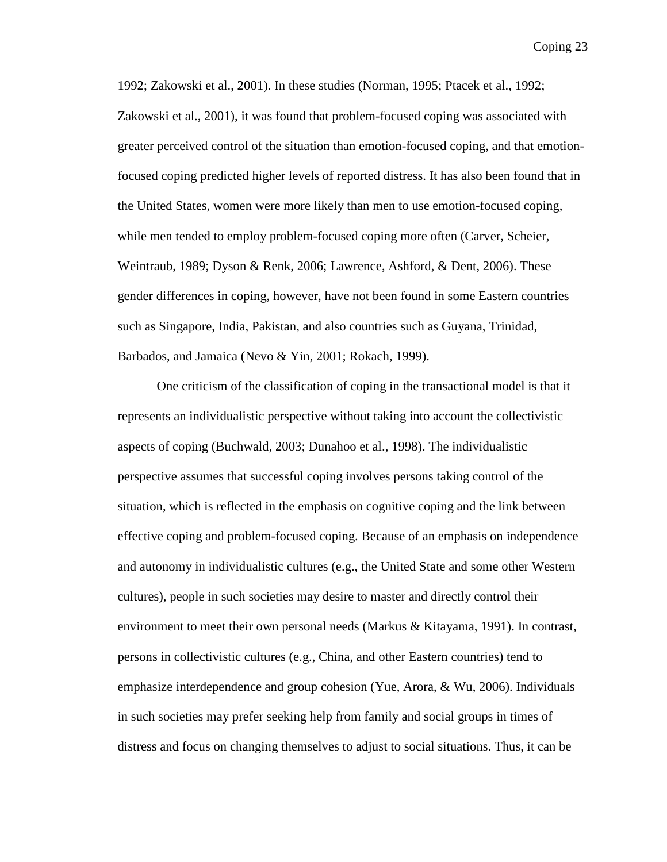1992; Zakowski et al., 2001). In these studies (Norman, 1995; Ptacek et al., 1992; Zakowski et al., 2001), it was found that problem-focused coping was associated with greater perceived control of the situation than emotion-focused coping, and that emotionfocused coping predicted higher levels of reported distress. It has also been found that in the United States, women were more likely than men to use emotion-focused coping, while men tended to employ problem-focused coping more often (Carver, Scheier, Weintraub, 1989; Dyson & Renk, 2006; Lawrence, Ashford, & Dent, 2006). These gender differences in coping, however, have not been found in some Eastern countries such as Singapore, India, Pakistan, and also countries such as Guyana, Trinidad, Barbados, and Jamaica (Nevo & Yin, 2001; Rokach, 1999).

One criticism of the classification of coping in the transactional model is that it represents an individualistic perspective without taking into account the collectivistic aspects of coping (Buchwald, 2003; Dunahoo et al., 1998). The individualistic perspective assumes that successful coping involves persons taking control of the situation, which is reflected in the emphasis on cognitive coping and the link between effective coping and problem-focused coping. Because of an emphasis on independence and autonomy in individualistic cultures (e.g., the United State and some other Western cultures), people in such societies may desire to master and directly control their environment to meet their own personal needs (Markus & Kitayama, 1991). In contrast, persons in collectivistic cultures (e.g., China, and other Eastern countries) tend to emphasize interdependence and group cohesion (Yue, Arora, & Wu, 2006). Individuals in such societies may prefer seeking help from family and social groups in times of distress and focus on changing themselves to adjust to social situations. Thus, it can be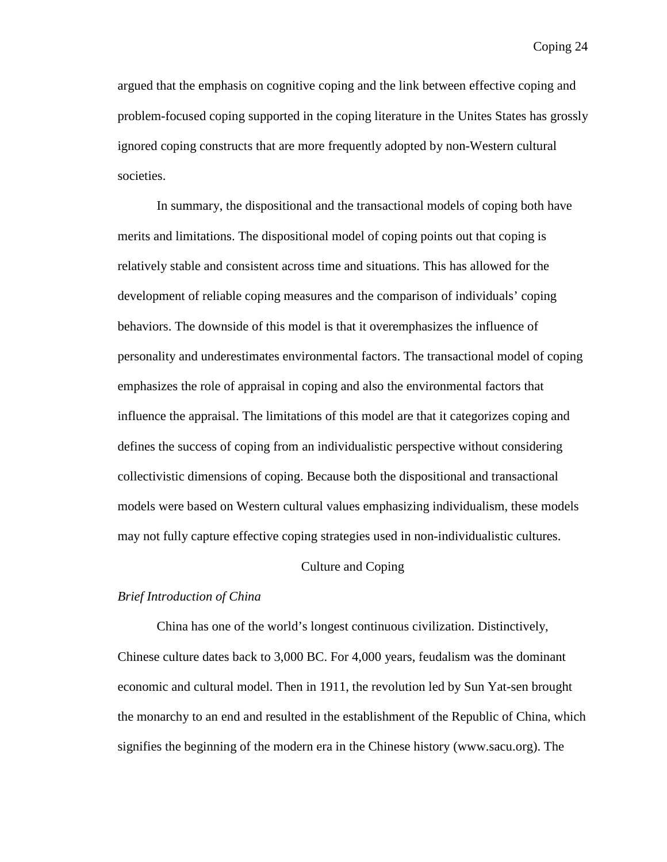argued that the emphasis on cognitive coping and the link between effective coping and problem-focused coping supported in the coping literature in the Unites States has grossly ignored coping constructs that are more frequently adopted by non-Western cultural societies.

In summary, the dispositional and the transactional models of coping both have merits and limitations. The dispositional model of coping points out that coping is relatively stable and consistent across time and situations. This has allowed for the development of reliable coping measures and the comparison of individuals' coping behaviors. The downside of this model is that it overemphasizes the influence of personality and underestimates environmental factors. The transactional model of coping emphasizes the role of appraisal in coping and also the environmental factors that influence the appraisal. The limitations of this model are that it categorizes coping and defines the success of coping from an individualistic perspective without considering collectivistic dimensions of coping. Because both the dispositional and transactional models were based on Western cultural values emphasizing individualism, these models may not fully capture effective coping strategies used in non-individualistic cultures.

#### Culture and Coping

#### *Brief Introduction of China*

China has one of the world's longest continuous civilization. Distinctively, Chinese culture dates back to 3,000 BC. For 4,000 years, feudalism was the dominant economic and cultural model. Then in 1911, the revolution led by Sun Yat-sen brought the monarchy to an end and resulted in the establishment of the Republic of China, which signifies the beginning of the modern era in the Chinese history (www.sacu.org). The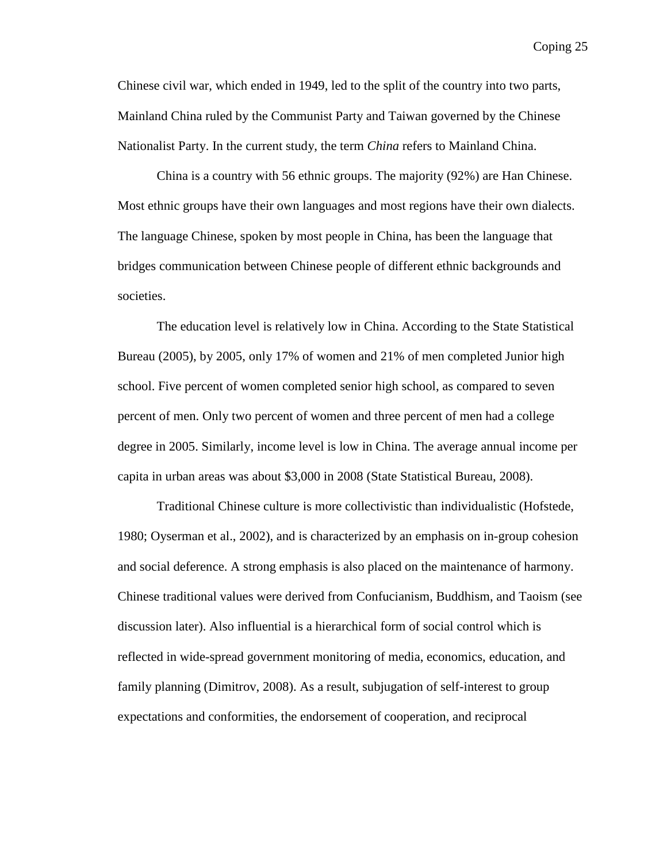Chinese civil war, which ended in 1949, led to the split of the country into two parts, Mainland China ruled by the Communist Party and Taiwan governed by the Chinese Nationalist Party. In the current study, the term *China* refers to Mainland China.

China is a country with 56 ethnic groups. The majority (92%) are Han Chinese. Most ethnic groups have their own languages and most regions have their own dialects. The language Chinese, spoken by most people in China, has been the language that bridges communication between Chinese people of different ethnic backgrounds and societies.

The education level is relatively low in China. According to the State Statistical Bureau (2005), by 2005, only 17% of women and 21% of men completed Junior high school. Five percent of women completed senior high school, as compared to seven percent of men. Only two percent of women and three percent of men had a college degree in 2005. Similarly, income level is low in China. The average annual income per capita in urban areas was about \$3,000 in 2008 (State Statistical Bureau, 2008).

Traditional Chinese culture is more collectivistic than individualistic (Hofstede, 1980; Oyserman et al., 2002), and is characterized by an emphasis on in-group cohesion and social deference. A strong emphasis is also placed on the maintenance of harmony. Chinese traditional values were derived from Confucianism, Buddhism, and Taoism (see discussion later). Also influential is a hierarchical form of social control which is reflected in wide-spread government monitoring of media, economics, education, and family planning (Dimitrov, 2008). As a result, subjugation of self-interest to group expectations and conformities, the endorsement of cooperation, and reciprocal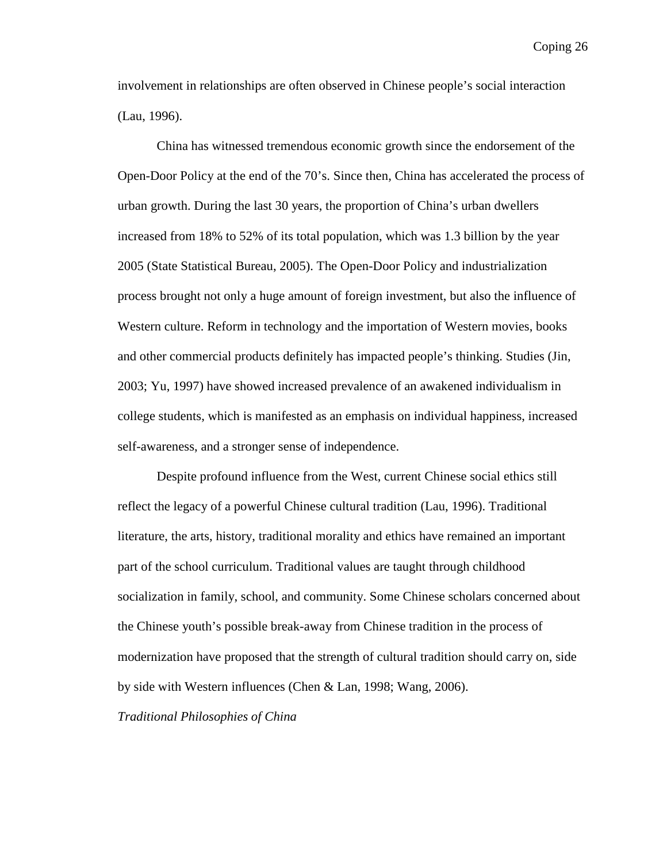involvement in relationships are often observed in Chinese people's social interaction (Lau, 1996).

China has witnessed tremendous economic growth since the endorsement of the Open-Door Policy at the end of the 70's. Since then, China has accelerated the process of urban growth. During the last 30 years, the proportion of China's urban dwellers increased from 18% to 52% of its total population, which was 1.3 billion by the year 2005 (State Statistical Bureau, 2005). The Open-Door Policy and industrialization process brought not only a huge amount of foreign investment, but also the influence of Western culture. Reform in technology and the importation of Western movies, books and other commercial products definitely has impacted people's thinking. Studies (Jin, 2003; Yu, 1997) have showed increased prevalence of an awakened individualism in college students, which is manifested as an emphasis on individual happiness, increased self-awareness, and a stronger sense of independence.

Despite profound influence from the West, current Chinese social ethics still reflect the legacy of a powerful Chinese cultural tradition (Lau, 1996). Traditional literature, the arts, history, traditional morality and ethics have remained an important part of the school curriculum. Traditional values are taught through childhood socialization in family, school, and community. Some Chinese scholars concerned about the Chinese youth's possible break-away from Chinese tradition in the process of modernization have proposed that the strength of cultural tradition should carry on, side by side with Western influences (Chen & Lan, 1998; Wang, 2006).

*Traditional Philosophies of China*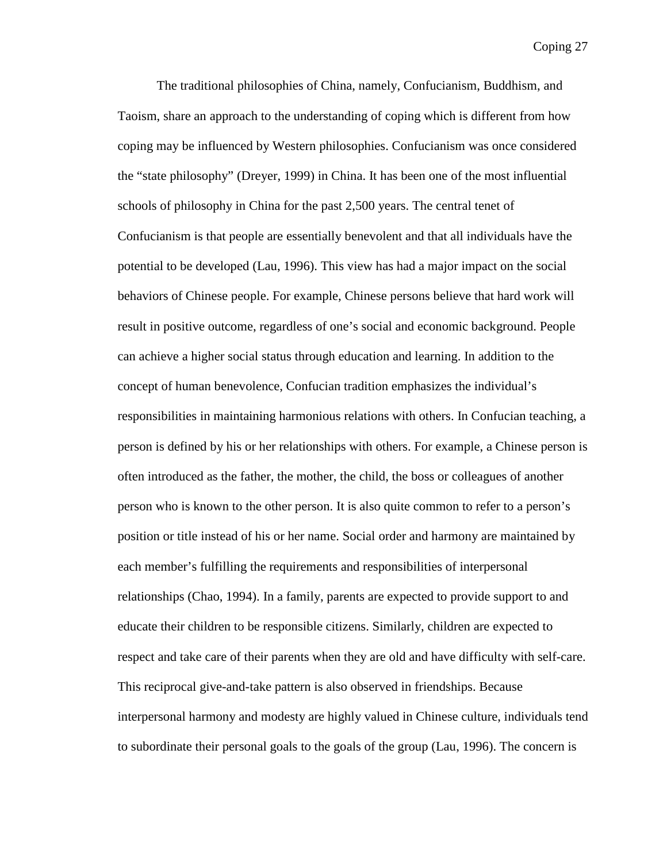The traditional philosophies of China, namely, Confucianism, Buddhism, and Taoism, share an approach to the understanding of coping which is different from how coping may be influenced by Western philosophies. Confucianism was once considered the "state philosophy" (Dreyer, 1999) in China. It has been one of the most influential schools of philosophy in China for the past 2,500 years. The central tenet of Confucianism is that people are essentially benevolent and that all individuals have the potential to be developed (Lau, 1996). This view has had a major impact on the social behaviors of Chinese people. For example, Chinese persons believe that hard work will result in positive outcome, regardless of one's social and economic background. People can achieve a higher social status through education and learning. In addition to the concept of human benevolence, Confucian tradition emphasizes the individual's responsibilities in maintaining harmonious relations with others. In Confucian teaching, a person is defined by his or her relationships with others. For example, a Chinese person is often introduced as the father, the mother, the child, the boss or colleagues of another person who is known to the other person. It is also quite common to refer to a person's position or title instead of his or her name. Social order and harmony are maintained by each member's fulfilling the requirements and responsibilities of interpersonal relationships (Chao, 1994). In a family, parents are expected to provide support to and educate their children to be responsible citizens. Similarly, children are expected to respect and take care of their parents when they are old and have difficulty with self-care. This reciprocal give-and-take pattern is also observed in friendships. Because interpersonal harmony and modesty are highly valued in Chinese culture, individuals tend to subordinate their personal goals to the goals of the group (Lau, 1996). The concern is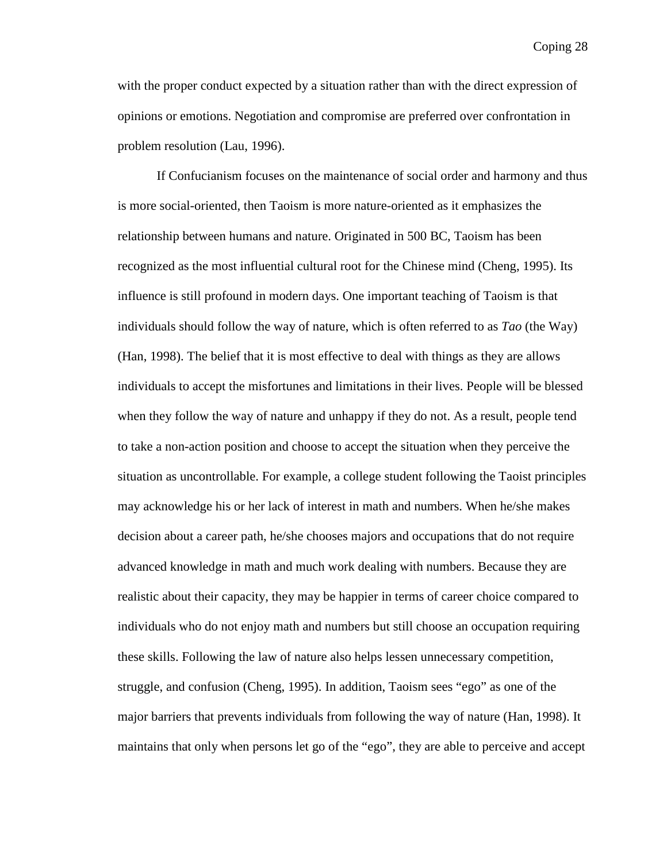with the proper conduct expected by a situation rather than with the direct expression of opinions or emotions. Negotiation and compromise are preferred over confrontation in problem resolution (Lau, 1996).

If Confucianism focuses on the maintenance of social order and harmony and thus is more social-oriented, then Taoism is more nature-oriented as it emphasizes the relationship between humans and nature. Originated in 500 BC, Taoism has been recognized as the most influential cultural root for the Chinese mind (Cheng, 1995). Its influence is still profound in modern days. One important teaching of Taoism is that individuals should follow the way of nature, which is often referred to as *Tao* (the Way) (Han, 1998). The belief that it is most effective to deal with things as they are allows individuals to accept the misfortunes and limitations in their lives. People will be blessed when they follow the way of nature and unhappy if they do not. As a result, people tend to take a non-action position and choose to accept the situation when they perceive the situation as uncontrollable. For example, a college student following the Taoist principles may acknowledge his or her lack of interest in math and numbers. When he/she makes decision about a career path, he/she chooses majors and occupations that do not require advanced knowledge in math and much work dealing with numbers. Because they are realistic about their capacity, they may be happier in terms of career choice compared to individuals who do not enjoy math and numbers but still choose an occupation requiring these skills. Following the law of nature also helps lessen unnecessary competition, struggle, and confusion (Cheng, 1995). In addition, Taoism sees "ego" as one of the major barriers that prevents individuals from following the way of nature (Han, 1998). It maintains that only when persons let go of the "ego", they are able to perceive and accept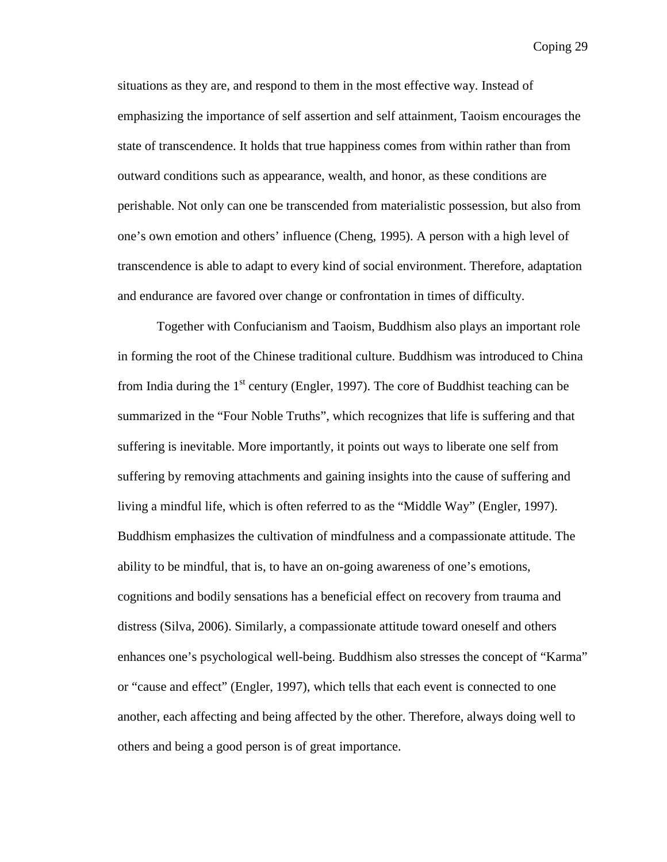situations as they are, and respond to them in the most effective way. Instead of emphasizing the importance of self assertion and self attainment, Taoism encourages the state of transcendence. It holds that true happiness comes from within rather than from outward conditions such as appearance, wealth, and honor, as these conditions are perishable. Not only can one be transcended from materialistic possession, but also from one's own emotion and others' influence (Cheng, 1995). A person with a high level of transcendence is able to adapt to every kind of social environment. Therefore, adaptation and endurance are favored over change or confrontation in times of difficulty.

Together with Confucianism and Taoism, Buddhism also plays an important role in forming the root of the Chinese traditional culture. Buddhism was introduced to China from India during the  $1<sup>st</sup>$  century (Engler, 1997). The core of Buddhist teaching can be summarized in the "Four Noble Truths", which recognizes that life is suffering and that suffering is inevitable. More importantly, it points out ways to liberate one self from suffering by removing attachments and gaining insights into the cause of suffering and living a mindful life, which is often referred to as the "Middle Way" (Engler, 1997). Buddhism emphasizes the cultivation of mindfulness and a compassionate attitude. The ability to be mindful, that is, to have an on-going awareness of one's emotions, cognitions and bodily sensations has a beneficial effect on recovery from trauma and distress (Silva, 2006). Similarly, a compassionate attitude toward oneself and others enhances one's psychological well-being. Buddhism also stresses the concept of "Karma" or "cause and effect" (Engler, 1997), which tells that each event is connected to one another, each affecting and being affected by the other. Therefore, always doing well to others and being a good person is of great importance.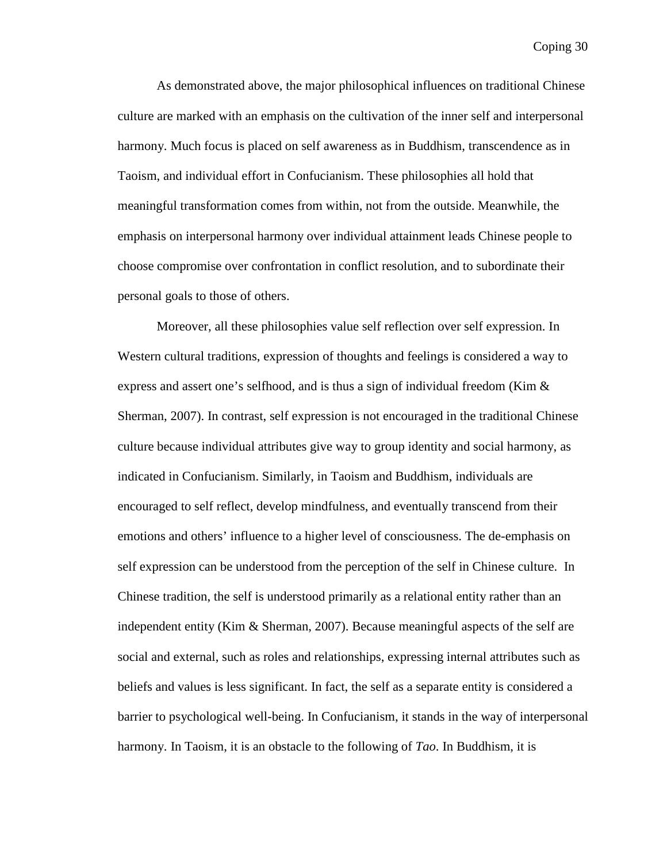As demonstrated above, the major philosophical influences on traditional Chinese culture are marked with an emphasis on the cultivation of the inner self and interpersonal harmony. Much focus is placed on self awareness as in Buddhism, transcendence as in Taoism, and individual effort in Confucianism. These philosophies all hold that meaningful transformation comes from within, not from the outside. Meanwhile, the emphasis on interpersonal harmony over individual attainment leads Chinese people to choose compromise over confrontation in conflict resolution, and to subordinate their personal goals to those of others.

Moreover, all these philosophies value self reflection over self expression. In Western cultural traditions, expression of thoughts and feelings is considered a way to express and assert one's selfhood, and is thus a sign of individual freedom (Kim & Sherman, 2007). In contrast, self expression is not encouraged in the traditional Chinese culture because individual attributes give way to group identity and social harmony, as indicated in Confucianism. Similarly, in Taoism and Buddhism, individuals are encouraged to self reflect, develop mindfulness, and eventually transcend from their emotions and others' influence to a higher level of consciousness. The de-emphasis on self expression can be understood from the perception of the self in Chinese culture. In Chinese tradition, the self is understood primarily as a relational entity rather than an independent entity (Kim & Sherman, 2007). Because meaningful aspects of the self are social and external, such as roles and relationships, expressing internal attributes such as beliefs and values is less significant. In fact, the self as a separate entity is considered a barrier to psychological well-being. In Confucianism, it stands in the way of interpersonal harmony. In Taoism, it is an obstacle to the following of *Tao*. In Buddhism, it is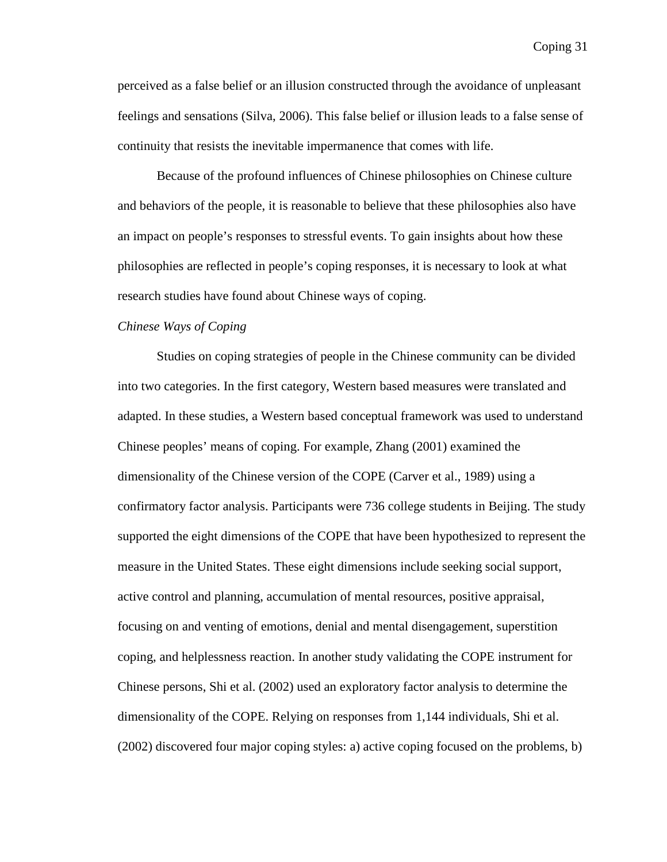perceived as a false belief or an illusion constructed through the avoidance of unpleasant feelings and sensations (Silva, 2006). This false belief or illusion leads to a false sense of continuity that resists the inevitable impermanence that comes with life.

Because of the profound influences of Chinese philosophies on Chinese culture and behaviors of the people, it is reasonable to believe that these philosophies also have an impact on people's responses to stressful events. To gain insights about how these philosophies are reflected in people's coping responses, it is necessary to look at what research studies have found about Chinese ways of coping.

## *Chinese Ways of Coping*

Studies on coping strategies of people in the Chinese community can be divided into two categories. In the first category, Western based measures were translated and adapted. In these studies, a Western based conceptual framework was used to understand Chinese peoples' means of coping. For example, Zhang (2001) examined the dimensionality of the Chinese version of the COPE (Carver et al., 1989) using a confirmatory factor analysis. Participants were 736 college students in Beijing. The study supported the eight dimensions of the COPE that have been hypothesized to represent the measure in the United States. These eight dimensions include seeking social support, active control and planning, accumulation of mental resources, positive appraisal, focusing on and venting of emotions, denial and mental disengagement, superstition coping, and helplessness reaction. In another study validating the COPE instrument for Chinese persons, Shi et al. (2002) used an exploratory factor analysis to determine the dimensionality of the COPE. Relying on responses from 1,144 individuals, Shi et al. (2002) discovered four major coping styles: a) active coping focused on the problems, b)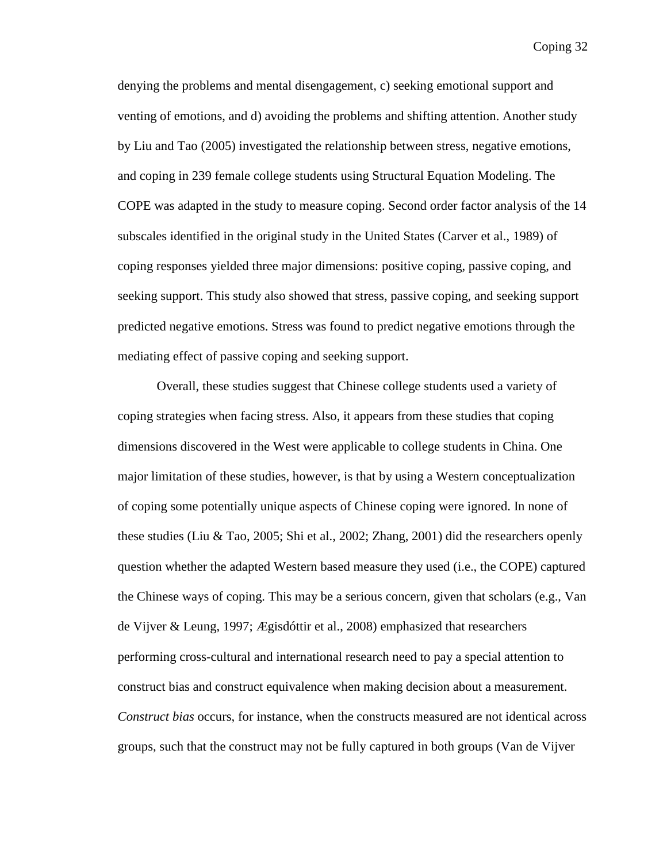denying the problems and mental disengagement, c) seeking emotional support and venting of emotions, and d) avoiding the problems and shifting attention. Another study by Liu and Tao (2005) investigated the relationship between stress, negative emotions, and coping in 239 female college students using Structural Equation Modeling. The COPE was adapted in the study to measure coping. Second order factor analysis of the 14 subscales identified in the original study in the United States (Carver et al., 1989) of coping responses yielded three major dimensions: positive coping, passive coping, and seeking support. This study also showed that stress, passive coping, and seeking support predicted negative emotions. Stress was found to predict negative emotions through the mediating effect of passive coping and seeking support.

Overall, these studies suggest that Chinese college students used a variety of coping strategies when facing stress. Also, it appears from these studies that coping dimensions discovered in the West were applicable to college students in China. One major limitation of these studies, however, is that by using a Western conceptualization of coping some potentially unique aspects of Chinese coping were ignored. In none of these studies (Liu & Tao, 2005; Shi et al., 2002; Zhang, 2001) did the researchers openly question whether the adapted Western based measure they used (i.e., the COPE) captured the Chinese ways of coping. This may be a serious concern, given that scholars (e.g., Van de Vijver & Leung, 1997; Ægisdóttir et al., 2008) emphasized that researchers performing cross-cultural and international research need to pay a special attention to construct bias and construct equivalence when making decision about a measurement. *Construct bias* occurs, for instance, when the constructs measured are not identical across groups, such that the construct may not be fully captured in both groups (Van de Vijver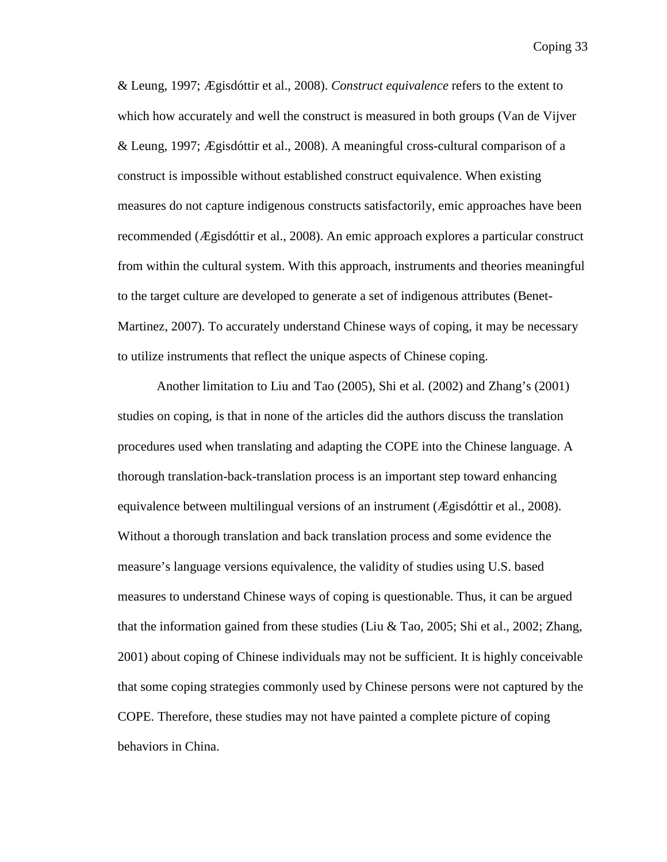& Leung, 1997; Ægisdóttir et al., 2008). *Construct equivalence* refers to the extent to which how accurately and well the construct is measured in both groups (Van de Vijver & Leung, 1997; Ægisdóttir et al., 2008). A meaningful cross-cultural comparison of a construct is impossible without established construct equivalence. When existing measures do not capture indigenous constructs satisfactorily, emic approaches have been recommended (Ægisdóttir et al., 2008). An emic approach explores a particular construct from within the cultural system. With this approach, instruments and theories meaningful to the target culture are developed to generate a set of indigenous attributes (Benet-Martinez, 2007). To accurately understand Chinese ways of coping, it may be necessary to utilize instruments that reflect the unique aspects of Chinese coping.

Another limitation to Liu and Tao (2005), Shi et al. (2002) and Zhang's (2001) studies on coping, is that in none of the articles did the authors discuss the translation procedures used when translating and adapting the COPE into the Chinese language. A thorough translation-back-translation process is an important step toward enhancing equivalence between multilingual versions of an instrument (Ægisdóttir et al., 2008). Without a thorough translation and back translation process and some evidence the measure's language versions equivalence, the validity of studies using U.S. based measures to understand Chinese ways of coping is questionable. Thus, it can be argued that the information gained from these studies (Liu & Tao, 2005; Shi et al., 2002; Zhang, 2001) about coping of Chinese individuals may not be sufficient. It is highly conceivable that some coping strategies commonly used by Chinese persons were not captured by the COPE. Therefore, these studies may not have painted a complete picture of coping behaviors in China.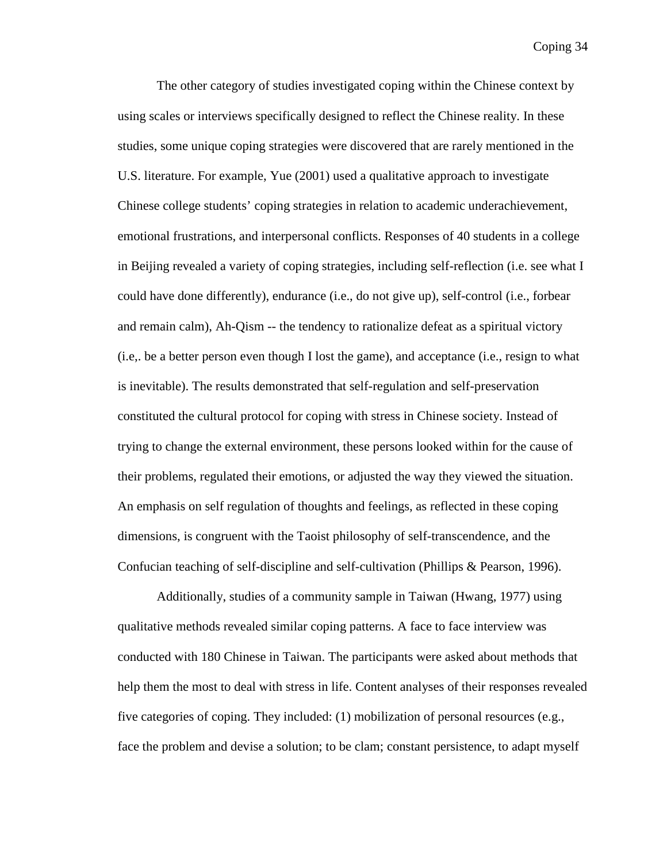The other category of studies investigated coping within the Chinese context by using scales or interviews specifically designed to reflect the Chinese reality. In these studies, some unique coping strategies were discovered that are rarely mentioned in the U.S. literature. For example, Yue (2001) used a qualitative approach to investigate Chinese college students' coping strategies in relation to academic underachievement, emotional frustrations, and interpersonal conflicts. Responses of 40 students in a college in Beijing revealed a variety of coping strategies, including self-reflection (i.e. see what I could have done differently), endurance (i.e., do not give up), self-control (i.e., forbear and remain calm), Ah-Qism -- the tendency to rationalize defeat as a spiritual victory (i.e,. be a better person even though I lost the game), and acceptance (i.e., resign to what is inevitable). The results demonstrated that self-regulation and self-preservation constituted the cultural protocol for coping with stress in Chinese society. Instead of trying to change the external environment, these persons looked within for the cause of their problems, regulated their emotions, or adjusted the way they viewed the situation. An emphasis on self regulation of thoughts and feelings, as reflected in these coping dimensions, is congruent with the Taoist philosophy of self-transcendence, and the Confucian teaching of self-discipline and self-cultivation (Phillips & Pearson, 1996).

Additionally, studies of a community sample in Taiwan (Hwang, 1977) using qualitative methods revealed similar coping patterns. A face to face interview was conducted with 180 Chinese in Taiwan. The participants were asked about methods that help them the most to deal with stress in life. Content analyses of their responses revealed five categories of coping. They included: (1) mobilization of personal resources (e.g., face the problem and devise a solution; to be clam; constant persistence, to adapt myself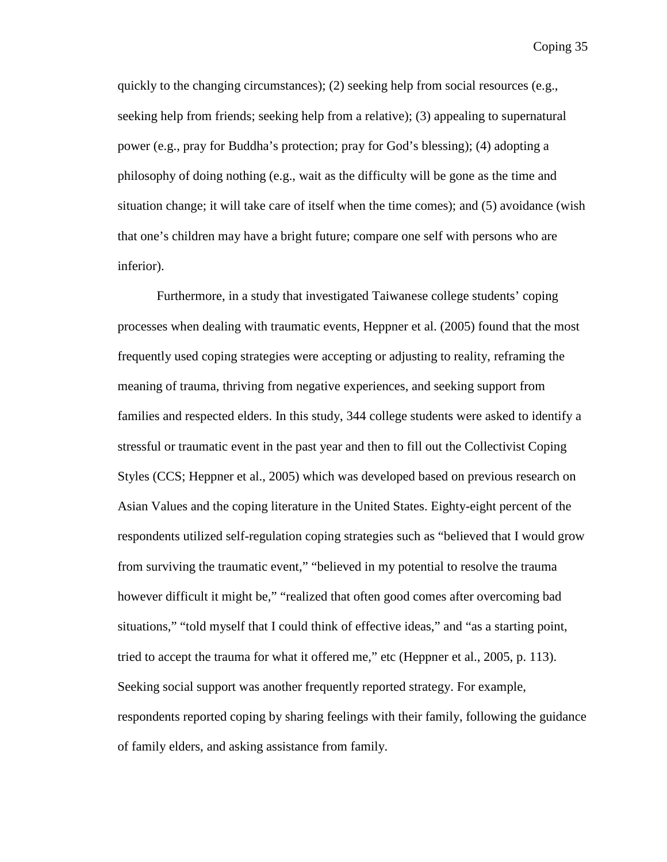quickly to the changing circumstances); (2) seeking help from social resources (e.g., seeking help from friends; seeking help from a relative); (3) appealing to supernatural power (e.g., pray for Buddha's protection; pray for God's blessing); (4) adopting a philosophy of doing nothing (e.g., wait as the difficulty will be gone as the time and situation change; it will take care of itself when the time comes); and (5) avoidance (wish that one's children may have a bright future; compare one self with persons who are inferior).

Furthermore, in a study that investigated Taiwanese college students' coping processes when dealing with traumatic events, Heppner et al. (2005) found that the most frequently used coping strategies were accepting or adjusting to reality, reframing the meaning of trauma, thriving from negative experiences, and seeking support from families and respected elders. In this study, 344 college students were asked to identify a stressful or traumatic event in the past year and then to fill out the Collectivist Coping Styles (CCS; Heppner et al., 2005) which was developed based on previous research on Asian Values and the coping literature in the United States. Eighty-eight percent of the respondents utilized self-regulation coping strategies such as "believed that I would grow from surviving the traumatic event," "believed in my potential to resolve the trauma however difficult it might be," "realized that often good comes after overcoming bad situations," "told myself that I could think of effective ideas," and "as a starting point, tried to accept the trauma for what it offered me," etc (Heppner et al., 2005, p. 113). Seeking social support was another frequently reported strategy. For example, respondents reported coping by sharing feelings with their family, following the guidance of family elders, and asking assistance from family.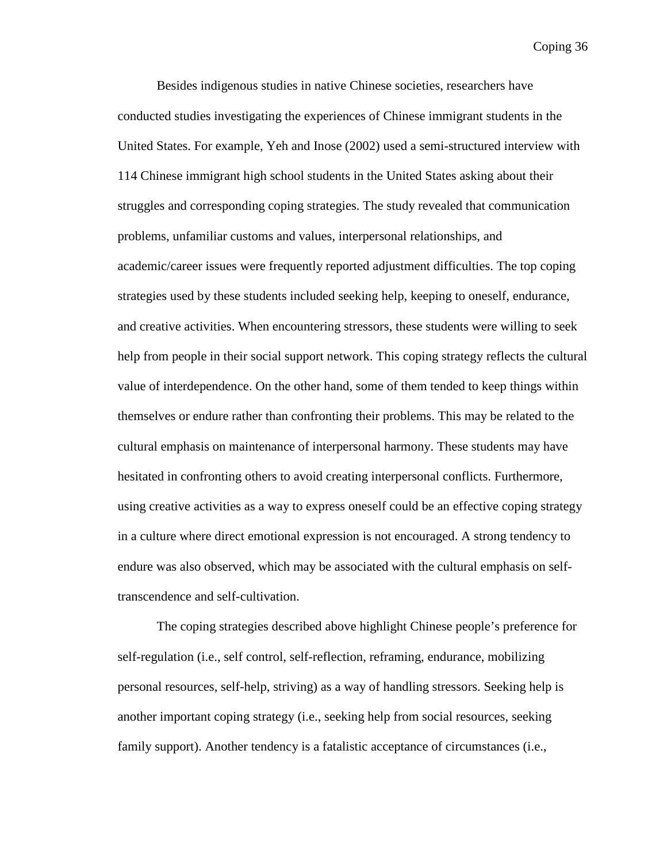Besides indigenous studies in native Chinese societies, researchers have conducted studies investigating the experiences of Chinese immigrant students in the United States. For example, Yeh and Inose (2002) used a semi-structured interview with 114 Chinese immigrant high school students in the United States asking about their struggles and corresponding coping strategies. The study revealed that communication problems, unfamiliar customs and values, interpersonal relationships, and academic/career issues were frequently reported adjustment difficulties. The top coping strategies used by these students included seeking help, keeping to oneself, endurance, and creative activities. When encountering stressors, these students were willing to seek help from people in their social support network. This coping strategy reflects the cultural value of interdependence. On the other hand, some of them tended to keep things within themselves or endure rather than confronting their problems. This may be related to the cultural emphasis on maintenance of interpersonal harmony. These students may have hesitated in confronting others to avoid creating interpersonal conflicts. Furthermore, using creative activities as a way to express oneself could be an effective coping strategy in a culture where direct emotional expression is not encouraged. A strong tendency to endure was also observed, which may be associated with the cultural emphasis on selftranscendence and self-cultivation.

The coping strategies described above highlight Chinese people's preference for self-regulation (i.e., self control, self-reflection, reframing, endurance, mobilizing personal resources, self-help, striving) as a way of handling stressors. Seeking help is another important coping strategy (i.e., seeking help from social resources, seeking family support). Another tendency is a fatalistic acceptance of circumstances (i.e.,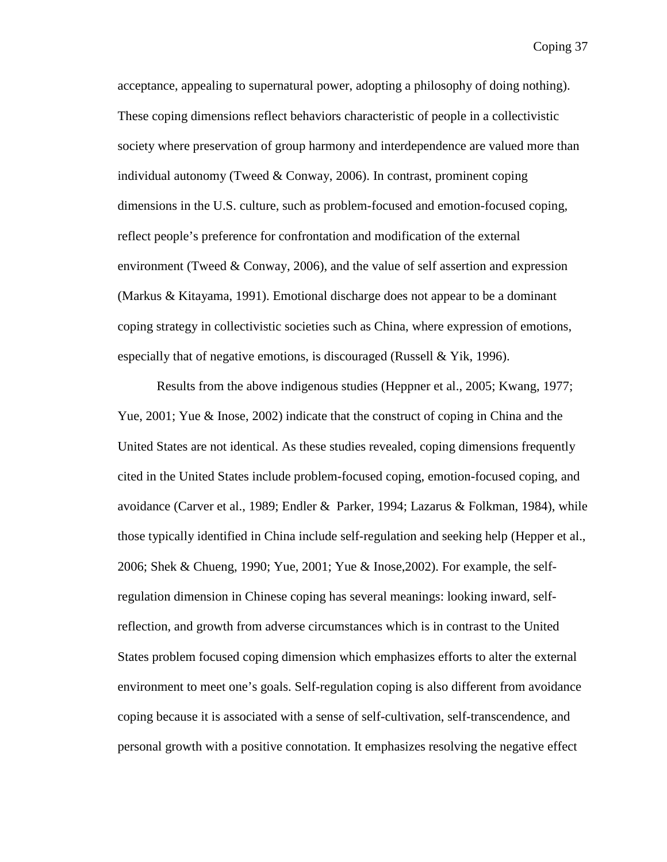acceptance, appealing to supernatural power, adopting a philosophy of doing nothing). These coping dimensions reflect behaviors characteristic of people in a collectivistic society where preservation of group harmony and interdependence are valued more than individual autonomy (Tweed & Conway, 2006). In contrast, prominent coping dimensions in the U.S. culture, such as problem-focused and emotion-focused coping, reflect people's preference for confrontation and modification of the external environment (Tweed & Conway, 2006), and the value of self assertion and expression (Markus & Kitayama, 1991). Emotional discharge does not appear to be a dominant coping strategy in collectivistic societies such as China, where expression of emotions, especially that of negative emotions, is discouraged (Russell & Yik, 1996).

Results from the above indigenous studies (Heppner et al., 2005; Kwang, 1977; Yue, 2001; Yue & Inose, 2002) indicate that the construct of coping in China and the United States are not identical. As these studies revealed, coping dimensions frequently cited in the United States include problem-focused coping, emotion-focused coping, and avoidance (Carver et al., 1989; Endler & Parker, 1994; Lazarus & Folkman, 1984), while those typically identified in China include self-regulation and seeking help (Hepper et al., 2006; Shek & Chueng, 1990; Yue, 2001; Yue & Inose,2002). For example, the selfregulation dimension in Chinese coping has several meanings: looking inward, selfreflection, and growth from adverse circumstances which is in contrast to the United States problem focused coping dimension which emphasizes efforts to alter the external environment to meet one's goals. Self-regulation coping is also different from avoidance coping because it is associated with a sense of self-cultivation, self-transcendence, and personal growth with a positive connotation. It emphasizes resolving the negative effect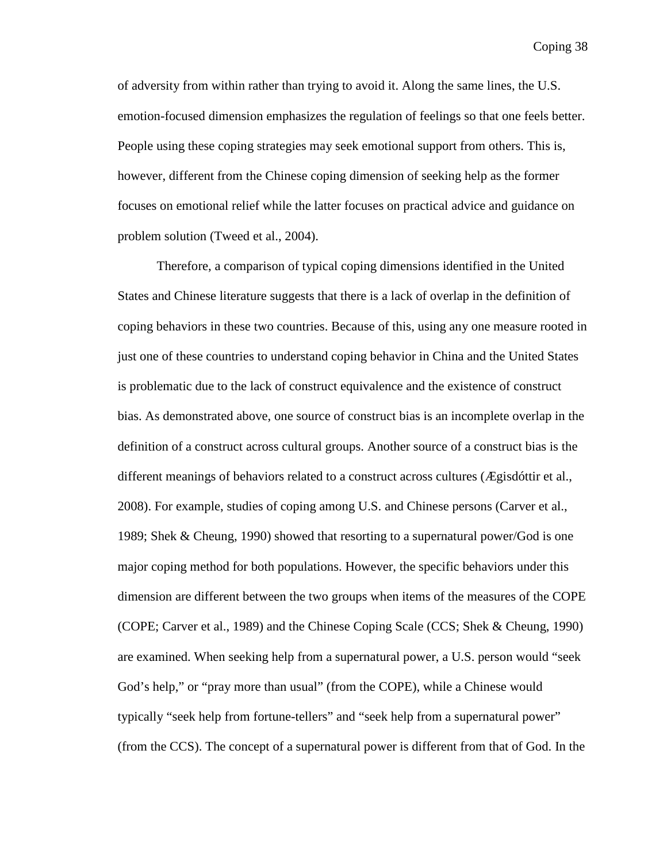of adversity from within rather than trying to avoid it. Along the same lines, the U.S. emotion-focused dimension emphasizes the regulation of feelings so that one feels better. People using these coping strategies may seek emotional support from others. This is, however, different from the Chinese coping dimension of seeking help as the former focuses on emotional relief while the latter focuses on practical advice and guidance on problem solution (Tweed et al., 2004).

Therefore, a comparison of typical coping dimensions identified in the United States and Chinese literature suggests that there is a lack of overlap in the definition of coping behaviors in these two countries. Because of this, using any one measure rooted in just one of these countries to understand coping behavior in China and the United States is problematic due to the lack of construct equivalence and the existence of construct bias. As demonstrated above, one source of construct bias is an incomplete overlap in the definition of a construct across cultural groups. Another source of a construct bias is the different meanings of behaviors related to a construct across cultures (Ægisdóttir et al., 2008). For example, studies of coping among U.S. and Chinese persons (Carver et al., 1989; Shek & Cheung, 1990) showed that resorting to a supernatural power/God is one major coping method for both populations. However, the specific behaviors under this dimension are different between the two groups when items of the measures of the COPE (COPE; Carver et al., 1989) and the Chinese Coping Scale (CCS; Shek & Cheung, 1990) are examined. When seeking help from a supernatural power, a U.S. person would "seek God's help," or "pray more than usual" (from the COPE), while a Chinese would typically "seek help from fortune-tellers" and "seek help from a supernatural power" (from the CCS). The concept of a supernatural power is different from that of God. In the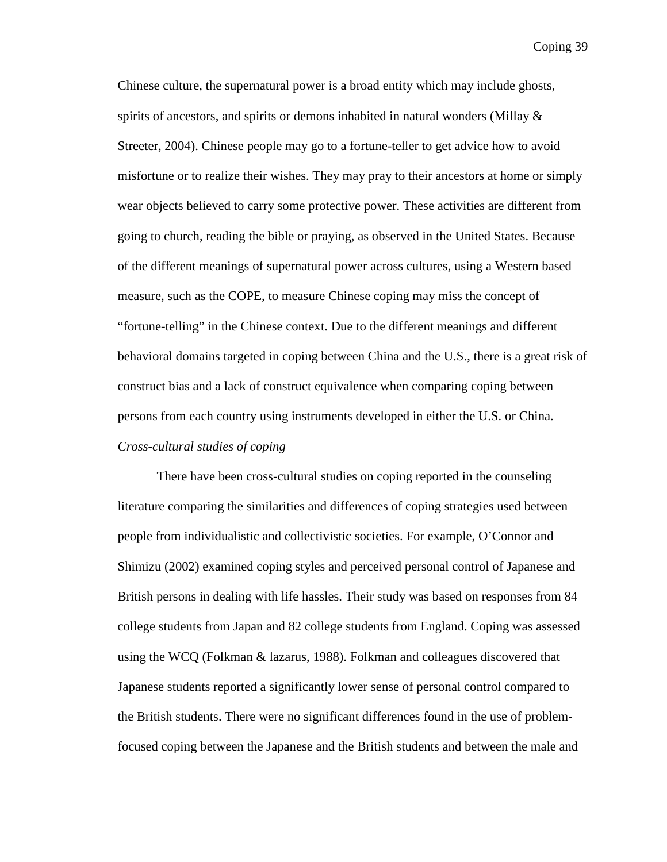Chinese culture, the supernatural power is a broad entity which may include ghosts, spirits of ancestors, and spirits or demons inhabited in natural wonders (Millay & Streeter, 2004). Chinese people may go to a fortune-teller to get advice how to avoid misfortune or to realize their wishes. They may pray to their ancestors at home or simply wear objects believed to carry some protective power. These activities are different from going to church, reading the bible or praying, as observed in the United States. Because of the different meanings of supernatural power across cultures, using a Western based measure, such as the COPE, to measure Chinese coping may miss the concept of "fortune-telling" in the Chinese context. Due to the different meanings and different behavioral domains targeted in coping between China and the U.S., there is a great risk of construct bias and a lack of construct equivalence when comparing coping between persons from each country using instruments developed in either the U.S. or China. *Cross-cultural studies of coping*

There have been cross-cultural studies on coping reported in the counseling literature comparing the similarities and differences of coping strategies used between people from individualistic and collectivistic societies. For example, O'Connor and Shimizu (2002) examined coping styles and perceived personal control of Japanese and British persons in dealing with life hassles. Their study was based on responses from 84 college students from Japan and 82 college students from England. Coping was assessed using the WCQ (Folkman & lazarus, 1988). Folkman and colleagues discovered that Japanese students reported a significantly lower sense of personal control compared to the British students. There were no significant differences found in the use of problemfocused coping between the Japanese and the British students and between the male and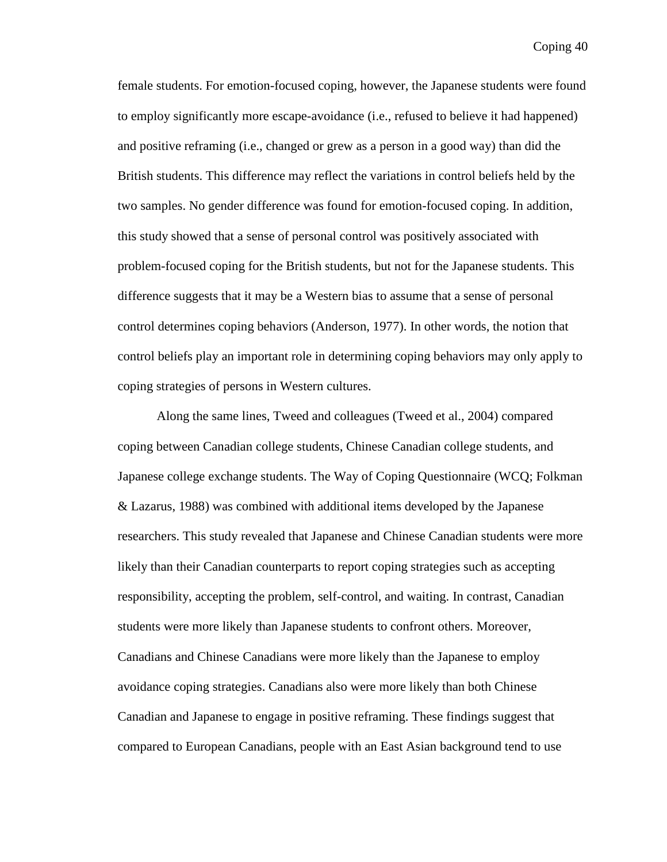female students. For emotion-focused coping, however, the Japanese students were found to employ significantly more escape-avoidance (i.e., refused to believe it had happened) and positive reframing (i.e., changed or grew as a person in a good way) than did the British students. This difference may reflect the variations in control beliefs held by the two samples. No gender difference was found for emotion-focused coping. In addition, this study showed that a sense of personal control was positively associated with problem-focused coping for the British students, but not for the Japanese students. This difference suggests that it may be a Western bias to assume that a sense of personal control determines coping behaviors (Anderson, 1977). In other words, the notion that control beliefs play an important role in determining coping behaviors may only apply to coping strategies of persons in Western cultures.

Along the same lines, Tweed and colleagues (Tweed et al., 2004) compared coping between Canadian college students, Chinese Canadian college students, and Japanese college exchange students. The Way of Coping Questionnaire (WCQ; Folkman & Lazarus, 1988) was combined with additional items developed by the Japanese researchers. This study revealed that Japanese and Chinese Canadian students were more likely than their Canadian counterparts to report coping strategies such as accepting responsibility, accepting the problem, self-control, and waiting. In contrast, Canadian students were more likely than Japanese students to confront others. Moreover, Canadians and Chinese Canadians were more likely than the Japanese to employ avoidance coping strategies. Canadians also were more likely than both Chinese Canadian and Japanese to engage in positive reframing. These findings suggest that compared to European Canadians, people with an East Asian background tend to use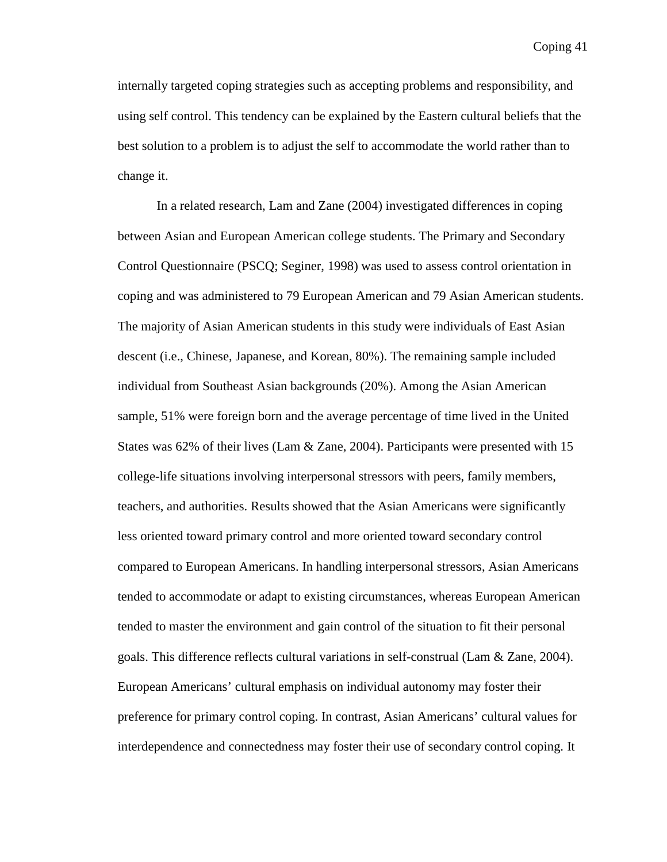internally targeted coping strategies such as accepting problems and responsibility, and using self control. This tendency can be explained by the Eastern cultural beliefs that the best solution to a problem is to adjust the self to accommodate the world rather than to change it.

In a related research, Lam and Zane (2004) investigated differences in coping between Asian and European American college students. The Primary and Secondary Control Questionnaire (PSCQ; Seginer, 1998) was used to assess control orientation in coping and was administered to 79 European American and 79 Asian American students. The majority of Asian American students in this study were individuals of East Asian descent (i.e., Chinese, Japanese, and Korean, 80%). The remaining sample included individual from Southeast Asian backgrounds (20%). Among the Asian American sample, 51% were foreign born and the average percentage of time lived in the United States was 62% of their lives (Lam & Zane, 2004). Participants were presented with 15 college-life situations involving interpersonal stressors with peers, family members, teachers, and authorities. Results showed that the Asian Americans were significantly less oriented toward primary control and more oriented toward secondary control compared to European Americans. In handling interpersonal stressors, Asian Americans tended to accommodate or adapt to existing circumstances, whereas European American tended to master the environment and gain control of the situation to fit their personal goals. This difference reflects cultural variations in self-construal (Lam & Zane, 2004). European Americans' cultural emphasis on individual autonomy may foster their preference for primary control coping. In contrast, Asian Americans' cultural values for interdependence and connectedness may foster their use of secondary control coping. It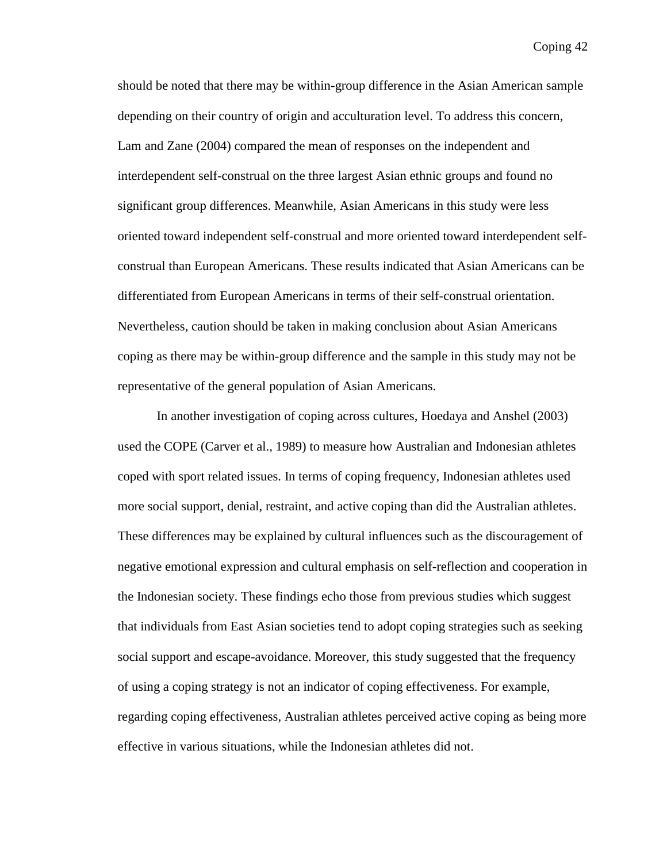should be noted that there may be within-group difference in the Asian American sample depending on their country of origin and acculturation level. To address this concern, Lam and Zane (2004) compared the mean of responses on the independent and interdependent self-construal on the three largest Asian ethnic groups and found no significant group differences. Meanwhile, Asian Americans in this study were less oriented toward independent self-construal and more oriented toward interdependent selfconstrual than European Americans. These results indicated that Asian Americans can be differentiated from European Americans in terms of their self-construal orientation. Nevertheless, caution should be taken in making conclusion about Asian Americans coping as there may be within-group difference and the sample in this study may not be representative of the general population of Asian Americans.

In another investigation of coping across cultures, Hoedaya and Anshel (2003) used the COPE (Carver et al., 1989) to measure how Australian and Indonesian athletes coped with sport related issues. In terms of coping frequency, Indonesian athletes used more social support, denial, restraint, and active coping than did the Australian athletes. These differences may be explained by cultural influences such as the discouragement of negative emotional expression and cultural emphasis on self-reflection and cooperation in the Indonesian society. These findings echo those from previous studies which suggest that individuals from East Asian societies tend to adopt coping strategies such as seeking social support and escape-avoidance. Moreover, this study suggested that the frequency of using a coping strategy is not an indicator of coping effectiveness. For example, regarding coping effectiveness, Australian athletes perceived active coping as being more effective in various situations, while the Indonesian athletes did not.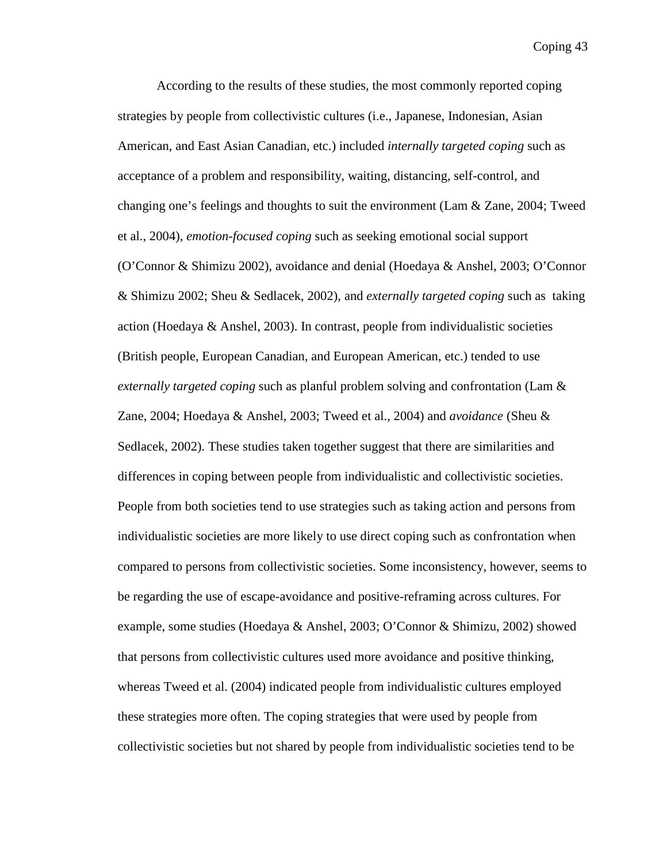According to the results of these studies, the most commonly reported coping strategies by people from collectivistic cultures (i.e., Japanese, Indonesian, Asian American, and East Asian Canadian, etc.) included *internally targeted coping* such as acceptance of a problem and responsibility, waiting, distancing, self-control, and changing one's feelings and thoughts to suit the environment (Lam & Zane, 2004; Tweed et al., 2004), *emotion-focused coping* such as seeking emotional social support (O'Connor & Shimizu 2002), avoidance and denial (Hoedaya & Anshel, 2003; O'Connor & Shimizu 2002; Sheu & Sedlacek, 2002), and *externally targeted coping* such as taking action (Hoedaya & Anshel, 2003). In contrast, people from individualistic societies (British people, European Canadian, and European American, etc.) tended to use *externally targeted coping* such as planful problem solving and confrontation (Lam & Zane, 2004; Hoedaya & Anshel, 2003; Tweed et al., 2004) and *avoidance* (Sheu & Sedlacek, 2002). These studies taken together suggest that there are similarities and differences in coping between people from individualistic and collectivistic societies. People from both societies tend to use strategies such as taking action and persons from individualistic societies are more likely to use direct coping such as confrontation when compared to persons from collectivistic societies. Some inconsistency, however, seems to be regarding the use of escape-avoidance and positive-reframing across cultures. For example, some studies (Hoedaya & Anshel, 2003; O'Connor & Shimizu, 2002) showed that persons from collectivistic cultures used more avoidance and positive thinking, whereas Tweed et al. (2004) indicated people from individualistic cultures employed these strategies more often. The coping strategies that were used by people from collectivistic societies but not shared by people from individualistic societies tend to be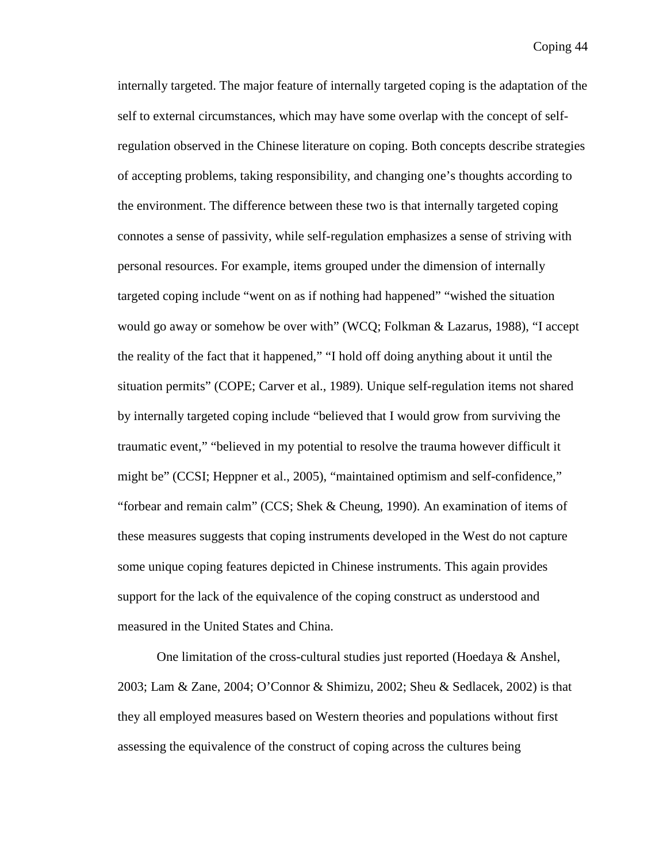internally targeted. The major feature of internally targeted coping is the adaptation of the self to external circumstances, which may have some overlap with the concept of selfregulation observed in the Chinese literature on coping. Both concepts describe strategies of accepting problems, taking responsibility, and changing one's thoughts according to the environment. The difference between these two is that internally targeted coping connotes a sense of passivity, while self-regulation emphasizes a sense of striving with personal resources. For example, items grouped under the dimension of internally targeted coping include "went on as if nothing had happened" "wished the situation would go away or somehow be over with" (WCQ; Folkman & Lazarus, 1988), "I accept the reality of the fact that it happened," "I hold off doing anything about it until the situation permits" (COPE; Carver et al., 1989). Unique self-regulation items not shared by internally targeted coping include "believed that I would grow from surviving the traumatic event," "believed in my potential to resolve the trauma however difficult it might be" (CCSI; Heppner et al., 2005), "maintained optimism and self-confidence," "forbear and remain calm" (CCS; Shek & Cheung, 1990). An examination of items of these measures suggests that coping instruments developed in the West do not capture some unique coping features depicted in Chinese instruments. This again provides support for the lack of the equivalence of the coping construct as understood and measured in the United States and China.

One limitation of the cross-cultural studies just reported (Hoedaya & Anshel, 2003; Lam & Zane, 2004; O'Connor & Shimizu, 2002; Sheu & Sedlacek, 2002) is that they all employed measures based on Western theories and populations without first assessing the equivalence of the construct of coping across the cultures being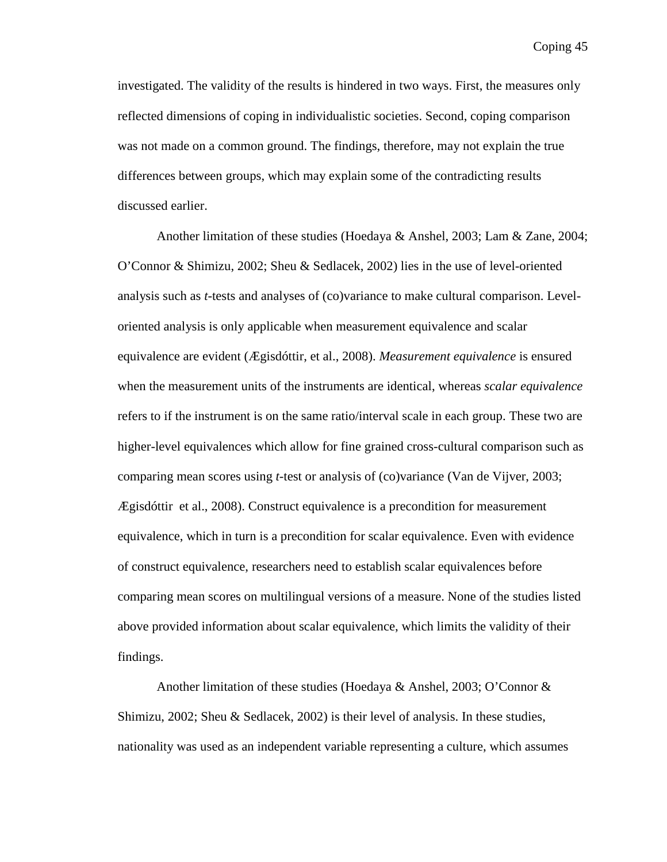investigated. The validity of the results is hindered in two ways. First, the measures only reflected dimensions of coping in individualistic societies. Second, coping comparison was not made on a common ground. The findings, therefore, may not explain the true differences between groups, which may explain some of the contradicting results discussed earlier.

Another limitation of these studies (Hoedaya & Anshel, 2003; Lam & Zane, 2004; O'Connor & Shimizu, 2002; Sheu & Sedlacek, 2002) lies in the use of level-oriented analysis such as *t*-tests and analyses of (co)variance to make cultural comparison. Leveloriented analysis is only applicable when measurement equivalence and scalar equivalence are evident (Ægisdóttir, et al., 2008). *Measurement equivalence* is ensured when the measurement units of the instruments are identical, whereas *scalar equivalence*  refers to if the instrument is on the same ratio/interval scale in each group. These two are higher-level equivalences which allow for fine grained cross-cultural comparison such as comparing mean scores using *t*-test or analysis of (co)variance (Van de Vijver, 2003; Ægisdóttir et al., 2008). Construct equivalence is a precondition for measurement equivalence, which in turn is a precondition for scalar equivalence. Even with evidence of construct equivalence, researchers need to establish scalar equivalences before comparing mean scores on multilingual versions of a measure. None of the studies listed above provided information about scalar equivalence, which limits the validity of their findings.

Another limitation of these studies (Hoedaya & Anshel, 2003; O'Connor & Shimizu, 2002; Sheu & Sedlacek, 2002) is their level of analysis. In these studies, nationality was used as an independent variable representing a culture, which assumes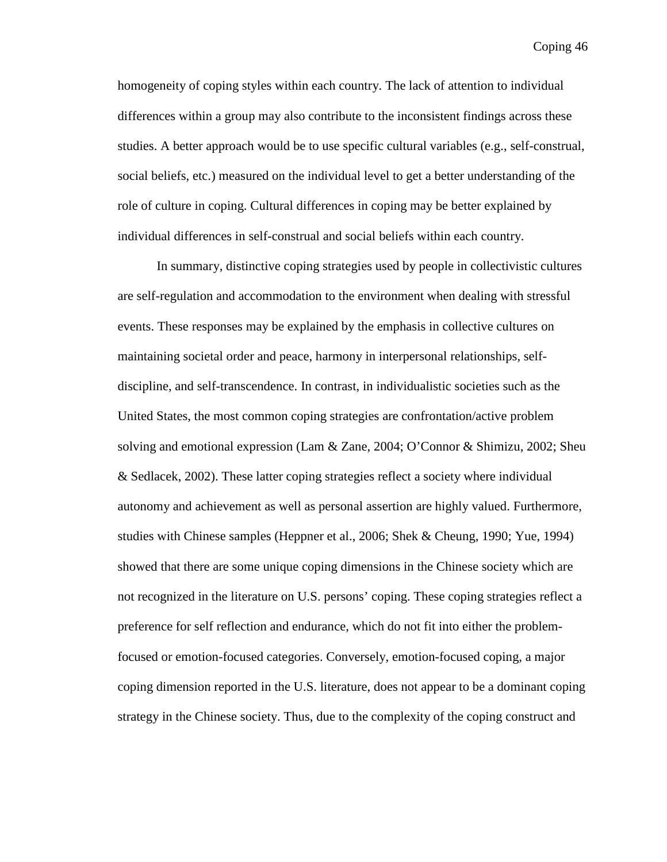homogeneity of coping styles within each country. The lack of attention to individual differences within a group may also contribute to the inconsistent findings across these studies. A better approach would be to use specific cultural variables (e.g., self-construal, social beliefs, etc.) measured on the individual level to get a better understanding of the role of culture in coping. Cultural differences in coping may be better explained by individual differences in self-construal and social beliefs within each country.

In summary, distinctive coping strategies used by people in collectivistic cultures are self-regulation and accommodation to the environment when dealing with stressful events. These responses may be explained by the emphasis in collective cultures on maintaining societal order and peace, harmony in interpersonal relationships, selfdiscipline, and self-transcendence. In contrast, in individualistic societies such as the United States, the most common coping strategies are confrontation/active problem solving and emotional expression (Lam & Zane, 2004; O'Connor & Shimizu, 2002; Sheu & Sedlacek, 2002). These latter coping strategies reflect a society where individual autonomy and achievement as well as personal assertion are highly valued. Furthermore, studies with Chinese samples (Heppner et al., 2006; Shek & Cheung, 1990; Yue, 1994) showed that there are some unique coping dimensions in the Chinese society which are not recognized in the literature on U.S. persons' coping. These coping strategies reflect a preference for self reflection and endurance, which do not fit into either the problemfocused or emotion-focused categories. Conversely, emotion-focused coping, a major coping dimension reported in the U.S. literature, does not appear to be a dominant coping strategy in the Chinese society. Thus, due to the complexity of the coping construct and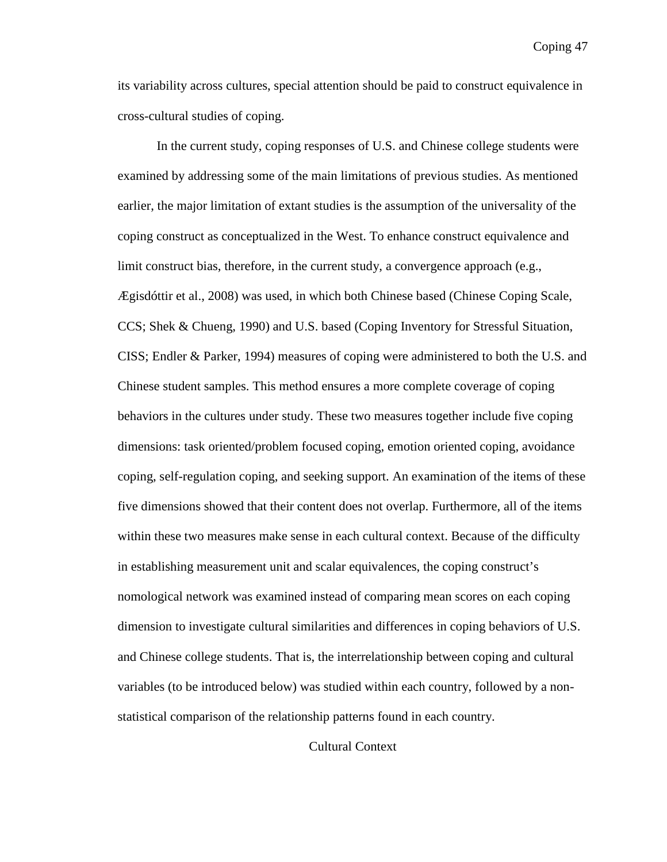its variability across cultures, special attention should be paid to construct equivalence in cross-cultural studies of coping.

In the current study, coping responses of U.S. and Chinese college students were examined by addressing some of the main limitations of previous studies. As mentioned earlier, the major limitation of extant studies is the assumption of the universality of the coping construct as conceptualized in the West. To enhance construct equivalence and limit construct bias, therefore, in the current study, a convergence approach (e.g., Ægisdóttir et al., 2008) was used, in which both Chinese based (Chinese Coping Scale, CCS; Shek & Chueng, 1990) and U.S. based (Coping Inventory for Stressful Situation, CISS; Endler & Parker, 1994) measures of coping were administered to both the U.S. and Chinese student samples. This method ensures a more complete coverage of coping behaviors in the cultures under study. These two measures together include five coping dimensions: task oriented/problem focused coping, emotion oriented coping, avoidance coping, self-regulation coping, and seeking support. An examination of the items of these five dimensions showed that their content does not overlap. Furthermore, all of the items within these two measures make sense in each cultural context. Because of the difficulty in establishing measurement unit and scalar equivalences, the coping construct's nomological network was examined instead of comparing mean scores on each coping dimension to investigate cultural similarities and differences in coping behaviors of U.S. and Chinese college students. That is, the interrelationship between coping and cultural variables (to be introduced below) was studied within each country, followed by a nonstatistical comparison of the relationship patterns found in each country.

Cultural Context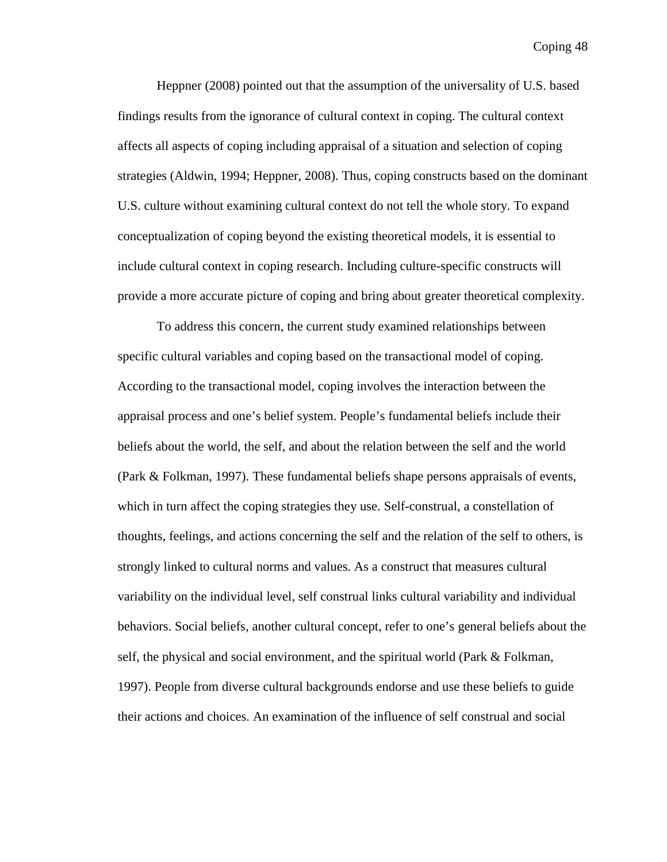Heppner (2008) pointed out that the assumption of the universality of U.S. based findings results from the ignorance of cultural context in coping. The cultural context affects all aspects of coping including appraisal of a situation and selection of coping strategies (Aldwin, 1994; Heppner, 2008). Thus, coping constructs based on the dominant U.S. culture without examining cultural context do not tell the whole story. To expand conceptualization of coping beyond the existing theoretical models, it is essential to include cultural context in coping research. Including culture-specific constructs will provide a more accurate picture of coping and bring about greater theoretical complexity.

To address this concern, the current study examined relationships between specific cultural variables and coping based on the transactional model of coping. According to the transactional model, coping involves the interaction between the appraisal process and one's belief system. People's fundamental beliefs include their beliefs about the world, the self, and about the relation between the self and the world (Park & Folkman, 1997). These fundamental beliefs shape persons appraisals of events, which in turn affect the coping strategies they use. Self-construal, a constellation of thoughts, feelings, and actions concerning the self and the relation of the self to others, is strongly linked to cultural norms and values. As a construct that measures cultural variability on the individual level, self construal links cultural variability and individual behaviors. Social beliefs, another cultural concept, refer to one's general beliefs about the self, the physical and social environment, and the spiritual world (Park & Folkman, 1997). People from diverse cultural backgrounds endorse and use these beliefs to guide their actions and choices. An examination of the influence of self construal and social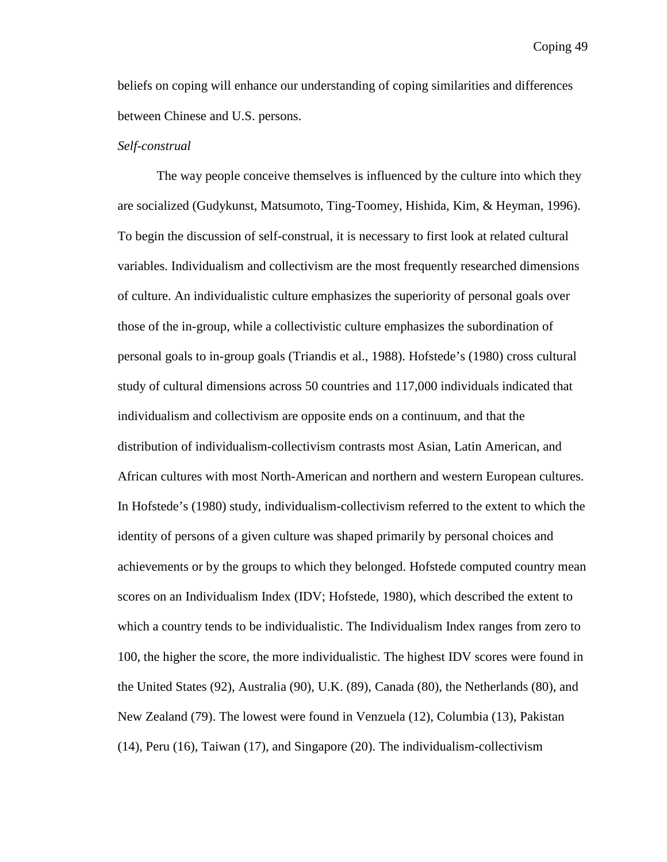beliefs on coping will enhance our understanding of coping similarities and differences between Chinese and U.S. persons.

## *Self-construal*

The way people conceive themselves is influenced by the culture into which they are socialized (Gudykunst, Matsumoto, Ting-Toomey, Hishida, Kim, & Heyman, 1996). To begin the discussion of self-construal, it is necessary to first look at related cultural variables. Individualism and collectivism are the most frequently researched dimensions of culture. An individualistic culture emphasizes the superiority of personal goals over those of the in-group, while a collectivistic culture emphasizes the subordination of personal goals to in-group goals (Triandis et al., 1988). Hofstede's (1980) cross cultural study of cultural dimensions across 50 countries and 117,000 individuals indicated that individualism and collectivism are opposite ends on a continuum, and that the distribution of individualism-collectivism contrasts most Asian, Latin American, and African cultures with most North-American and northern and western European cultures. In Hofstede's (1980) study, individualism-collectivism referred to the extent to which the identity of persons of a given culture was shaped primarily by personal choices and achievements or by the groups to which they belonged. Hofstede computed country mean scores on an Individualism Index (IDV; Hofstede, 1980), which described the extent to which a country tends to be individualistic. The Individualism Index ranges from zero to 100, the higher the score, the more individualistic. The highest IDV scores were found in the United States (92), Australia (90), U.K. (89), Canada (80), the Netherlands (80), and New Zealand (79). The lowest were found in Venzuela (12), Columbia (13), Pakistan (14), Peru (16), Taiwan (17), and Singapore (20). The individualism-collectivism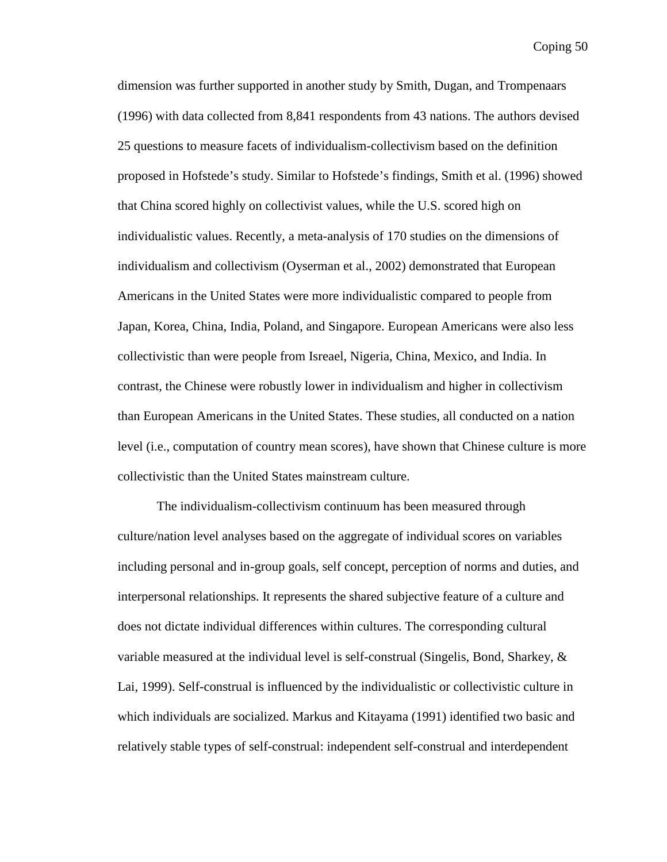dimension was further supported in another study by Smith, Dugan, and Trompenaars (1996) with data collected from 8,841 respondents from 43 nations. The authors devised 25 questions to measure facets of individualism-collectivism based on the definition proposed in Hofstede's study. Similar to Hofstede's findings, Smith et al. (1996) showed that China scored highly on collectivist values, while the U.S. scored high on individualistic values. Recently, a meta-analysis of 170 studies on the dimensions of individualism and collectivism (Oyserman et al., 2002) demonstrated that European Americans in the United States were more individualistic compared to people from Japan, Korea, China, India, Poland, and Singapore. European Americans were also less collectivistic than were people from Isreael, Nigeria, China, Mexico, and India. In contrast, the Chinese were robustly lower in individualism and higher in collectivism than European Americans in the United States. These studies, all conducted on a nation level (i.e., computation of country mean scores), have shown that Chinese culture is more collectivistic than the United States mainstream culture.

The individualism-collectivism continuum has been measured through culture/nation level analyses based on the aggregate of individual scores on variables including personal and in-group goals, self concept, perception of norms and duties, and interpersonal relationships. It represents the shared subjective feature of a culture and does not dictate individual differences within cultures. The corresponding cultural variable measured at the individual level is self-construal (Singelis, Bond, Sharkey, & Lai, 1999). Self-construal is influenced by the individualistic or collectivistic culture in which individuals are socialized. Markus and Kitayama (1991) identified two basic and relatively stable types of self-construal: independent self-construal and interdependent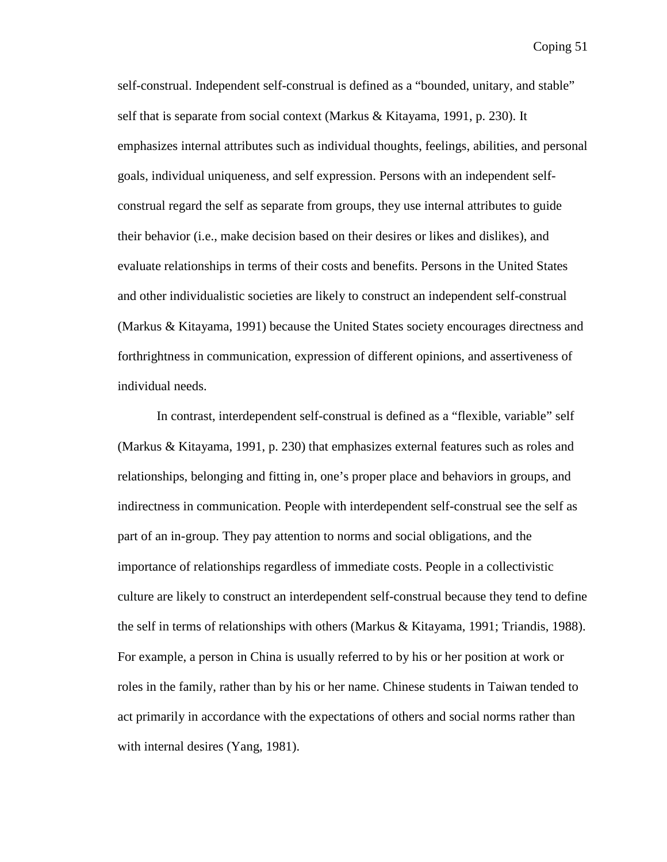self-construal. Independent self-construal is defined as a "bounded, unitary, and stable" self that is separate from social context (Markus & Kitayama, 1991, p. 230). It emphasizes internal attributes such as individual thoughts, feelings, abilities, and personal goals, individual uniqueness, and self expression. Persons with an independent selfconstrual regard the self as separate from groups, they use internal attributes to guide their behavior (i.e., make decision based on their desires or likes and dislikes), and evaluate relationships in terms of their costs and benefits. Persons in the United States and other individualistic societies are likely to construct an independent self-construal (Markus & Kitayama, 1991) because the United States society encourages directness and forthrightness in communication, expression of different opinions, and assertiveness of individual needs.

In contrast, interdependent self-construal is defined as a "flexible, variable" self (Markus & Kitayama, 1991, p. 230) that emphasizes external features such as roles and relationships, belonging and fitting in, one's proper place and behaviors in groups, and indirectness in communication. People with interdependent self-construal see the self as part of an in-group. They pay attention to norms and social obligations, and the importance of relationships regardless of immediate costs. People in a collectivistic culture are likely to construct an interdependent self-construal because they tend to define the self in terms of relationships with others (Markus & Kitayama, 1991; Triandis, 1988). For example, a person in China is usually referred to by his or her position at work or roles in the family, rather than by his or her name. Chinese students in Taiwan tended to act primarily in accordance with the expectations of others and social norms rather than with internal desires (Yang, 1981).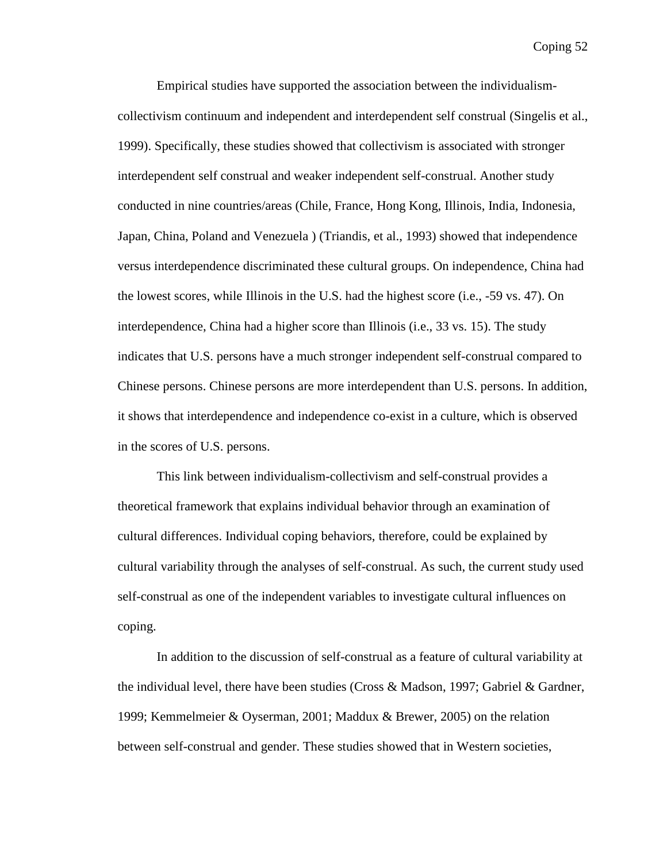Empirical studies have supported the association between the individualismcollectivism continuum and independent and interdependent self construal (Singelis et al., 1999). Specifically, these studies showed that collectivism is associated with stronger interdependent self construal and weaker independent self-construal. Another study conducted in nine countries/areas (Chile, France, Hong Kong, Illinois, India, Indonesia, Japan, China, Poland and Venezuela ) (Triandis, et al., 1993) showed that independence versus interdependence discriminated these cultural groups. On independence, China had the lowest scores, while Illinois in the U.S. had the highest score (i.e., -59 vs. 47). On interdependence, China had a higher score than Illinois (i.e., 33 vs. 15). The study indicates that U.S. persons have a much stronger independent self-construal compared to Chinese persons. Chinese persons are more interdependent than U.S. persons. In addition, it shows that interdependence and independence co-exist in a culture, which is observed in the scores of U.S. persons.

This link between individualism-collectivism and self-construal provides a theoretical framework that explains individual behavior through an examination of cultural differences. Individual coping behaviors, therefore, could be explained by cultural variability through the analyses of self-construal. As such, the current study used self-construal as one of the independent variables to investigate cultural influences on coping.

In addition to the discussion of self-construal as a feature of cultural variability at the individual level, there have been studies (Cross & Madson, 1997; Gabriel & Gardner, 1999; Kemmelmeier & Oyserman, 2001; Maddux & Brewer, 2005) on the relation between self-construal and gender. These studies showed that in Western societies,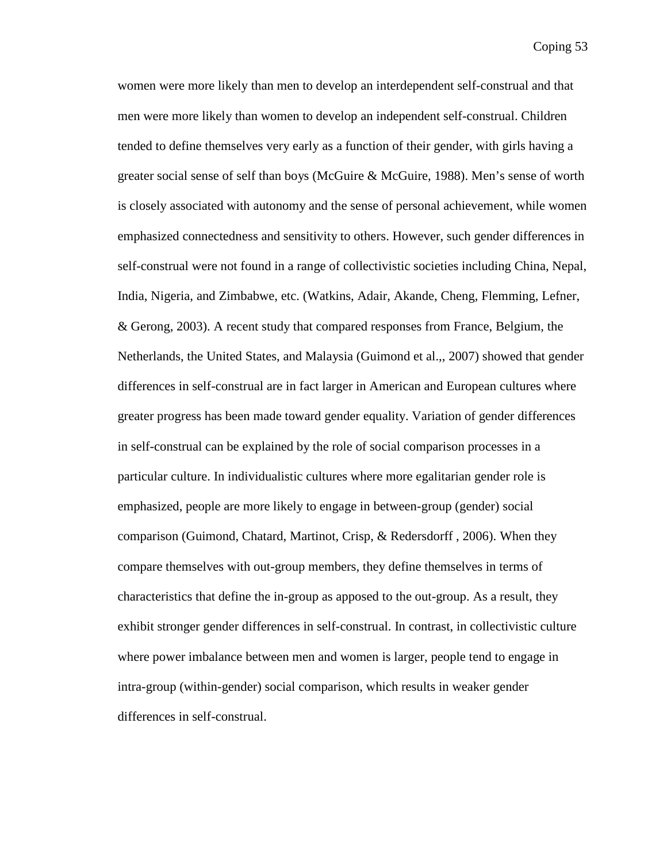women were more likely than men to develop an interdependent self-construal and that men were more likely than women to develop an independent self-construal. Children tended to define themselves very early as a function of their gender, with girls having a greater social sense of self than boys (McGuire & McGuire, 1988). Men's sense of worth is closely associated with autonomy and the sense of personal achievement, while women emphasized connectedness and sensitivity to others. However, such gender differences in self-construal were not found in a range of collectivistic societies including China, Nepal, India, Nigeria, and Zimbabwe, etc. (Watkins, Adair, Akande, Cheng, Flemming, Lefner, & Gerong, 2003). A recent study that compared responses from France, Belgium, the Netherlands, the United States, and Malaysia (Guimond et al.,, 2007) showed that gender differences in self-construal are in fact larger in American and European cultures where greater progress has been made toward gender equality. Variation of gender differences in self-construal can be explained by the role of social comparison processes in a particular culture. In individualistic cultures where more egalitarian gender role is emphasized, people are more likely to engage in between-group (gender) social comparison (Guimond, Chatard, Martinot, Crisp, & Redersdorff , 2006). When they compare themselves with out-group members, they define themselves in terms of characteristics that define the in-group as apposed to the out-group. As a result, they exhibit stronger gender differences in self-construal. In contrast, in collectivistic culture where power imbalance between men and women is larger, people tend to engage in intra-group (within-gender) social comparison, which results in weaker gender differences in self-construal.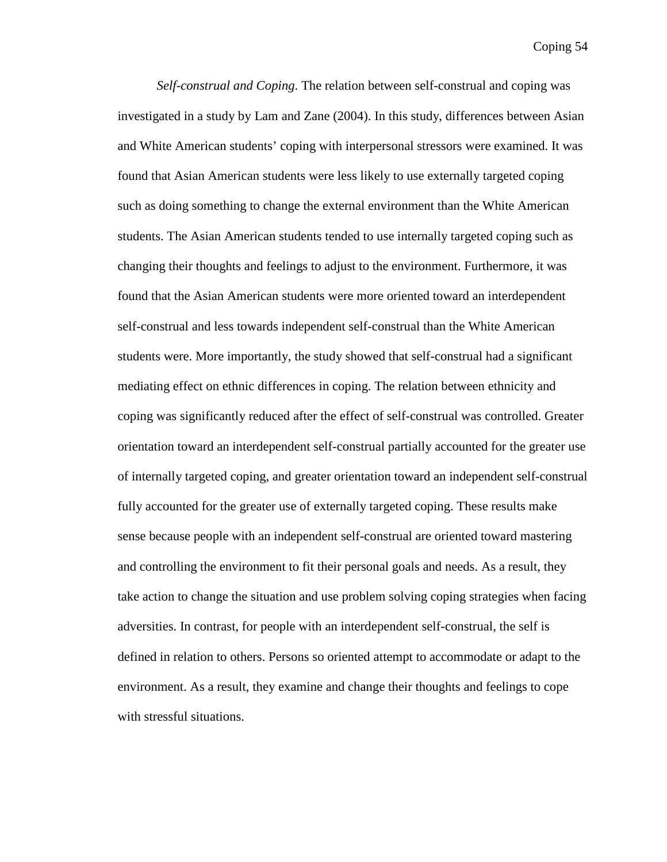*Self-construal and Coping*. The relation between self-construal and coping was investigated in a study by Lam and Zane (2004). In this study, differences between Asian and White American students' coping with interpersonal stressors were examined. It was found that Asian American students were less likely to use externally targeted coping such as doing something to change the external environment than the White American students. The Asian American students tended to use internally targeted coping such as changing their thoughts and feelings to adjust to the environment. Furthermore, it was found that the Asian American students were more oriented toward an interdependent self-construal and less towards independent self-construal than the White American students were. More importantly, the study showed that self-construal had a significant mediating effect on ethnic differences in coping. The relation between ethnicity and coping was significantly reduced after the effect of self-construal was controlled. Greater orientation toward an interdependent self-construal partially accounted for the greater use of internally targeted coping, and greater orientation toward an independent self-construal fully accounted for the greater use of externally targeted coping. These results make sense because people with an independent self-construal are oriented toward mastering and controlling the environment to fit their personal goals and needs. As a result, they take action to change the situation and use problem solving coping strategies when facing adversities. In contrast, for people with an interdependent self-construal, the self is defined in relation to others. Persons so oriented attempt to accommodate or adapt to the environment. As a result, they examine and change their thoughts and feelings to cope with stressful situations.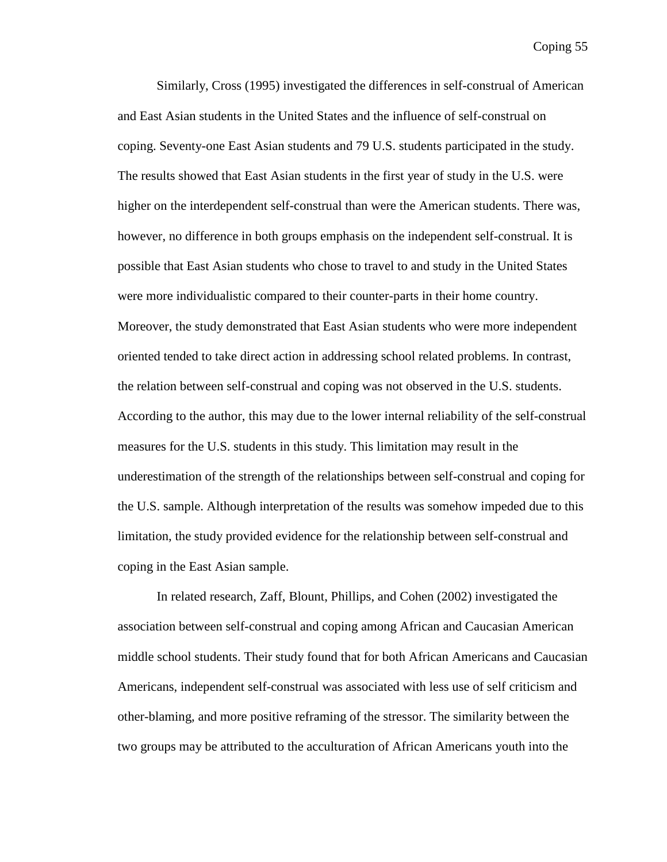Similarly, Cross (1995) investigated the differences in self-construal of American and East Asian students in the United States and the influence of self-construal on coping. Seventy-one East Asian students and 79 U.S. students participated in the study. The results showed that East Asian students in the first year of study in the U.S. were higher on the interdependent self-construal than were the American students. There was, however, no difference in both groups emphasis on the independent self-construal. It is possible that East Asian students who chose to travel to and study in the United States were more individualistic compared to their counter-parts in their home country. Moreover, the study demonstrated that East Asian students who were more independent oriented tended to take direct action in addressing school related problems. In contrast, the relation between self-construal and coping was not observed in the U.S. students. According to the author, this may due to the lower internal reliability of the self-construal measures for the U.S. students in this study. This limitation may result in the underestimation of the strength of the relationships between self-construal and coping for the U.S. sample. Although interpretation of the results was somehow impeded due to this limitation, the study provided evidence for the relationship between self-construal and coping in the East Asian sample.

In related research, Zaff, Blount, Phillips, and Cohen (2002) investigated the association between self-construal and coping among African and Caucasian American middle school students. Their study found that for both African Americans and Caucasian Americans, independent self-construal was associated with less use of self criticism and other-blaming, and more positive reframing of the stressor. The similarity between the two groups may be attributed to the acculturation of African Americans youth into the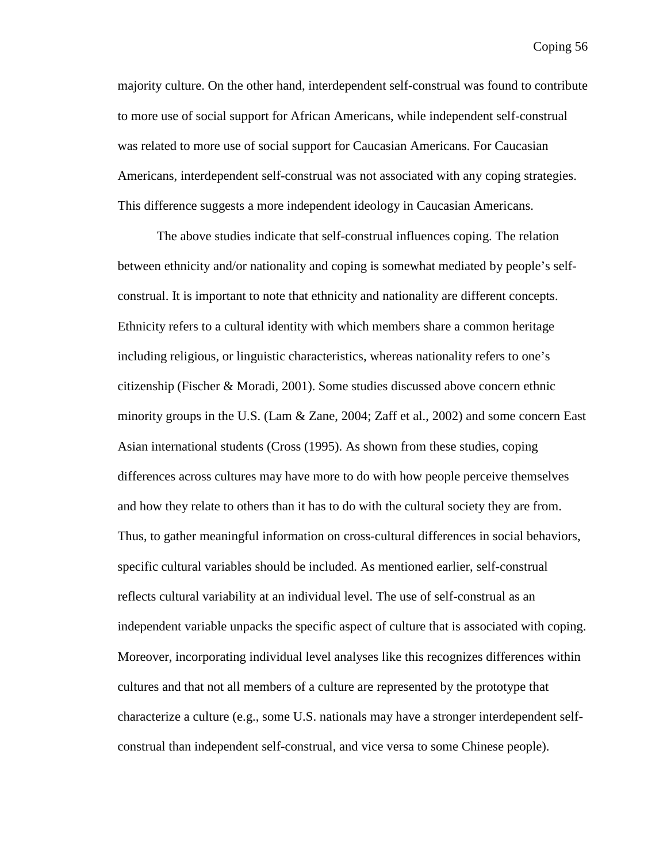majority culture. On the other hand, interdependent self-construal was found to contribute to more use of social support for African Americans, while independent self-construal was related to more use of social support for Caucasian Americans. For Caucasian Americans, interdependent self-construal was not associated with any coping strategies. This difference suggests a more independent ideology in Caucasian Americans.

The above studies indicate that self-construal influences coping. The relation between ethnicity and/or nationality and coping is somewhat mediated by people's selfconstrual. It is important to note that ethnicity and nationality are different concepts. Ethnicity refers to a cultural identity with which members share a common heritage including religious, or linguistic characteristics, whereas nationality refers to one's citizenship (Fischer & Moradi, 2001). Some studies discussed above concern ethnic minority groups in the U.S. (Lam & Zane, 2004; Zaff et al., 2002) and some concern East Asian international students (Cross (1995). As shown from these studies, coping differences across cultures may have more to do with how people perceive themselves and how they relate to others than it has to do with the cultural society they are from. Thus, to gather meaningful information on cross-cultural differences in social behaviors, specific cultural variables should be included. As mentioned earlier, self-construal reflects cultural variability at an individual level. The use of self-construal as an independent variable unpacks the specific aspect of culture that is associated with coping. Moreover, incorporating individual level analyses like this recognizes differences within cultures and that not all members of a culture are represented by the prototype that characterize a culture (e.g., some U.S. nationals may have a stronger interdependent selfconstrual than independent self-construal, and vice versa to some Chinese people).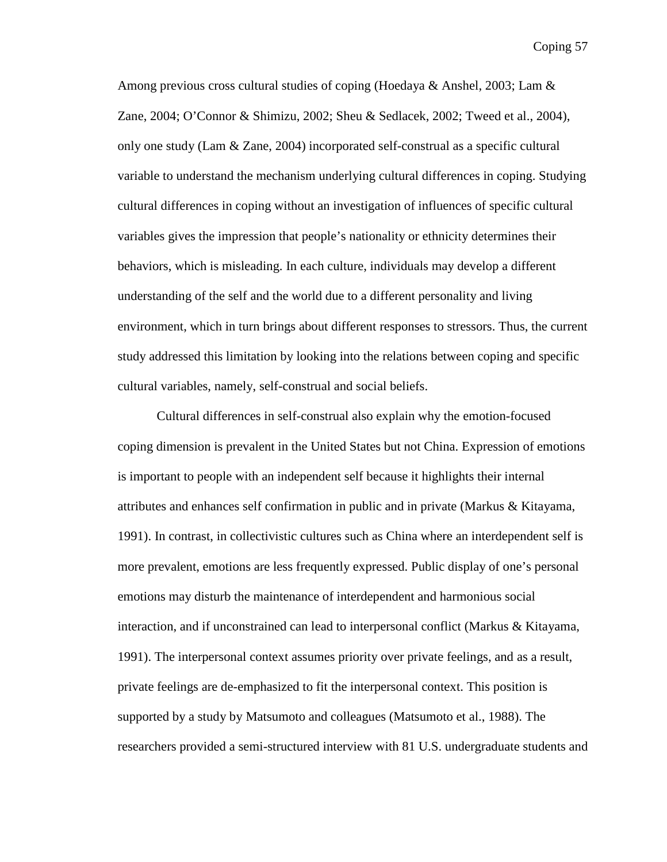Among previous cross cultural studies of coping (Hoedaya & Anshel, 2003; Lam  $\&$ Zane, 2004; O'Connor & Shimizu, 2002; Sheu & Sedlacek, 2002; Tweed et al., 2004), only one study (Lam & Zane, 2004) incorporated self-construal as a specific cultural variable to understand the mechanism underlying cultural differences in coping. Studying cultural differences in coping without an investigation of influences of specific cultural variables gives the impression that people's nationality or ethnicity determines their behaviors, which is misleading. In each culture, individuals may develop a different understanding of the self and the world due to a different personality and living environment, which in turn brings about different responses to stressors. Thus, the current study addressed this limitation by looking into the relations between coping and specific cultural variables, namely, self-construal and social beliefs.

Cultural differences in self-construal also explain why the emotion-focused coping dimension is prevalent in the United States but not China. Expression of emotions is important to people with an independent self because it highlights their internal attributes and enhances self confirmation in public and in private (Markus & Kitayama, 1991). In contrast, in collectivistic cultures such as China where an interdependent self is more prevalent, emotions are less frequently expressed. Public display of one's personal emotions may disturb the maintenance of interdependent and harmonious social interaction, and if unconstrained can lead to interpersonal conflict (Markus & Kitayama, 1991). The interpersonal context assumes priority over private feelings, and as a result, private feelings are de-emphasized to fit the interpersonal context. This position is supported by a study by Matsumoto and colleagues (Matsumoto et al., 1988). The researchers provided a semi-structured interview with 81 U.S. undergraduate students and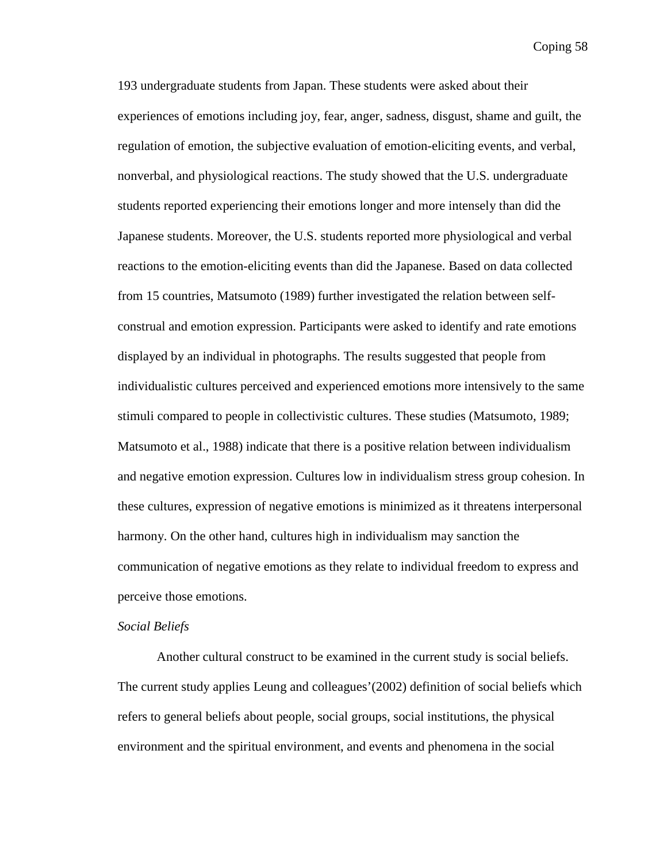193 undergraduate students from Japan. These students were asked about their experiences of emotions including joy, fear, anger, sadness, disgust, shame and guilt, the regulation of emotion, the subjective evaluation of emotion-eliciting events, and verbal, nonverbal, and physiological reactions. The study showed that the U.S. undergraduate students reported experiencing their emotions longer and more intensely than did the Japanese students. Moreover, the U.S. students reported more physiological and verbal reactions to the emotion-eliciting events than did the Japanese. Based on data collected from 15 countries, Matsumoto (1989) further investigated the relation between selfconstrual and emotion expression. Participants were asked to identify and rate emotions displayed by an individual in photographs. The results suggested that people from individualistic cultures perceived and experienced emotions more intensively to the same stimuli compared to people in collectivistic cultures. These studies (Matsumoto, 1989; Matsumoto et al., 1988) indicate that there is a positive relation between individualism and negative emotion expression. Cultures low in individualism stress group cohesion. In these cultures, expression of negative emotions is minimized as it threatens interpersonal harmony. On the other hand, cultures high in individualism may sanction the communication of negative emotions as they relate to individual freedom to express and perceive those emotions.

## *Social Beliefs*

Another cultural construct to be examined in the current study is social beliefs. The current study applies Leung and colleagues'(2002) definition of social beliefs which refers to general beliefs about people, social groups, social institutions, the physical environment and the spiritual environment, and events and phenomena in the social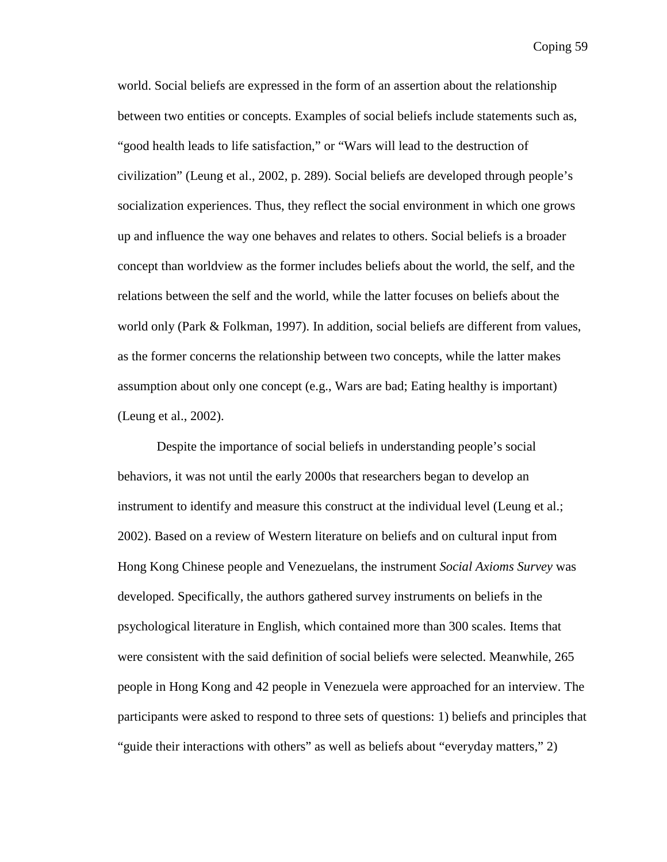world. Social beliefs are expressed in the form of an assertion about the relationship between two entities or concepts. Examples of social beliefs include statements such as, "good health leads to life satisfaction," or "Wars will lead to the destruction of civilization" (Leung et al., 2002, p. 289). Social beliefs are developed through people's socialization experiences. Thus, they reflect the social environment in which one grows up and influence the way one behaves and relates to others. Social beliefs is a broader concept than worldview as the former includes beliefs about the world, the self, and the relations between the self and the world, while the latter focuses on beliefs about the world only (Park & Folkman, 1997). In addition, social beliefs are different from values, as the former concerns the relationship between two concepts, while the latter makes assumption about only one concept (e.g., Wars are bad; Eating healthy is important) (Leung et al., 2002).

Despite the importance of social beliefs in understanding people's social behaviors, it was not until the early 2000s that researchers began to develop an instrument to identify and measure this construct at the individual level (Leung et al.; 2002). Based on a review of Western literature on beliefs and on cultural input from Hong Kong Chinese people and Venezuelans, the instrument *Social Axioms Survey* was developed. Specifically, the authors gathered survey instruments on beliefs in the psychological literature in English, which contained more than 300 scales. Items that were consistent with the said definition of social beliefs were selected. Meanwhile, 265 people in Hong Kong and 42 people in Venezuela were approached for an interview. The participants were asked to respond to three sets of questions: 1) beliefs and principles that "guide their interactions with others" as well as beliefs about "everyday matters," 2)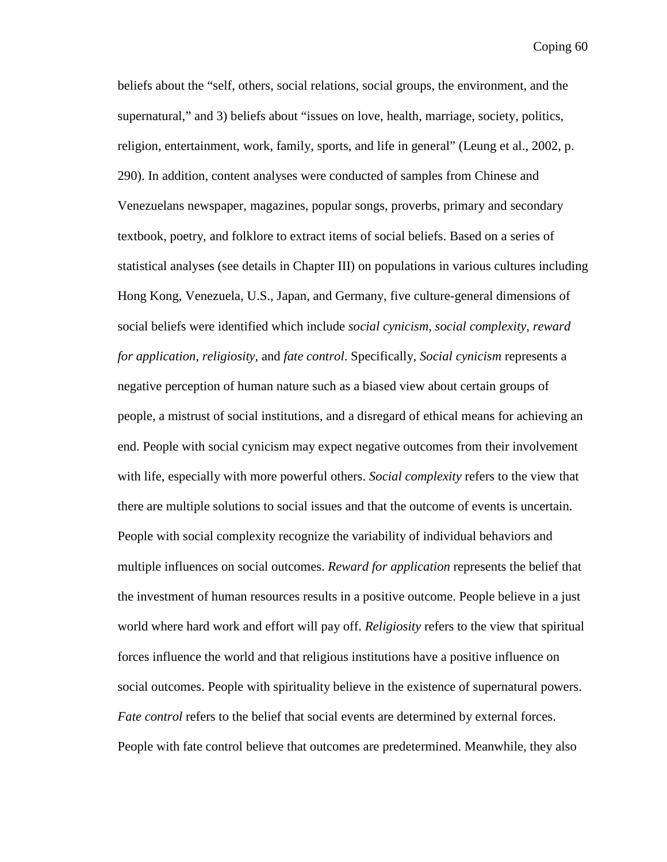beliefs about the "self, others, social relations, social groups, the environment, and the supernatural," and 3) beliefs about "issues on love, health, marriage, society, politics, religion, entertainment, work, family, sports, and life in general" (Leung et al., 2002, p. 290). In addition, content analyses were conducted of samples from Chinese and Venezuelans newspaper, magazines, popular songs, proverbs, primary and secondary textbook, poetry, and folklore to extract items of social beliefs. Based on a series of statistical analyses (see details in Chapter III) on populations in various cultures including Hong Kong, Venezuela, U.S., Japan, and Germany, five culture-general dimensions of social beliefs were identified which include *social cynicism, social complexity, reward for application, religiosity,* and *fate control*. Specifically, *Social cynicism* represents a negative perception of human nature such as a biased view about certain groups of people, a mistrust of social institutions, and a disregard of ethical means for achieving an end. People with social cynicism may expect negative outcomes from their involvement with life, especially with more powerful others. *Social complexity* refers to the view that there are multiple solutions to social issues and that the outcome of events is uncertain. People with social complexity recognize the variability of individual behaviors and multiple influences on social outcomes. *Reward for application* represents the belief that the investment of human resources results in a positive outcome. People believe in a just world where hard work and effort will pay off. *Religiosity* refers to the view that spiritual forces influence the world and that religious institutions have a positive influence on social outcomes. People with spirituality believe in the existence of supernatural powers. *Fate control* refers to the belief that social events are determined by external forces. People with fate control believe that outcomes are predetermined. Meanwhile, they also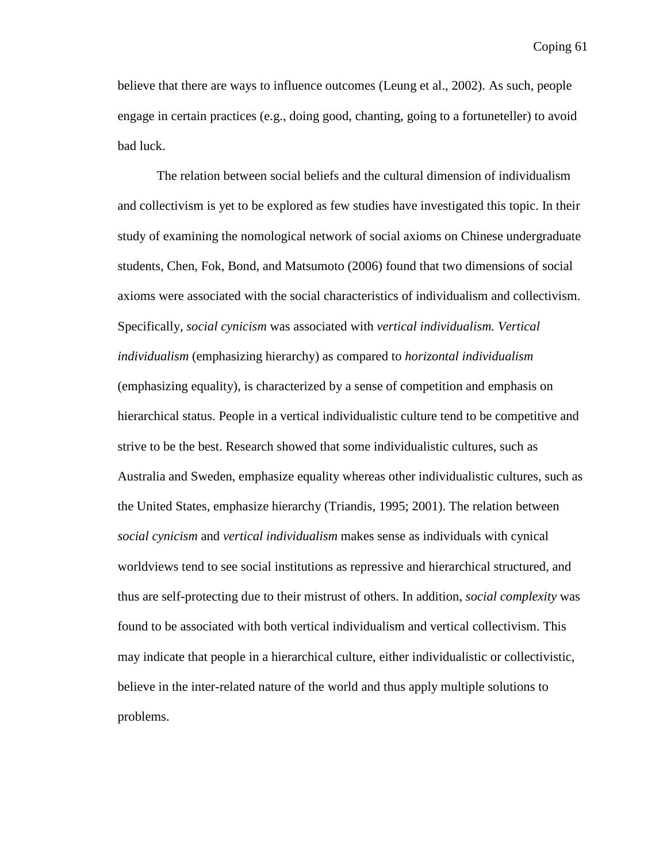believe that there are ways to influence outcomes (Leung et al., 2002). As such, people engage in certain practices (e.g., doing good, chanting, going to a fortuneteller) to avoid bad luck.

The relation between social beliefs and the cultural dimension of individualism and collectivism is yet to be explored as few studies have investigated this topic. In their study of examining the nomological network of social axioms on Chinese undergraduate students, Chen, Fok, Bond, and Matsumoto (2006) found that two dimensions of social axioms were associated with the social characteristics of individualism and collectivism. Specifically, *social cynicism* was associated with *vertical individualism. Vertical individualism* (emphasizing hierarchy) as compared to *horizontal individualism* (emphasizing equality), is characterized by a sense of competition and emphasis on hierarchical status. People in a vertical individualistic culture tend to be competitive and strive to be the best. Research showed that some individualistic cultures, such as Australia and Sweden, emphasize equality whereas other individualistic cultures, such as the United States, emphasize hierarchy (Triandis, 1995; 2001). The relation between *social cynicism* and *vertical individualism* makes sense as individuals with cynical worldviews tend to see social institutions as repressive and hierarchical structured, and thus are self-protecting due to their mistrust of others. In addition, *social complexity* was found to be associated with both vertical individualism and vertical collectivism. This may indicate that people in a hierarchical culture, either individualistic or collectivistic, believe in the inter-related nature of the world and thus apply multiple solutions to problems.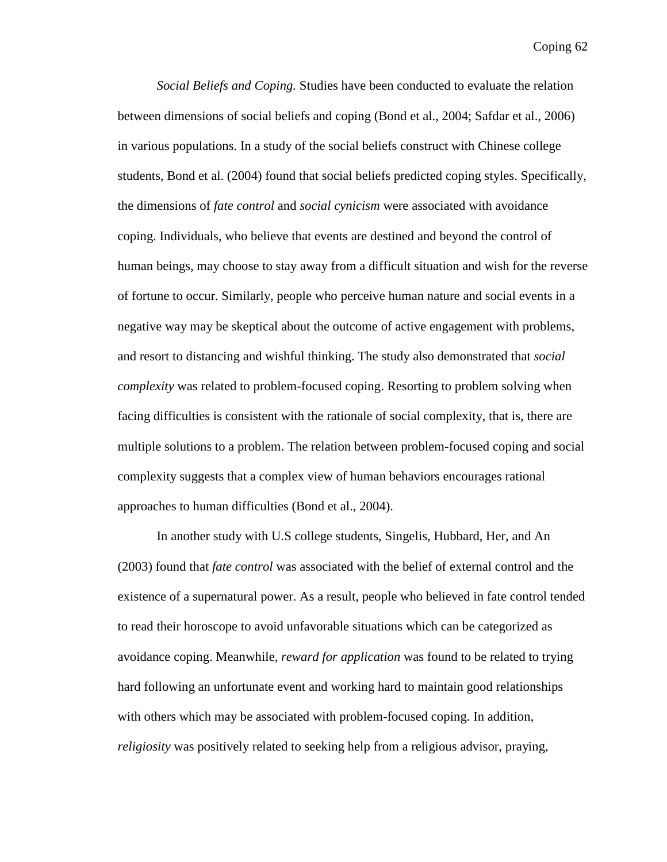*Social Beliefs and Coping.* Studies have been conducted to evaluate the relation between dimensions of social beliefs and coping (Bond et al., 2004; Safdar et al., 2006) in various populations. In a study of the social beliefs construct with Chinese college students, Bond et al. (2004) found that social beliefs predicted coping styles. Specifically, the dimensions of *fate control* and *social cynicism* were associated with avoidance coping. Individuals, who believe that events are destined and beyond the control of human beings, may choose to stay away from a difficult situation and wish for the reverse of fortune to occur. Similarly, people who perceive human nature and social events in a negative way may be skeptical about the outcome of active engagement with problems, and resort to distancing and wishful thinking. The study also demonstrated that *social complexity* was related to problem-focused coping. Resorting to problem solving when facing difficulties is consistent with the rationale of social complexity, that is, there are multiple solutions to a problem. The relation between problem-focused coping and social complexity suggests that a complex view of human behaviors encourages rational approaches to human difficulties (Bond et al., 2004).

In another study with U.S college students, Singelis, Hubbard, Her, and An (2003) found that *fate control* was associated with the belief of external control and the existence of a supernatural power. As a result, people who believed in fate control tended to read their horoscope to avoid unfavorable situations which can be categorized as avoidance coping. Meanwhile, *reward for application* was found to be related to trying hard following an unfortunate event and working hard to maintain good relationships with others which may be associated with problem-focused coping. In addition, *religiosity* was positively related to seeking help from a religious advisor, praying,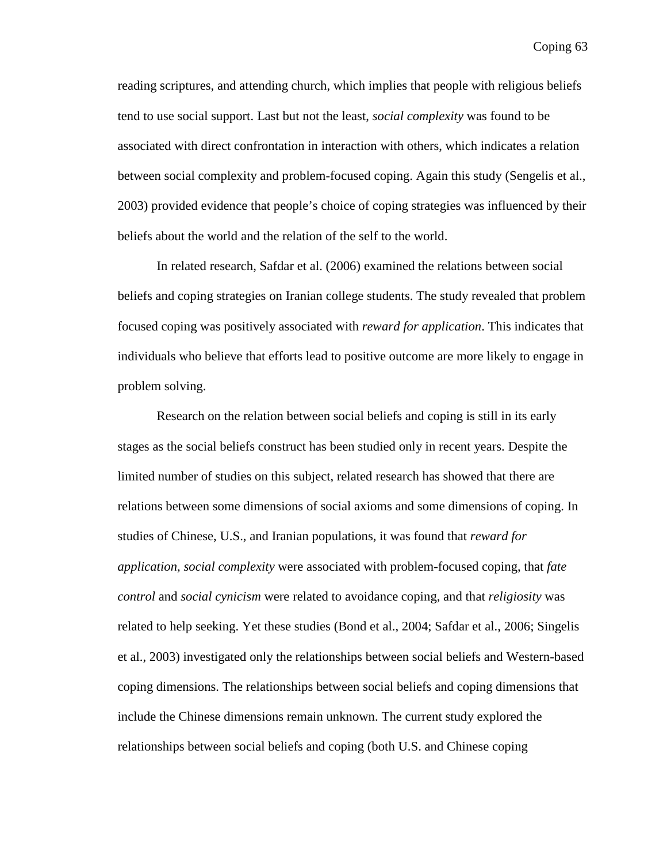reading scriptures, and attending church, which implies that people with religious beliefs tend to use social support. Last but not the least, *social complexity* was found to be associated with direct confrontation in interaction with others, which indicates a relation between social complexity and problem-focused coping. Again this study (Sengelis et al., 2003) provided evidence that people's choice of coping strategies was influenced by their beliefs about the world and the relation of the self to the world.

In related research, Safdar et al. (2006) examined the relations between social beliefs and coping strategies on Iranian college students. The study revealed that problem focused coping was positively associated with *reward for application*. This indicates that individuals who believe that efforts lead to positive outcome are more likely to engage in problem solving.

 Research on the relation between social beliefs and coping is still in its early stages as the social beliefs construct has been studied only in recent years. Despite the limited number of studies on this subject, related research has showed that there are relations between some dimensions of social axioms and some dimensions of coping. In studies of Chinese, U.S., and Iranian populations, it was found that *reward for application, social complexity* were associated with problem-focused coping, that *fate control* and *social cynicism* were related to avoidance coping, and that *religiosity* was related to help seeking. Yet these studies (Bond et al., 2004; Safdar et al., 2006; Singelis et al., 2003) investigated only the relationships between social beliefs and Western-based coping dimensions. The relationships between social beliefs and coping dimensions that include the Chinese dimensions remain unknown. The current study explored the relationships between social beliefs and coping (both U.S. and Chinese coping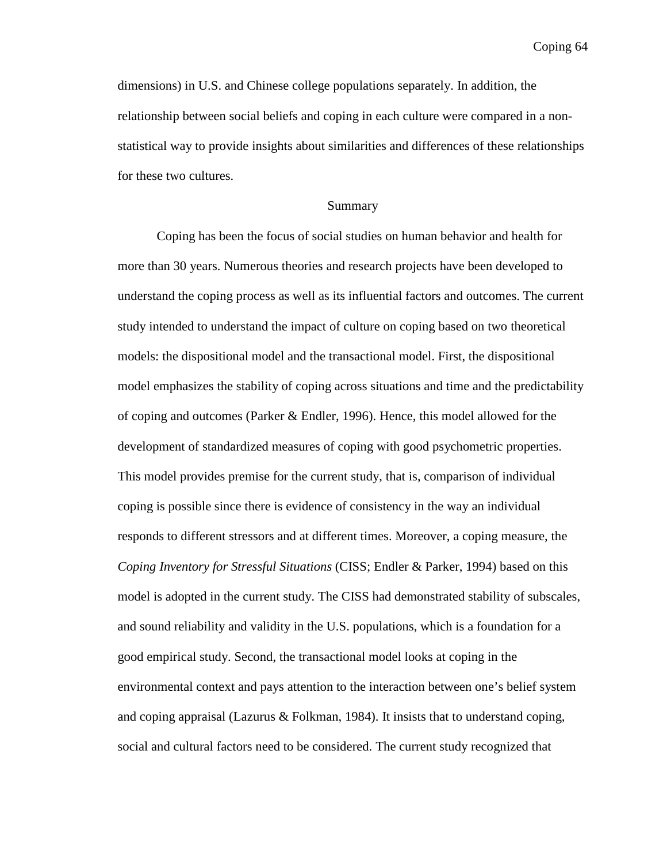dimensions) in U.S. and Chinese college populations separately. In addition, the relationship between social beliefs and coping in each culture were compared in a nonstatistical way to provide insights about similarities and differences of these relationships for these two cultures.

### Summary

Coping has been the focus of social studies on human behavior and health for more than 30 years. Numerous theories and research projects have been developed to understand the coping process as well as its influential factors and outcomes. The current study intended to understand the impact of culture on coping based on two theoretical models: the dispositional model and the transactional model. First, the dispositional model emphasizes the stability of coping across situations and time and the predictability of coping and outcomes (Parker & Endler, 1996). Hence, this model allowed for the development of standardized measures of coping with good psychometric properties. This model provides premise for the current study, that is, comparison of individual coping is possible since there is evidence of consistency in the way an individual responds to different stressors and at different times. Moreover, a coping measure, the *Coping Inventory for Stressful Situations* (CISS; Endler & Parker, 1994) based on this model is adopted in the current study. The CISS had demonstrated stability of subscales, and sound reliability and validity in the U.S. populations, which is a foundation for a good empirical study. Second, the transactional model looks at coping in the environmental context and pays attention to the interaction between one's belief system and coping appraisal (Lazurus  $&$  Folkman, 1984). It insists that to understand coping, social and cultural factors need to be considered. The current study recognized that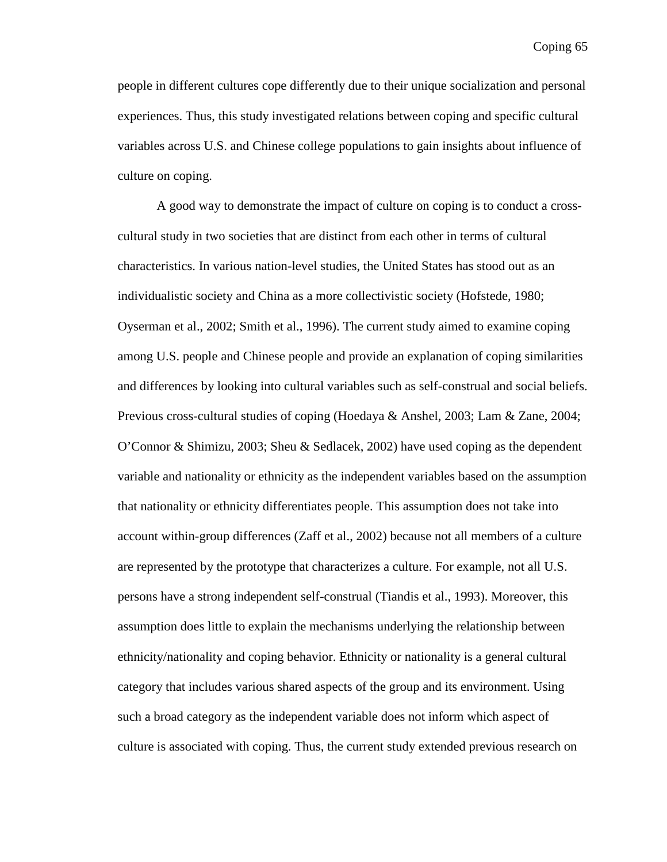people in different cultures cope differently due to their unique socialization and personal experiences. Thus, this study investigated relations between coping and specific cultural variables across U.S. and Chinese college populations to gain insights about influence of culture on coping.

A good way to demonstrate the impact of culture on coping is to conduct a crosscultural study in two societies that are distinct from each other in terms of cultural characteristics. In various nation-level studies, the United States has stood out as an individualistic society and China as a more collectivistic society (Hofstede, 1980; Oyserman et al., 2002; Smith et al., 1996). The current study aimed to examine coping among U.S. people and Chinese people and provide an explanation of coping similarities and differences by looking into cultural variables such as self-construal and social beliefs. Previous cross-cultural studies of coping (Hoedaya & Anshel, 2003; Lam & Zane, 2004; O'Connor & Shimizu, 2003; Sheu & Sedlacek, 2002) have used coping as the dependent variable and nationality or ethnicity as the independent variables based on the assumption that nationality or ethnicity differentiates people. This assumption does not take into account within-group differences (Zaff et al., 2002) because not all members of a culture are represented by the prototype that characterizes a culture. For example, not all U.S. persons have a strong independent self-construal (Tiandis et al., 1993). Moreover, this assumption does little to explain the mechanisms underlying the relationship between ethnicity/nationality and coping behavior. Ethnicity or nationality is a general cultural category that includes various shared aspects of the group and its environment. Using such a broad category as the independent variable does not inform which aspect of culture is associated with coping. Thus, the current study extended previous research on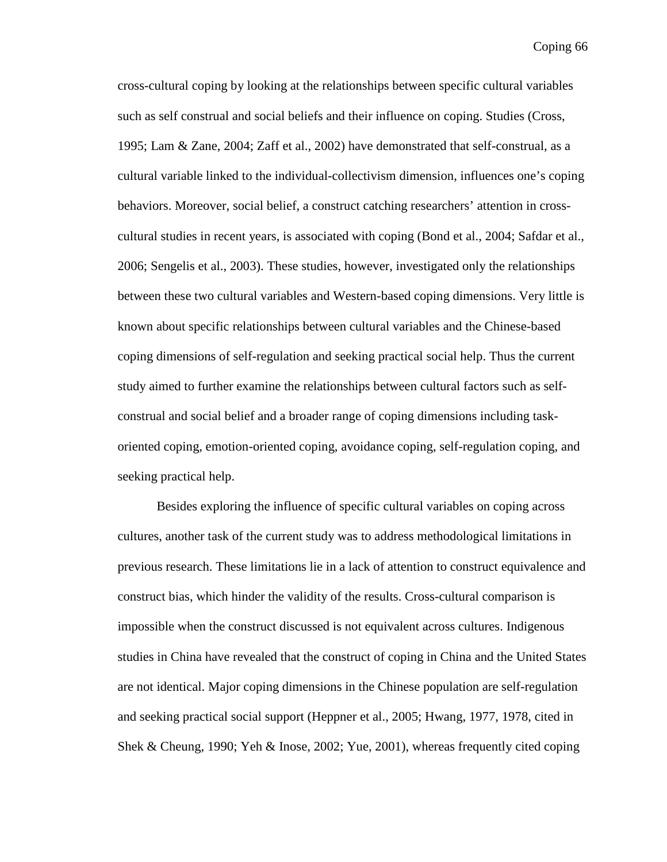cross-cultural coping by looking at the relationships between specific cultural variables such as self construal and social beliefs and their influence on coping. Studies (Cross, 1995; Lam & Zane, 2004; Zaff et al., 2002) have demonstrated that self-construal, as a cultural variable linked to the individual-collectivism dimension, influences one's coping behaviors. Moreover, social belief, a construct catching researchers' attention in crosscultural studies in recent years, is associated with coping (Bond et al., 2004; Safdar et al., 2006; Sengelis et al., 2003). These studies, however, investigated only the relationships between these two cultural variables and Western-based coping dimensions. Very little is known about specific relationships between cultural variables and the Chinese-based coping dimensions of self-regulation and seeking practical social help. Thus the current study aimed to further examine the relationships between cultural factors such as selfconstrual and social belief and a broader range of coping dimensions including taskoriented coping, emotion-oriented coping, avoidance coping, self-regulation coping, and seeking practical help.

Besides exploring the influence of specific cultural variables on coping across cultures, another task of the current study was to address methodological limitations in previous research. These limitations lie in a lack of attention to construct equivalence and construct bias, which hinder the validity of the results. Cross-cultural comparison is impossible when the construct discussed is not equivalent across cultures. Indigenous studies in China have revealed that the construct of coping in China and the United States are not identical. Major coping dimensions in the Chinese population are self-regulation and seeking practical social support (Heppner et al., 2005; Hwang, 1977, 1978, cited in Shek & Cheung, 1990; Yeh & Inose, 2002; Yue, 2001), whereas frequently cited coping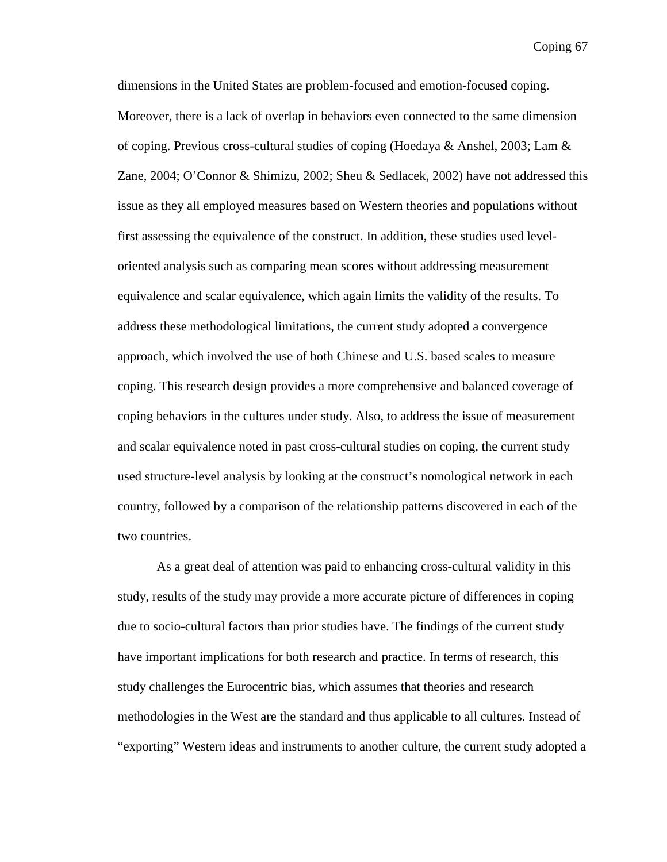dimensions in the United States are problem-focused and emotion-focused coping. Moreover, there is a lack of overlap in behaviors even connected to the same dimension of coping. Previous cross-cultural studies of coping (Hoedaya & Anshel, 2003; Lam  $\&$ Zane, 2004; O'Connor & Shimizu, 2002; Sheu & Sedlacek, 2002) have not addressed this issue as they all employed measures based on Western theories and populations without first assessing the equivalence of the construct. In addition, these studies used leveloriented analysis such as comparing mean scores without addressing measurement equivalence and scalar equivalence, which again limits the validity of the results. To address these methodological limitations, the current study adopted a convergence approach, which involved the use of both Chinese and U.S. based scales to measure coping. This research design provides a more comprehensive and balanced coverage of coping behaviors in the cultures under study. Also, to address the issue of measurement and scalar equivalence noted in past cross-cultural studies on coping, the current study used structure-level analysis by looking at the construct's nomological network in each country, followed by a comparison of the relationship patterns discovered in each of the two countries.

As a great deal of attention was paid to enhancing cross-cultural validity in this study, results of the study may provide a more accurate picture of differences in coping due to socio-cultural factors than prior studies have. The findings of the current study have important implications for both research and practice. In terms of research, this study challenges the Eurocentric bias, which assumes that theories and research methodologies in the West are the standard and thus applicable to all cultures. Instead of "exporting" Western ideas and instruments to another culture, the current study adopted a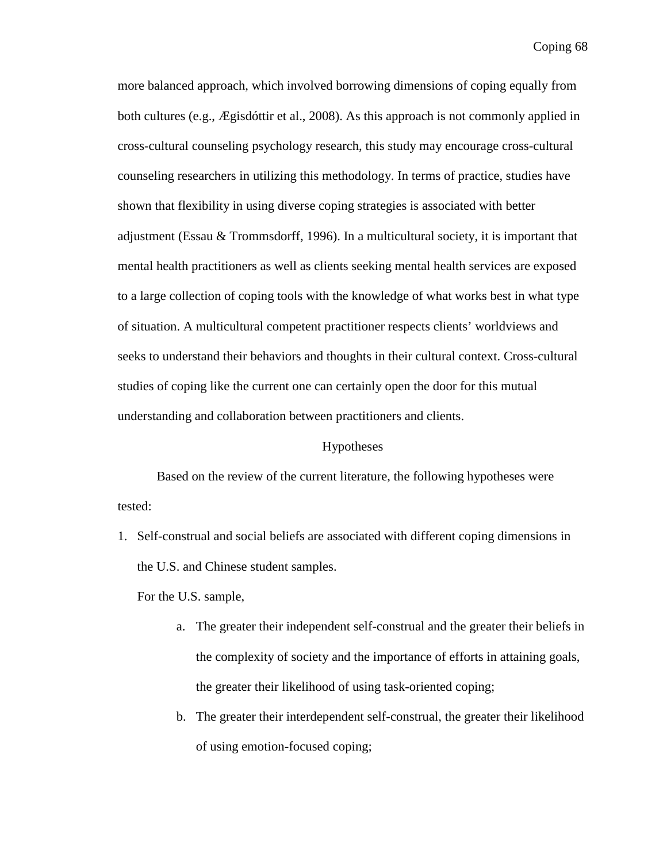more balanced approach, which involved borrowing dimensions of coping equally from both cultures (e.g., Ægisdóttir et al., 2008). As this approach is not commonly applied in cross-cultural counseling psychology research, this study may encourage cross-cultural counseling researchers in utilizing this methodology. In terms of practice, studies have shown that flexibility in using diverse coping strategies is associated with better adjustment (Essau & Trommsdorff, 1996). In a multicultural society, it is important that mental health practitioners as well as clients seeking mental health services are exposed to a large collection of coping tools with the knowledge of what works best in what type of situation. A multicultural competent practitioner respects clients' worldviews and seeks to understand their behaviors and thoughts in their cultural context. Cross-cultural studies of coping like the current one can certainly open the door for this mutual understanding and collaboration between practitioners and clients.

## Hypotheses

Based on the review of the current literature, the following hypotheses were tested:

1. Self-construal and social beliefs are associated with different coping dimensions in the U.S. and Chinese student samples.

For the U.S. sample,

- a. The greater their independent self-construal and the greater their beliefs in the complexity of society and the importance of efforts in attaining goals, the greater their likelihood of using task-oriented coping;
- b. The greater their interdependent self-construal, the greater their likelihood of using emotion-focused coping;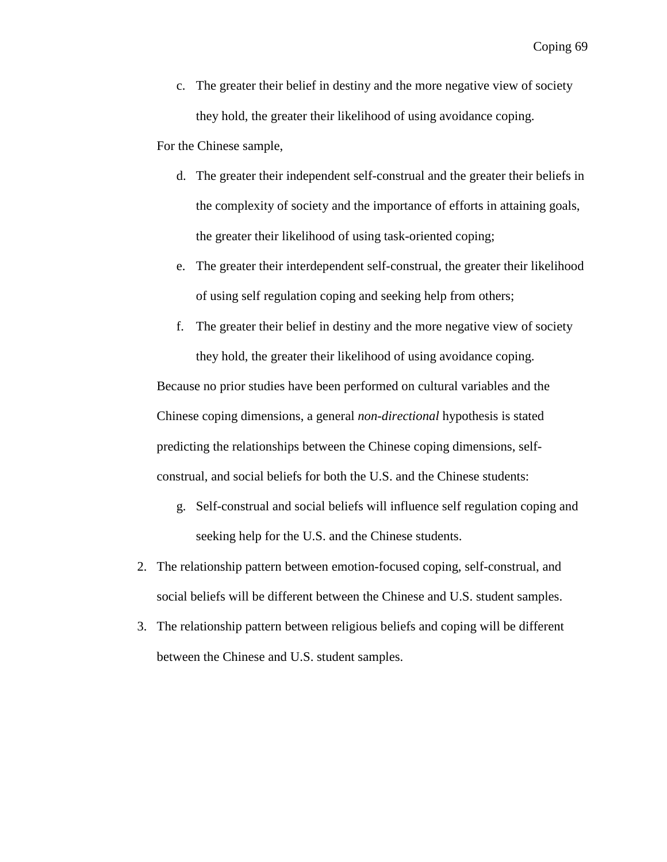c. The greater their belief in destiny and the more negative view of society they hold, the greater their likelihood of using avoidance coping.

For the Chinese sample,

- d. The greater their independent self-construal and the greater their beliefs in the complexity of society and the importance of efforts in attaining goals, the greater their likelihood of using task-oriented coping;
- e. The greater their interdependent self-construal, the greater their likelihood of using self regulation coping and seeking help from others;
- f. The greater their belief in destiny and the more negative view of society they hold, the greater their likelihood of using avoidance coping.

Because no prior studies have been performed on cultural variables and the Chinese coping dimensions, a general *non-directional* hypothesis is stated predicting the relationships between the Chinese coping dimensions, selfconstrual, and social beliefs for both the U.S. and the Chinese students:

- g. Self-construal and social beliefs will influence self regulation coping and seeking help for the U.S. and the Chinese students.
- 2. The relationship pattern between emotion-focused coping, self-construal, and social beliefs will be different between the Chinese and U.S. student samples.
- 3. The relationship pattern between religious beliefs and coping will be different between the Chinese and U.S. student samples.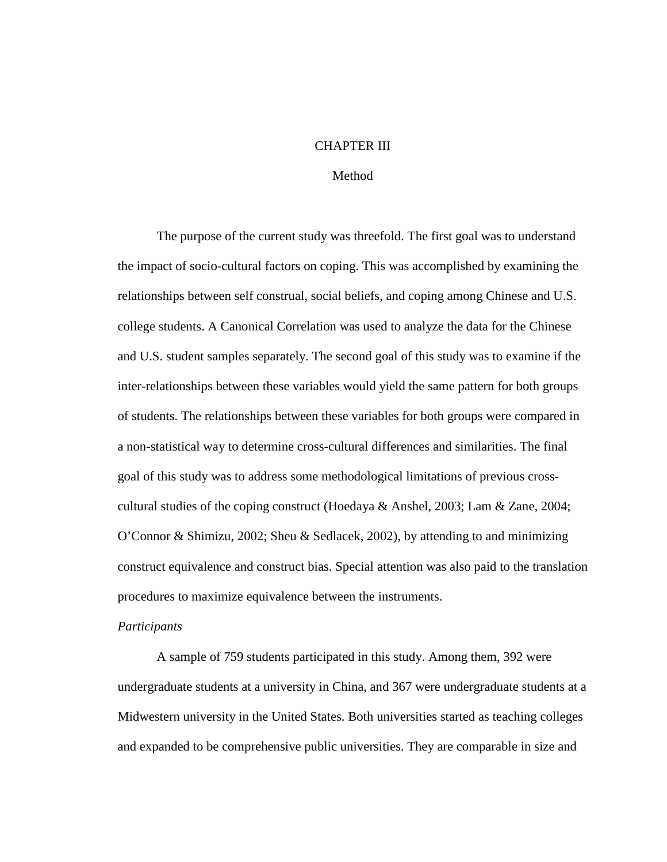# CHAPTER III

## Method

 The purpose of the current study was threefold. The first goal was to understand the impact of socio-cultural factors on coping. This was accomplished by examining the relationships between self construal, social beliefs, and coping among Chinese and U.S. college students. A Canonical Correlation was used to analyze the data for the Chinese and U.S. student samples separately. The second goal of this study was to examine if the inter-relationships between these variables would yield the same pattern for both groups of students. The relationships between these variables for both groups were compared in a non-statistical way to determine cross-cultural differences and similarities. The final goal of this study was to address some methodological limitations of previous crosscultural studies of the coping construct (Hoedaya & Anshel, 2003; Lam & Zane, 2004; O'Connor & Shimizu, 2002; Sheu & Sedlacek, 2002), by attending to and minimizing construct equivalence and construct bias. Special attention was also paid to the translation procedures to maximize equivalence between the instruments.

### *Participants*

A sample of 759 students participated in this study. Among them, 392 were undergraduate students at a university in China, and 367 were undergraduate students at a Midwestern university in the United States. Both universities started as teaching colleges and expanded to be comprehensive public universities. They are comparable in size and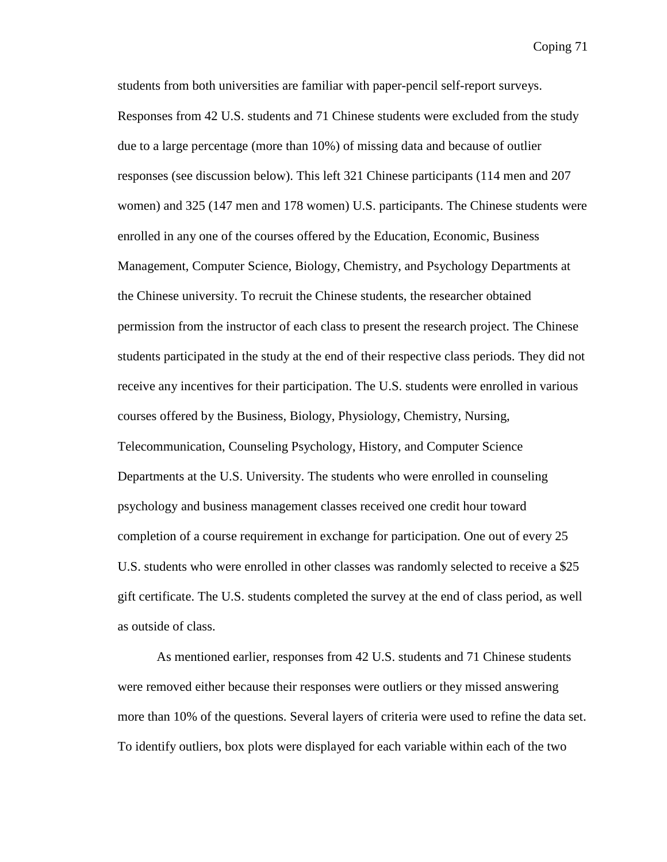students from both universities are familiar with paper-pencil self-report surveys. Responses from 42 U.S. students and 71 Chinese students were excluded from the study due to a large percentage (more than 10%) of missing data and because of outlier responses (see discussion below). This left 321 Chinese participants (114 men and 207 women) and 325 (147 men and 178 women) U.S. participants. The Chinese students were enrolled in any one of the courses offered by the Education, Economic, Business Management, Computer Science, Biology, Chemistry, and Psychology Departments at the Chinese university. To recruit the Chinese students, the researcher obtained permission from the instructor of each class to present the research project. The Chinese students participated in the study at the end of their respective class periods. They did not receive any incentives for their participation. The U.S. students were enrolled in various courses offered by the Business, Biology, Physiology, Chemistry, Nursing, Telecommunication, Counseling Psychology, History, and Computer Science Departments at the U.S. University. The students who were enrolled in counseling psychology and business management classes received one credit hour toward completion of a course requirement in exchange for participation. One out of every 25 U.S. students who were enrolled in other classes was randomly selected to receive a \$25 gift certificate. The U.S. students completed the survey at the end of class period, as well as outside of class.

As mentioned earlier, responses from 42 U.S. students and 71 Chinese students were removed either because their responses were outliers or they missed answering more than 10% of the questions. Several layers of criteria were used to refine the data set. To identify outliers, box plots were displayed for each variable within each of the two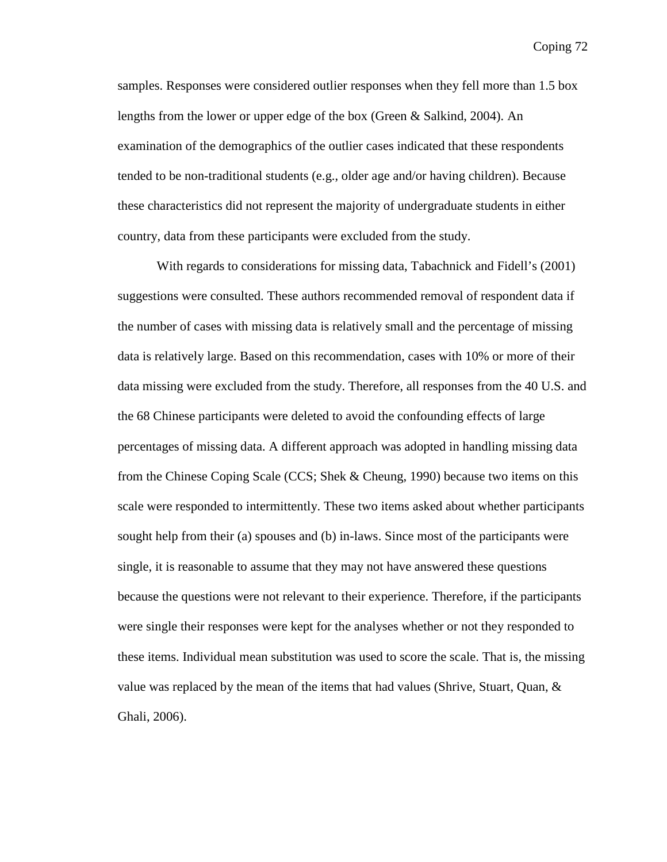samples. Responses were considered outlier responses when they fell more than 1.5 box lengths from the lower or upper edge of the box (Green & Salkind, 2004). An examination of the demographics of the outlier cases indicated that these respondents tended to be non-traditional students (e.g., older age and/or having children). Because these characteristics did not represent the majority of undergraduate students in either country, data from these participants were excluded from the study.

With regards to considerations for missing data, Tabachnick and Fidell's (2001) suggestions were consulted. These authors recommended removal of respondent data if the number of cases with missing data is relatively small and the percentage of missing data is relatively large. Based on this recommendation, cases with 10% or more of their data missing were excluded from the study. Therefore, all responses from the 40 U.S. and the 68 Chinese participants were deleted to avoid the confounding effects of large percentages of missing data. A different approach was adopted in handling missing data from the Chinese Coping Scale (CCS; Shek & Cheung, 1990) because two items on this scale were responded to intermittently. These two items asked about whether participants sought help from their (a) spouses and (b) in-laws. Since most of the participants were single, it is reasonable to assume that they may not have answered these questions because the questions were not relevant to their experience. Therefore, if the participants were single their responses were kept for the analyses whether or not they responded to these items. Individual mean substitution was used to score the scale. That is, the missing value was replaced by the mean of the items that had values (Shrive, Stuart, Quan, & Ghali, 2006).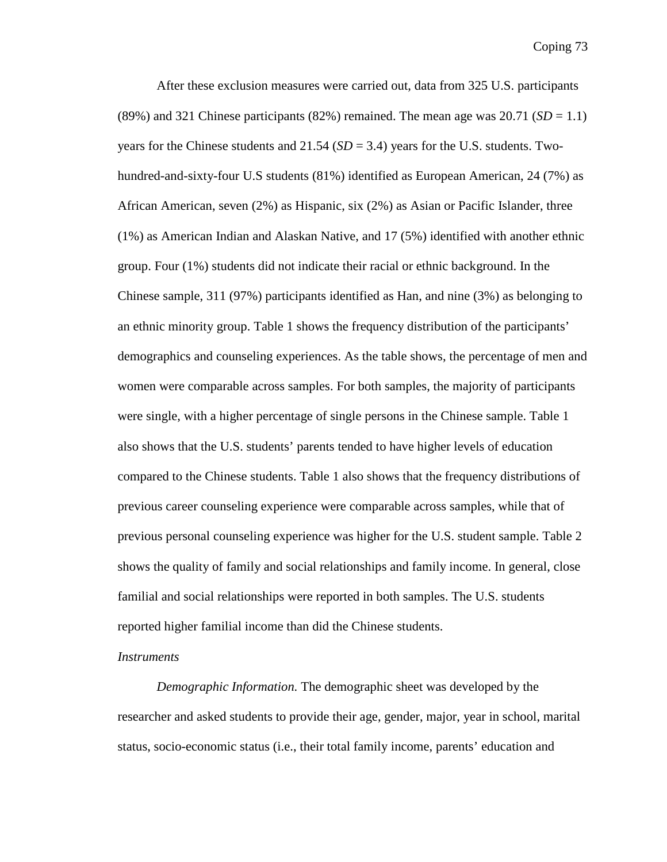After these exclusion measures were carried out, data from 325 U.S. participants (89%) and 321 Chinese participants (82%) remained. The mean age was  $20.71$  ( $SD = 1.1$ ) years for the Chinese students and 21.54 (*SD* = 3.4) years for the U.S. students. Twohundred-and-sixty-four U.S students (81%) identified as European American, 24 (7%) as African American, seven (2%) as Hispanic, six (2%) as Asian or Pacific Islander, three (1%) as American Indian and Alaskan Native, and 17 (5%) identified with another ethnic group. Four (1%) students did not indicate their racial or ethnic background. In the Chinese sample, 311 (97%) participants identified as Han, and nine (3%) as belonging to an ethnic minority group. Table 1 shows the frequency distribution of the participants' demographics and counseling experiences. As the table shows, the percentage of men and women were comparable across samples. For both samples, the majority of participants were single, with a higher percentage of single persons in the Chinese sample. Table 1 also shows that the U.S. students' parents tended to have higher levels of education compared to the Chinese students. Table 1 also shows that the frequency distributions of previous career counseling experience were comparable across samples, while that of previous personal counseling experience was higher for the U.S. student sample. Table 2 shows the quality of family and social relationships and family income. In general, close familial and social relationships were reported in both samples. The U.S. students reported higher familial income than did the Chinese students.

#### *Instruments*

*Demographic Information.* The demographic sheet was developed by the researcher and asked students to provide their age, gender, major, year in school, marital status, socio-economic status (i.e., their total family income, parents' education and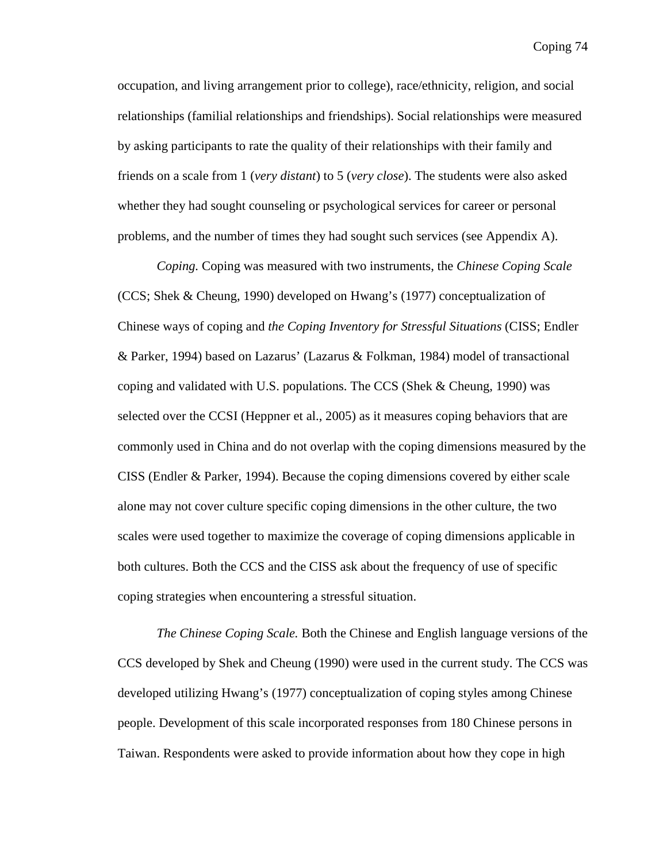occupation, and living arrangement prior to college), race/ethnicity, religion, and social relationships (familial relationships and friendships). Social relationships were measured by asking participants to rate the quality of their relationships with their family and friends on a scale from 1 (*very distant*) to 5 (*very close*). The students were also asked whether they had sought counseling or psychological services for career or personal problems, and the number of times they had sought such services (see Appendix A).

*Coping.* Coping was measured with two instruments, the *Chinese Coping Scale* (CCS; Shek & Cheung, 1990) developed on Hwang's (1977) conceptualization of Chinese ways of coping and *the Coping Inventory for Stressful Situations* (CISS; Endler & Parker, 1994) based on Lazarus' (Lazarus & Folkman, 1984) model of transactional coping and validated with U.S. populations. The CCS (Shek & Cheung, 1990) was selected over the CCSI (Heppner et al., 2005) as it measures coping behaviors that are commonly used in China and do not overlap with the coping dimensions measured by the CISS (Endler & Parker, 1994). Because the coping dimensions covered by either scale alone may not cover culture specific coping dimensions in the other culture, the two scales were used together to maximize the coverage of coping dimensions applicable in both cultures. Both the CCS and the CISS ask about the frequency of use of specific coping strategies when encountering a stressful situation.

*The Chinese Coping Scale.* Both the Chinese and English language versions of the CCS developed by Shek and Cheung (1990) were used in the current study. The CCS was developed utilizing Hwang's (1977) conceptualization of coping styles among Chinese people. Development of this scale incorporated responses from 180 Chinese persons in Taiwan. Respondents were asked to provide information about how they cope in high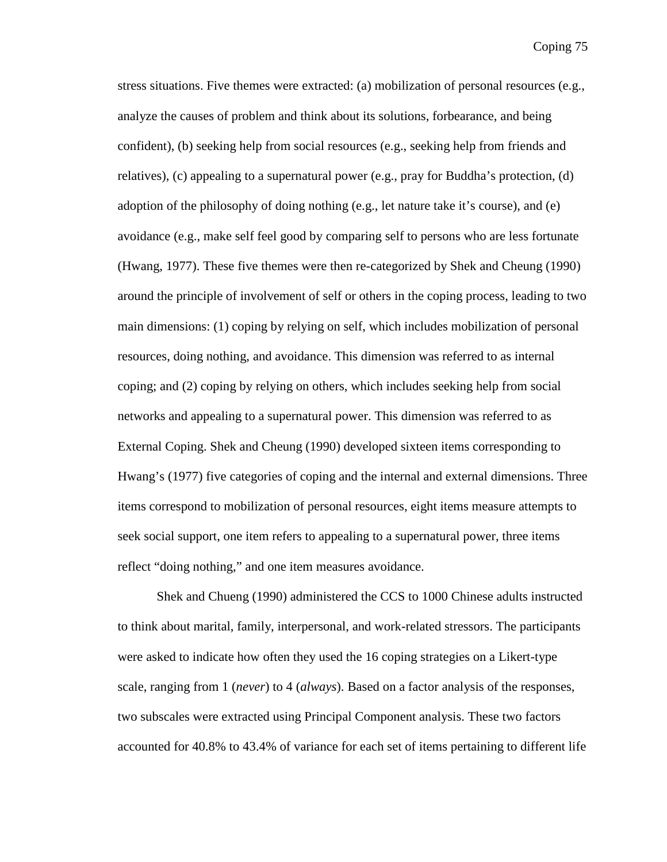stress situations. Five themes were extracted: (a) mobilization of personal resources (e.g., analyze the causes of problem and think about its solutions, forbearance, and being confident), (b) seeking help from social resources (e.g., seeking help from friends and relatives), (c) appealing to a supernatural power (e.g., pray for Buddha's protection, (d) adoption of the philosophy of doing nothing (e.g., let nature take it's course), and (e) avoidance (e.g., make self feel good by comparing self to persons who are less fortunate (Hwang, 1977). These five themes were then re-categorized by Shek and Cheung (1990) around the principle of involvement of self or others in the coping process, leading to two main dimensions: (1) coping by relying on self, which includes mobilization of personal resources, doing nothing, and avoidance. This dimension was referred to as internal coping; and (2) coping by relying on others, which includes seeking help from social networks and appealing to a supernatural power. This dimension was referred to as External Coping. Shek and Cheung (1990) developed sixteen items corresponding to Hwang's (1977) five categories of coping and the internal and external dimensions. Three items correspond to mobilization of personal resources, eight items measure attempts to seek social support, one item refers to appealing to a supernatural power, three items reflect "doing nothing," and one item measures avoidance.

 Shek and Chueng (1990) administered the CCS to 1000 Chinese adults instructed to think about marital, family, interpersonal, and work-related stressors. The participants were asked to indicate how often they used the 16 coping strategies on a Likert-type scale, ranging from 1 (*never*) to 4 (*always*). Based on a factor analysis of the responses, two subscales were extracted using Principal Component analysis. These two factors accounted for 40.8% to 43.4% of variance for each set of items pertaining to different life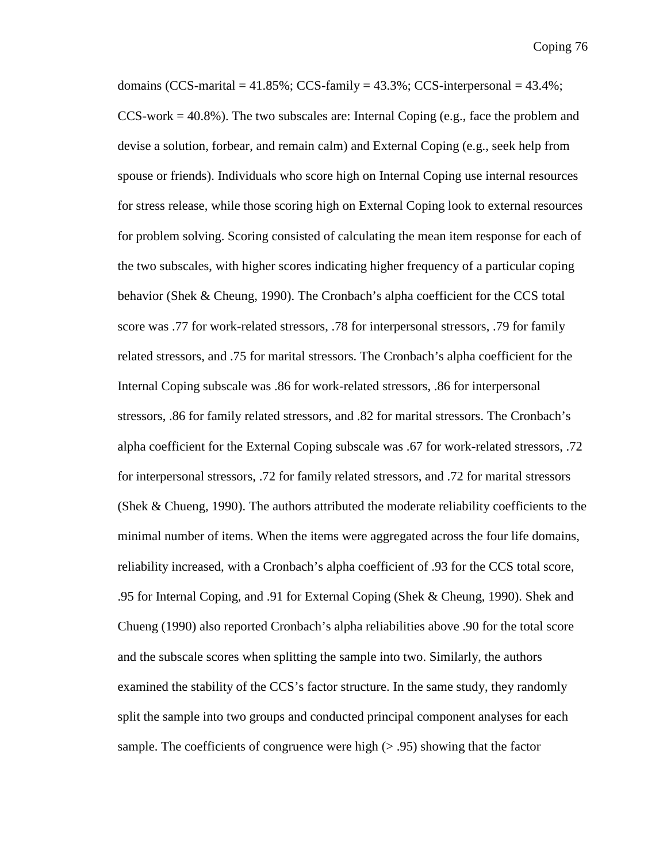domains (CCS-marital =  $41.85\%$ ; CCS-family =  $43.3\%$ ; CCS-interpersonal =  $43.4\%$ ;  $CCS$ -work = 40.8%). The two subscales are: Internal Coping (e.g., face the problem and devise a solution, forbear, and remain calm) and External Coping (e.g., seek help from spouse or friends). Individuals who score high on Internal Coping use internal resources for stress release, while those scoring high on External Coping look to external resources for problem solving. Scoring consisted of calculating the mean item response for each of the two subscales, with higher scores indicating higher frequency of a particular coping behavior (Shek & Cheung, 1990). The Cronbach's alpha coefficient for the CCS total score was .77 for work-related stressors, .78 for interpersonal stressors, .79 for family related stressors, and .75 for marital stressors. The Cronbach's alpha coefficient for the Internal Coping subscale was .86 for work-related stressors, .86 for interpersonal stressors, .86 for family related stressors, and .82 for marital stressors. The Cronbach's alpha coefficient for the External Coping subscale was .67 for work-related stressors, .72 for interpersonal stressors, .72 for family related stressors, and .72 for marital stressors (Shek & Chueng, 1990). The authors attributed the moderate reliability coefficients to the minimal number of items. When the items were aggregated across the four life domains, reliability increased, with a Cronbach's alpha coefficient of .93 for the CCS total score, .95 for Internal Coping, and .91 for External Coping (Shek & Cheung, 1990). Shek and Chueng (1990) also reported Cronbach's alpha reliabilities above .90 for the total score and the subscale scores when splitting the sample into two. Similarly, the authors examined the stability of the CCS's factor structure. In the same study, they randomly split the sample into two groups and conducted principal component analyses for each sample. The coefficients of congruence were high  $(> .95)$  showing that the factor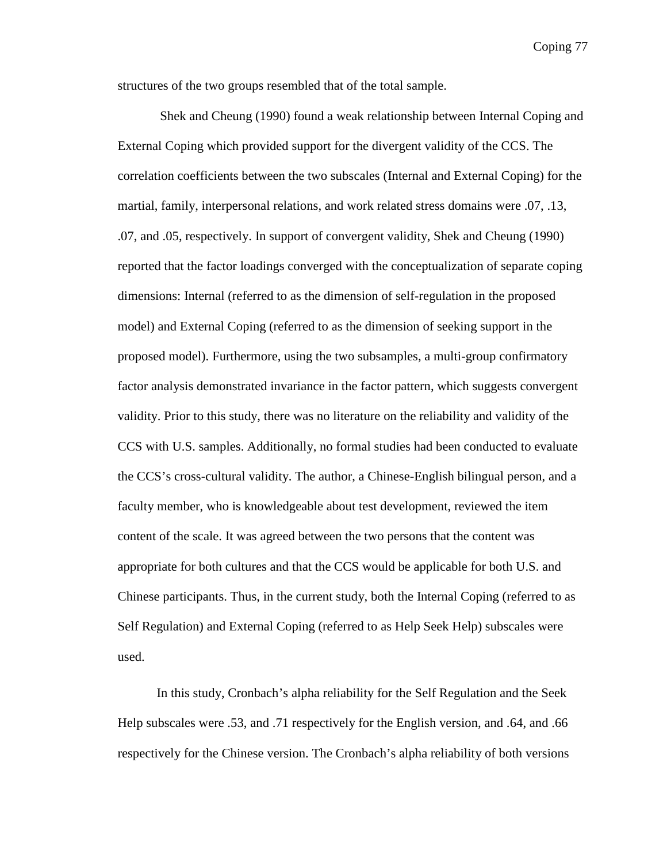structures of the two groups resembled that of the total sample.

 Shek and Cheung (1990) found a weak relationship between Internal Coping and External Coping which provided support for the divergent validity of the CCS. The correlation coefficients between the two subscales (Internal and External Coping) for the martial, family, interpersonal relations, and work related stress domains were .07, .13, .07, and .05, respectively. In support of convergent validity, Shek and Cheung (1990) reported that the factor loadings converged with the conceptualization of separate coping dimensions: Internal (referred to as the dimension of self-regulation in the proposed model) and External Coping (referred to as the dimension of seeking support in the proposed model). Furthermore, using the two subsamples, a multi-group confirmatory factor analysis demonstrated invariance in the factor pattern, which suggests convergent validity. Prior to this study, there was no literature on the reliability and validity of the CCS with U.S. samples. Additionally, no formal studies had been conducted to evaluate the CCS's cross-cultural validity. The author, a Chinese-English bilingual person, and a faculty member, who is knowledgeable about test development, reviewed the item content of the scale. It was agreed between the two persons that the content was appropriate for both cultures and that the CCS would be applicable for both U.S. and Chinese participants. Thus, in the current study, both the Internal Coping (referred to as Self Regulation) and External Coping (referred to as Help Seek Help) subscales were used.

In this study, Cronbach's alpha reliability for the Self Regulation and the Seek Help subscales were .53, and .71 respectively for the English version, and .64, and .66 respectively for the Chinese version. The Cronbach's alpha reliability of both versions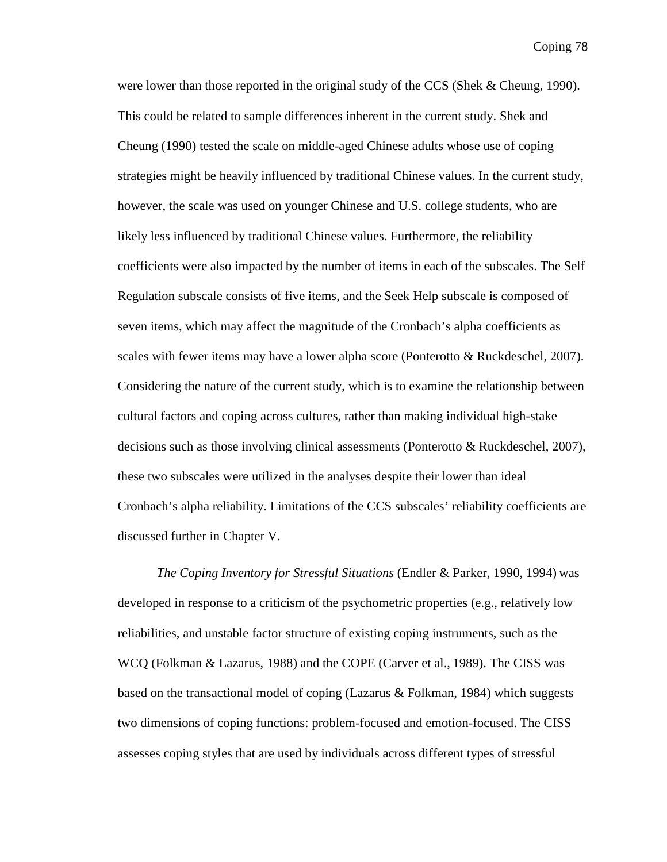were lower than those reported in the original study of the CCS (Shek & Cheung, 1990). This could be related to sample differences inherent in the current study. Shek and Cheung (1990) tested the scale on middle-aged Chinese adults whose use of coping strategies might be heavily influenced by traditional Chinese values. In the current study, however, the scale was used on younger Chinese and U.S. college students, who are likely less influenced by traditional Chinese values. Furthermore, the reliability coefficients were also impacted by the number of items in each of the subscales. The Self Regulation subscale consists of five items, and the Seek Help subscale is composed of seven items, which may affect the magnitude of the Cronbach's alpha coefficients as scales with fewer items may have a lower alpha score (Ponterotto & Ruckdeschel, 2007). Considering the nature of the current study, which is to examine the relationship between cultural factors and coping across cultures, rather than making individual high-stake decisions such as those involving clinical assessments (Ponterotto & Ruckdeschel, 2007), these two subscales were utilized in the analyses despite their lower than ideal Cronbach's alpha reliability. Limitations of the CCS subscales' reliability coefficients are discussed further in Chapter V.

*The Coping Inventory for Stressful Situations* (Endler & Parker, 1990, 1994) was developed in response to a criticism of the psychometric properties (e.g., relatively low reliabilities, and unstable factor structure of existing coping instruments, such as the WCQ (Folkman & Lazarus, 1988) and the COPE (Carver et al., 1989). The CISS was based on the transactional model of coping (Lazarus & Folkman, 1984) which suggests two dimensions of coping functions: problem-focused and emotion-focused. The CISS assesses coping styles that are used by individuals across different types of stressful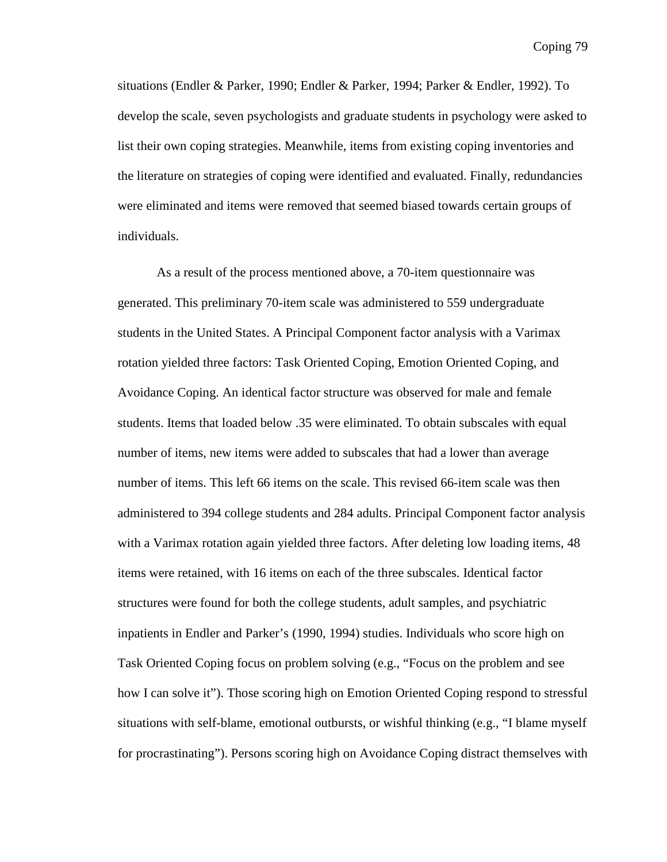situations (Endler & Parker, 1990; Endler & Parker, 1994; Parker & Endler, 1992). To develop the scale, seven psychologists and graduate students in psychology were asked to list their own coping strategies. Meanwhile, items from existing coping inventories and the literature on strategies of coping were identified and evaluated. Finally, redundancies were eliminated and items were removed that seemed biased towards certain groups of individuals.

As a result of the process mentioned above, a 70-item questionnaire was generated. This preliminary 70-item scale was administered to 559 undergraduate students in the United States. A Principal Component factor analysis with a Varimax rotation yielded three factors: Task Oriented Coping, Emotion Oriented Coping, and Avoidance Coping. An identical factor structure was observed for male and female students. Items that loaded below .35 were eliminated. To obtain subscales with equal number of items, new items were added to subscales that had a lower than average number of items. This left 66 items on the scale. This revised 66-item scale was then administered to 394 college students and 284 adults. Principal Component factor analysis with a Varimax rotation again yielded three factors. After deleting low loading items, 48 items were retained, with 16 items on each of the three subscales. Identical factor structures were found for both the college students, adult samples, and psychiatric inpatients in Endler and Parker's (1990, 1994) studies. Individuals who score high on Task Oriented Coping focus on problem solving (e.g., "Focus on the problem and see how I can solve it"). Those scoring high on Emotion Oriented Coping respond to stressful situations with self-blame, emotional outbursts, or wishful thinking (e.g., "I blame myself for procrastinating"). Persons scoring high on Avoidance Coping distract themselves with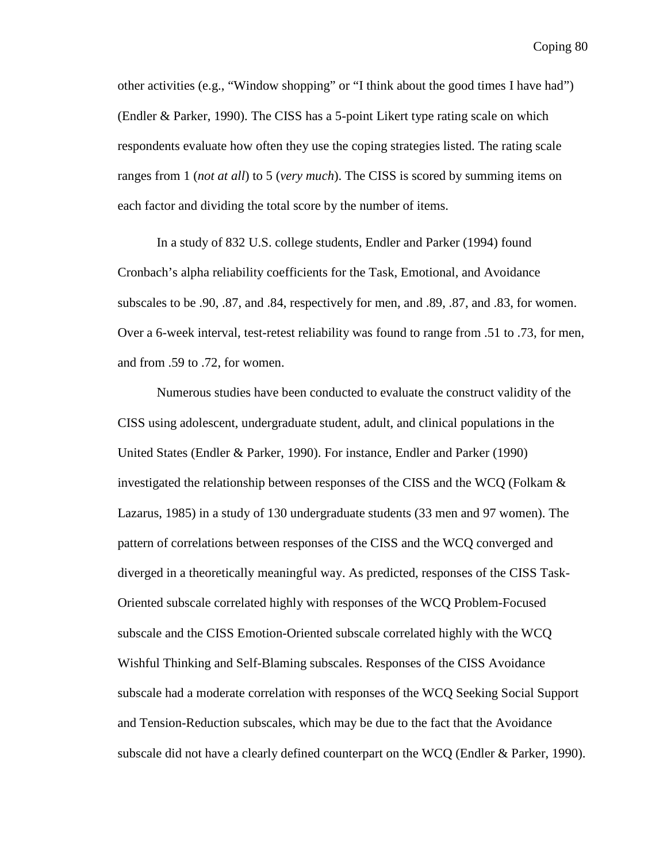other activities (e.g., "Window shopping" or "I think about the good times I have had") (Endler & Parker, 1990). The CISS has a 5-point Likert type rating scale on which respondents evaluate how often they use the coping strategies listed. The rating scale ranges from 1 (*not at all*) to 5 (*very much*). The CISS is scored by summing items on each factor and dividing the total score by the number of items.

In a study of 832 U.S. college students, Endler and Parker (1994) found Cronbach's alpha reliability coefficients for the Task, Emotional, and Avoidance subscales to be .90, .87, and .84, respectively for men, and .89, .87, and .83, for women. Over a 6-week interval, test-retest reliability was found to range from .51 to .73, for men, and from .59 to .72, for women.

Numerous studies have been conducted to evaluate the construct validity of the CISS using adolescent, undergraduate student, adult, and clinical populations in the United States (Endler & Parker, 1990). For instance, Endler and Parker (1990) investigated the relationship between responses of the CISS and the WCQ (Folkam  $\&$ Lazarus, 1985) in a study of 130 undergraduate students (33 men and 97 women). The pattern of correlations between responses of the CISS and the WCQ converged and diverged in a theoretically meaningful way. As predicted, responses of the CISS Task-Oriented subscale correlated highly with responses of the WCQ Problem-Focused subscale and the CISS Emotion-Oriented subscale correlated highly with the WCQ Wishful Thinking and Self-Blaming subscales. Responses of the CISS Avoidance subscale had a moderate correlation with responses of the WCQ Seeking Social Support and Tension-Reduction subscales, which may be due to the fact that the Avoidance subscale did not have a clearly defined counterpart on the WCQ (Endler & Parker, 1990).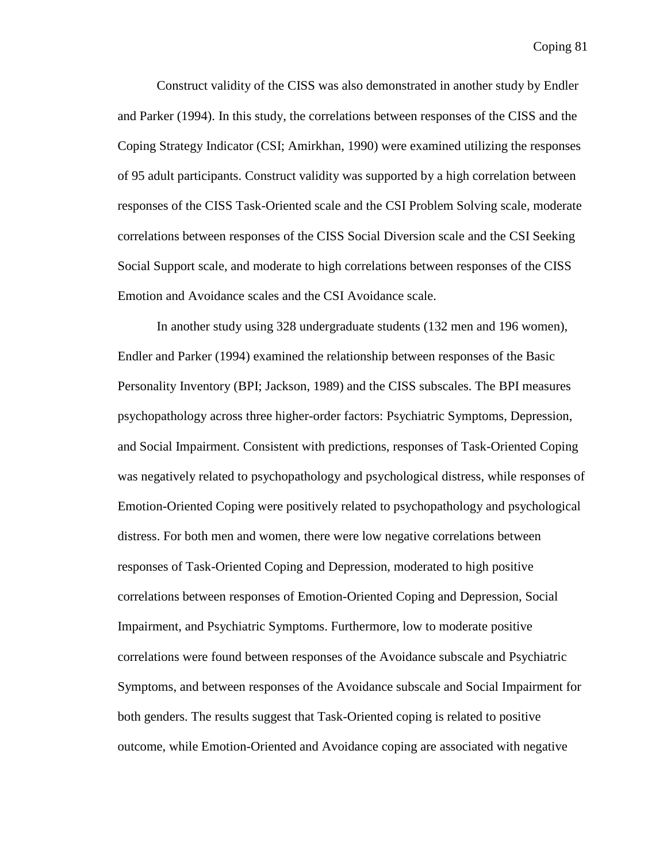Construct validity of the CISS was also demonstrated in another study by Endler and Parker (1994). In this study, the correlations between responses of the CISS and the Coping Strategy Indicator (CSI; Amirkhan, 1990) were examined utilizing the responses of 95 adult participants. Construct validity was supported by a high correlation between responses of the CISS Task-Oriented scale and the CSI Problem Solving scale, moderate correlations between responses of the CISS Social Diversion scale and the CSI Seeking Social Support scale, and moderate to high correlations between responses of the CISS Emotion and Avoidance scales and the CSI Avoidance scale.

In another study using 328 undergraduate students (132 men and 196 women), Endler and Parker (1994) examined the relationship between responses of the Basic Personality Inventory (BPI; Jackson, 1989) and the CISS subscales. The BPI measures psychopathology across three higher-order factors: Psychiatric Symptoms, Depression, and Social Impairment. Consistent with predictions, responses of Task-Oriented Coping was negatively related to psychopathology and psychological distress, while responses of Emotion-Oriented Coping were positively related to psychopathology and psychological distress. For both men and women, there were low negative correlations between responses of Task-Oriented Coping and Depression, moderated to high positive correlations between responses of Emotion-Oriented Coping and Depression, Social Impairment, and Psychiatric Symptoms. Furthermore, low to moderate positive correlations were found between responses of the Avoidance subscale and Psychiatric Symptoms, and between responses of the Avoidance subscale and Social Impairment for both genders. The results suggest that Task-Oriented coping is related to positive outcome, while Emotion-Oriented and Avoidance coping are associated with negative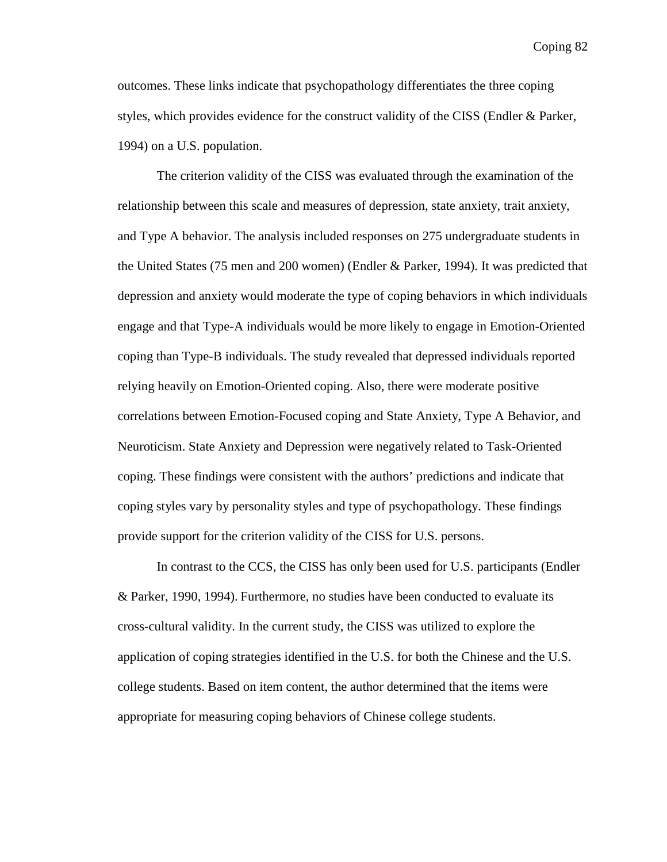outcomes. These links indicate that psychopathology differentiates the three coping styles, which provides evidence for the construct validity of the CISS (Endler & Parker, 1994) on a U.S. population.

The criterion validity of the CISS was evaluated through the examination of the relationship between this scale and measures of depression, state anxiety, trait anxiety, and Type A behavior. The analysis included responses on 275 undergraduate students in the United States (75 men and 200 women) (Endler & Parker, 1994). It was predicted that depression and anxiety would moderate the type of coping behaviors in which individuals engage and that Type-A individuals would be more likely to engage in Emotion-Oriented coping than Type-B individuals. The study revealed that depressed individuals reported relying heavily on Emotion-Oriented coping. Also, there were moderate positive correlations between Emotion-Focused coping and State Anxiety, Type A Behavior, and Neuroticism. State Anxiety and Depression were negatively related to Task-Oriented coping. These findings were consistent with the authors' predictions and indicate that coping styles vary by personality styles and type of psychopathology. These findings provide support for the criterion validity of the CISS for U.S. persons.

In contrast to the CCS, the CISS has only been used for U.S. participants (Endler & Parker, 1990, 1994). Furthermore, no studies have been conducted to evaluate its cross-cultural validity. In the current study, the CISS was utilized to explore the application of coping strategies identified in the U.S. for both the Chinese and the U.S. college students. Based on item content, the author determined that the items were appropriate for measuring coping behaviors of Chinese college students.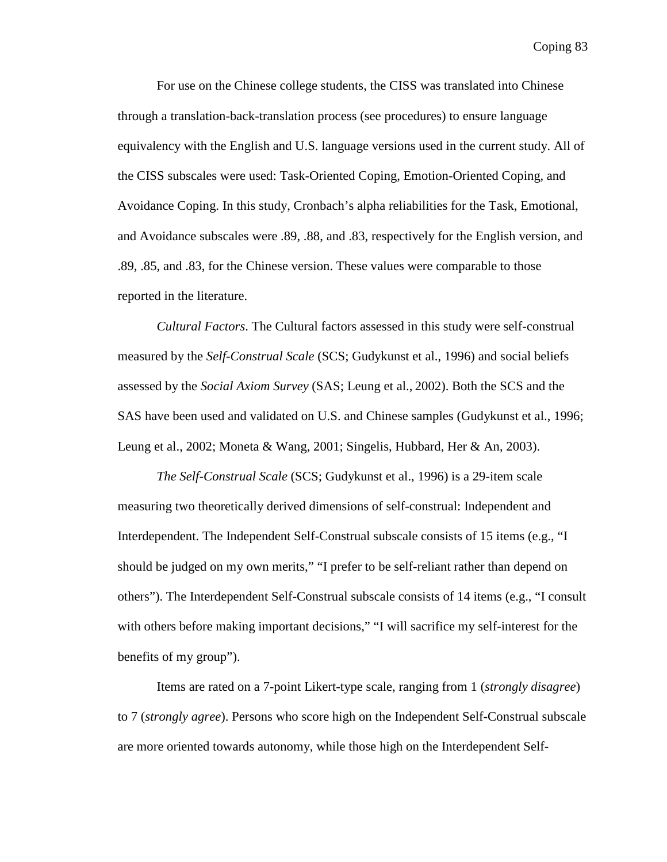For use on the Chinese college students, the CISS was translated into Chinese through a translation-back-translation process (see procedures) to ensure language equivalency with the English and U.S. language versions used in the current study. All of the CISS subscales were used: Task-Oriented Coping, Emotion-Oriented Coping, and Avoidance Coping. In this study, Cronbach's alpha reliabilities for the Task, Emotional, and Avoidance subscales were .89, .88, and .83, respectively for the English version, and .89, .85, and .83, for the Chinese version. These values were comparable to those reported in the literature.

*Cultural Factors*. The Cultural factors assessed in this study were self-construal measured by the *Self-Construal Scale* (SCS; Gudykunst et al., 1996) and social beliefs assessed by the *Social Axiom Survey* (SAS; Leung et al., 2002). Both the SCS and the SAS have been used and validated on U.S. and Chinese samples (Gudykunst et al., 1996; Leung et al., 2002; Moneta & Wang, 2001; Singelis, Hubbard, Her & An, 2003).

*The Self-Construal Scale* (SCS; Gudykunst et al., 1996) is a 29-item scale measuring two theoretically derived dimensions of self-construal: Independent and Interdependent. The Independent Self-Construal subscale consists of 15 items (e.g., "I should be judged on my own merits," "I prefer to be self-reliant rather than depend on others"). The Interdependent Self-Construal subscale consists of 14 items (e.g., "I consult with others before making important decisions," "I will sacrifice my self-interest for the benefits of my group").

Items are rated on a 7-point Likert-type scale, ranging from 1 (*strongly disagree*) to 7 (*strongly agree*). Persons who score high on the Independent Self-Construal subscale are more oriented towards autonomy, while those high on the Interdependent Self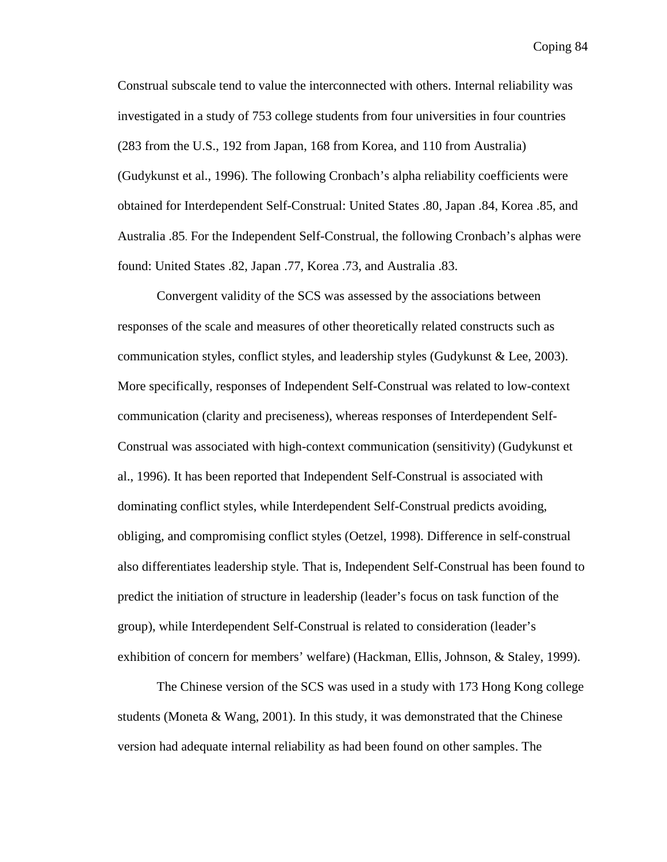Construal subscale tend to value the interconnected with others. Internal reliability was investigated in a study of 753 college students from four universities in four countries (283 from the U.S., 192 from Japan, 168 from Korea, and 110 from Australia) (Gudykunst et al., 1996). The following Cronbach's alpha reliability coefficients were obtained for Interdependent Self-Construal: United States .80, Japan .84, Korea .85, and Australia .85. For the Independent Self-Construal, the following Cronbach's alphas were found: United States .82, Japan .77, Korea .73, and Australia .83.

Convergent validity of the SCS was assessed by the associations between responses of the scale and measures of other theoretically related constructs such as communication styles, conflict styles, and leadership styles (Gudykunst  $&$  Lee, 2003). More specifically, responses of Independent Self-Construal was related to low-context communication (clarity and preciseness), whereas responses of Interdependent Self-Construal was associated with high-context communication (sensitivity) (Gudykunst et al., 1996). It has been reported that Independent Self-Construal is associated with dominating conflict styles, while Interdependent Self-Construal predicts avoiding, obliging, and compromising conflict styles (Oetzel, 1998). Difference in self-construal also differentiates leadership style. That is, Independent Self-Construal has been found to predict the initiation of structure in leadership (leader's focus on task function of the group), while Interdependent Self-Construal is related to consideration (leader's exhibition of concern for members' welfare) (Hackman, Ellis, Johnson, & Staley, 1999).

The Chinese version of the SCS was used in a study with 173 Hong Kong college students (Moneta  $\&$  Wang, 2001). In this study, it was demonstrated that the Chinese version had adequate internal reliability as had been found on other samples. The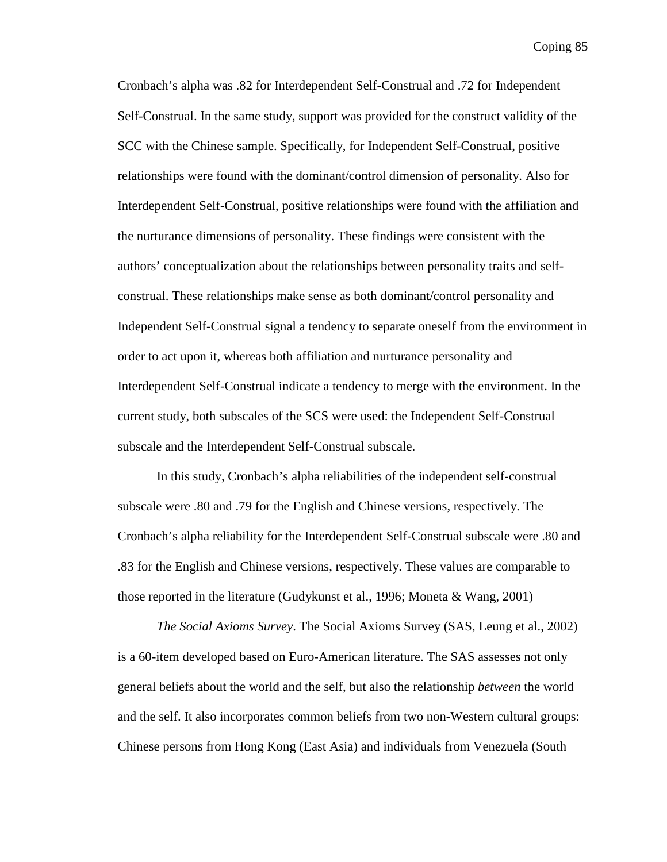Cronbach's alpha was .82 for Interdependent Self-Construal and .72 for Independent Self-Construal. In the same study, support was provided for the construct validity of the SCC with the Chinese sample. Specifically, for Independent Self-Construal, positive relationships were found with the dominant/control dimension of personality. Also for Interdependent Self-Construal, positive relationships were found with the affiliation and the nurturance dimensions of personality. These findings were consistent with the authors' conceptualization about the relationships between personality traits and selfconstrual. These relationships make sense as both dominant/control personality and Independent Self-Construal signal a tendency to separate oneself from the environment in order to act upon it, whereas both affiliation and nurturance personality and Interdependent Self-Construal indicate a tendency to merge with the environment. In the current study, both subscales of the SCS were used: the Independent Self-Construal subscale and the Interdependent Self-Construal subscale.

In this study, Cronbach's alpha reliabilities of the independent self-construal subscale were .80 and .79 for the English and Chinese versions, respectively. The Cronbach's alpha reliability for the Interdependent Self-Construal subscale were .80 and .83 for the English and Chinese versions, respectively. These values are comparable to those reported in the literature (Gudykunst et al., 1996; Moneta & Wang, 2001)

*The Social Axioms Survey*. The Social Axioms Survey (SAS, Leung et al., 2002) is a 60-item developed based on Euro-American literature. The SAS assesses not only general beliefs about the world and the self, but also the relationship *between* the world and the self. It also incorporates common beliefs from two non-Western cultural groups: Chinese persons from Hong Kong (East Asia) and individuals from Venezuela (South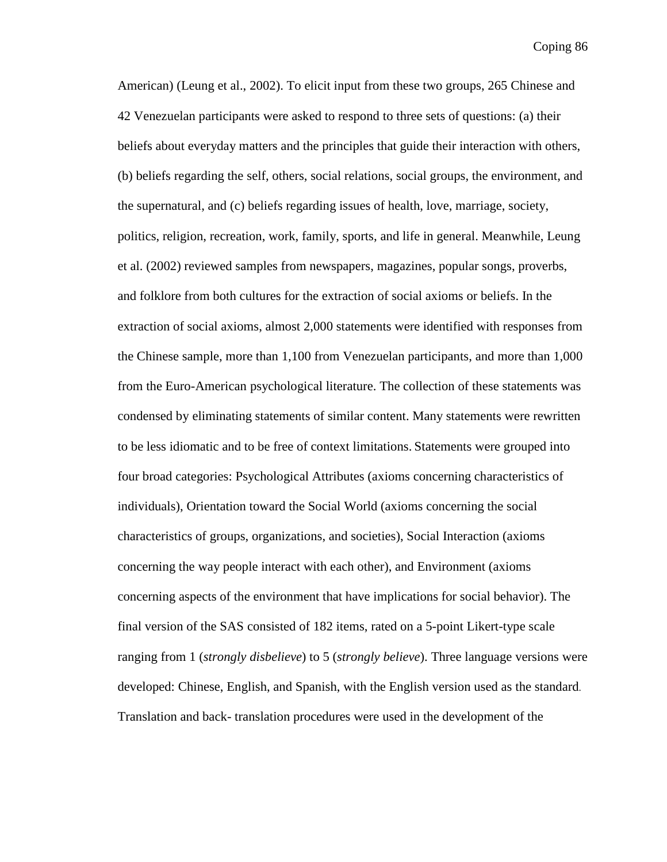American) (Leung et al., 2002). To elicit input from these two groups, 265 Chinese and 42 Venezuelan participants were asked to respond to three sets of questions: (a) their beliefs about everyday matters and the principles that guide their interaction with others, (b) beliefs regarding the self, others, social relations, social groups, the environment, and the supernatural, and (c) beliefs regarding issues of health, love, marriage, society, politics, religion, recreation, work, family, sports, and life in general. Meanwhile, Leung et al. (2002) reviewed samples from newspapers, magazines, popular songs, proverbs, and folklore from both cultures for the extraction of social axioms or beliefs. In the extraction of social axioms, almost 2,000 statements were identified with responses from the Chinese sample, more than 1,100 from Venezuelan participants, and more than 1,000 from the Euro-American psychological literature. The collection of these statements was condensed by eliminating statements of similar content. Many statements were rewritten to be less idiomatic and to be free of context limitations. Statements were grouped into four broad categories: Psychological Attributes (axioms concerning characteristics of individuals), Orientation toward the Social World (axioms concerning the social characteristics of groups, organizations, and societies), Social Interaction (axioms concerning the way people interact with each other), and Environment (axioms concerning aspects of the environment that have implications for social behavior). The final version of the SAS consisted of 182 items, rated on a 5-point Likert-type scale ranging from 1 (*strongly disbelieve*) to 5 (*strongly believe*). Three language versions were developed: Chinese, English, and Spanish, with the English version used as the standard. Translation and back- translation procedures were used in the development of the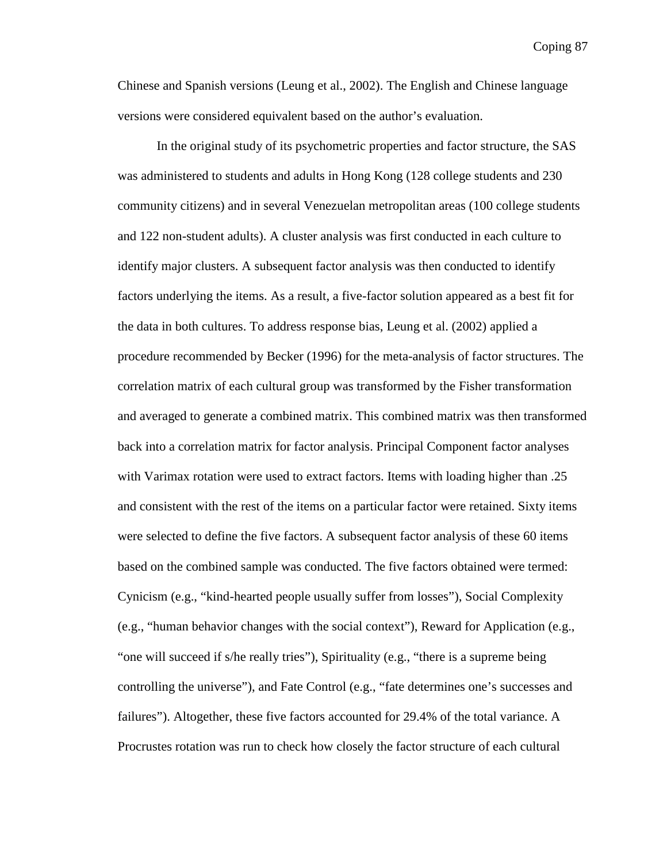Chinese and Spanish versions (Leung et al., 2002). The English and Chinese language versions were considered equivalent based on the author's evaluation.

In the original study of its psychometric properties and factor structure, the SAS was administered to students and adults in Hong Kong (128 college students and 230 community citizens) and in several Venezuelan metropolitan areas (100 college students and 122 non-student adults). A cluster analysis was first conducted in each culture to identify major clusters. A subsequent factor analysis was then conducted to identify factors underlying the items. As a result, a five-factor solution appeared as a best fit for the data in both cultures. To address response bias, Leung et al. (2002) applied a procedure recommended by Becker (1996) for the meta-analysis of factor structures. The correlation matrix of each cultural group was transformed by the Fisher transformation and averaged to generate a combined matrix. This combined matrix was then transformed back into a correlation matrix for factor analysis. Principal Component factor analyses with Varimax rotation were used to extract factors. Items with loading higher than .25 and consistent with the rest of the items on a particular factor were retained. Sixty items were selected to define the five factors. A subsequent factor analysis of these 60 items based on the combined sample was conducted. The five factors obtained were termed: Cynicism (e.g., "kind-hearted people usually suffer from losses"), Social Complexity (e.g., "human behavior changes with the social context"), Reward for Application (e.g., "one will succeed if s/he really tries"), Spirituality (e.g., "there is a supreme being controlling the universe"), and Fate Control (e.g., "fate determines one's successes and failures"). Altogether, these five factors accounted for 29.4% of the total variance. A Procrustes rotation was run to check how closely the factor structure of each cultural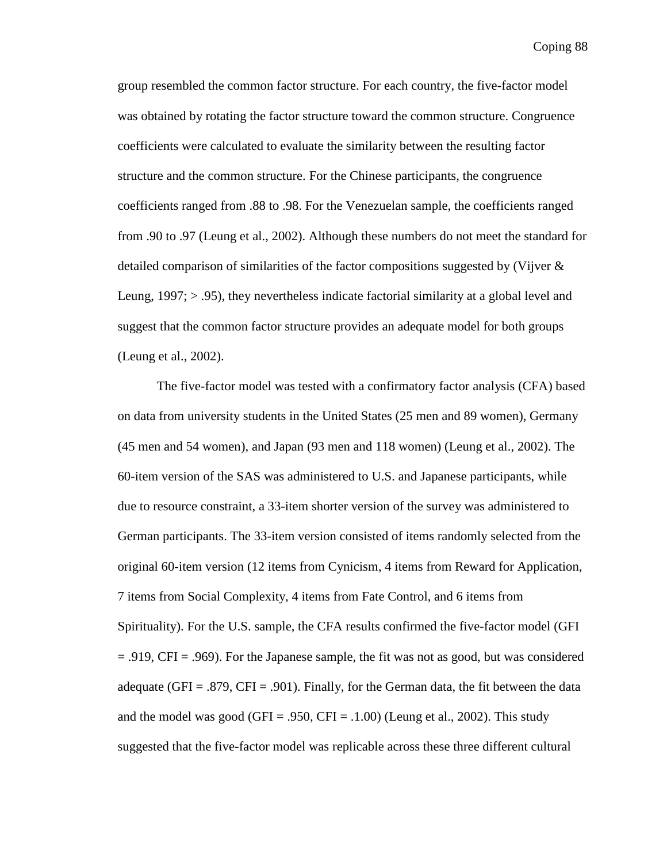group resembled the common factor structure. For each country, the five-factor model was obtained by rotating the factor structure toward the common structure. Congruence coefficients were calculated to evaluate the similarity between the resulting factor structure and the common structure. For the Chinese participants, the congruence coefficients ranged from .88 to .98. For the Venezuelan sample, the coefficients ranged from .90 to .97 (Leung et al., 2002). Although these numbers do not meet the standard for detailed comparison of similarities of the factor compositions suggested by (Vijver & Leung,  $1997$ ;  $> 0.95$ ), they nevertheless indicate factorial similarity at a global level and suggest that the common factor structure provides an adequate model for both groups (Leung et al., 2002).

The five-factor model was tested with a confirmatory factor analysis (CFA) based on data from university students in the United States (25 men and 89 women), Germany (45 men and 54 women), and Japan (93 men and 118 women) (Leung et al., 2002). The 60-item version of the SAS was administered to U.S. and Japanese participants, while due to resource constraint, a 33-item shorter version of the survey was administered to German participants. The 33-item version consisted of items randomly selected from the original 60-item version (12 items from Cynicism, 4 items from Reward for Application, 7 items from Social Complexity, 4 items from Fate Control, and 6 items from Spirituality). For the U.S. sample, the CFA results confirmed the five-factor model (GFI = .919, CFI = .969). For the Japanese sample, the fit was not as good, but was considered adequate (GFI =  $.879$ , CFI =  $.901$ ). Finally, for the German data, the fit between the data and the model was good (GFI = .950, CFI = .1.00) (Leung et al., 2002). This study suggested that the five-factor model was replicable across these three different cultural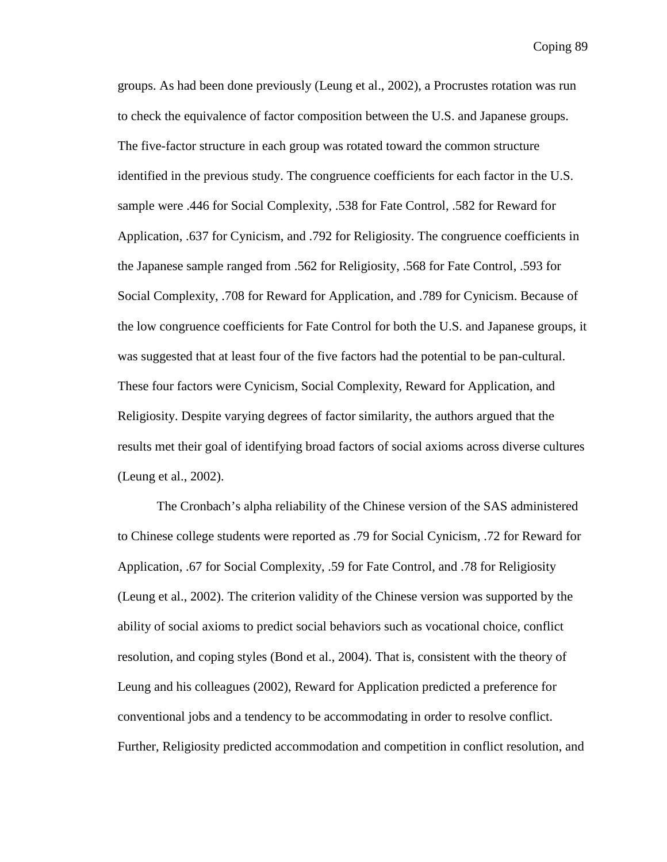groups. As had been done previously (Leung et al., 2002), a Procrustes rotation was run to check the equivalence of factor composition between the U.S. and Japanese groups. The five-factor structure in each group was rotated toward the common structure identified in the previous study. The congruence coefficients for each factor in the U.S. sample were .446 for Social Complexity, .538 for Fate Control, .582 for Reward for Application, .637 for Cynicism, and .792 for Religiosity. The congruence coefficients in the Japanese sample ranged from .562 for Religiosity, .568 for Fate Control, .593 for Social Complexity, .708 for Reward for Application, and .789 for Cynicism. Because of the low congruence coefficients for Fate Control for both the U.S. and Japanese groups, it was suggested that at least four of the five factors had the potential to be pan-cultural. These four factors were Cynicism, Social Complexity, Reward for Application, and Religiosity. Despite varying degrees of factor similarity, the authors argued that the results met their goal of identifying broad factors of social axioms across diverse cultures (Leung et al., 2002).

The Cronbach's alpha reliability of the Chinese version of the SAS administered to Chinese college students were reported as .79 for Social Cynicism, .72 for Reward for Application, .67 for Social Complexity, .59 for Fate Control, and .78 for Religiosity (Leung et al., 2002). The criterion validity of the Chinese version was supported by the ability of social axioms to predict social behaviors such as vocational choice, conflict resolution, and coping styles (Bond et al., 2004). That is, consistent with the theory of Leung and his colleagues (2002), Reward for Application predicted a preference for conventional jobs and a tendency to be accommodating in order to resolve conflict. Further, Religiosity predicted accommodation and competition in conflict resolution, and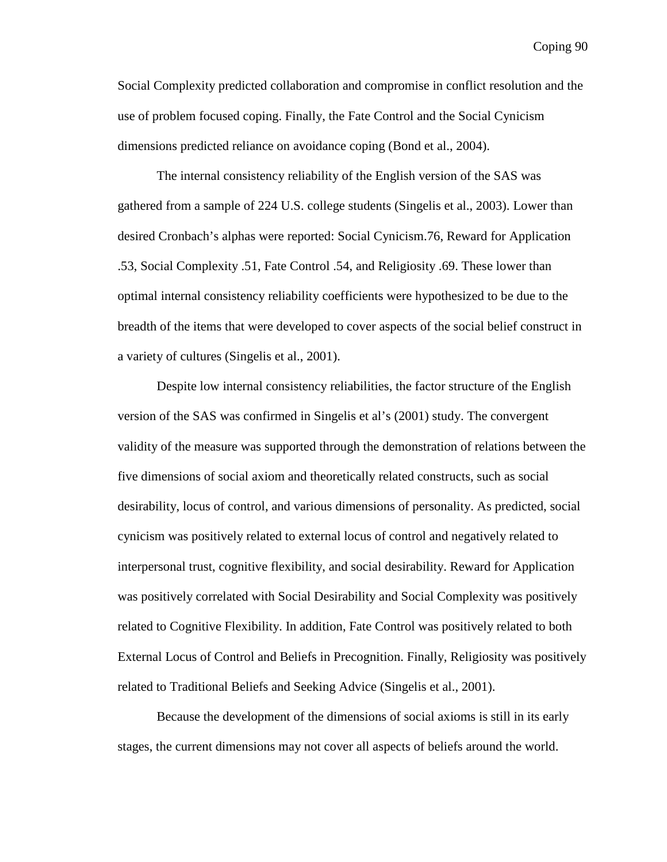Social Complexity predicted collaboration and compromise in conflict resolution and the use of problem focused coping. Finally, the Fate Control and the Social Cynicism dimensions predicted reliance on avoidance coping (Bond et al., 2004).

The internal consistency reliability of the English version of the SAS was gathered from a sample of 224 U.S. college students (Singelis et al., 2003). Lower than desired Cronbach's alphas were reported: Social Cynicism.76, Reward for Application .53, Social Complexity .51, Fate Control .54, and Religiosity .69. These lower than optimal internal consistency reliability coefficients were hypothesized to be due to the breadth of the items that were developed to cover aspects of the social belief construct in a variety of cultures (Singelis et al., 2001).

Despite low internal consistency reliabilities, the factor structure of the English version of the SAS was confirmed in Singelis et al's (2001) study. The convergent validity of the measure was supported through the demonstration of relations between the five dimensions of social axiom and theoretically related constructs, such as social desirability, locus of control, and various dimensions of personality. As predicted, social cynicism was positively related to external locus of control and negatively related to interpersonal trust, cognitive flexibility, and social desirability. Reward for Application was positively correlated with Social Desirability and Social Complexity was positively related to Cognitive Flexibility. In addition, Fate Control was positively related to both External Locus of Control and Beliefs in Precognition. Finally, Religiosity was positively related to Traditional Beliefs and Seeking Advice (Singelis et al., 2001).

Because the development of the dimensions of social axioms is still in its early stages, the current dimensions may not cover all aspects of beliefs around the world.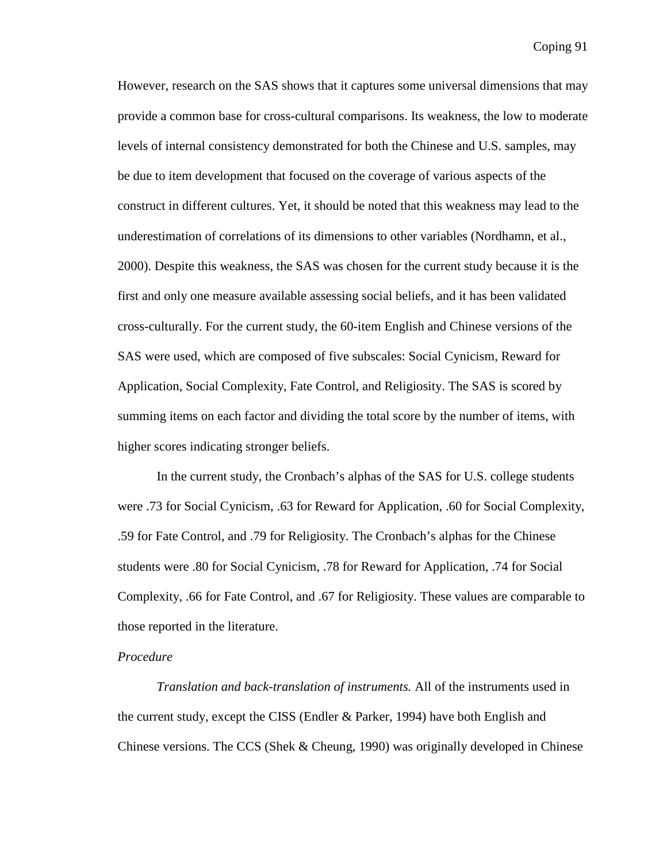However, research on the SAS shows that it captures some universal dimensions that may provide a common base for cross-cultural comparisons. Its weakness, the low to moderate levels of internal consistency demonstrated for both the Chinese and U.S. samples, may be due to item development that focused on the coverage of various aspects of the construct in different cultures. Yet, it should be noted that this weakness may lead to the underestimation of correlations of its dimensions to other variables (Nordhamn, et al., 2000). Despite this weakness, the SAS was chosen for the current study because it is the first and only one measure available assessing social beliefs, and it has been validated cross-culturally. For the current study, the 60-item English and Chinese versions of the SAS were used, which are composed of five subscales: Social Cynicism, Reward for Application, Social Complexity, Fate Control, and Religiosity. The SAS is scored by summing items on each factor and dividing the total score by the number of items, with higher scores indicating stronger beliefs.

In the current study, the Cronbach's alphas of the SAS for U.S. college students were .73 for Social Cynicism, .63 for Reward for Application, .60 for Social Complexity, .59 for Fate Control, and .79 for Religiosity. The Cronbach's alphas for the Chinese students were .80 for Social Cynicism, .78 for Reward for Application, .74 for Social Complexity, .66 for Fate Control, and .67 for Religiosity. These values are comparable to those reported in the literature.

## *Procedure*

*Translation and back-translation of instruments.* All of the instruments used in the current study, except the CISS (Endler & Parker, 1994) have both English and Chinese versions. The CCS (Shek & Cheung, 1990) was originally developed in Chinese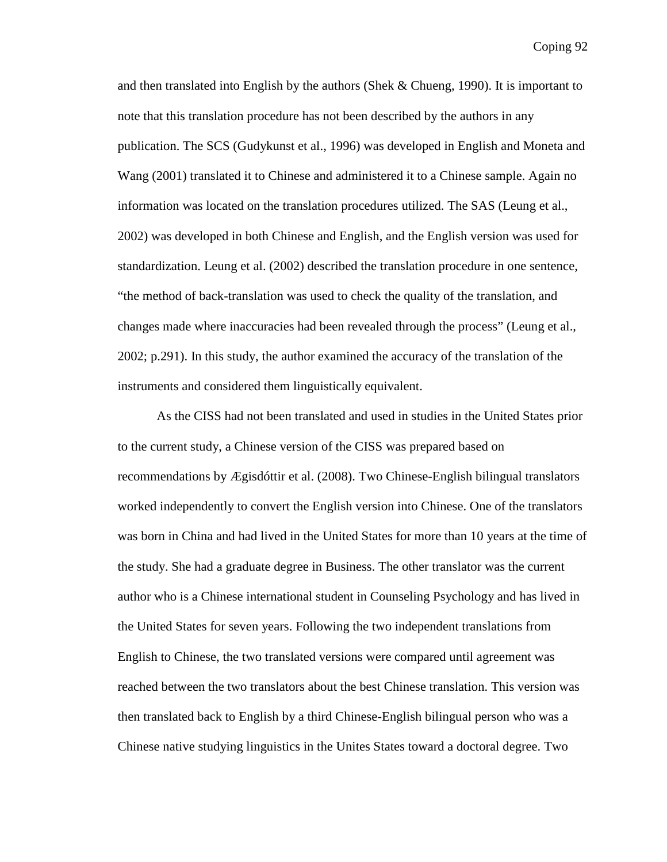and then translated into English by the authors (Shek & Chueng, 1990). It is important to note that this translation procedure has not been described by the authors in any publication. The SCS (Gudykunst et al., 1996) was developed in English and Moneta and Wang (2001) translated it to Chinese and administered it to a Chinese sample. Again no information was located on the translation procedures utilized. The SAS (Leung et al., 2002) was developed in both Chinese and English, and the English version was used for standardization. Leung et al. (2002) described the translation procedure in one sentence, "the method of back-translation was used to check the quality of the translation, and changes made where inaccuracies had been revealed through the process" (Leung et al., 2002; p.291). In this study, the author examined the accuracy of the translation of the instruments and considered them linguistically equivalent.

As the CISS had not been translated and used in studies in the United States prior to the current study, a Chinese version of the CISS was prepared based on recommendations by Ægisdóttir et al. (2008). Two Chinese-English bilingual translators worked independently to convert the English version into Chinese. One of the translators was born in China and had lived in the United States for more than 10 years at the time of the study. She had a graduate degree in Business. The other translator was the current author who is a Chinese international student in Counseling Psychology and has lived in the United States for seven years. Following the two independent translations from English to Chinese, the two translated versions were compared until agreement was reached between the two translators about the best Chinese translation. This version was then translated back to English by a third Chinese-English bilingual person who was a Chinese native studying linguistics in the Unites States toward a doctoral degree. Two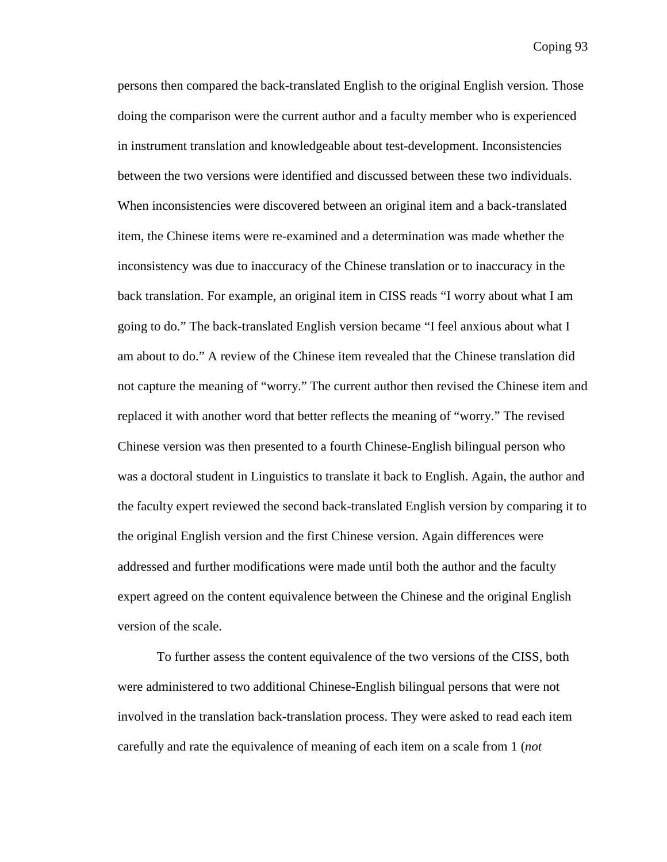persons then compared the back-translated English to the original English version. Those doing the comparison were the current author and a faculty member who is experienced in instrument translation and knowledgeable about test-development. Inconsistencies between the two versions were identified and discussed between these two individuals. When inconsistencies were discovered between an original item and a back-translated item, the Chinese items were re-examined and a determination was made whether the inconsistency was due to inaccuracy of the Chinese translation or to inaccuracy in the back translation. For example, an original item in CISS reads "I worry about what I am going to do." The back-translated English version became "I feel anxious about what I am about to do." A review of the Chinese item revealed that the Chinese translation did not capture the meaning of "worry." The current author then revised the Chinese item and replaced it with another word that better reflects the meaning of "worry." The revised Chinese version was then presented to a fourth Chinese-English bilingual person who was a doctoral student in Linguistics to translate it back to English. Again, the author and the faculty expert reviewed the second back-translated English version by comparing it to the original English version and the first Chinese version. Again differences were addressed and further modifications were made until both the author and the faculty expert agreed on the content equivalence between the Chinese and the original English version of the scale.

To further assess the content equivalence of the two versions of the CISS, both were administered to two additional Chinese-English bilingual persons that were not involved in the translation back-translation process. They were asked to read each item carefully and rate the equivalence of meaning of each item on a scale from 1 (*not*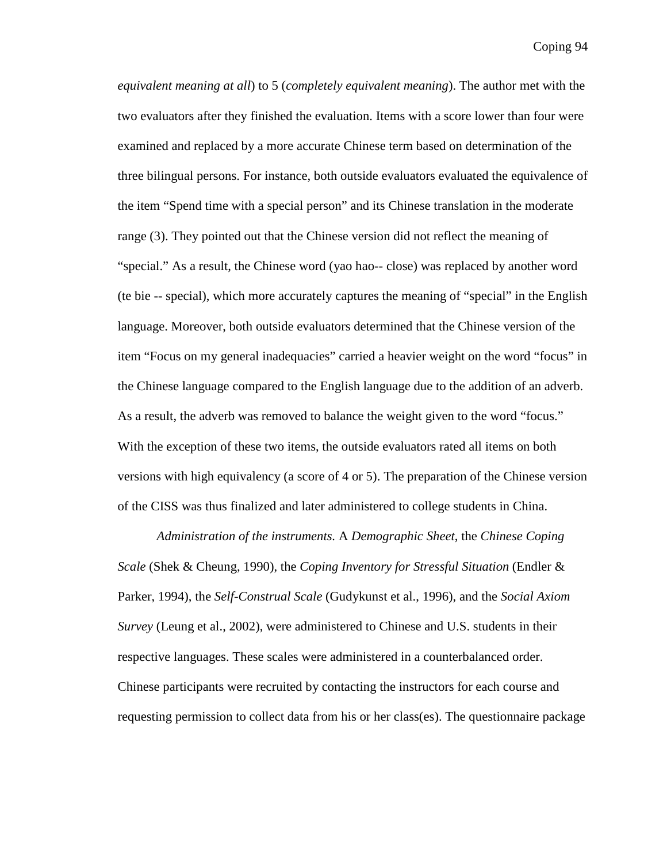*equivalent meaning at all*) to 5 (*completely equivalent meaning*). The author met with the two evaluators after they finished the evaluation. Items with a score lower than four were examined and replaced by a more accurate Chinese term based on determination of the three bilingual persons. For instance, both outside evaluators evaluated the equivalence of the item "Spend time with a special person" and its Chinese translation in the moderate range (3). They pointed out that the Chinese version did not reflect the meaning of "special." As a result, the Chinese word (yao hao-- close) was replaced by another word (te bie -- special), which more accurately captures the meaning of "special" in the English language. Moreover, both outside evaluators determined that the Chinese version of the item "Focus on my general inadequacies" carried a heavier weight on the word "focus" in the Chinese language compared to the English language due to the addition of an adverb. As a result, the adverb was removed to balance the weight given to the word "focus." With the exception of these two items, the outside evaluators rated all items on both versions with high equivalency (a score of 4 or 5). The preparation of the Chinese version of the CISS was thus finalized and later administered to college students in China.

*Administration of the instruments.* A *Demographic Sheet*, the *Chinese Coping Scale* (Shek & Cheung, 1990), the *Coping Inventory for Stressful Situation* (Endler & Parker, 1994), the *Self-Construal Scale* (Gudykunst et al., 1996), and the *Social Axiom Survey* (Leung et al., 2002), were administered to Chinese and U.S. students in their respective languages. These scales were administered in a counterbalanced order. Chinese participants were recruited by contacting the instructors for each course and requesting permission to collect data from his or her class(es). The questionnaire package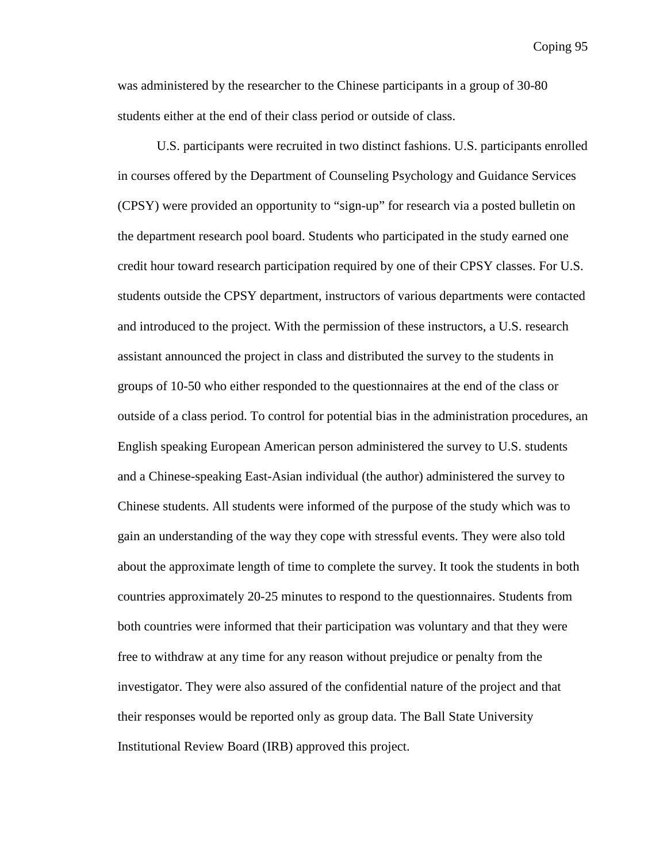was administered by the researcher to the Chinese participants in a group of 30-80 students either at the end of their class period or outside of class.

U.S. participants were recruited in two distinct fashions. U.S. participants enrolled in courses offered by the Department of Counseling Psychology and Guidance Services (CPSY) were provided an opportunity to "sign-up" for research via a posted bulletin on the department research pool board. Students who participated in the study earned one credit hour toward research participation required by one of their CPSY classes. For U.S. students outside the CPSY department, instructors of various departments were contacted and introduced to the project. With the permission of these instructors, a U.S. research assistant announced the project in class and distributed the survey to the students in groups of 10-50 who either responded to the questionnaires at the end of the class or outside of a class period. To control for potential bias in the administration procedures, an English speaking European American person administered the survey to U.S. students and a Chinese-speaking East-Asian individual (the author) administered the survey to Chinese students. All students were informed of the purpose of the study which was to gain an understanding of the way they cope with stressful events. They were also told about the approximate length of time to complete the survey. It took the students in both countries approximately 20-25 minutes to respond to the questionnaires. Students from both countries were informed that their participation was voluntary and that they were free to withdraw at any time for any reason without prejudice or penalty from the investigator. They were also assured of the confidential nature of the project and that their responses would be reported only as group data. The Ball State University Institutional Review Board (IRB) approved this project.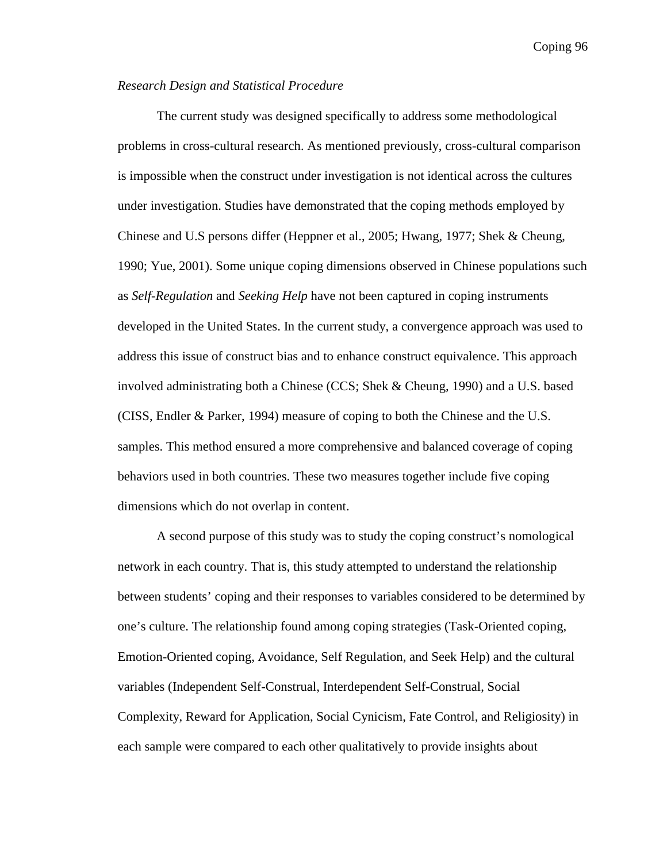## *Research Design and Statistical Procedure*

The current study was designed specifically to address some methodological problems in cross-cultural research. As mentioned previously, cross-cultural comparison is impossible when the construct under investigation is not identical across the cultures under investigation. Studies have demonstrated that the coping methods employed by Chinese and U.S persons differ (Heppner et al., 2005; Hwang, 1977; Shek & Cheung, 1990; Yue, 2001). Some unique coping dimensions observed in Chinese populations such as *Self-Regulation* and *Seeking Help* have not been captured in coping instruments developed in the United States. In the current study, a convergence approach was used to address this issue of construct bias and to enhance construct equivalence. This approach involved administrating both a Chinese (CCS; Shek & Cheung, 1990) and a U.S. based (CISS, Endler & Parker, 1994) measure of coping to both the Chinese and the U.S. samples. This method ensured a more comprehensive and balanced coverage of coping behaviors used in both countries. These two measures together include five coping dimensions which do not overlap in content.

A second purpose of this study was to study the coping construct's nomological network in each country. That is, this study attempted to understand the relationship between students' coping and their responses to variables considered to be determined by one's culture. The relationship found among coping strategies (Task-Oriented coping, Emotion-Oriented coping, Avoidance, Self Regulation, and Seek Help) and the cultural variables (Independent Self-Construal, Interdependent Self-Construal, Social Complexity, Reward for Application, Social Cynicism, Fate Control, and Religiosity) in each sample were compared to each other qualitatively to provide insights about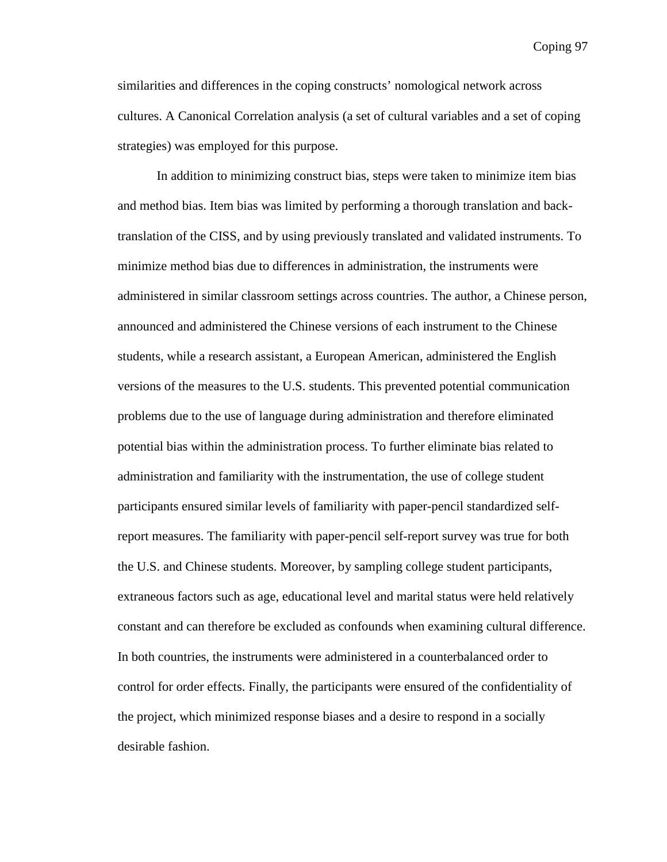similarities and differences in the coping constructs' nomological network across cultures. A Canonical Correlation analysis (a set of cultural variables and a set of coping strategies) was employed for this purpose.

In addition to minimizing construct bias, steps were taken to minimize item bias and method bias. Item bias was limited by performing a thorough translation and backtranslation of the CISS, and by using previously translated and validated instruments. To minimize method bias due to differences in administration, the instruments were administered in similar classroom settings across countries. The author, a Chinese person, announced and administered the Chinese versions of each instrument to the Chinese students, while a research assistant, a European American, administered the English versions of the measures to the U.S. students. This prevented potential communication problems due to the use of language during administration and therefore eliminated potential bias within the administration process. To further eliminate bias related to administration and familiarity with the instrumentation, the use of college student participants ensured similar levels of familiarity with paper-pencil standardized selfreport measures. The familiarity with paper-pencil self-report survey was true for both the U.S. and Chinese students. Moreover, by sampling college student participants, extraneous factors such as age, educational level and marital status were held relatively constant and can therefore be excluded as confounds when examining cultural difference. In both countries, the instruments were administered in a counterbalanced order to control for order effects. Finally, the participants were ensured of the confidentiality of the project, which minimized response biases and a desire to respond in a socially desirable fashion.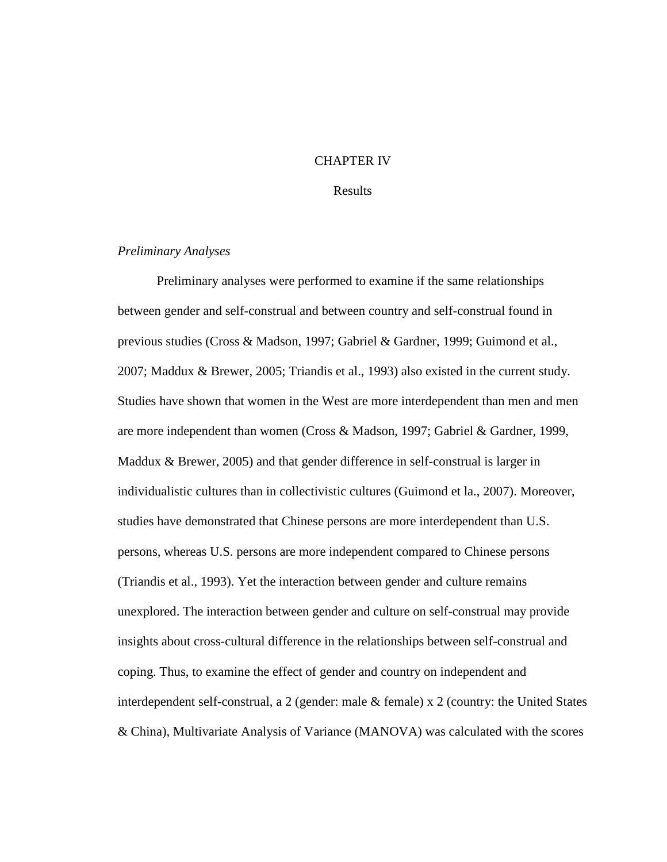### CHAPTER IV

### Results

## *Preliminary Analyses*

Preliminary analyses were performed to examine if the same relationships between gender and self-construal and between country and self-construal found in previous studies (Cross & Madson, 1997; Gabriel & Gardner, 1999; Guimond et al., 2007; Maddux & Brewer, 2005; Triandis et al., 1993) also existed in the current study. Studies have shown that women in the West are more interdependent than men and men are more independent than women (Cross & Madson, 1997; Gabriel & Gardner, 1999, Maddux & Brewer, 2005) and that gender difference in self-construal is larger in individualistic cultures than in collectivistic cultures (Guimond et la., 2007). Moreover, studies have demonstrated that Chinese persons are more interdependent than U.S. persons, whereas U.S. persons are more independent compared to Chinese persons (Triandis et al., 1993). Yet the interaction between gender and culture remains unexplored. The interaction between gender and culture on self-construal may provide insights about cross-cultural difference in the relationships between self-construal and coping. Thus, to examine the effect of gender and country on independent and interdependent self-construal, a 2 (gender: male & female) x 2 (country: the United States & China), Multivariate Analysis of Variance (MANOVA) was calculated with the scores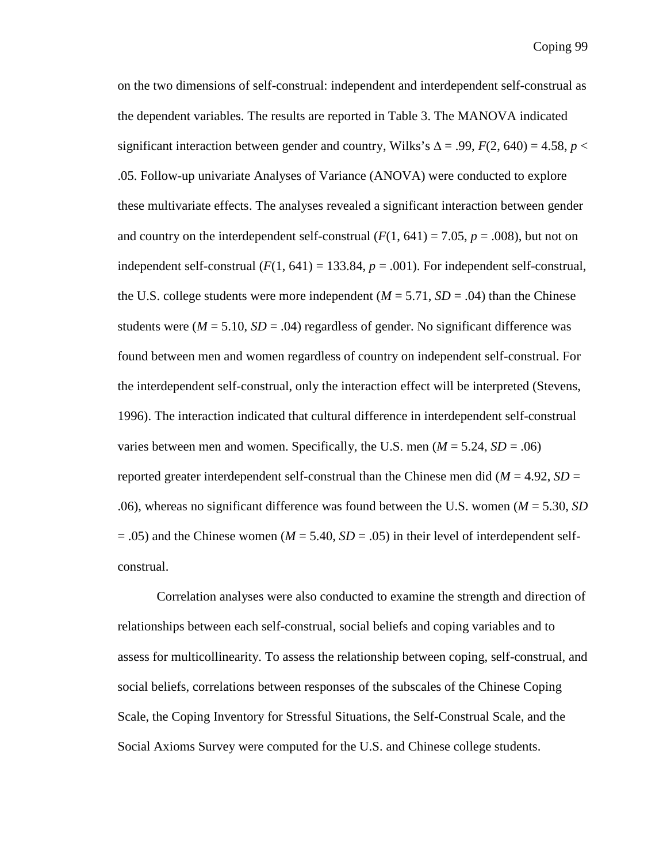on the two dimensions of self-construal: independent and interdependent self-construal as the dependent variables. The results are reported in Table 3. The MANOVA indicated significant interaction between gender and country, Wilks's  $\Delta = .99$ ,  $F(2, 640) = 4.58$ ,  $p <$ .05. Follow-up univariate Analyses of Variance (ANOVA) were conducted to explore these multivariate effects. The analyses revealed a significant interaction between gender and country on the interdependent self-construal  $(F(1, 641) = 7.05, p = .008)$ , but not on independent self-construal  $(F(1, 641) = 133.84, p = .001)$ . For independent self-construal, the U.S. college students were more independent  $(M = 5.71, SD = .04)$  than the Chinese students were  $(M = 5.10, SD = .04)$  regardless of gender. No significant difference was found between men and women regardless of country on independent self-construal. For the interdependent self-construal, only the interaction effect will be interpreted (Stevens, 1996). The interaction indicated that cultural difference in interdependent self-construal varies between men and women. Specifically, the U.S. men  $(M = 5.24, SD = .06)$ reported greater interdependent self-construal than the Chinese men did ( $M = 4.92$ ,  $SD =$ .06), whereas no significant difference was found between the U.S. women (*M* = 5.30, *SD*  $= .05$ ) and the Chinese women ( $M = 5.40$ ,  $SD = .05$ ) in their level of interdependent selfconstrual.

Correlation analyses were also conducted to examine the strength and direction of relationships between each self-construal, social beliefs and coping variables and to assess for multicollinearity. To assess the relationship between coping, self-construal, and social beliefs, correlations between responses of the subscales of the Chinese Coping Scale, the Coping Inventory for Stressful Situations, the Self-Construal Scale, and the Social Axioms Survey were computed for the U.S. and Chinese college students.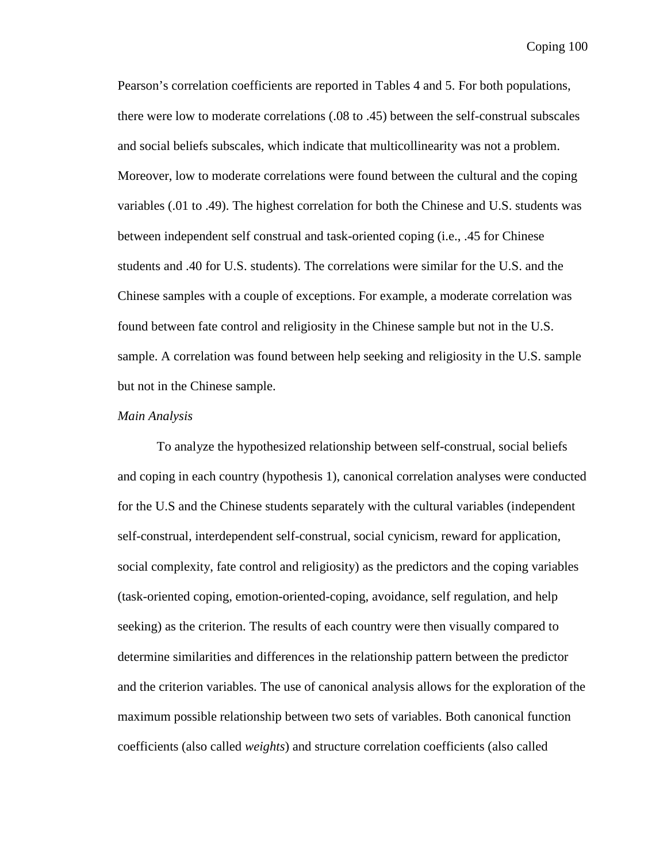Pearson's correlation coefficients are reported in Tables 4 and 5. For both populations, there were low to moderate correlations (.08 to .45) between the self-construal subscales and social beliefs subscales, which indicate that multicollinearity was not a problem. Moreover, low to moderate correlations were found between the cultural and the coping variables (.01 to .49). The highest correlation for both the Chinese and U.S. students was between independent self construal and task-oriented coping (i.e., .45 for Chinese students and .40 for U.S. students). The correlations were similar for the U.S. and the Chinese samples with a couple of exceptions. For example, a moderate correlation was found between fate control and religiosity in the Chinese sample but not in the U.S. sample. A correlation was found between help seeking and religiosity in the U.S. sample but not in the Chinese sample.

### *Main Analysis*

To analyze the hypothesized relationship between self-construal, social beliefs and coping in each country (hypothesis 1), canonical correlation analyses were conducted for the U.S and the Chinese students separately with the cultural variables (independent self-construal, interdependent self-construal, social cynicism, reward for application, social complexity, fate control and religiosity) as the predictors and the coping variables (task-oriented coping, emotion-oriented-coping, avoidance, self regulation, and help seeking) as the criterion. The results of each country were then visually compared to determine similarities and differences in the relationship pattern between the predictor and the criterion variables. The use of canonical analysis allows for the exploration of the maximum possible relationship between two sets of variables. Both canonical function coefficients (also called *weights*) and structure correlation coefficients (also called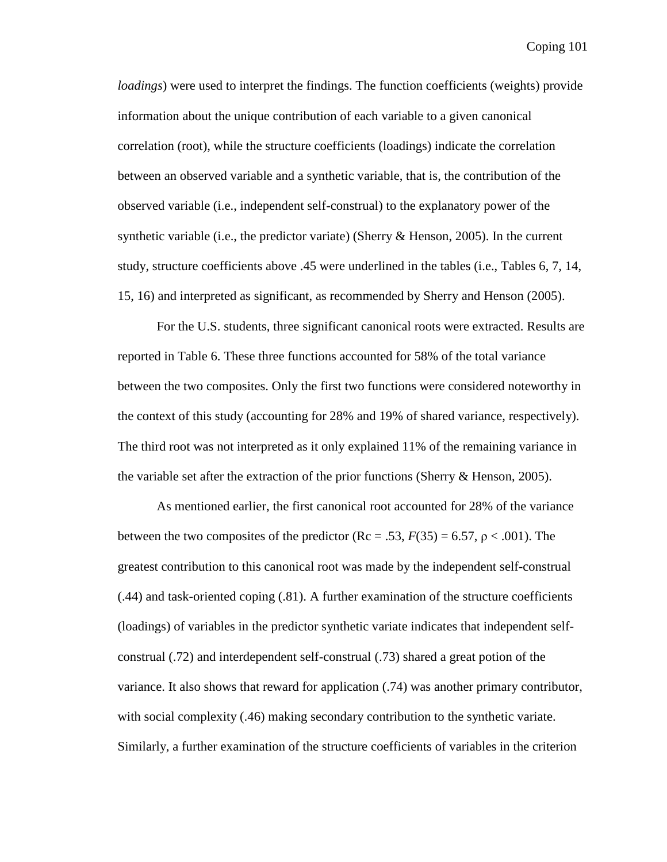*loadings*) were used to interpret the findings. The function coefficients (weights) provide information about the unique contribution of each variable to a given canonical correlation (root), while the structure coefficients (loadings) indicate the correlation between an observed variable and a synthetic variable, that is, the contribution of the observed variable (i.e., independent self-construal) to the explanatory power of the synthetic variable (i.e., the predictor variate) (Sherry  $\&$  Henson, 2005). In the current study, structure coefficients above .45 were underlined in the tables (i.e., Tables 6, 7, 14, 15, 16) and interpreted as significant, as recommended by Sherry and Henson (2005).

 For the U.S. students, three significant canonical roots were extracted. Results are reported in Table 6. These three functions accounted for 58% of the total variance between the two composites. Only the first two functions were considered noteworthy in the context of this study (accounting for 28% and 19% of shared variance, respectively). The third root was not interpreted as it only explained 11% of the remaining variance in the variable set after the extraction of the prior functions (Sherry  $\&$  Henson, 2005).

As mentioned earlier, the first canonical root accounted for 28% of the variance between the two composites of the predictor  $(Re = .53, F(35) = 6.57, p < .001)$ . The greatest contribution to this canonical root was made by the independent self-construal (.44) and task-oriented coping (.81). A further examination of the structure coefficients (loadings) of variables in the predictor synthetic variate indicates that independent selfconstrual (.72) and interdependent self-construal (.73) shared a great potion of the variance. It also shows that reward for application (.74) was another primary contributor, with social complexity (.46) making secondary contribution to the synthetic variate. Similarly, a further examination of the structure coefficients of variables in the criterion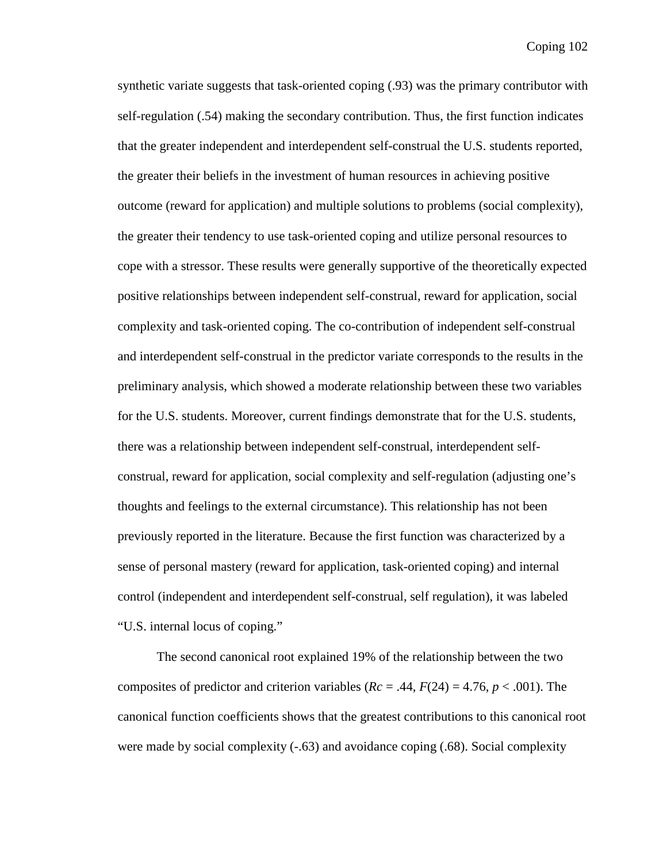synthetic variate suggests that task-oriented coping (.93) was the primary contributor with self-regulation (.54) making the secondary contribution. Thus, the first function indicates that the greater independent and interdependent self-construal the U.S. students reported, the greater their beliefs in the investment of human resources in achieving positive outcome (reward for application) and multiple solutions to problems (social complexity), the greater their tendency to use task-oriented coping and utilize personal resources to cope with a stressor. These results were generally supportive of the theoretically expected positive relationships between independent self-construal, reward for application, social complexity and task-oriented coping. The co-contribution of independent self-construal and interdependent self-construal in the predictor variate corresponds to the results in the preliminary analysis, which showed a moderate relationship between these two variables for the U.S. students. Moreover, current findings demonstrate that for the U.S. students, there was a relationship between independent self-construal, interdependent selfconstrual, reward for application, social complexity and self-regulation (adjusting one's thoughts and feelings to the external circumstance). This relationship has not been previously reported in the literature. Because the first function was characterized by a sense of personal mastery (reward for application, task-oriented coping) and internal control (independent and interdependent self-construal, self regulation), it was labeled "U.S. internal locus of coping."

The second canonical root explained 19% of the relationship between the two composites of predictor and criterion variables  $(Re = .44, F(24) = 4.76, p < .001)$ . The canonical function coefficients shows that the greatest contributions to this canonical root were made by social complexity  $(-63)$  and avoidance coping  $(.68)$ . Social complexity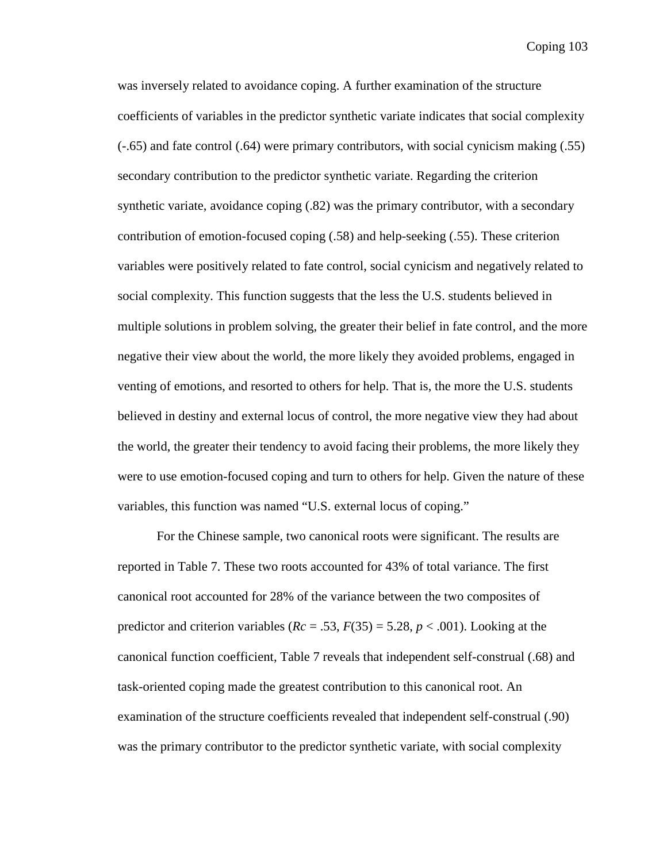was inversely related to avoidance coping. A further examination of the structure coefficients of variables in the predictor synthetic variate indicates that social complexity (-.65) and fate control (.64) were primary contributors, with social cynicism making (.55) secondary contribution to the predictor synthetic variate. Regarding the criterion synthetic variate, avoidance coping  $(.82)$  was the primary contributor, with a secondary contribution of emotion-focused coping (.58) and help-seeking (.55). These criterion variables were positively related to fate control, social cynicism and negatively related to social complexity. This function suggests that the less the U.S. students believed in multiple solutions in problem solving, the greater their belief in fate control, and the more negative their view about the world, the more likely they avoided problems, engaged in venting of emotions, and resorted to others for help. That is, the more the U.S. students believed in destiny and external locus of control, the more negative view they had about the world, the greater their tendency to avoid facing their problems, the more likely they were to use emotion-focused coping and turn to others for help. Given the nature of these variables, this function was named "U.S. external locus of coping."

For the Chinese sample, two canonical roots were significant. The results are reported in Table 7. These two roots accounted for 43% of total variance. The first canonical root accounted for 28% of the variance between the two composites of predictor and criterion variables  $(Re = .53, F(35) = 5.28, p < .001)$ . Looking at the canonical function coefficient, Table 7 reveals that independent self-construal (.68) and task-oriented coping made the greatest contribution to this canonical root. An examination of the structure coefficients revealed that independent self-construal (.90) was the primary contributor to the predictor synthetic variate, with social complexity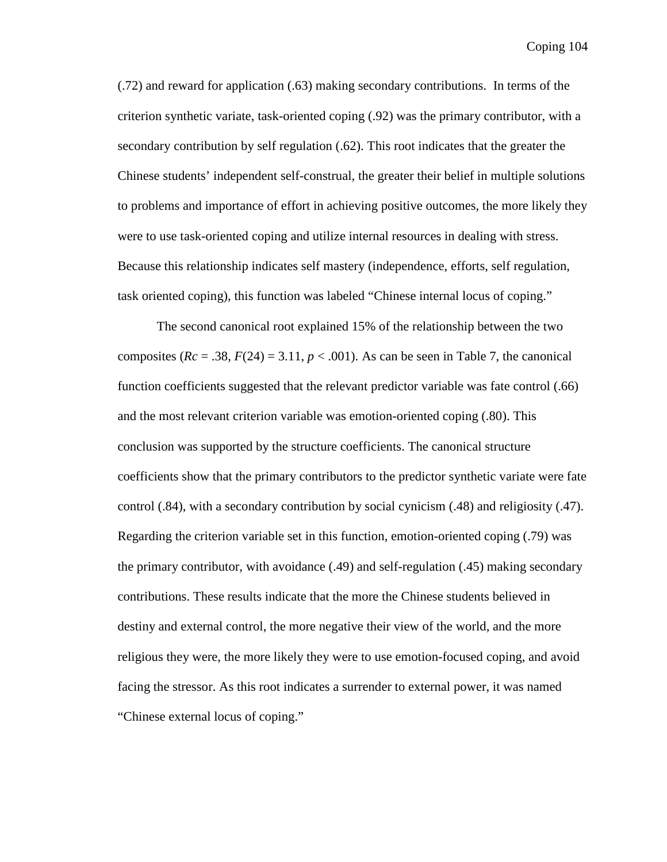(.72) and reward for application (.63) making secondary contributions. In terms of the criterion synthetic variate, task-oriented coping (.92) was the primary contributor, with a secondary contribution by self regulation (.62). This root indicates that the greater the Chinese students' independent self-construal, the greater their belief in multiple solutions to problems and importance of effort in achieving positive outcomes, the more likely they were to use task-oriented coping and utilize internal resources in dealing with stress. Because this relationship indicates self mastery (independence, efforts, self regulation, task oriented coping), this function was labeled "Chinese internal locus of coping."

The second canonical root explained 15% of the relationship between the two composites  $(Re = .38, F(24) = 3.11, p < .001)$ . As can be seen in Table 7, the canonical function coefficients suggested that the relevant predictor variable was fate control (.66) and the most relevant criterion variable was emotion-oriented coping (.80). This conclusion was supported by the structure coefficients. The canonical structure coefficients show that the primary contributors to the predictor synthetic variate were fate control (.84), with a secondary contribution by social cynicism (.48) and religiosity (.47). Regarding the criterion variable set in this function, emotion-oriented coping (.79) was the primary contributor, with avoidance (.49) and self-regulation (.45) making secondary contributions. These results indicate that the more the Chinese students believed in destiny and external control, the more negative their view of the world, and the more religious they were, the more likely they were to use emotion-focused coping, and avoid facing the stressor. As this root indicates a surrender to external power, it was named "Chinese external locus of coping."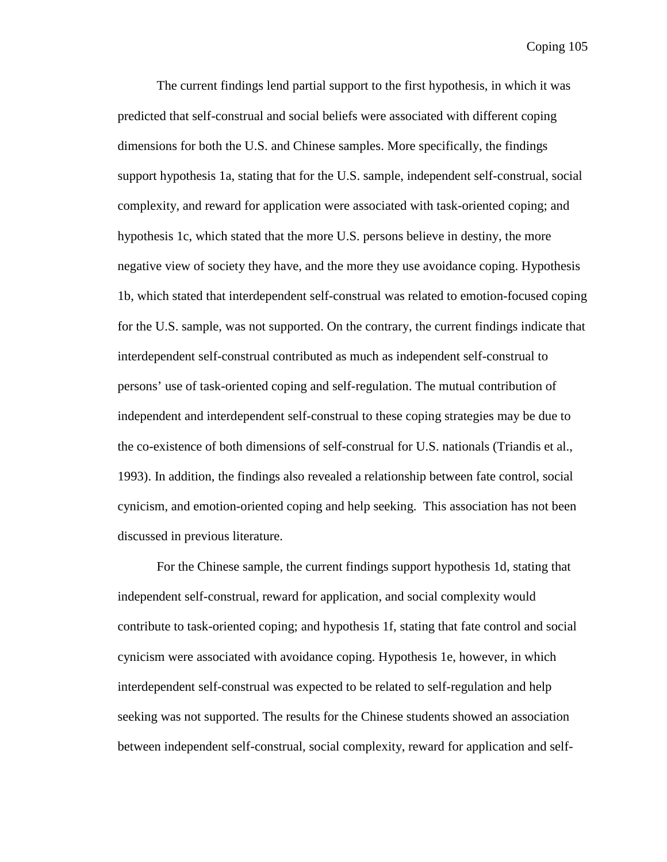The current findings lend partial support to the first hypothesis, in which it was predicted that self-construal and social beliefs were associated with different coping dimensions for both the U.S. and Chinese samples. More specifically, the findings support hypothesis 1a, stating that for the U.S. sample, independent self-construal, social complexity, and reward for application were associated with task-oriented coping; and hypothesis 1c, which stated that the more U.S. persons believe in destiny, the more negative view of society they have, and the more they use avoidance coping. Hypothesis 1b, which stated that interdependent self-construal was related to emotion-focused coping for the U.S. sample, was not supported. On the contrary, the current findings indicate that interdependent self-construal contributed as much as independent self-construal to persons' use of task-oriented coping and self-regulation. The mutual contribution of independent and interdependent self-construal to these coping strategies may be due to the co-existence of both dimensions of self-construal for U.S. nationals (Triandis et al., 1993). In addition, the findings also revealed a relationship between fate control, social cynicism, and emotion-oriented coping and help seeking. This association has not been discussed in previous literature.

For the Chinese sample, the current findings support hypothesis 1d, stating that independent self-construal, reward for application, and social complexity would contribute to task-oriented coping; and hypothesis 1f, stating that fate control and social cynicism were associated with avoidance coping. Hypothesis 1e, however, in which interdependent self-construal was expected to be related to self-regulation and help seeking was not supported. The results for the Chinese students showed an association between independent self-construal, social complexity, reward for application and self-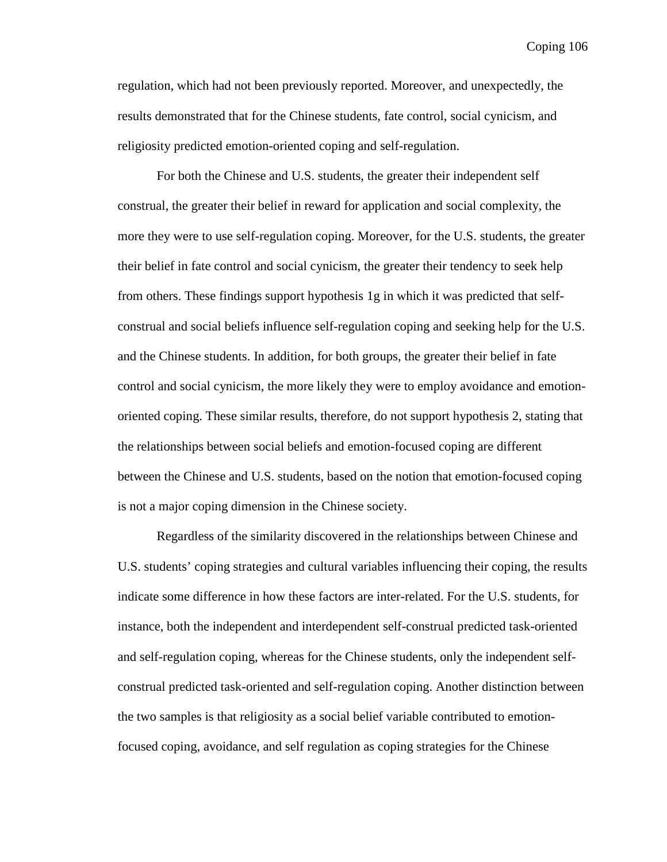regulation, which had not been previously reported. Moreover, and unexpectedly, the results demonstrated that for the Chinese students, fate control, social cynicism, and religiosity predicted emotion-oriented coping and self-regulation.

For both the Chinese and U.S. students, the greater their independent self construal, the greater their belief in reward for application and social complexity, the more they were to use self-regulation coping. Moreover, for the U.S. students, the greater their belief in fate control and social cynicism, the greater their tendency to seek help from others. These findings support hypothesis 1g in which it was predicted that selfconstrual and social beliefs influence self-regulation coping and seeking help for the U.S. and the Chinese students. In addition, for both groups, the greater their belief in fate control and social cynicism, the more likely they were to employ avoidance and emotionoriented coping. These similar results, therefore, do not support hypothesis 2, stating that the relationships between social beliefs and emotion-focused coping are different between the Chinese and U.S. students, based on the notion that emotion-focused coping is not a major coping dimension in the Chinese society.

Regardless of the similarity discovered in the relationships between Chinese and U.S. students' coping strategies and cultural variables influencing their coping, the results indicate some difference in how these factors are inter-related. For the U.S. students, for instance, both the independent and interdependent self-construal predicted task-oriented and self-regulation coping, whereas for the Chinese students, only the independent selfconstrual predicted task-oriented and self-regulation coping. Another distinction between the two samples is that religiosity as a social belief variable contributed to emotionfocused coping, avoidance, and self regulation as coping strategies for the Chinese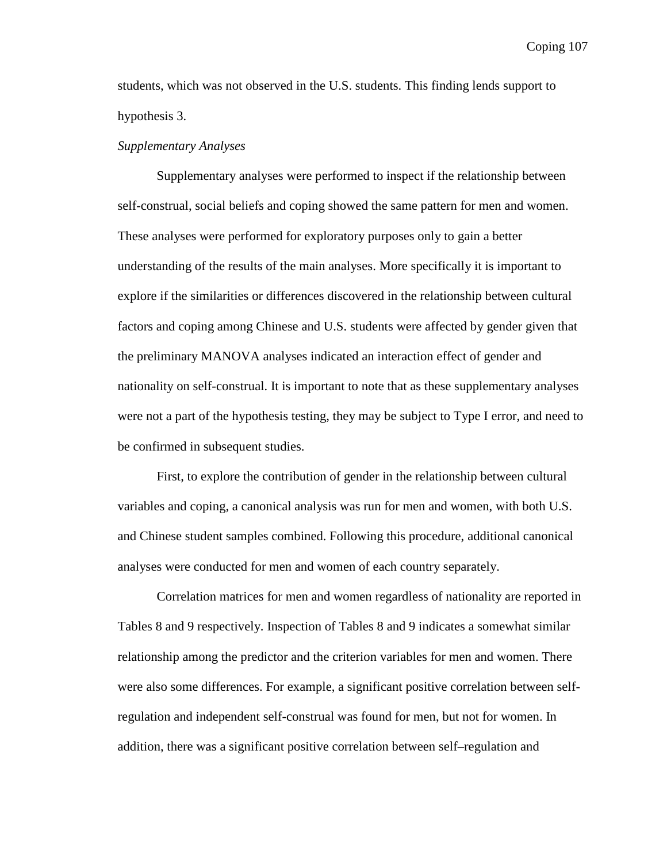students, which was not observed in the U.S. students. This finding lends support to hypothesis 3.

## *Supplementary Analyses*

 Supplementary analyses were performed to inspect if the relationship between self-construal, social beliefs and coping showed the same pattern for men and women. These analyses were performed for exploratory purposes only to gain a better understanding of the results of the main analyses. More specifically it is important to explore if the similarities or differences discovered in the relationship between cultural factors and coping among Chinese and U.S. students were affected by gender given that the preliminary MANOVA analyses indicated an interaction effect of gender and nationality on self-construal. It is important to note that as these supplementary analyses were not a part of the hypothesis testing, they may be subject to Type I error, and need to be confirmed in subsequent studies.

First, to explore the contribution of gender in the relationship between cultural variables and coping, a canonical analysis was run for men and women, with both U.S. and Chinese student samples combined. Following this procedure, additional canonical analyses were conducted for men and women of each country separately.

Correlation matrices for men and women regardless of nationality are reported in Tables 8 and 9 respectively. Inspection of Tables 8 and 9 indicates a somewhat similar relationship among the predictor and the criterion variables for men and women. There were also some differences. For example, a significant positive correlation between selfregulation and independent self-construal was found for men, but not for women. In addition, there was a significant positive correlation between self–regulation and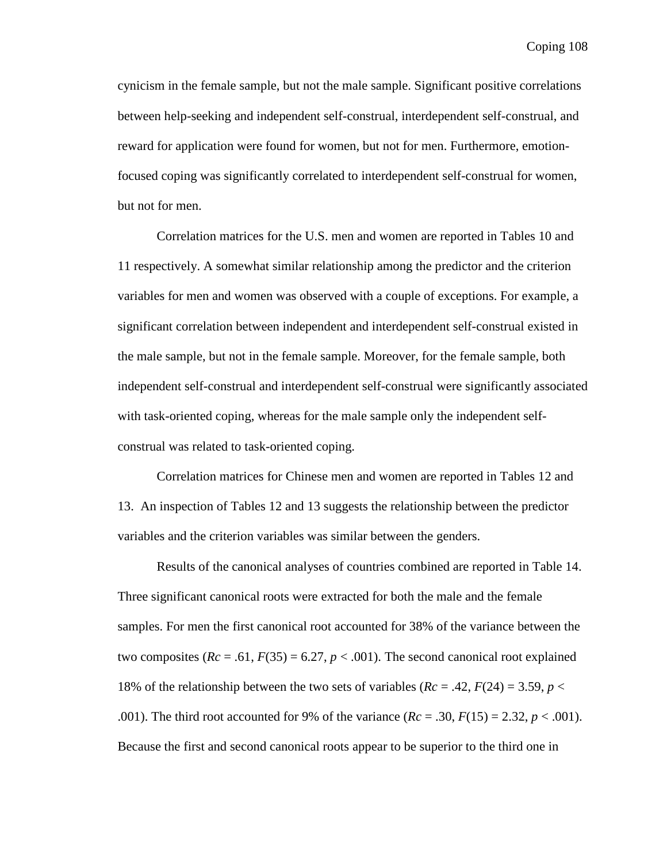cynicism in the female sample, but not the male sample. Significant positive correlations between help-seeking and independent self-construal, interdependent self-construal, and reward for application were found for women, but not for men. Furthermore, emotionfocused coping was significantly correlated to interdependent self-construal for women, but not for men.

Correlation matrices for the U.S. men and women are reported in Tables 10 and 11 respectively. A somewhat similar relationship among the predictor and the criterion variables for men and women was observed with a couple of exceptions. For example, a significant correlation between independent and interdependent self-construal existed in the male sample, but not in the female sample. Moreover, for the female sample, both independent self-construal and interdependent self-construal were significantly associated with task-oriented coping, whereas for the male sample only the independent selfconstrual was related to task-oriented coping.

Correlation matrices for Chinese men and women are reported in Tables 12 and 13. An inspection of Tables 12 and 13 suggests the relationship between the predictor variables and the criterion variables was similar between the genders.

 Results of the canonical analyses of countries combined are reported in Table 14. Three significant canonical roots were extracted for both the male and the female samples. For men the first canonical root accounted for 38% of the variance between the two composites  $(Re = .61, F(35) = 6.27, p < .001)$ . The second canonical root explained 18% of the relationship between the two sets of variables  $(Re = .42, F(24) = 3.59, p <$ .001). The third root accounted for 9% of the variance  $(Re = .30, F(15) = 2.32, p < .001)$ . Because the first and second canonical roots appear to be superior to the third one in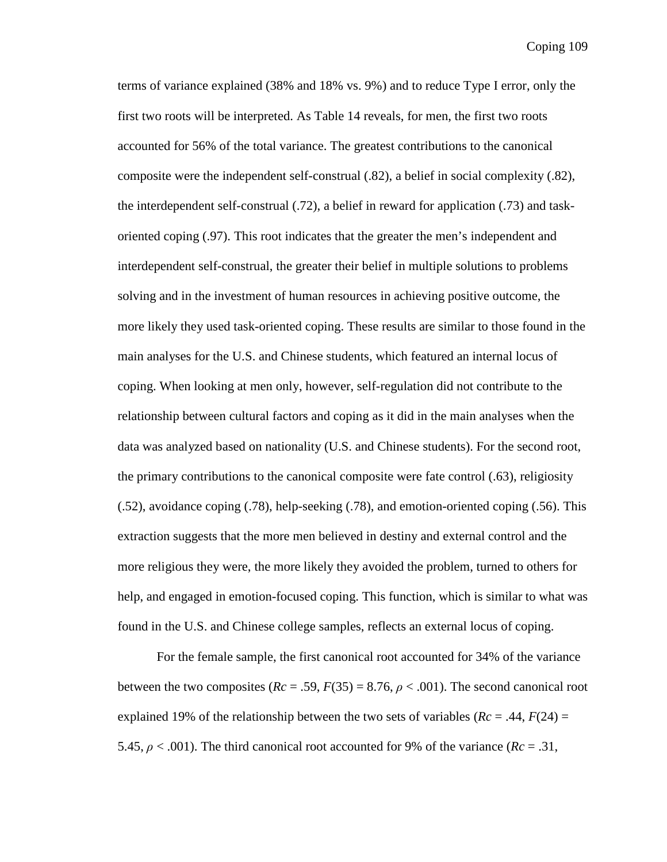terms of variance explained (38% and 18% vs. 9%) and to reduce Type I error, only the first two roots will be interpreted. As Table 14 reveals, for men, the first two roots accounted for 56% of the total variance. The greatest contributions to the canonical composite were the independent self-construal (.82), a belief in social complexity (.82), the interdependent self-construal (.72), a belief in reward for application (.73) and taskoriented coping (.97). This root indicates that the greater the men's independent and interdependent self-construal, the greater their belief in multiple solutions to problems solving and in the investment of human resources in achieving positive outcome, the more likely they used task-oriented coping. These results are similar to those found in the main analyses for the U.S. and Chinese students, which featured an internal locus of coping. When looking at men only, however, self-regulation did not contribute to the relationship between cultural factors and coping as it did in the main analyses when the data was analyzed based on nationality (U.S. and Chinese students). For the second root, the primary contributions to the canonical composite were fate control (.63), religiosity (.52), avoidance coping (.78), help-seeking (.78), and emotion-oriented coping (.56). This extraction suggests that the more men believed in destiny and external control and the more religious they were, the more likely they avoided the problem, turned to others for help, and engaged in emotion-focused coping. This function, which is similar to what was found in the U.S. and Chinese college samples, reflects an external locus of coping.

For the female sample, the first canonical root accounted for 34% of the variance between the two composites ( $Rc = .59$ ,  $F(35) = 8.76$ ,  $\rho < .001$ ). The second canonical root explained 19% of the relationship between the two sets of variables  $(Rc = .44, F(24) =$ 5.45,  $\rho < .001$ ). The third canonical root accounted for 9% of the variance ( $Rc = .31$ ,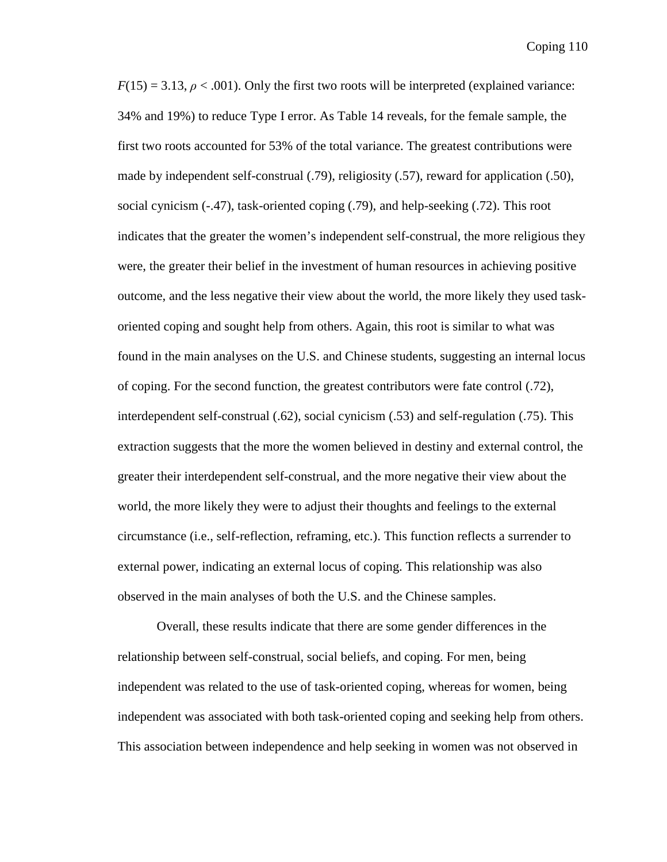$F(15) = 3.13$ ,  $\rho < .001$ ). Only the first two roots will be interpreted (explained variance: 34% and 19%) to reduce Type I error. As Table 14 reveals, for the female sample, the first two roots accounted for 53% of the total variance. The greatest contributions were made by independent self-construal (.79), religiosity (.57), reward for application (.50), social cynicism (-.47), task-oriented coping (.79), and help-seeking (.72). This root indicates that the greater the women's independent self-construal, the more religious they were, the greater their belief in the investment of human resources in achieving positive outcome, and the less negative their view about the world, the more likely they used taskoriented coping and sought help from others. Again, this root is similar to what was found in the main analyses on the U.S. and Chinese students, suggesting an internal locus of coping. For the second function, the greatest contributors were fate control (.72), interdependent self-construal (.62), social cynicism (.53) and self-regulation (.75). This extraction suggests that the more the women believed in destiny and external control, the greater their interdependent self-construal, and the more negative their view about the world, the more likely they were to adjust their thoughts and feelings to the external circumstance (i.e., self-reflection, reframing, etc.). This function reflects a surrender to external power, indicating an external locus of coping. This relationship was also observed in the main analyses of both the U.S. and the Chinese samples.

 Overall, these results indicate that there are some gender differences in the relationship between self-construal, social beliefs, and coping. For men, being independent was related to the use of task-oriented coping, whereas for women, being independent was associated with both task-oriented coping and seeking help from others. This association between independence and help seeking in women was not observed in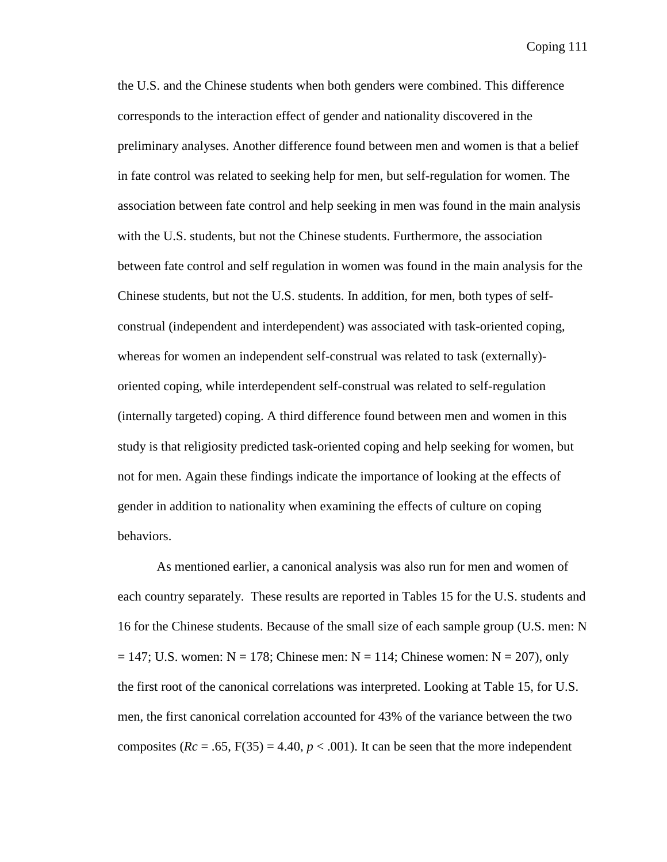the U.S. and the Chinese students when both genders were combined. This difference corresponds to the interaction effect of gender and nationality discovered in the preliminary analyses. Another difference found between men and women is that a belief in fate control was related to seeking help for men, but self-regulation for women. The association between fate control and help seeking in men was found in the main analysis with the U.S. students, but not the Chinese students. Furthermore, the association between fate control and self regulation in women was found in the main analysis for the Chinese students, but not the U.S. students. In addition, for men, both types of selfconstrual (independent and interdependent) was associated with task-oriented coping, whereas for women an independent self-construal was related to task (externally) oriented coping, while interdependent self-construal was related to self-regulation (internally targeted) coping. A third difference found between men and women in this study is that religiosity predicted task-oriented coping and help seeking for women, but not for men. Again these findings indicate the importance of looking at the effects of gender in addition to nationality when examining the effects of culture on coping behaviors.

 As mentioned earlier, a canonical analysis was also run for men and women of each country separately. These results are reported in Tables 15 for the U.S. students and 16 for the Chinese students. Because of the small size of each sample group (U.S. men: N  $= 147$ ; U.S. women: N = 178; Chinese men: N = 114; Chinese women: N = 207), only the first root of the canonical correlations was interpreted. Looking at Table 15, for U.S. men, the first canonical correlation accounted for 43% of the variance between the two composites  $(Re = .65, F(35) = 4.40, p < .001)$ . It can be seen that the more independent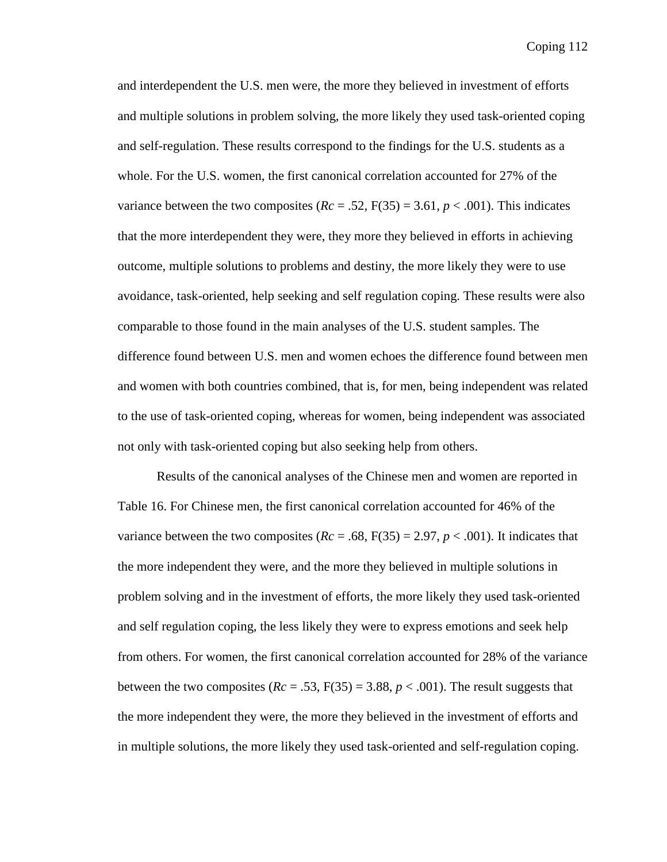and interdependent the U.S. men were, the more they believed in investment of efforts and multiple solutions in problem solving, the more likely they used task-oriented coping and self-regulation. These results correspond to the findings for the U.S. students as a whole. For the U.S. women, the first canonical correlation accounted for 27% of the variance between the two composites  $(Re = .52, F(35) = 3.61, p < .001)$ . This indicates that the more interdependent they were, they more they believed in efforts in achieving outcome, multiple solutions to problems and destiny, the more likely they were to use avoidance, task-oriented, help seeking and self regulation coping. These results were also comparable to those found in the main analyses of the U.S. student samples. The difference found between U.S. men and women echoes the difference found between men and women with both countries combined, that is, for men, being independent was related to the use of task-oriented coping, whereas for women, being independent was associated not only with task-oriented coping but also seeking help from others.

 Results of the canonical analyses of the Chinese men and women are reported in Table 16. For Chinese men, the first canonical correlation accounted for 46% of the variance between the two composites  $(Re = .68, F(35) = 2.97, p < .001)$ . It indicates that the more independent they were, and the more they believed in multiple solutions in problem solving and in the investment of efforts, the more likely they used task-oriented and self regulation coping, the less likely they were to express emotions and seek help from others. For women, the first canonical correlation accounted for 28% of the variance between the two composites  $(Re = .53, F(35) = 3.88, p < .001)$ . The result suggests that the more independent they were, the more they believed in the investment of efforts and in multiple solutions, the more likely they used task-oriented and self-regulation coping.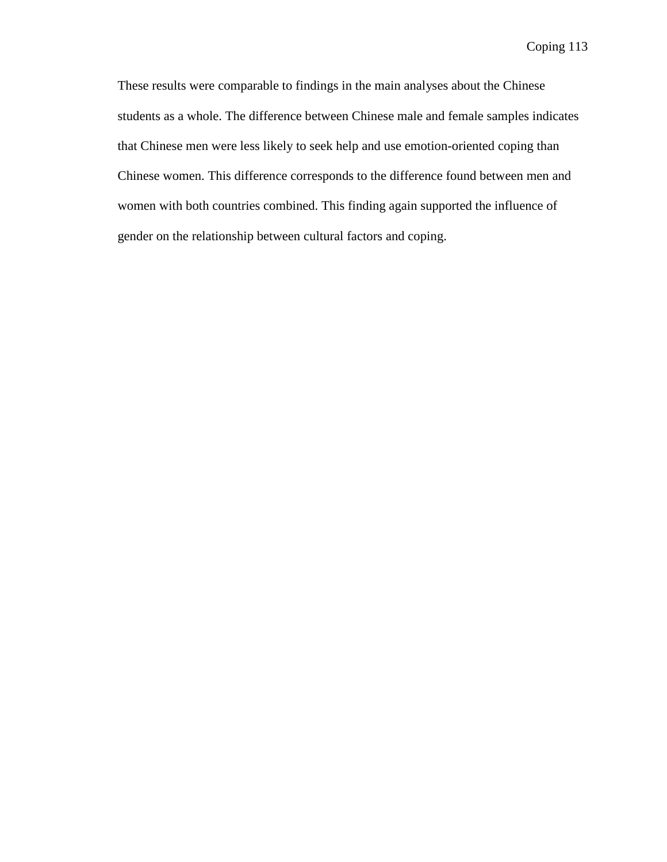These results were comparable to findings in the main analyses about the Chinese students as a whole. The difference between Chinese male and female samples indicates that Chinese men were less likely to seek help and use emotion-oriented coping than Chinese women. This difference corresponds to the difference found between men and women with both countries combined. This finding again supported the influence of gender on the relationship between cultural factors and coping.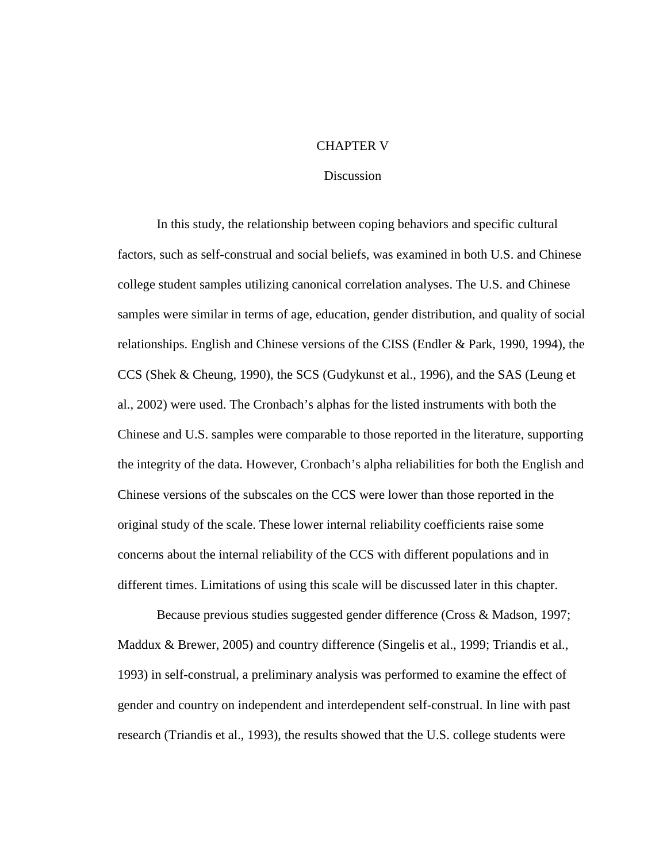# CHAPTER V

### **Discussion**

In this study, the relationship between coping behaviors and specific cultural factors, such as self-construal and social beliefs, was examined in both U.S. and Chinese college student samples utilizing canonical correlation analyses. The U.S. and Chinese samples were similar in terms of age, education, gender distribution, and quality of social relationships. English and Chinese versions of the CISS (Endler & Park, 1990, 1994), the CCS (Shek & Cheung, 1990), the SCS (Gudykunst et al., 1996), and the SAS (Leung et al., 2002) were used. The Cronbach's alphas for the listed instruments with both the Chinese and U.S. samples were comparable to those reported in the literature, supporting the integrity of the data. However, Cronbach's alpha reliabilities for both the English and Chinese versions of the subscales on the CCS were lower than those reported in the original study of the scale. These lower internal reliability coefficients raise some concerns about the internal reliability of the CCS with different populations and in different times. Limitations of using this scale will be discussed later in this chapter.

Because previous studies suggested gender difference (Cross & Madson, 1997; Maddux & Brewer, 2005) and country difference (Singelis et al., 1999; Triandis et al., 1993) in self-construal, a preliminary analysis was performed to examine the effect of gender and country on independent and interdependent self-construal. In line with past research (Triandis et al., 1993), the results showed that the U.S. college students were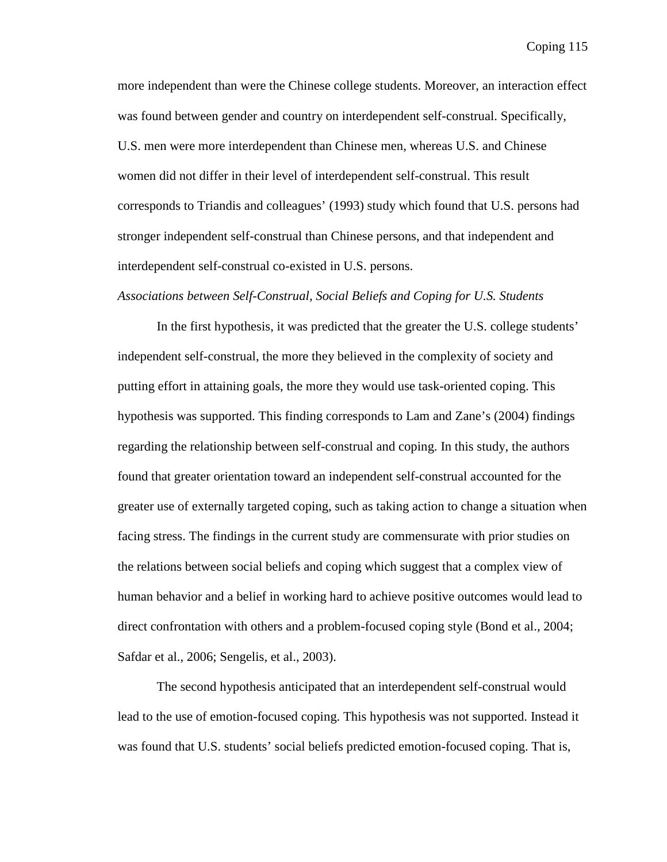more independent than were the Chinese college students. Moreover, an interaction effect was found between gender and country on interdependent self-construal. Specifically, U.S. men were more interdependent than Chinese men, whereas U.S. and Chinese women did not differ in their level of interdependent self-construal. This result corresponds to Triandis and colleagues' (1993) study which found that U.S. persons had stronger independent self-construal than Chinese persons, and that independent and interdependent self-construal co-existed in U.S. persons.

# *Associations between Self-Construal, Social Beliefs and Coping for U.S. Students*

 In the first hypothesis, it was predicted that the greater the U.S. college students' independent self-construal, the more they believed in the complexity of society and putting effort in attaining goals, the more they would use task-oriented coping. This hypothesis was supported. This finding corresponds to Lam and Zane's (2004) findings regarding the relationship between self-construal and coping. In this study, the authors found that greater orientation toward an independent self-construal accounted for the greater use of externally targeted coping, such as taking action to change a situation when facing stress. The findings in the current study are commensurate with prior studies on the relations between social beliefs and coping which suggest that a complex view of human behavior and a belief in working hard to achieve positive outcomes would lead to direct confrontation with others and a problem-focused coping style (Bond et al., 2004; Safdar et al., 2006; Sengelis, et al., 2003).

The second hypothesis anticipated that an interdependent self-construal would lead to the use of emotion-focused coping. This hypothesis was not supported. Instead it was found that U.S. students' social beliefs predicted emotion-focused coping. That is,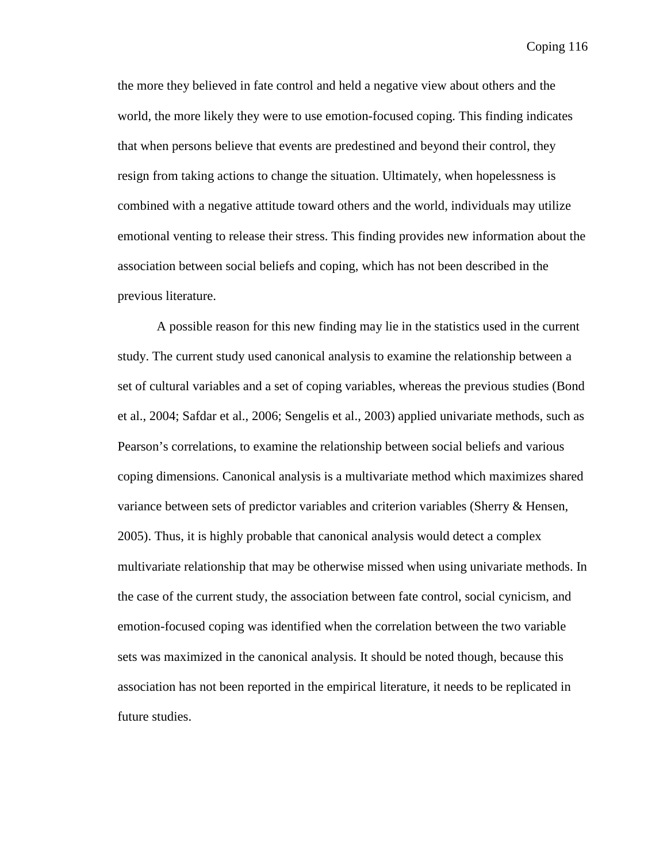the more they believed in fate control and held a negative view about others and the world, the more likely they were to use emotion-focused coping. This finding indicates that when persons believe that events are predestined and beyond their control, they resign from taking actions to change the situation. Ultimately, when hopelessness is combined with a negative attitude toward others and the world, individuals may utilize emotional venting to release their stress. This finding provides new information about the association between social beliefs and coping, which has not been described in the previous literature.

A possible reason for this new finding may lie in the statistics used in the current study. The current study used canonical analysis to examine the relationship between a set of cultural variables and a set of coping variables, whereas the previous studies (Bond et al., 2004; Safdar et al., 2006; Sengelis et al., 2003) applied univariate methods, such as Pearson's correlations, to examine the relationship between social beliefs and various coping dimensions. Canonical analysis is a multivariate method which maximizes shared variance between sets of predictor variables and criterion variables (Sherry & Hensen, 2005). Thus, it is highly probable that canonical analysis would detect a complex multivariate relationship that may be otherwise missed when using univariate methods. In the case of the current study, the association between fate control, social cynicism, and emotion-focused coping was identified when the correlation between the two variable sets was maximized in the canonical analysis. It should be noted though, because this association has not been reported in the empirical literature, it needs to be replicated in future studies.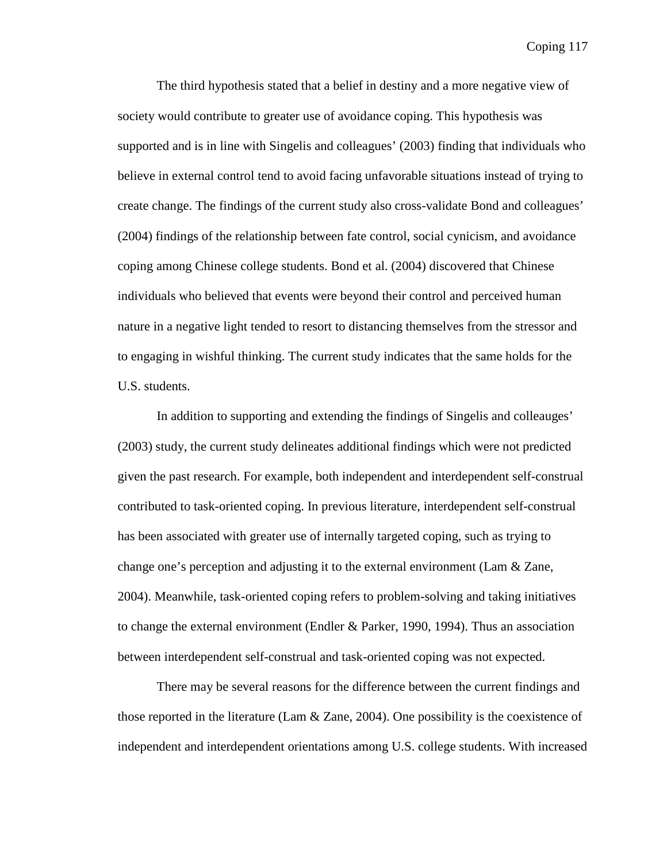The third hypothesis stated that a belief in destiny and a more negative view of society would contribute to greater use of avoidance coping. This hypothesis was supported and is in line with Singelis and colleagues' (2003) finding that individuals who believe in external control tend to avoid facing unfavorable situations instead of trying to create change. The findings of the current study also cross-validate Bond and colleagues' (2004) findings of the relationship between fate control, social cynicism, and avoidance coping among Chinese college students. Bond et al. (2004) discovered that Chinese individuals who believed that events were beyond their control and perceived human nature in a negative light tended to resort to distancing themselves from the stressor and to engaging in wishful thinking. The current study indicates that the same holds for the U.S. students.

In addition to supporting and extending the findings of Singelis and colleauges' (2003) study, the current study delineates additional findings which were not predicted given the past research. For example, both independent and interdependent self-construal contributed to task-oriented coping. In previous literature, interdependent self-construal has been associated with greater use of internally targeted coping, such as trying to change one's perception and adjusting it to the external environment (Lam & Zane, 2004). Meanwhile, task-oriented coping refers to problem-solving and taking initiatives to change the external environment (Endler & Parker, 1990, 1994). Thus an association between interdependent self-construal and task-oriented coping was not expected.

There may be several reasons for the difference between the current findings and those reported in the literature (Lam  $\&$  Zane, 2004). One possibility is the coexistence of independent and interdependent orientations among U.S. college students. With increased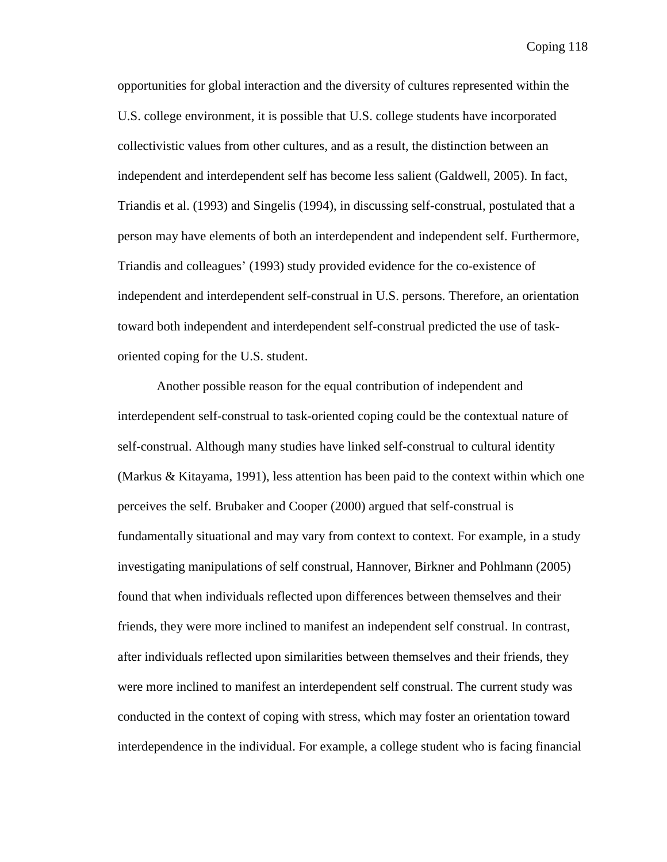opportunities for global interaction and the diversity of cultures represented within the U.S. college environment, it is possible that U.S. college students have incorporated collectivistic values from other cultures, and as a result, the distinction between an independent and interdependent self has become less salient (Galdwell, 2005). In fact, Triandis et al. (1993) and Singelis (1994), in discussing self-construal, postulated that a person may have elements of both an interdependent and independent self. Furthermore, Triandis and colleagues' (1993) study provided evidence for the co-existence of independent and interdependent self-construal in U.S. persons. Therefore, an orientation toward both independent and interdependent self-construal predicted the use of taskoriented coping for the U.S. student.

Another possible reason for the equal contribution of independent and interdependent self-construal to task-oriented coping could be the contextual nature of self-construal. Although many studies have linked self-construal to cultural identity (Markus & Kitayama, 1991), less attention has been paid to the context within which one perceives the self. Brubaker and Cooper (2000) argued that self-construal is fundamentally situational and may vary from context to context. For example, in a study investigating manipulations of self construal, Hannover, Birkner and Pohlmann (2005) found that when individuals reflected upon differences between themselves and their friends, they were more inclined to manifest an independent self construal. In contrast, after individuals reflected upon similarities between themselves and their friends, they were more inclined to manifest an interdependent self construal. The current study was conducted in the context of coping with stress, which may foster an orientation toward interdependence in the individual. For example, a college student who is facing financial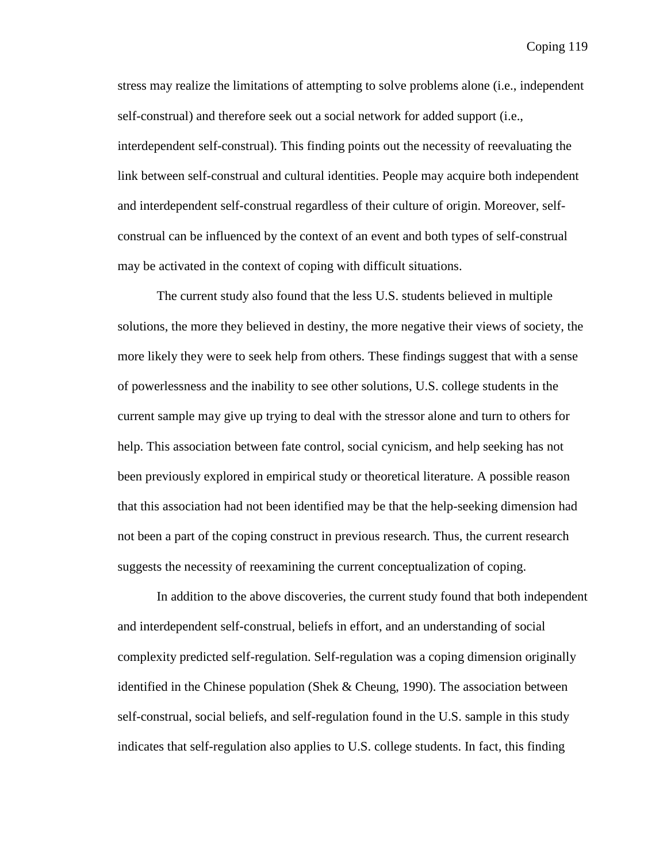stress may realize the limitations of attempting to solve problems alone (i.e., independent self-construal) and therefore seek out a social network for added support (i.e., interdependent self-construal). This finding points out the necessity of reevaluating the link between self-construal and cultural identities. People may acquire both independent and interdependent self-construal regardless of their culture of origin. Moreover, selfconstrual can be influenced by the context of an event and both types of self-construal may be activated in the context of coping with difficult situations.

The current study also found that the less U.S. students believed in multiple solutions, the more they believed in destiny, the more negative their views of society, the more likely they were to seek help from others. These findings suggest that with a sense of powerlessness and the inability to see other solutions, U.S. college students in the current sample may give up trying to deal with the stressor alone and turn to others for help. This association between fate control, social cynicism, and help seeking has not been previously explored in empirical study or theoretical literature. A possible reason that this association had not been identified may be that the help-seeking dimension had not been a part of the coping construct in previous research. Thus, the current research suggests the necessity of reexamining the current conceptualization of coping.

In addition to the above discoveries, the current study found that both independent and interdependent self-construal, beliefs in effort, and an understanding of social complexity predicted self-regulation. Self-regulation was a coping dimension originally identified in the Chinese population (Shek  $&$  Cheung, 1990). The association between self-construal, social beliefs, and self-regulation found in the U.S. sample in this study indicates that self-regulation also applies to U.S. college students. In fact, this finding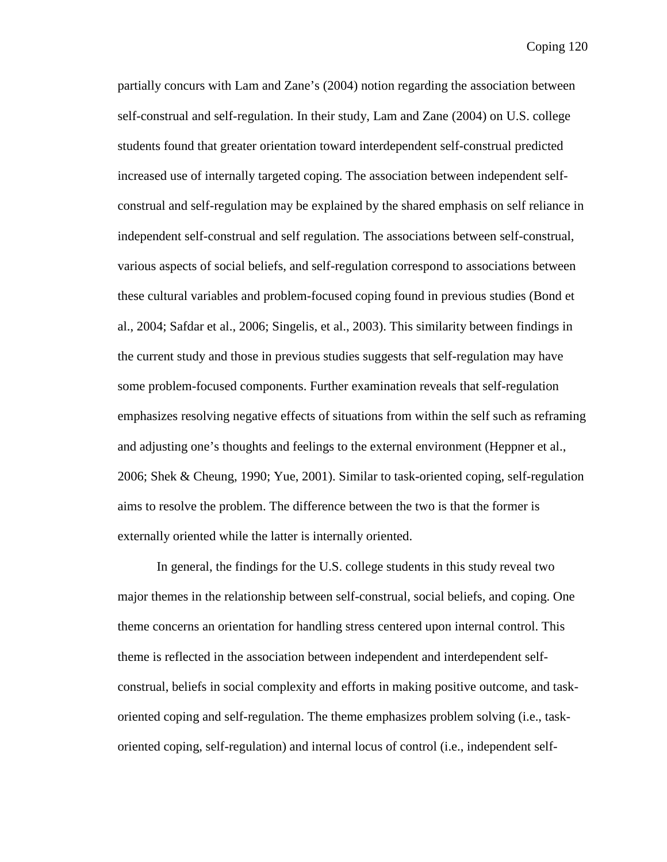partially concurs with Lam and Zane's (2004) notion regarding the association between self-construal and self-regulation. In their study, Lam and Zane (2004) on U.S. college students found that greater orientation toward interdependent self-construal predicted increased use of internally targeted coping. The association between independent selfconstrual and self-regulation may be explained by the shared emphasis on self reliance in independent self-construal and self regulation. The associations between self-construal, various aspects of social beliefs, and self-regulation correspond to associations between these cultural variables and problem-focused coping found in previous studies (Bond et al., 2004; Safdar et al., 2006; Singelis, et al., 2003). This similarity between findings in the current study and those in previous studies suggests that self-regulation may have some problem-focused components. Further examination reveals that self-regulation emphasizes resolving negative effects of situations from within the self such as reframing and adjusting one's thoughts and feelings to the external environment (Heppner et al., 2006; Shek & Cheung, 1990; Yue, 2001). Similar to task-oriented coping, self-regulation aims to resolve the problem. The difference between the two is that the former is externally oriented while the latter is internally oriented.

In general, the findings for the U.S. college students in this study reveal two major themes in the relationship between self-construal, social beliefs, and coping. One theme concerns an orientation for handling stress centered upon internal control. This theme is reflected in the association between independent and interdependent selfconstrual, beliefs in social complexity and efforts in making positive outcome, and taskoriented coping and self-regulation. The theme emphasizes problem solving (i.e., taskoriented coping, self-regulation) and internal locus of control (i.e., independent self-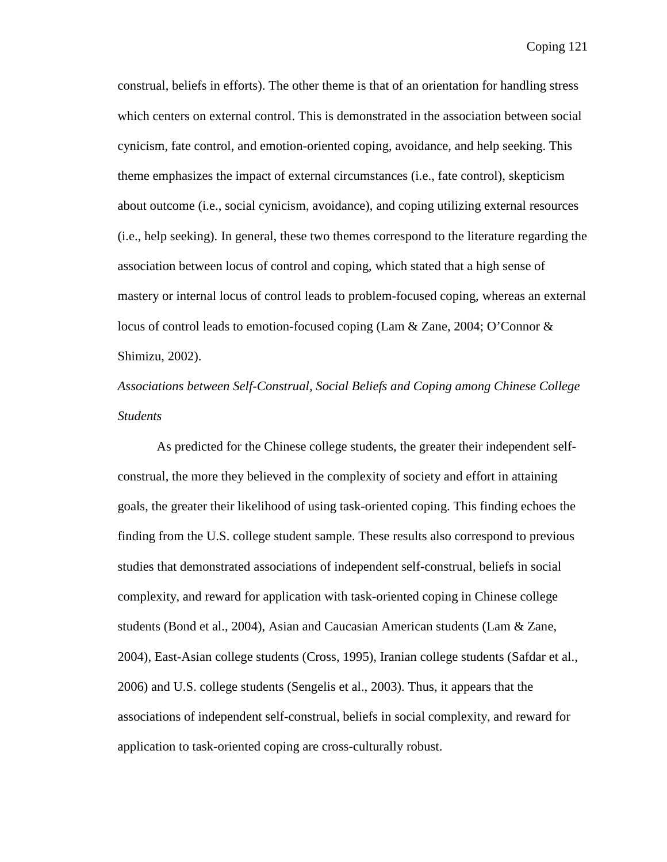construal, beliefs in efforts). The other theme is that of an orientation for handling stress which centers on external control. This is demonstrated in the association between social cynicism, fate control, and emotion-oriented coping, avoidance, and help seeking. This theme emphasizes the impact of external circumstances (i.e., fate control), skepticism about outcome (i.e., social cynicism, avoidance), and coping utilizing external resources (i.e., help seeking). In general, these two themes correspond to the literature regarding the association between locus of control and coping, which stated that a high sense of mastery or internal locus of control leads to problem-focused coping, whereas an external locus of control leads to emotion-focused coping (Lam & Zane, 2004; O'Connor & Shimizu, 2002).

*Associations between Self-Construal, Social Beliefs and Coping among Chinese College Students* 

As predicted for the Chinese college students, the greater their independent selfconstrual, the more they believed in the complexity of society and effort in attaining goals, the greater their likelihood of using task-oriented coping. This finding echoes the finding from the U.S. college student sample. These results also correspond to previous studies that demonstrated associations of independent self-construal, beliefs in social complexity, and reward for application with task-oriented coping in Chinese college students (Bond et al., 2004), Asian and Caucasian American students (Lam & Zane, 2004), East-Asian college students (Cross, 1995), Iranian college students (Safdar et al., 2006) and U.S. college students (Sengelis et al., 2003). Thus, it appears that the associations of independent self-construal, beliefs in social complexity, and reward for application to task-oriented coping are cross-culturally robust.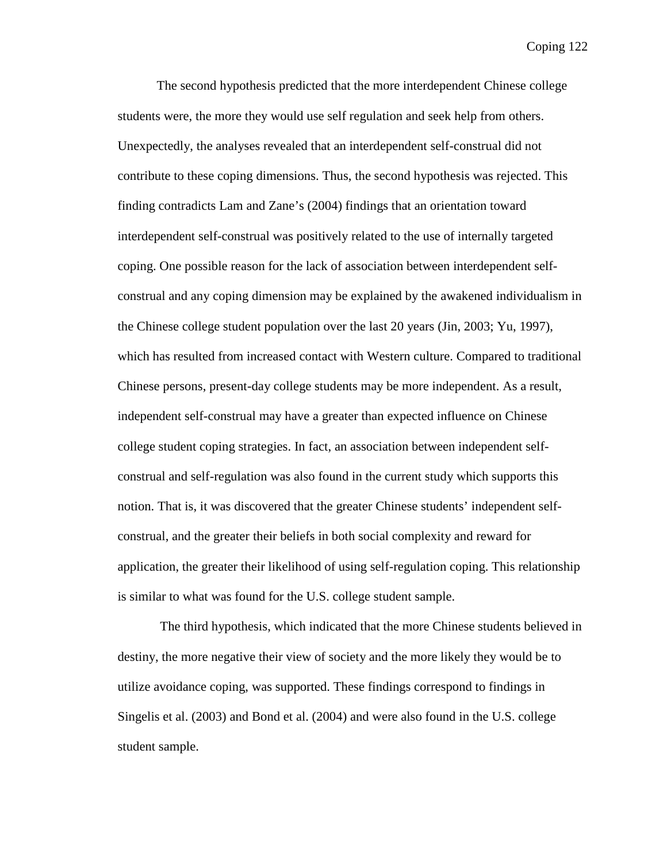The second hypothesis predicted that the more interdependent Chinese college students were, the more they would use self regulation and seek help from others. Unexpectedly, the analyses revealed that an interdependent self-construal did not contribute to these coping dimensions. Thus, the second hypothesis was rejected. This finding contradicts Lam and Zane's (2004) findings that an orientation toward interdependent self-construal was positively related to the use of internally targeted coping. One possible reason for the lack of association between interdependent selfconstrual and any coping dimension may be explained by the awakened individualism in the Chinese college student population over the last 20 years (Jin, 2003; Yu, 1997), which has resulted from increased contact with Western culture. Compared to traditional Chinese persons, present-day college students may be more independent. As a result, independent self-construal may have a greater than expected influence on Chinese college student coping strategies. In fact, an association between independent selfconstrual and self-regulation was also found in the current study which supports this notion. That is, it was discovered that the greater Chinese students' independent selfconstrual, and the greater their beliefs in both social complexity and reward for application, the greater their likelihood of using self-regulation coping. This relationship is similar to what was found for the U.S. college student sample.

 The third hypothesis, which indicated that the more Chinese students believed in destiny, the more negative their view of society and the more likely they would be to utilize avoidance coping, was supported. These findings correspond to findings in Singelis et al. (2003) and Bond et al. (2004) and were also found in the U.S. college student sample.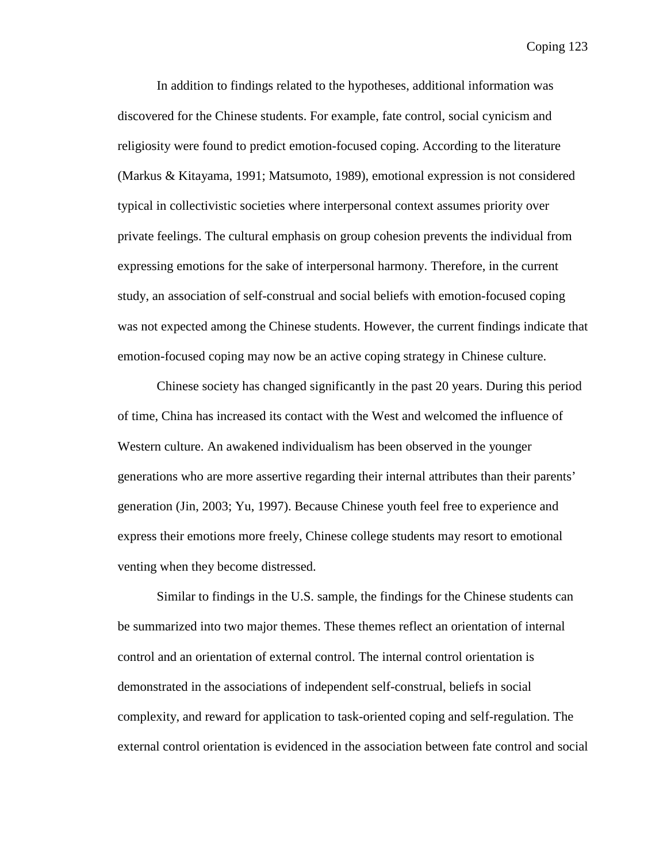In addition to findings related to the hypotheses, additional information was discovered for the Chinese students. For example, fate control, social cynicism and religiosity were found to predict emotion-focused coping. According to the literature (Markus & Kitayama, 1991; Matsumoto, 1989), emotional expression is not considered typical in collectivistic societies where interpersonal context assumes priority over private feelings. The cultural emphasis on group cohesion prevents the individual from expressing emotions for the sake of interpersonal harmony. Therefore, in the current study, an association of self-construal and social beliefs with emotion-focused coping was not expected among the Chinese students. However, the current findings indicate that emotion-focused coping may now be an active coping strategy in Chinese culture.

Chinese society has changed significantly in the past 20 years. During this period of time, China has increased its contact with the West and welcomed the influence of Western culture. An awakened individualism has been observed in the younger generations who are more assertive regarding their internal attributes than their parents' generation (Jin, 2003; Yu, 1997). Because Chinese youth feel free to experience and express their emotions more freely, Chinese college students may resort to emotional venting when they become distressed.

Similar to findings in the U.S. sample, the findings for the Chinese students can be summarized into two major themes. These themes reflect an orientation of internal control and an orientation of external control. The internal control orientation is demonstrated in the associations of independent self-construal, beliefs in social complexity, and reward for application to task-oriented coping and self-regulation. The external control orientation is evidenced in the association between fate control and social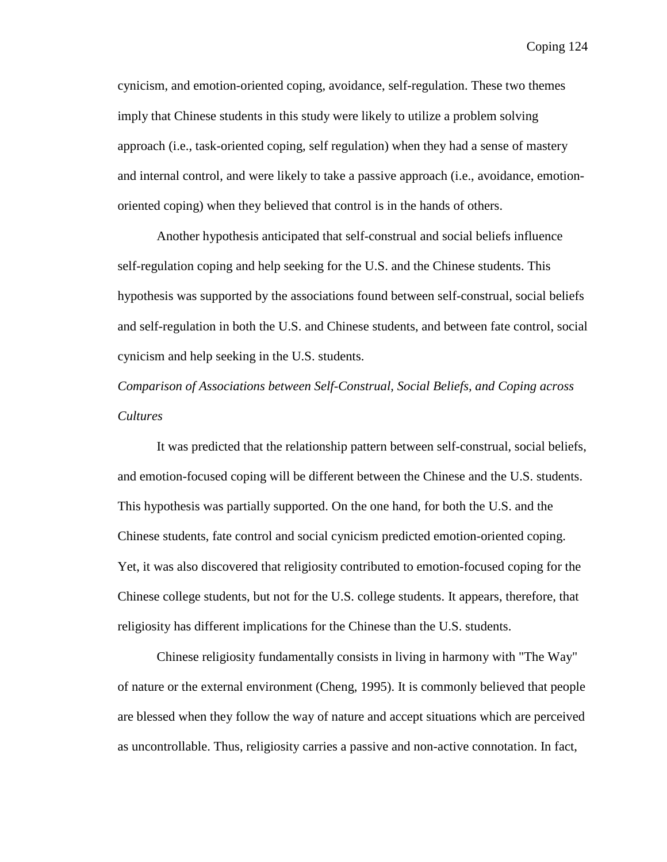cynicism, and emotion-oriented coping, avoidance, self-regulation. These two themes imply that Chinese students in this study were likely to utilize a problem solving approach (i.e., task-oriented coping, self regulation) when they had a sense of mastery and internal control, and were likely to take a passive approach (i.e., avoidance, emotionoriented coping) when they believed that control is in the hands of others.

Another hypothesis anticipated that self-construal and social beliefs influence self-regulation coping and help seeking for the U.S. and the Chinese students. This hypothesis was supported by the associations found between self-construal, social beliefs and self-regulation in both the U.S. and Chinese students, and between fate control, social cynicism and help seeking in the U.S. students.

*Comparison of Associations between Self-Construal, Social Beliefs, and Coping across Cultures* 

It was predicted that the relationship pattern between self-construal, social beliefs, and emotion-focused coping will be different between the Chinese and the U.S. students. This hypothesis was partially supported. On the one hand, for both the U.S. and the Chinese students, fate control and social cynicism predicted emotion-oriented coping. Yet, it was also discovered that religiosity contributed to emotion-focused coping for the Chinese college students, but not for the U.S. college students. It appears, therefore, that religiosity has different implications for the Chinese than the U.S. students.

Chinese religiosity fundamentally consists in living in harmony with "The Way" of nature or the external environment (Cheng, 1995). It is commonly believed that people are blessed when they follow the way of nature and accept situations which are perceived as uncontrollable. Thus, religiosity carries a passive and non-active connotation. In fact,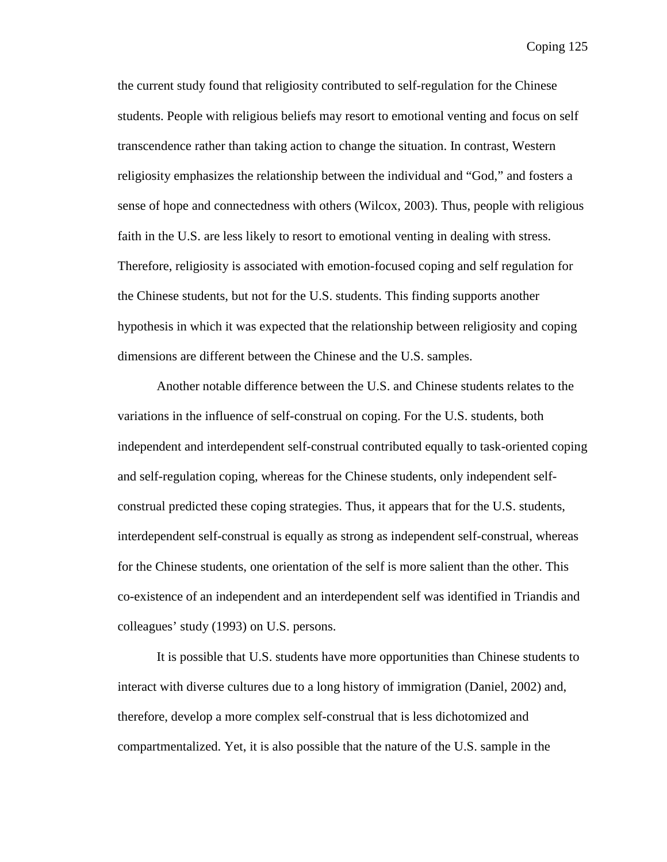the current study found that religiosity contributed to self-regulation for the Chinese students. People with religious beliefs may resort to emotional venting and focus on self transcendence rather than taking action to change the situation. In contrast, Western religiosity emphasizes the relationship between the individual and "God," and fosters a sense of hope and connectedness with others (Wilcox, 2003). Thus, people with religious faith in the U.S. are less likely to resort to emotional venting in dealing with stress. Therefore, religiosity is associated with emotion-focused coping and self regulation for the Chinese students, but not for the U.S. students. This finding supports another hypothesis in which it was expected that the relationship between religiosity and coping dimensions are different between the Chinese and the U.S. samples.

Another notable difference between the U.S. and Chinese students relates to the variations in the influence of self-construal on coping. For the U.S. students, both independent and interdependent self-construal contributed equally to task-oriented coping and self-regulation coping, whereas for the Chinese students, only independent selfconstrual predicted these coping strategies. Thus, it appears that for the U.S. students, interdependent self-construal is equally as strong as independent self-construal, whereas for the Chinese students, one orientation of the self is more salient than the other. This co-existence of an independent and an interdependent self was identified in Triandis and colleagues' study (1993) on U.S. persons.

It is possible that U.S. students have more opportunities than Chinese students to interact with diverse cultures due to a long history of immigration (Daniel, 2002) and, therefore, develop a more complex self-construal that is less dichotomized and compartmentalized. Yet, it is also possible that the nature of the U.S. sample in the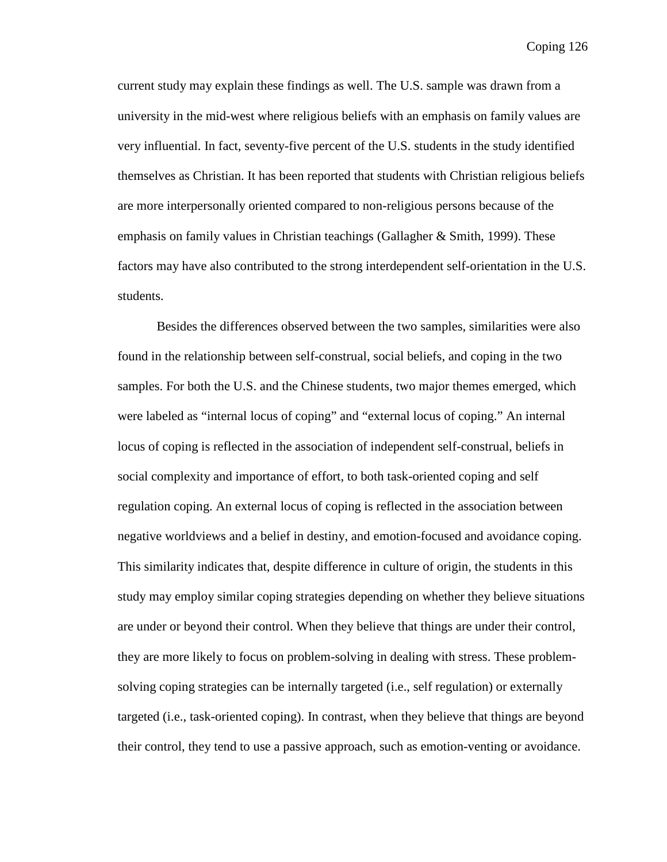current study may explain these findings as well. The U.S. sample was drawn from a university in the mid-west where religious beliefs with an emphasis on family values are very influential. In fact, seventy-five percent of the U.S. students in the study identified themselves as Christian. It has been reported that students with Christian religious beliefs are more interpersonally oriented compared to non-religious persons because of the emphasis on family values in Christian teachings (Gallagher & Smith, 1999). These factors may have also contributed to the strong interdependent self-orientation in the U.S. students.

Besides the differences observed between the two samples, similarities were also found in the relationship between self-construal, social beliefs, and coping in the two samples. For both the U.S. and the Chinese students, two major themes emerged, which were labeled as "internal locus of coping" and "external locus of coping." An internal locus of coping is reflected in the association of independent self-construal, beliefs in social complexity and importance of effort, to both task-oriented coping and self regulation coping. An external locus of coping is reflected in the association between negative worldviews and a belief in destiny, and emotion-focused and avoidance coping. This similarity indicates that, despite difference in culture of origin, the students in this study may employ similar coping strategies depending on whether they believe situations are under or beyond their control. When they believe that things are under their control, they are more likely to focus on problem-solving in dealing with stress. These problemsolving coping strategies can be internally targeted (i.e., self regulation) or externally targeted (i.e., task-oriented coping). In contrast, when they believe that things are beyond their control, they tend to use a passive approach, such as emotion-venting or avoidance.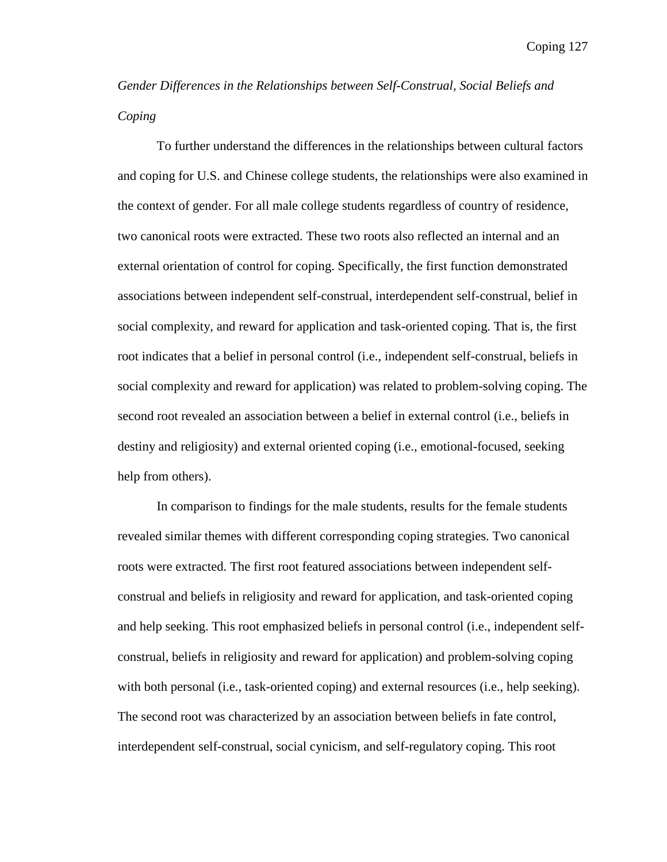*Gender Differences in the Relationships between Self-Construal, Social Beliefs and Coping* 

To further understand the differences in the relationships between cultural factors and coping for U.S. and Chinese college students, the relationships were also examined in the context of gender. For all male college students regardless of country of residence, two canonical roots were extracted. These two roots also reflected an internal and an external orientation of control for coping. Specifically, the first function demonstrated associations between independent self-construal, interdependent self-construal, belief in social complexity, and reward for application and task-oriented coping. That is, the first root indicates that a belief in personal control (i.e., independent self-construal, beliefs in social complexity and reward for application) was related to problem-solving coping. The second root revealed an association between a belief in external control (i.e., beliefs in destiny and religiosity) and external oriented coping (i.e., emotional-focused, seeking help from others).

In comparison to findings for the male students, results for the female students revealed similar themes with different corresponding coping strategies. Two canonical roots were extracted. The first root featured associations between independent selfconstrual and beliefs in religiosity and reward for application, and task-oriented coping and help seeking. This root emphasized beliefs in personal control (i.e., independent selfconstrual, beliefs in religiosity and reward for application) and problem-solving coping with both personal (i.e., task-oriented coping) and external resources (i.e., help seeking). The second root was characterized by an association between beliefs in fate control, interdependent self-construal, social cynicism, and self-regulatory coping. This root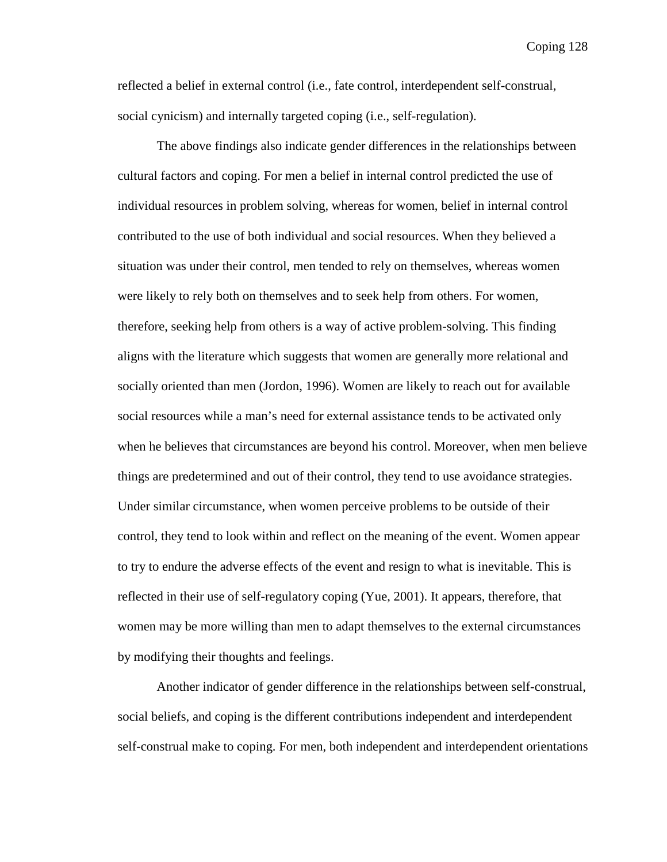reflected a belief in external control (i.e., fate control, interdependent self-construal, social cynicism) and internally targeted coping (i.e., self-regulation).

The above findings also indicate gender differences in the relationships between cultural factors and coping. For men a belief in internal control predicted the use of individual resources in problem solving, whereas for women, belief in internal control contributed to the use of both individual and social resources. When they believed a situation was under their control, men tended to rely on themselves, whereas women were likely to rely both on themselves and to seek help from others. For women, therefore, seeking help from others is a way of active problem-solving. This finding aligns with the literature which suggests that women are generally more relational and socially oriented than men (Jordon, 1996). Women are likely to reach out for available social resources while a man's need for external assistance tends to be activated only when he believes that circumstances are beyond his control. Moreover, when men believe things are predetermined and out of their control, they tend to use avoidance strategies. Under similar circumstance, when women perceive problems to be outside of their control, they tend to look within and reflect on the meaning of the event. Women appear to try to endure the adverse effects of the event and resign to what is inevitable. This is reflected in their use of self-regulatory coping (Yue, 2001). It appears, therefore, that women may be more willing than men to adapt themselves to the external circumstances by modifying their thoughts and feelings.

 Another indicator of gender difference in the relationships between self-construal, social beliefs, and coping is the different contributions independent and interdependent self-construal make to coping. For men, both independent and interdependent orientations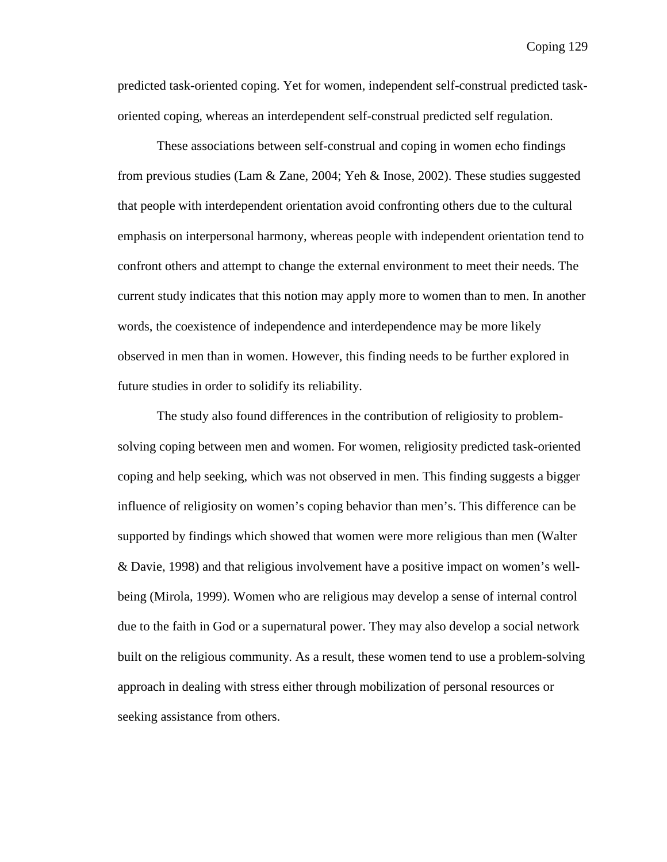predicted task-oriented coping. Yet for women, independent self-construal predicted taskoriented coping, whereas an interdependent self-construal predicted self regulation.

These associations between self-construal and coping in women echo findings from previous studies (Lam & Zane, 2004; Yeh & Inose, 2002). These studies suggested that people with interdependent orientation avoid confronting others due to the cultural emphasis on interpersonal harmony, whereas people with independent orientation tend to confront others and attempt to change the external environment to meet their needs. The current study indicates that this notion may apply more to women than to men. In another words, the coexistence of independence and interdependence may be more likely observed in men than in women. However, this finding needs to be further explored in future studies in order to solidify its reliability.

The study also found differences in the contribution of religiosity to problemsolving coping between men and women. For women, religiosity predicted task-oriented coping and help seeking, which was not observed in men. This finding suggests a bigger influence of religiosity on women's coping behavior than men's. This difference can be supported by findings which showed that women were more religious than men (Walter & Davie, 1998) and that religious involvement have a positive impact on women's wellbeing (Mirola, 1999). Women who are religious may develop a sense of internal control due to the faith in God or a supernatural power. They may also develop a social network built on the religious community. As a result, these women tend to use a problem-solving approach in dealing with stress either through mobilization of personal resources or seeking assistance from others.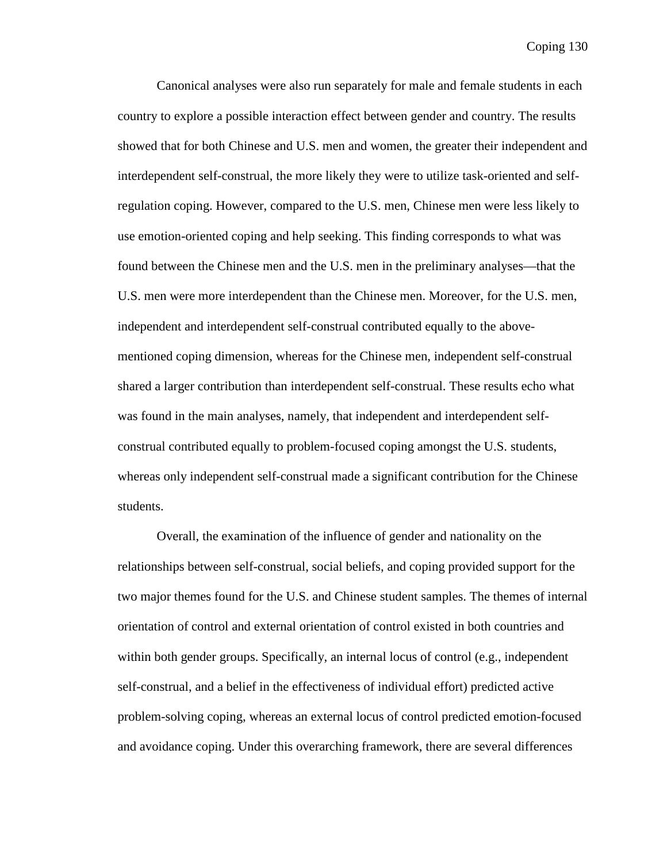Canonical analyses were also run separately for male and female students in each country to explore a possible interaction effect between gender and country. The results showed that for both Chinese and U.S. men and women, the greater their independent and interdependent self-construal, the more likely they were to utilize task-oriented and selfregulation coping. However, compared to the U.S. men, Chinese men were less likely to use emotion-oriented coping and help seeking. This finding corresponds to what was found between the Chinese men and the U.S. men in the preliminary analyses—that the U.S. men were more interdependent than the Chinese men. Moreover, for the U.S. men, independent and interdependent self-construal contributed equally to the abovementioned coping dimension, whereas for the Chinese men, independent self-construal shared a larger contribution than interdependent self-construal. These results echo what was found in the main analyses, namely, that independent and interdependent selfconstrual contributed equally to problem-focused coping amongst the U.S. students, whereas only independent self-construal made a significant contribution for the Chinese students.

Overall, the examination of the influence of gender and nationality on the relationships between self-construal, social beliefs, and coping provided support for the two major themes found for the U.S. and Chinese student samples. The themes of internal orientation of control and external orientation of control existed in both countries and within both gender groups. Specifically, an internal locus of control (e.g., independent self-construal, and a belief in the effectiveness of individual effort) predicted active problem-solving coping, whereas an external locus of control predicted emotion-focused and avoidance coping. Under this overarching framework, there are several differences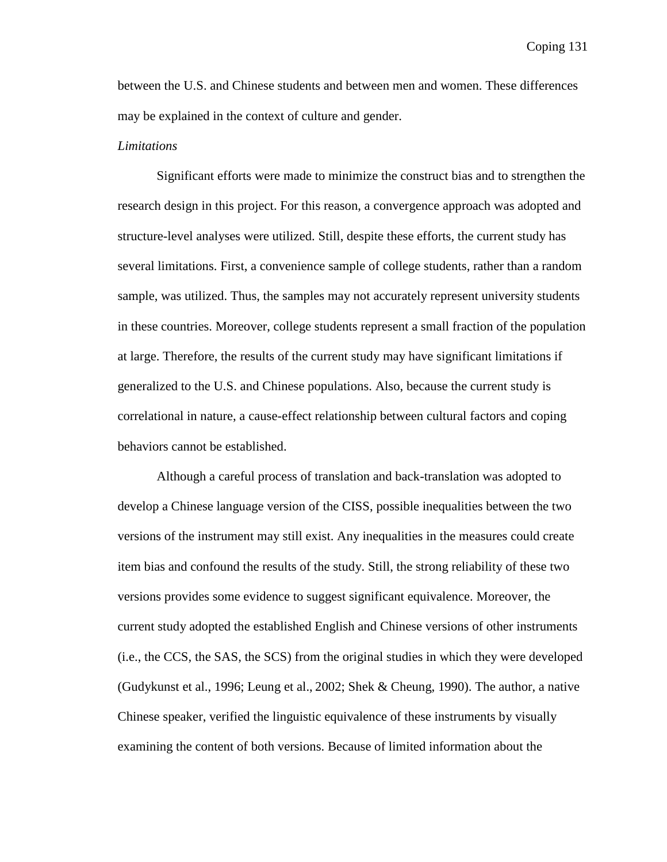between the U.S. and Chinese students and between men and women. These differences may be explained in the context of culture and gender.

#### *Limitations*

Significant efforts were made to minimize the construct bias and to strengthen the research design in this project. For this reason, a convergence approach was adopted and structure-level analyses were utilized. Still, despite these efforts, the current study has several limitations. First, a convenience sample of college students, rather than a random sample, was utilized. Thus, the samples may not accurately represent university students in these countries. Moreover, college students represent a small fraction of the population at large. Therefore, the results of the current study may have significant limitations if generalized to the U.S. and Chinese populations. Also, because the current study is correlational in nature, a cause-effect relationship between cultural factors and coping behaviors cannot be established.

 Although a careful process of translation and back-translation was adopted to develop a Chinese language version of the CISS, possible inequalities between the two versions of the instrument may still exist. Any inequalities in the measures could create item bias and confound the results of the study. Still, the strong reliability of these two versions provides some evidence to suggest significant equivalence. Moreover, the current study adopted the established English and Chinese versions of other instruments (i.e., the CCS, the SAS, the SCS) from the original studies in which they were developed (Gudykunst et al., 1996; Leung et al., 2002; Shek & Cheung, 1990). The author, a native Chinese speaker, verified the linguistic equivalence of these instruments by visually examining the content of both versions. Because of limited information about the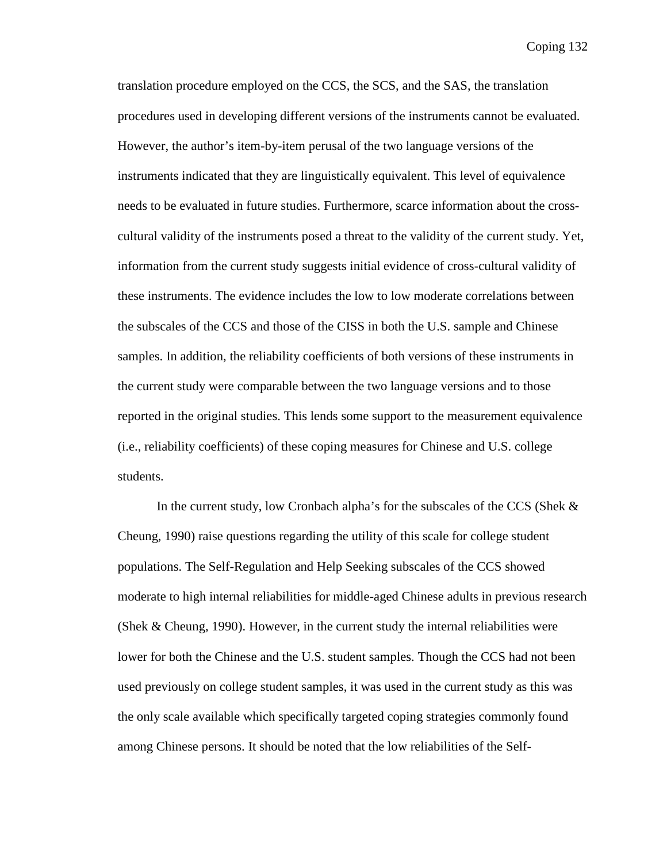translation procedure employed on the CCS, the SCS, and the SAS, the translation procedures used in developing different versions of the instruments cannot be evaluated. However, the author's item-by-item perusal of the two language versions of the instruments indicated that they are linguistically equivalent. This level of equivalence needs to be evaluated in future studies. Furthermore, scarce information about the crosscultural validity of the instruments posed a threat to the validity of the current study. Yet, information from the current study suggests initial evidence of cross-cultural validity of these instruments. The evidence includes the low to low moderate correlations between the subscales of the CCS and those of the CISS in both the U.S. sample and Chinese samples. In addition, the reliability coefficients of both versions of these instruments in the current study were comparable between the two language versions and to those reported in the original studies. This lends some support to the measurement equivalence (i.e., reliability coefficients) of these coping measures for Chinese and U.S. college students.

 In the current study, low Cronbach alpha's for the subscales of the CCS (Shek & Cheung, 1990) raise questions regarding the utility of this scale for college student populations. The Self-Regulation and Help Seeking subscales of the CCS showed moderate to high internal reliabilities for middle-aged Chinese adults in previous research (Shek & Cheung, 1990). However, in the current study the internal reliabilities were lower for both the Chinese and the U.S. student samples. Though the CCS had not been used previously on college student samples, it was used in the current study as this was the only scale available which specifically targeted coping strategies commonly found among Chinese persons. It should be noted that the low reliabilities of the Self-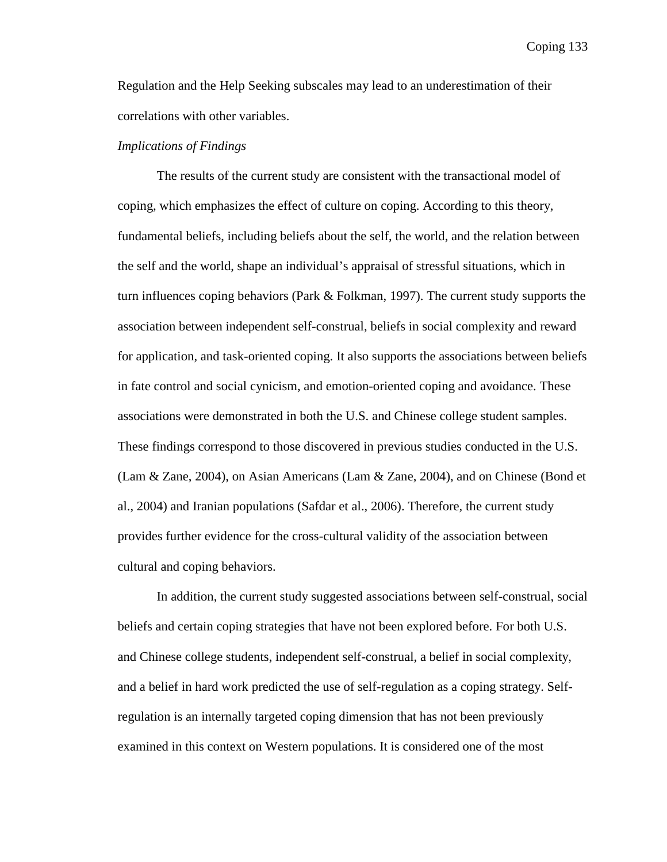Regulation and the Help Seeking subscales may lead to an underestimation of their correlations with other variables.

## *Implications of Findings*

 The results of the current study are consistent with the transactional model of coping, which emphasizes the effect of culture on coping. According to this theory, fundamental beliefs, including beliefs about the self, the world, and the relation between the self and the world, shape an individual's appraisal of stressful situations, which in turn influences coping behaviors (Park & Folkman, 1997). The current study supports the association between independent self-construal, beliefs in social complexity and reward for application, and task-oriented coping. It also supports the associations between beliefs in fate control and social cynicism, and emotion-oriented coping and avoidance. These associations were demonstrated in both the U.S. and Chinese college student samples. These findings correspond to those discovered in previous studies conducted in the U.S. (Lam & Zane, 2004), on Asian Americans (Lam & Zane, 2004), and on Chinese (Bond et al., 2004) and Iranian populations (Safdar et al., 2006). Therefore, the current study provides further evidence for the cross-cultural validity of the association between cultural and coping behaviors.

 In addition, the current study suggested associations between self-construal, social beliefs and certain coping strategies that have not been explored before. For both U.S. and Chinese college students, independent self-construal, a belief in social complexity, and a belief in hard work predicted the use of self-regulation as a coping strategy. Selfregulation is an internally targeted coping dimension that has not been previously examined in this context on Western populations. It is considered one of the most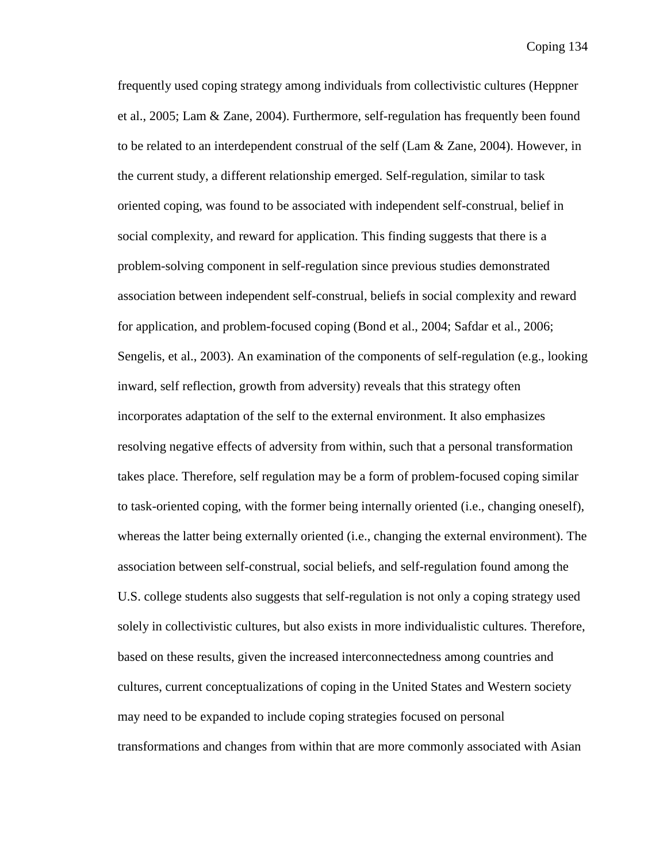frequently used coping strategy among individuals from collectivistic cultures (Heppner et al., 2005; Lam & Zane, 2004). Furthermore, self-regulation has frequently been found to be related to an interdependent construal of the self (Lam & Zane, 2004). However, in the current study, a different relationship emerged. Self-regulation, similar to task oriented coping, was found to be associated with independent self-construal, belief in social complexity, and reward for application. This finding suggests that there is a problem-solving component in self-regulation since previous studies demonstrated association between independent self-construal, beliefs in social complexity and reward for application, and problem-focused coping (Bond et al., 2004; Safdar et al., 2006; Sengelis, et al., 2003). An examination of the components of self-regulation (e.g., looking inward, self reflection, growth from adversity) reveals that this strategy often incorporates adaptation of the self to the external environment. It also emphasizes resolving negative effects of adversity from within, such that a personal transformation takes place. Therefore, self regulation may be a form of problem-focused coping similar to task-oriented coping, with the former being internally oriented (i.e., changing oneself), whereas the latter being externally oriented (i.e., changing the external environment). The association between self-construal, social beliefs, and self-regulation found among the U.S. college students also suggests that self-regulation is not only a coping strategy used solely in collectivistic cultures, but also exists in more individualistic cultures. Therefore, based on these results, given the increased interconnectedness among countries and cultures, current conceptualizations of coping in the United States and Western society may need to be expanded to include coping strategies focused on personal transformations and changes from within that are more commonly associated with Asian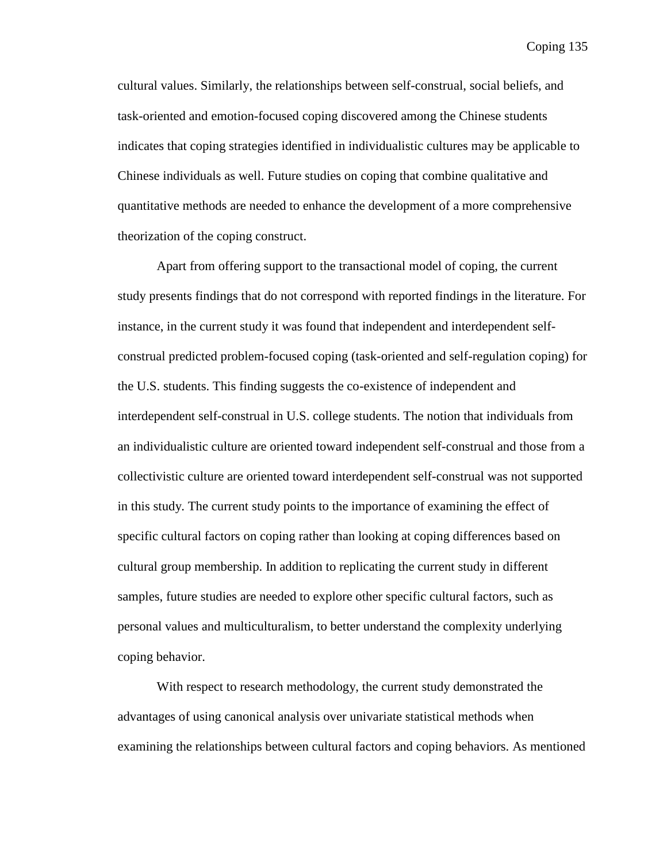cultural values. Similarly, the relationships between self-construal, social beliefs, and task-oriented and emotion-focused coping discovered among the Chinese students indicates that coping strategies identified in individualistic cultures may be applicable to Chinese individuals as well. Future studies on coping that combine qualitative and quantitative methods are needed to enhance the development of a more comprehensive theorization of the coping construct.

 Apart from offering support to the transactional model of coping, the current study presents findings that do not correspond with reported findings in the literature. For instance, in the current study it was found that independent and interdependent selfconstrual predicted problem-focused coping (task-oriented and self-regulation coping) for the U.S. students. This finding suggests the co-existence of independent and interdependent self-construal in U.S. college students. The notion that individuals from an individualistic culture are oriented toward independent self-construal and those from a collectivistic culture are oriented toward interdependent self-construal was not supported in this study. The current study points to the importance of examining the effect of specific cultural factors on coping rather than looking at coping differences based on cultural group membership. In addition to replicating the current study in different samples, future studies are needed to explore other specific cultural factors, such as personal values and multiculturalism, to better understand the complexity underlying coping behavior.

With respect to research methodology, the current study demonstrated the advantages of using canonical analysis over univariate statistical methods when examining the relationships between cultural factors and coping behaviors. As mentioned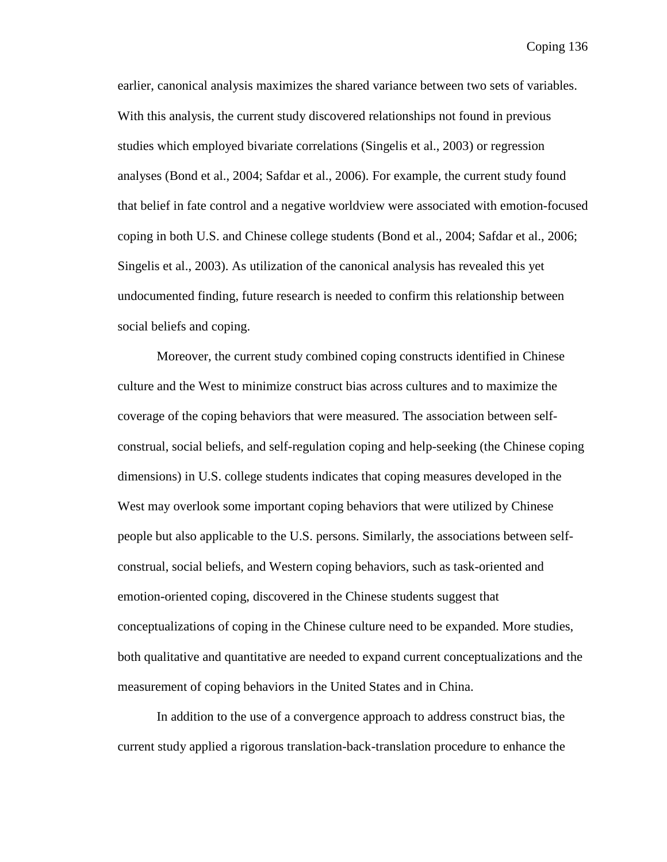earlier, canonical analysis maximizes the shared variance between two sets of variables. With this analysis, the current study discovered relationships not found in previous studies which employed bivariate correlations (Singelis et al., 2003) or regression analyses (Bond et al., 2004; Safdar et al., 2006). For example, the current study found that belief in fate control and a negative worldview were associated with emotion-focused coping in both U.S. and Chinese college students (Bond et al., 2004; Safdar et al., 2006; Singelis et al., 2003). As utilization of the canonical analysis has revealed this yet undocumented finding, future research is needed to confirm this relationship between social beliefs and coping.

Moreover, the current study combined coping constructs identified in Chinese culture and the West to minimize construct bias across cultures and to maximize the coverage of the coping behaviors that were measured. The association between selfconstrual, social beliefs, and self-regulation coping and help-seeking (the Chinese coping dimensions) in U.S. college students indicates that coping measures developed in the West may overlook some important coping behaviors that were utilized by Chinese people but also applicable to the U.S. persons. Similarly, the associations between selfconstrual, social beliefs, and Western coping behaviors, such as task-oriented and emotion-oriented coping, discovered in the Chinese students suggest that conceptualizations of coping in the Chinese culture need to be expanded. More studies, both qualitative and quantitative are needed to expand current conceptualizations and the measurement of coping behaviors in the United States and in China.

In addition to the use of a convergence approach to address construct bias, the current study applied a rigorous translation-back-translation procedure to enhance the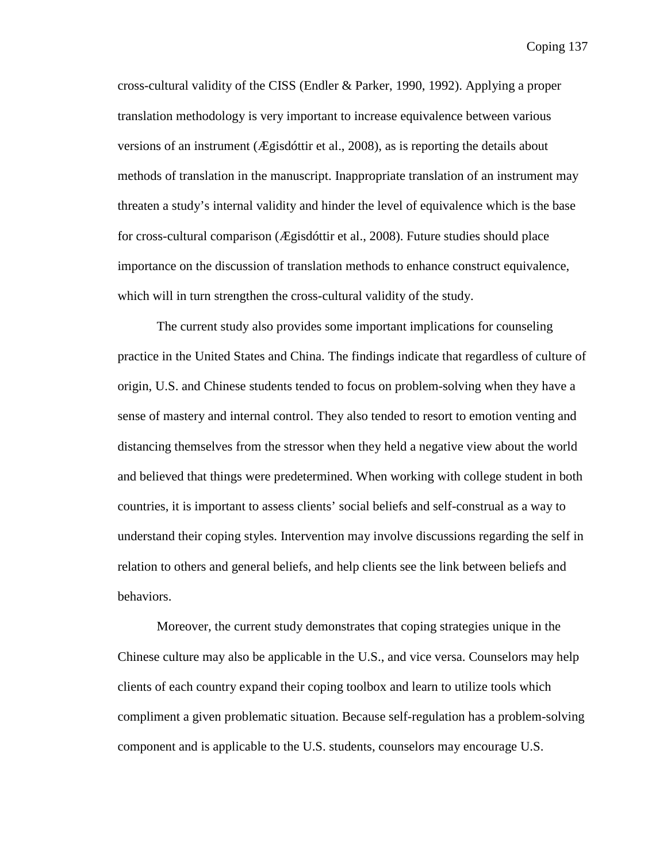Coping 137

cross-cultural validity of the CISS (Endler & Parker, 1990, 1992). Applying a proper translation methodology is very important to increase equivalence between various versions of an instrument (Ægisdóttir et al., 2008), as is reporting the details about methods of translation in the manuscript. Inappropriate translation of an instrument may threaten a study's internal validity and hinder the level of equivalence which is the base for cross-cultural comparison (Ægisdóttir et al., 2008). Future studies should place importance on the discussion of translation methods to enhance construct equivalence, which will in turn strengthen the cross-cultural validity of the study.

 The current study also provides some important implications for counseling practice in the United States and China. The findings indicate that regardless of culture of origin, U.S. and Chinese students tended to focus on problem-solving when they have a sense of mastery and internal control. They also tended to resort to emotion venting and distancing themselves from the stressor when they held a negative view about the world and believed that things were predetermined. When working with college student in both countries, it is important to assess clients' social beliefs and self-construal as a way to understand their coping styles. Intervention may involve discussions regarding the self in relation to others and general beliefs, and help clients see the link between beliefs and behaviors.

Moreover, the current study demonstrates that coping strategies unique in the Chinese culture may also be applicable in the U.S., and vice versa. Counselors may help clients of each country expand their coping toolbox and learn to utilize tools which compliment a given problematic situation. Because self-regulation has a problem-solving component and is applicable to the U.S. students, counselors may encourage U.S.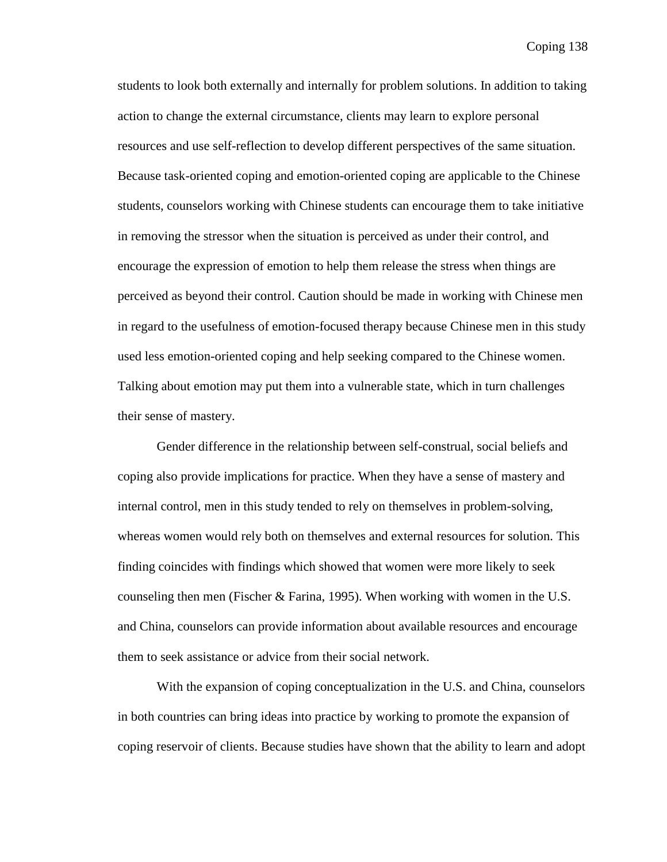students to look both externally and internally for problem solutions. In addition to taking action to change the external circumstance, clients may learn to explore personal resources and use self-reflection to develop different perspectives of the same situation. Because task-oriented coping and emotion-oriented coping are applicable to the Chinese students, counselors working with Chinese students can encourage them to take initiative in removing the stressor when the situation is perceived as under their control, and encourage the expression of emotion to help them release the stress when things are perceived as beyond their control. Caution should be made in working with Chinese men in regard to the usefulness of emotion-focused therapy because Chinese men in this study used less emotion-oriented coping and help seeking compared to the Chinese women. Talking about emotion may put them into a vulnerable state, which in turn challenges their sense of mastery.

Gender difference in the relationship between self-construal, social beliefs and coping also provide implications for practice. When they have a sense of mastery and internal control, men in this study tended to rely on themselves in problem-solving, whereas women would rely both on themselves and external resources for solution. This finding coincides with findings which showed that women were more likely to seek counseling then men (Fischer & Farina, 1995). When working with women in the U.S. and China, counselors can provide information about available resources and encourage them to seek assistance or advice from their social network.

With the expansion of coping conceptualization in the U.S. and China, counselors in both countries can bring ideas into practice by working to promote the expansion of coping reservoir of clients. Because studies have shown that the ability to learn and adopt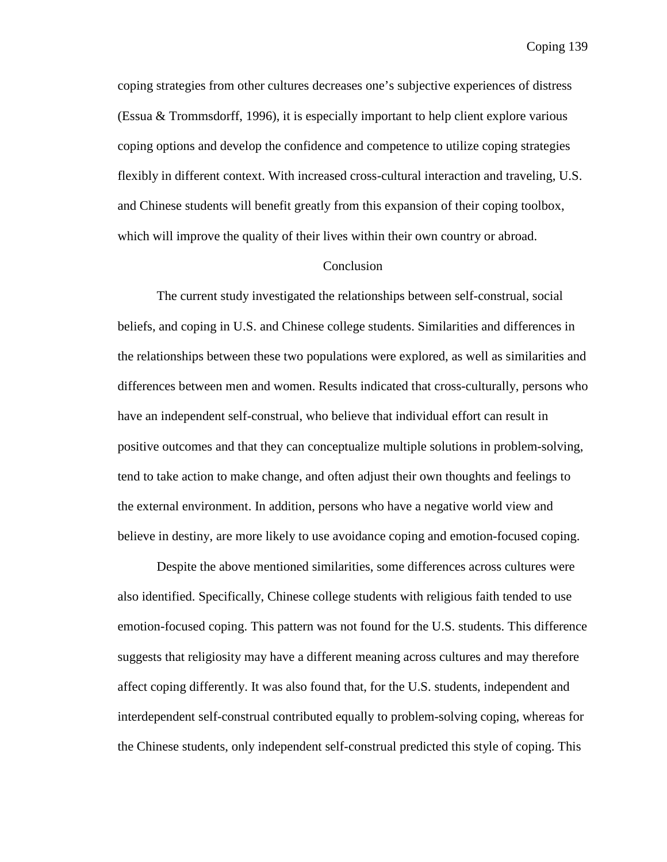Coping 139

coping strategies from other cultures decreases one's subjective experiences of distress (Essua & Trommsdorff, 1996), it is especially important to help client explore various coping options and develop the confidence and competence to utilize coping strategies flexibly in different context. With increased cross-cultural interaction and traveling, U.S. and Chinese students will benefit greatly from this expansion of their coping toolbox, which will improve the quality of their lives within their own country or abroad.

#### Conclusion

The current study investigated the relationships between self-construal, social beliefs, and coping in U.S. and Chinese college students. Similarities and differences in the relationships between these two populations were explored, as well as similarities and differences between men and women. Results indicated that cross-culturally, persons who have an independent self-construal, who believe that individual effort can result in positive outcomes and that they can conceptualize multiple solutions in problem-solving, tend to take action to make change, and often adjust their own thoughts and feelings to the external environment. In addition, persons who have a negative world view and believe in destiny, are more likely to use avoidance coping and emotion-focused coping.

Despite the above mentioned similarities, some differences across cultures were also identified. Specifically, Chinese college students with religious faith tended to use emotion-focused coping. This pattern was not found for the U.S. students. This difference suggests that religiosity may have a different meaning across cultures and may therefore affect coping differently. It was also found that, for the U.S. students, independent and interdependent self-construal contributed equally to problem-solving coping, whereas for the Chinese students, only independent self-construal predicted this style of coping. This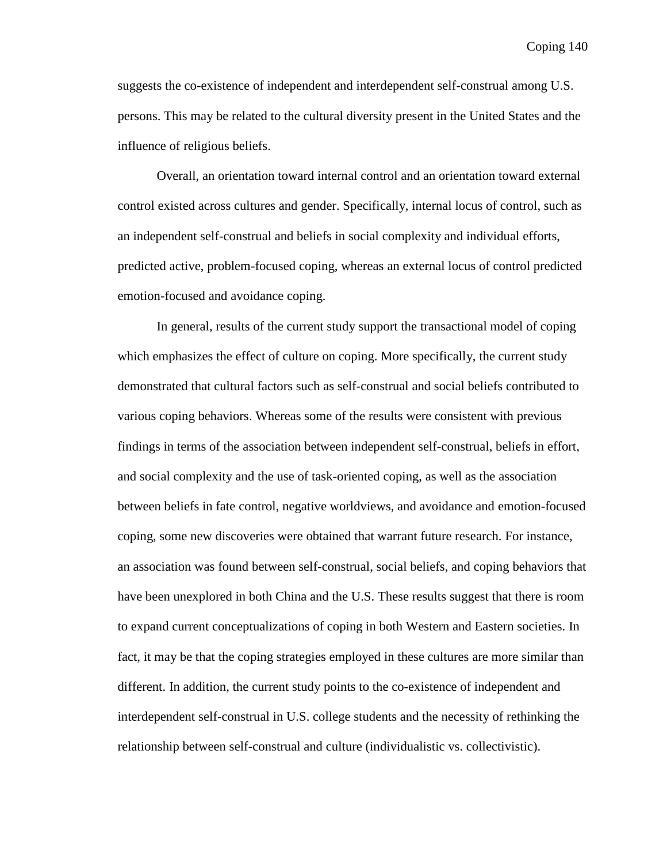suggests the co-existence of independent and interdependent self-construal among U.S. persons. This may be related to the cultural diversity present in the United States and the influence of religious beliefs.

Overall, an orientation toward internal control and an orientation toward external control existed across cultures and gender. Specifically, internal locus of control, such as an independent self-construal and beliefs in social complexity and individual efforts, predicted active, problem-focused coping, whereas an external locus of control predicted emotion-focused and avoidance coping.

In general, results of the current study support the transactional model of coping which emphasizes the effect of culture on coping. More specifically, the current study demonstrated that cultural factors such as self-construal and social beliefs contributed to various coping behaviors. Whereas some of the results were consistent with previous findings in terms of the association between independent self-construal, beliefs in effort, and social complexity and the use of task-oriented coping, as well as the association between beliefs in fate control, negative worldviews, and avoidance and emotion-focused coping, some new discoveries were obtained that warrant future research. For instance, an association was found between self-construal, social beliefs, and coping behaviors that have been unexplored in both China and the U.S. These results suggest that there is room to expand current conceptualizations of coping in both Western and Eastern societies. In fact, it may be that the coping strategies employed in these cultures are more similar than different. In addition, the current study points to the co-existence of independent and interdependent self-construal in U.S. college students and the necessity of rethinking the relationship between self-construal and culture (individualistic vs. collectivistic).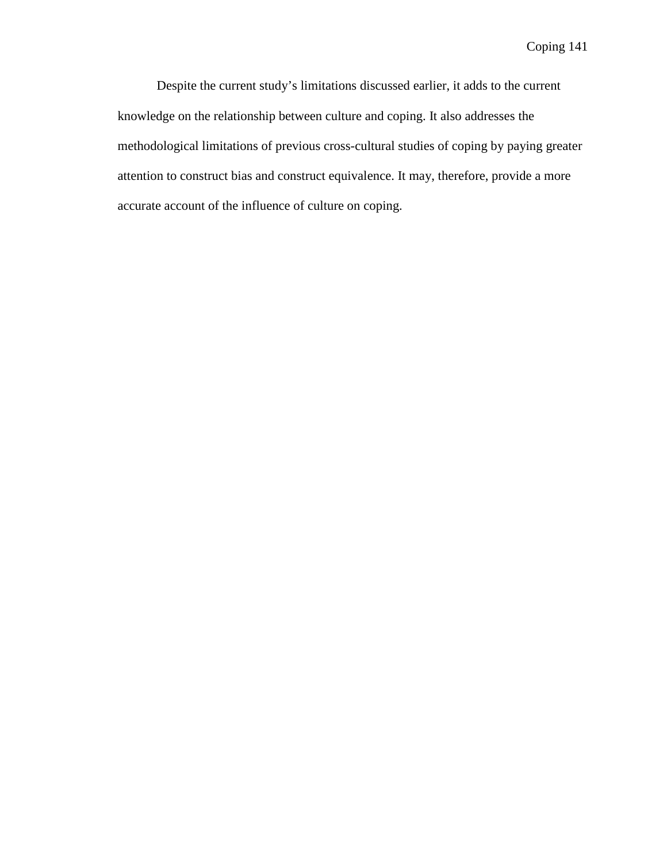Despite the current study's limitations discussed earlier, it adds to the current knowledge on the relationship between culture and coping. It also addresses the methodological limitations of previous cross-cultural studies of coping by paying greater attention to construct bias and construct equivalence. It may, therefore, provide a more accurate account of the influence of culture on coping.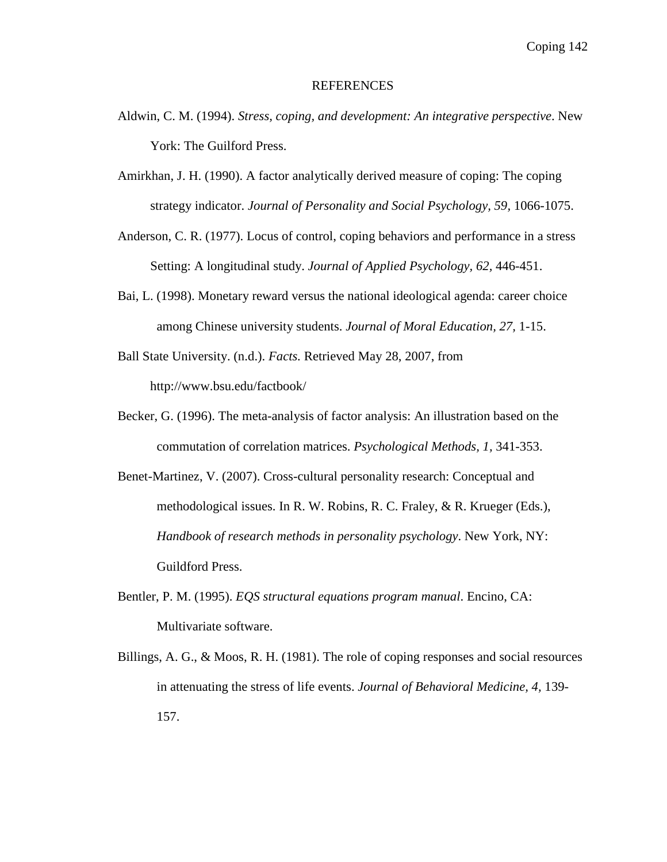#### REFERENCES

- Aldwin, C. M. (1994). *Stress, coping, and development: An integrative perspective*. New York: The Guilford Press.
- Amirkhan, J. H. (1990). A factor analytically derived measure of coping: The coping strategy indicator. *Journal of Personality and Social Psychology, 59,* 1066-1075.
- Anderson, C. R. (1977). Locus of control, coping behaviors and performance in a stress Setting: A longitudinal study. *Journal of Applied Psychology, 62,* 446-451.
- Bai, L. (1998). Monetary reward versus the national ideological agenda: career choice among Chinese university students. *Journal of Moral Education, 27,* 1-15.
- Ball State University. (n.d.). *Facts.* Retrieved May 28, 2007, from http://www.bsu.edu/factbook/
- Becker, G. (1996). The meta-analysis of factor analysis: An illustration based on the commutation of correlation matrices. *Psychological Methods, 1,* 341-353.
- Benet-Martinez, V. (2007). Cross-cultural personality research: Conceptual and methodological issues. In R. W. Robins, R. C. Fraley, & R. Krueger (Eds.), *Handbook of research methods in personality psychology*. New York, NY: Guildford Press.
- Bentler, P. M. (1995). *EQS structural equations program manual*. Encino, CA: Multivariate software.
- Billings, A. G., & Moos, R. H. (1981). The role of coping responses and social resources in attenuating the stress of life events. *Journal of Behavioral Medicine, 4,* 139- 157.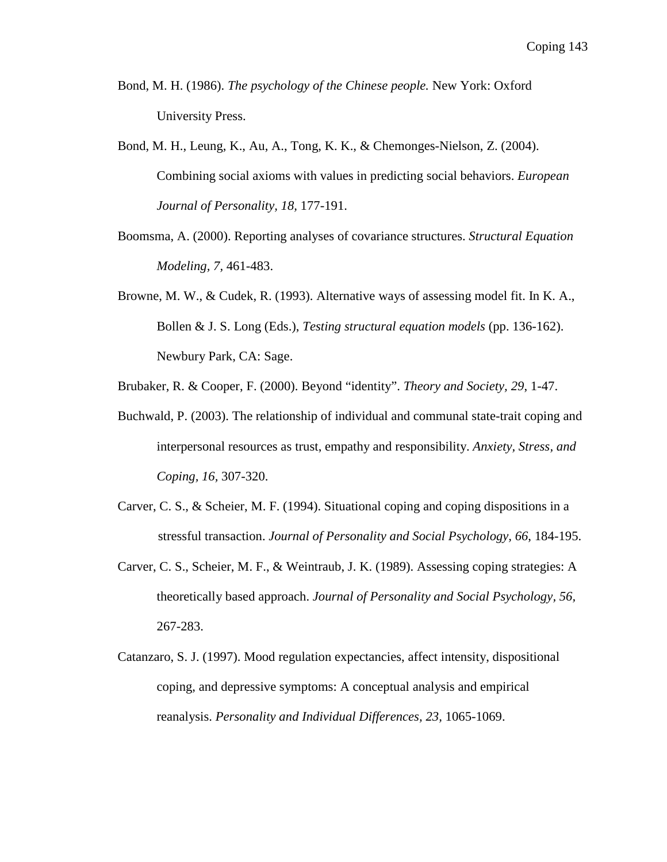- Bond, M. H. (1986). *The psychology of the Chinese people.* New York: Oxford University Press.
- Bond, M. H., Leung, K., Au, A., Tong, K. K., & Chemonges-Nielson, Z. (2004). Combining social axioms with values in predicting social behaviors. *European Journal of Personality, 18,* 177-191.
- Boomsma, A. (2000). Reporting analyses of covariance structures. *Structural Equation Modeling, 7,* 461-483.
- Browne, M. W., & Cudek, R. (1993). Alternative ways of assessing model fit. In K. A., Bollen & J. S. Long (Eds.), *Testing structural equation models* (pp. 136-162). Newbury Park, CA: Sage.
- Brubaker, R. & Cooper, F. (2000). Beyond "identity". *Theory and Society, 29*, 1-47.
- Buchwald, P. (2003). The relationship of individual and communal state-trait coping and interpersonal resources as trust, empathy and responsibility. *Anxiety, Stress, and Coping, 16,* 307-320.
- Carver, C. S., & Scheier, M. F. (1994). Situational coping and coping dispositions in a stressful transaction. *Journal of Personality and Social Psychology, 66*, 184-195.
- Carver, C. S., Scheier, M. F., & Weintraub, J. K. (1989). Assessing coping strategies: A theoretically based approach. *Journal of Personality and Social Psychology, 56,* 267-283.
- Catanzaro, S. J. (1997). Mood regulation expectancies, affect intensity, dispositional coping, and depressive symptoms: A conceptual analysis and empirical reanalysis. *Personality and Individual Differences, 23,* 1065-1069.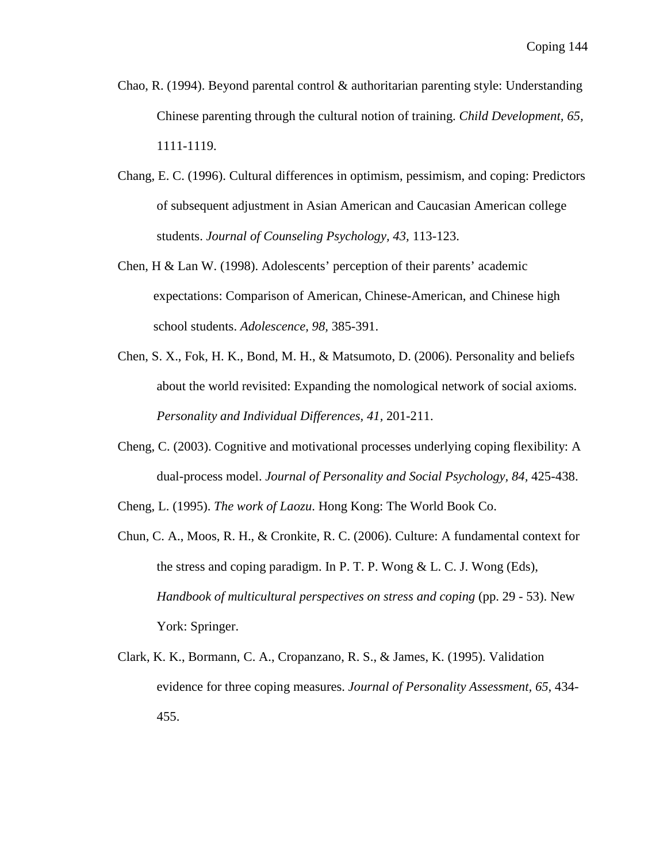- Chao, R. (1994). Beyond parental control  $\&$  authoritarian parenting style: Understanding Chinese parenting through the cultural notion of training. *Child Development, 65,* 1111-1119.
- Chang, E. C. (1996). Cultural differences in optimism, pessimism, and coping: Predictors of subsequent adjustment in Asian American and Caucasian American college students. *Journal of Counseling Psychology, 43,* 113-123.
- Chen, H & Lan W. (1998). Adolescents' perception of their parents' academic expectations: Comparison of American, Chinese-American, and Chinese high school students. *Adolescence, 98,* 385-391.
- Chen, S. X., Fok, H. K., Bond, M. H., & Matsumoto, D. (2006). Personality and beliefs about the world revisited: Expanding the nomological network of social axioms. *Personality and Individual Differences, 41,* 201-211.
- Cheng, C. (2003). Cognitive and motivational processes underlying coping flexibility: A dual-process model. *Journal of Personality and Social Psychology, 84,* 425-438.

Cheng, L. (1995). *The work of Laozu*. Hong Kong: The World Book Co.

- Chun, C. A., Moos, R. H., & Cronkite, R. C. (2006). Culture: A fundamental context for the stress and coping paradigm. In P. T. P. Wong & L. C. J. Wong (Eds), *Handbook of multicultural perspectives on stress and coping (pp. 29 - 53).* New York: Springer.
- Clark, K. K., Bormann, C. A., Cropanzano, R. S., & James, K. (1995). Validation evidence for three coping measures. *Journal of Personality Assessment, 65*, 434- 455.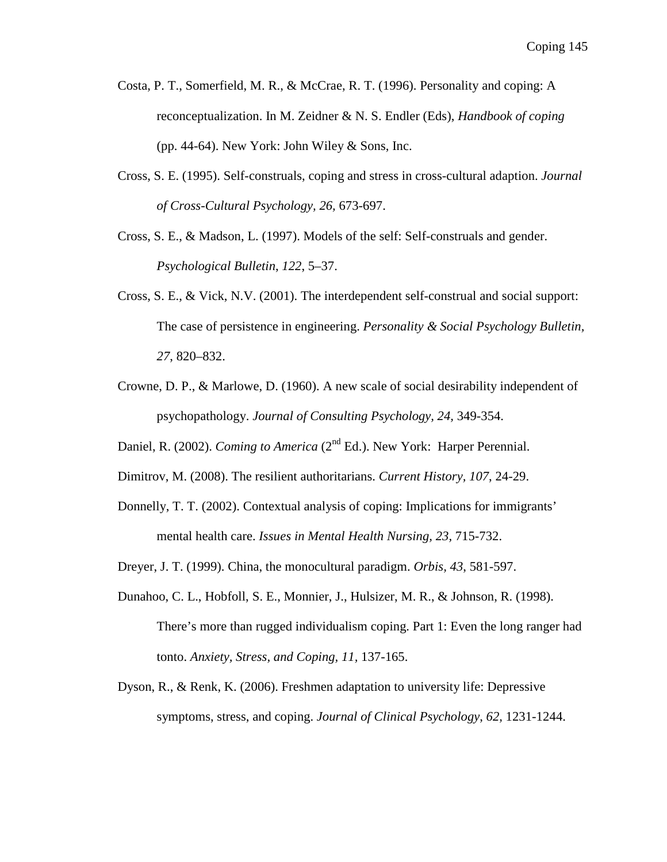- Costa, P. T., Somerfield, M. R., & McCrae, R. T. (1996). Personality and coping: A reconceptualization. In M. Zeidner & N. S. Endler (Eds), *Handbook of coping* (pp. 44-64). New York: John Wiley  $&$  Sons, Inc.
- Cross, S. E. (1995). Self-construals, coping and stress in cross-cultural adaption. *Journal of Cross-Cultural Psychology, 26,* 673-697.
- Cross, S. E., & Madson, L. (1997). Models of the self: Self-construals and gender. *Psychological Bulletin*, *122*, 5–37.
- Cross, S. E., & Vick, N.V. (2001). The interdependent self-construal and social support: The case of persistence in engineering. *Personality & Social Psychology Bulletin, 27*, 820–832.
- Crowne, D. P., & Marlowe, D. (1960). A new scale of social desirability independent of psychopathology. *Journal of Consulting Psychology, 24,* 349-354.
- Daniel, R. (2002). *Coming to America* (2<sup>nd</sup> Ed.). New York: Harper Perennial.
- Dimitrov, M. (2008). The resilient authoritarians. *Current History, 107*, 24-29.
- Donnelly, T. T. (2002). Contextual analysis of coping: Implications for immigrants' mental health care. *Issues in Mental Health Nursing, 23,* 715-732.
- Dreyer, J. T. (1999). China, the monocultural paradigm. *Orbis, 43*, 581-597.
- Dunahoo, C. L., Hobfoll, S. E., Monnier, J., Hulsizer, M. R., & Johnson, R. (1998). There's more than rugged individualism coping. Part 1: Even the long ranger had tonto. *Anxiety, Stress, and Coping, 11,* 137-165.
- Dyson, R., & Renk, K. (2006). Freshmen adaptation to university life: Depressive symptoms, stress, and coping. *Journal of Clinical Psychology*, *62,* 1231-1244.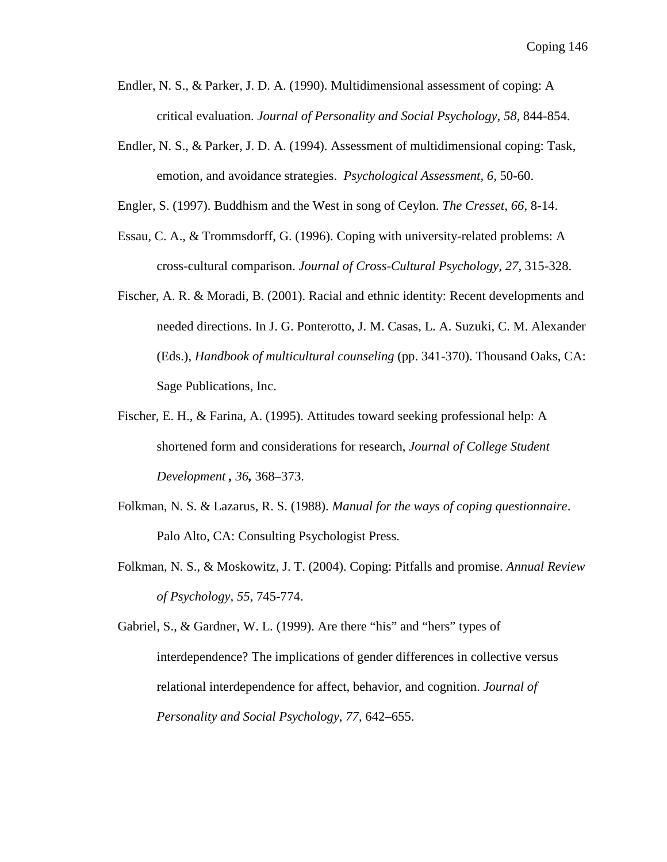- Endler, N. S., & Parker, J. D. A. (1990). Multidimensional assessment of coping: A critical evaluation. *Journal of Personality and Social Psychology, 58,* 844-854.
- Endler, N. S., & Parker, J. D. A. (1994). Assessment of multidimensional coping: Task, emotion, and avoidance strategies. *Psychological Assessment, 6,* 50-60.

Engler, S. (1997). Buddhism and the West in song of Ceylon. *The Cresset, 66,* 8-14.

- Essau, C. A., & Trommsdorff, G. (1996). Coping with university-related problems: A cross-cultural comparison. *Journal of Cross-Cultural Psychology, 27,* 315-328.
- Fischer, A. R. & Moradi, B. (2001). Racial and ethnic identity: Recent developments and needed directions. In J. G. Ponterotto, J. M. Casas, L. A. Suzuki, C. M. Alexander (Eds.), *Handbook of multicultural counseling* (pp. 341-370). Thousand Oaks, CA: Sage Publications, Inc.
- Fischer, E. H., & Farina, A. (1995). Attitudes toward seeking professional help: A shortened form and considerations for research, *Journal of College Student Development , 36,* 368–373.
- Folkman, N. S. & Lazarus, R. S. (1988). *Manual for the ways of coping questionnaire*. Palo Alto, CA: Consulting Psychologist Press.
- Folkman, N. S., & Moskowitz, J. T. (2004). Coping: Pitfalls and promise. *Annual Review of Psychology, 55,* 745-774.

Gabriel, S., & Gardner, W. L. (1999). Are there "his" and "hers" types of interdependence? The implications of gender differences in collective versus relational interdependence for affect, behavior, and cognition. *Journal of Personality and Social Psychology*, *77*, 642–655.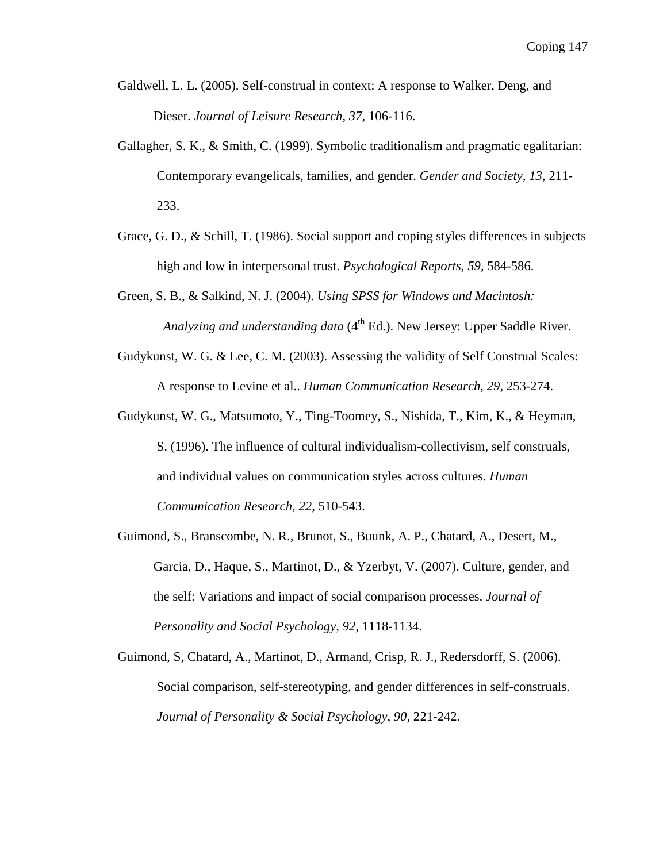- Galdwell, L. L. (2005). Self-construal in context: A response to Walker, Deng, and Dieser. *Journal of Leisure Research, 37,* 106-116.
- Gallagher, S. K., & Smith, C. (1999). Symbolic traditionalism and pragmatic egalitarian: Contemporary evangelicals, families, and gender. *Gender and Society, 13,* 211- 233.
- Grace, G. D., & Schill, T. (1986). Social support and coping styles differences in subjects high and low in interpersonal trust. *Psychological Reports, 59,* 584-586.
- Green, S. B., & Salkind, N. J. (2004). *Using SPSS for Windows and Macintosh: Analyzing and understanding data* (4<sup>th</sup> Ed.). New Jersey: Upper Saddle River.
- Gudykunst, W. G. & Lee, C. M. (2003). Assessing the validity of Self Construal Scales: A response to Levine et al.. *Human Communication Research, 29,* 253-274.
- Gudykunst, W. G., Matsumoto, Y., Ting-Toomey, S., Nishida, T., Kim, K., & Heyman, S. (1996). The influence of cultural individualism-collectivism, self construals, and individual values on communication styles across cultures. *Human Communication Research, 22,* 510-543.
- Guimond, S., Branscombe, N. R., Brunot, S., Buunk, A. P., Chatard, A., Desert, M., Garcia, D., Haque, S., Martinot, D., & Yzerbyt, V. (2007). Culture, gender, and the self: Variations and impact of social comparison processes. *Journal of Personality and Social Psychology, 92,* 1118-1134.
- Guimond, S, Chatard, A., Martinot, D., Armand, Crisp, R. J., Redersdorff, S. (2006). Social comparison, self-stereotyping, and gender differences in self-construals. *Journal of Personality & Social Psychology, 90,* 221-242.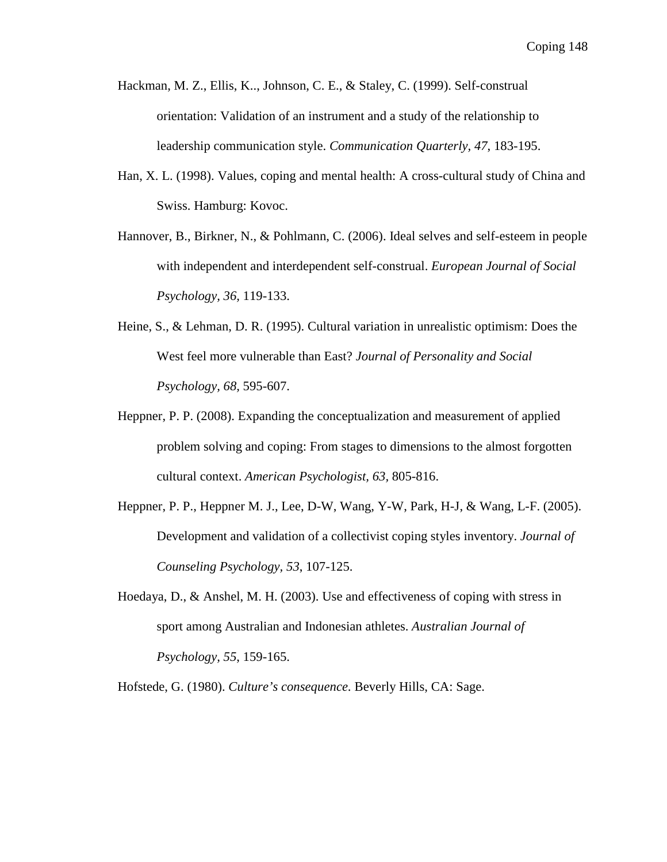- Hackman, M. Z., Ellis, K.., Johnson, C. E., & Staley, C. (1999). Self-construal orientation: Validation of an instrument and a study of the relationship to leadership communication style. *Communication Quarterly, 47*, 183-195.
- Han, X. L. (1998). Values, coping and mental health: A cross-cultural study of China and Swiss. Hamburg: Kovoc.
- Hannover, B., Birkner, N., & Pohlmann, C. (2006). Ideal selves and self-esteem in people with independent and interdependent self-construal. *European Journal of Social Psychology, 36,* 119-133.
- Heine, S., & Lehman, D. R. (1995). Cultural variation in unrealistic optimism: Does the West feel more vulnerable than East? *Journal of Personality and Social Psychology, 68,* 595-607.
- Heppner, P. P. (2008). Expanding the conceptualization and measurement of applied problem solving and coping: From stages to dimensions to the almost forgotten cultural context. *American Psychologist, 63,* 805-816.
- Heppner, P. P., Heppner M. J., Lee, D-W, Wang, Y-W, Park, H-J, & Wang, L-F. (2005). Development and validation of a collectivist coping styles inventory. *Journal of Counseling Psychology, 53*, 107-125.
- Hoedaya, D., & Anshel, M. H. (2003). Use and effectiveness of coping with stress in sport among Australian and Indonesian athletes. *Australian Journal of Psychology, 55*, 159-165.

Hofstede, G. (1980). *Culture's consequence*. Beverly Hills, CA: Sage.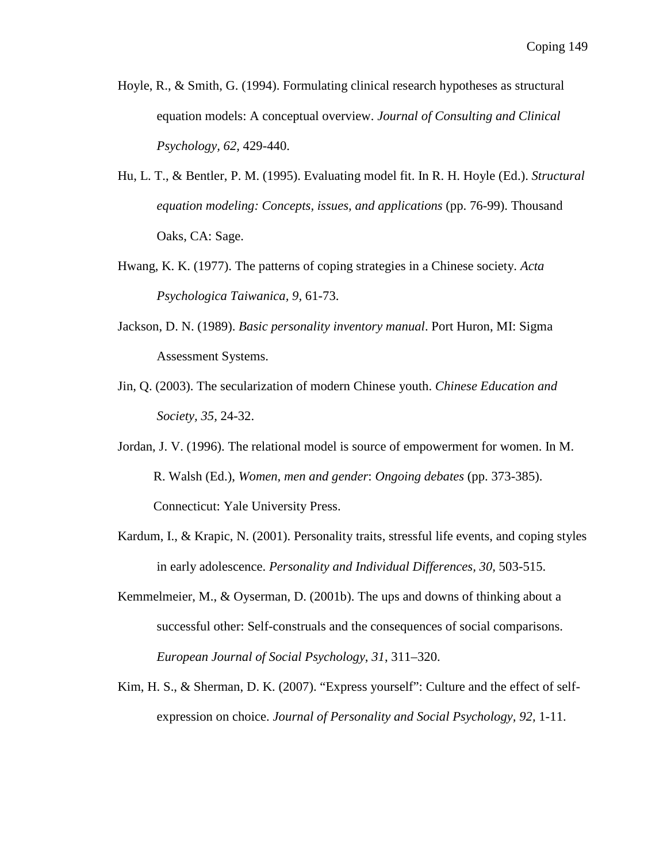- Hoyle, R., & Smith, G. (1994). Formulating clinical research hypotheses as structural equation models: A conceptual overview. *Journal of Consulting and Clinical Psychology, 62,* 429-440.
- Hu, L. T., & Bentler, P. M. (1995). Evaluating model fit. In R. H. Hoyle (Ed.). *Structural equation modeling: Concepts, issues, and applications* (pp. 76-99). Thousand Oaks, CA: Sage.
- Hwang, K. K. (1977). The patterns of coping strategies in a Chinese society. *Acta Psychologica Taiwanica, 9,* 61-73.
- Jackson, D. N. (1989). *Basic personality inventory manual*. Port Huron, MI: Sigma Assessment Systems.
- Jin, Q. (2003). The secularization of modern Chinese youth. *Chinese Education and Society, 35,* 24-32.
- Jordan, J. V. (1996). The relational model is source of empowerment for women. In M. R. Walsh (Ed.), *Women, men and gender*: *Ongoing debates* (pp. 373-385). Connecticut: Yale University Press.
- Kardum, I., & Krapic, N. (2001). Personality traits, stressful life events, and coping styles in early adolescence. *Personality and Individual Differences, 30,* 503-515.
- Kemmelmeier, M., & Oyserman, D. (2001b). The ups and downs of thinking about a successful other: Self-construals and the consequences of social comparisons. *European Journal of Social Psychology*, *31*, 311–320.
- Kim, H. S., & Sherman, D. K. (2007). "Express yourself": Culture and the effect of selfexpression on choice. *Journal of Personality and Social Psychology, 92,* 1-11.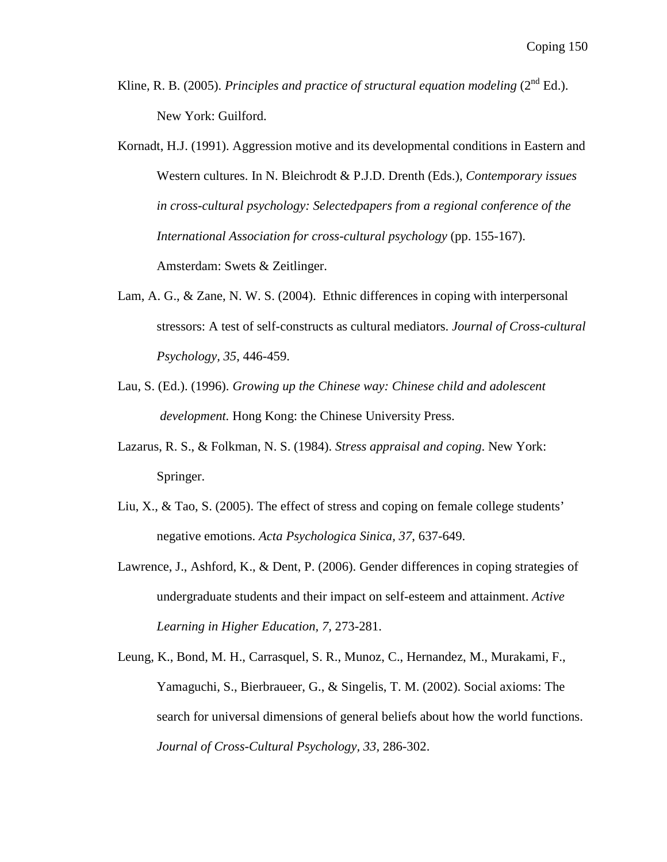- Kline, R. B. (2005). *Principles and practice of structural equation modeling* (2<sup>nd</sup> Ed.). New York: Guilford.
- Kornadt, H.J. (1991). Aggression motive and its developmental conditions in Eastern and Western cultures. In N. Bleichrodt & P.J.D. Drenth (Eds.), *Contemporary issues in cross-cultural psychology: Selectedpapers from a regional conference of the International Association for cross-cultural psychology* (pp. 155-167). Amsterdam: Swets & Zeitlinger.
- Lam, A. G., & Zane, N. W. S. (2004). Ethnic differences in coping with interpersonal stressors: A test of self-constructs as cultural mediators. *Journal of Cross-cultural Psychology, 35*, 446-459.
- Lau, S. (Ed.). (1996). *Growing up the Chinese way: Chinese child and adolescent development.* Hong Kong: the Chinese University Press.
- Lazarus, R. S., & Folkman, N. S. (1984). *Stress appraisal and coping*. New York: Springer.
- Liu, X., & Tao, S. (2005). The effect of stress and coping on female college students' negative emotions. *Acta Psychologica Sinica, 37*, 637-649.
- Lawrence, J., Ashford, K., & Dent, P. (2006). Gender differences in coping strategies of undergraduate students and their impact on self-esteem and attainment. *Active Learning in Higher Education, 7,* 273-281.
- Leung, K., Bond, M. H., Carrasquel, S. R., Munoz, C., Hernandez, M., Murakami, F., Yamaguchi, S., Bierbraueer, G., & Singelis, T. M. (2002). Social axioms: The search for universal dimensions of general beliefs about how the world functions. *Journal of Cross-Cultural Psychology, 33,* 286-302.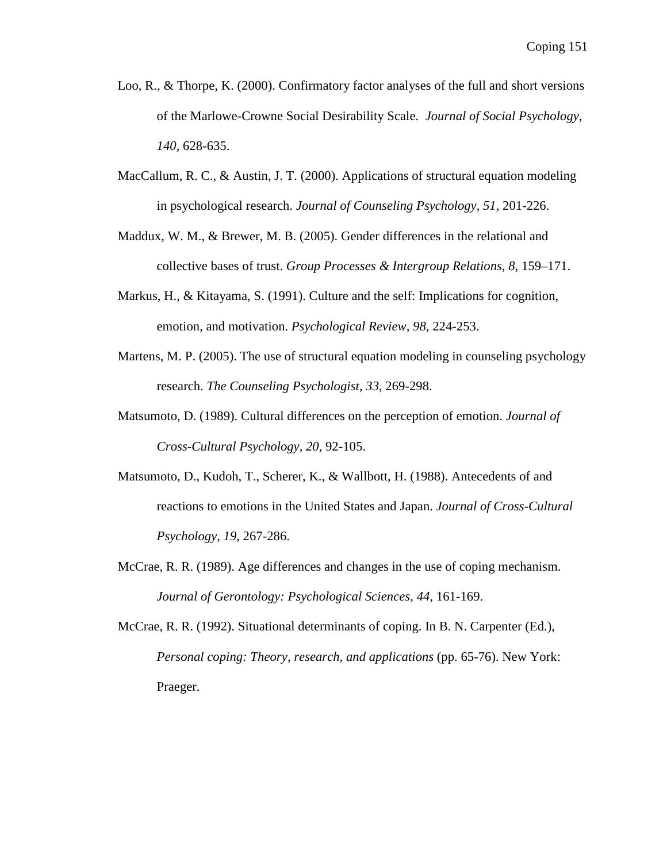- Loo, R., & Thorpe, K. (2000). Confirmatory factor analyses of the full and short versions of the Marlowe-Crowne Social Desirability Scale. *Journal of Social Psychology, 140,* 628-635.
- MacCallum, R. C., & Austin, J. T. (2000). Applications of structural equation modeling in psychological research. *Journal of Counseling Psychology, 51,* 201-226.
- Maddux, W. M., & Brewer, M. B. (2005). Gender differences in the relational and collective bases of trust. *Group Processes & Intergroup Relations*, *8*, 159–171.
- Markus, H., & Kitayama, S. (1991). Culture and the self: Implications for cognition, emotion, and motivation. *Psychological Review, 98,* 224-253.
- Martens, M. P. (2005). The use of structural equation modeling in counseling psychology research. *The Counseling Psychologist, 33*, 269-298.
- Matsumoto, D. (1989). Cultural differences on the perception of emotion. *Journal of Cross-Cultural Psychology, 20,* 92-105.
- Matsumoto, D., Kudoh, T., Scherer, K., & Wallbott, H. (1988). Antecedents of and reactions to emotions in the United States and Japan. *Journal of Cross-Cultural Psychology, 19*, 267-286.
- McCrae, R. R. (1989). Age differences and changes in the use of coping mechanism. *Journal of Gerontology: Psychological Sciences, 44,* 161-169.

McCrae, R. R. (1992). Situational determinants of coping. In B. N. Carpenter (Ed.), *Personal coping: Theory, research, and applications* (pp. 65-76). New York: Praeger.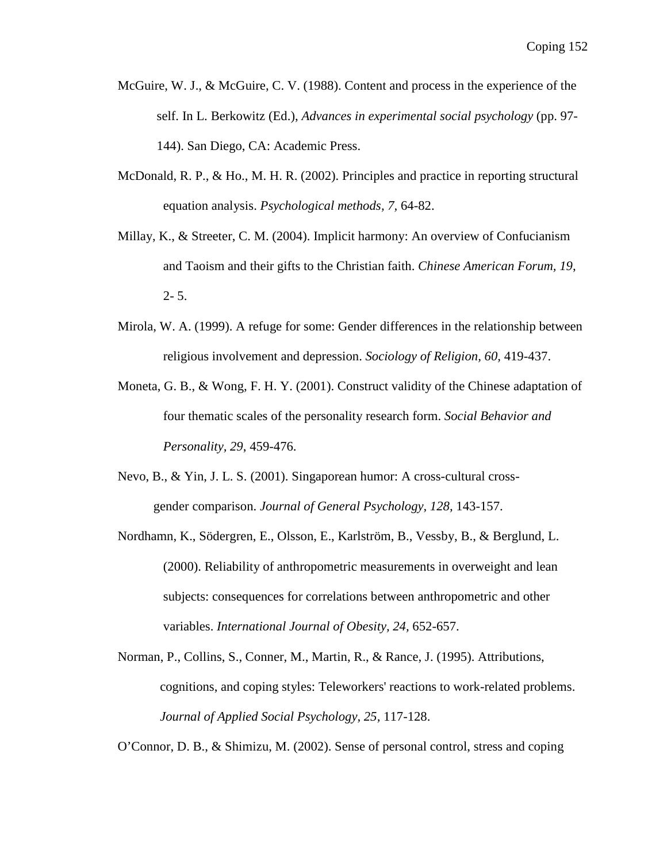- McGuire, W. J., & McGuire, C. V. (1988). Content and process in the experience of the self. In L. Berkowitz (Ed.), *Advances in experimental social psychology* (pp. 97- 144). San Diego, CA: Academic Press.
- McDonald, R. P., & Ho., M. H. R. (2002). Principles and practice in reporting structural equation analysis. *Psychological methods, 7,* 64-82.
- Millay, K., & Streeter, C. M. (2004). Implicit harmony: An overview of Confucianism and Taoism and their gifts to the Christian faith. *Chinese American Forum, 19*,  $2 - 5$ .
- Mirola, W. A. (1999). A refuge for some: Gender differences in the relationship between religious involvement and depression. *Sociology of Religion, 60,* 419-437.
- Moneta, G. B., & Wong, F. H. Y. (2001). Construct validity of the Chinese adaptation of four thematic scales of the personality research form. *Social Behavior and Personality, 29*, 459-476.
- Nevo, B., & Yin, J. L. S. (2001). Singaporean humor: A cross-cultural cross gender comparison. *Journal of General Psychology, 128,* 143-157.
- Nordhamn, K., Södergren, E., Olsson, E., Karlström, B., Vessby, B., & Berglund, L. (2000). Reliability of anthropometric measurements in overweight and lean subjects: consequences for correlations between anthropometric and other variables. *International Journal of Obesity, 24,* 652-657.
- Norman, P., Collins, S., Conner, M., Martin, R., & Rance, J. (1995). Attributions, cognitions, and coping styles: Teleworkers' reactions to work-related problems. *Journal of Applied Social Psychology, 25,* 117-128.

O'Connor, D. B., & Shimizu, M. (2002). Sense of personal control, stress and coping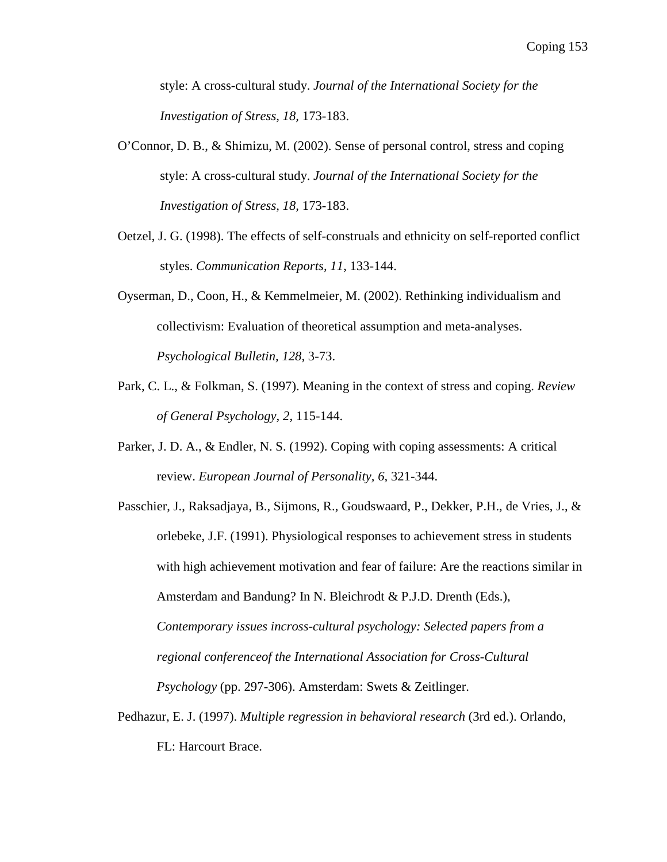style: A cross-cultural study. *Journal of the International Society for the Investigation of Stress, 18,* 173-183.

- O'Connor, D. B., & Shimizu, M. (2002). Sense of personal control, stress and coping style: A cross-cultural study. *Journal of the International Society for the Investigation of Stress, 18,* 173-183.
- Oetzel, J. G. (1998). The effects of self-construals and ethnicity on self-reported conflict styles. *Communication Reports, 11*, 133-144.
- Oyserman, D., Coon, H., & Kemmelmeier, M. (2002). Rethinking individualism and collectivism: Evaluation of theoretical assumption and meta-analyses. *Psychological Bulletin, 128,* 3-73.
- Park, C. L., & Folkman, S. (1997). Meaning in the context of stress and coping. *Review of General Psychology, 2,* 115-144.
- Parker, J. D. A., & Endler, N. S. (1992). Coping with coping assessments: A critical review. *European Journal of Personality, 6,* 321-344.
- Passchier, J., Raksadjaya, B., Sijmons, R., Goudswaard, P., Dekker, P.H., de Vries, J., & orlebeke, J.F. (1991). Physiological responses to achievement stress in students with high achievement motivation and fear of failure: Are the reactions similar in Amsterdam and Bandung? In N. Bleichrodt & P.J.D. Drenth (Eds.), *Contemporary issues incross-cultural psychology: Selected papers from a regional conferenceof the International Association for Cross-Cultural Psychology* (pp. 297-306). Amsterdam: Swets & Zeitlinger.
- Pedhazur, E. J. (1997). *Multiple regression in behavioral research* (3rd ed.). Orlando, FL: Harcourt Brace.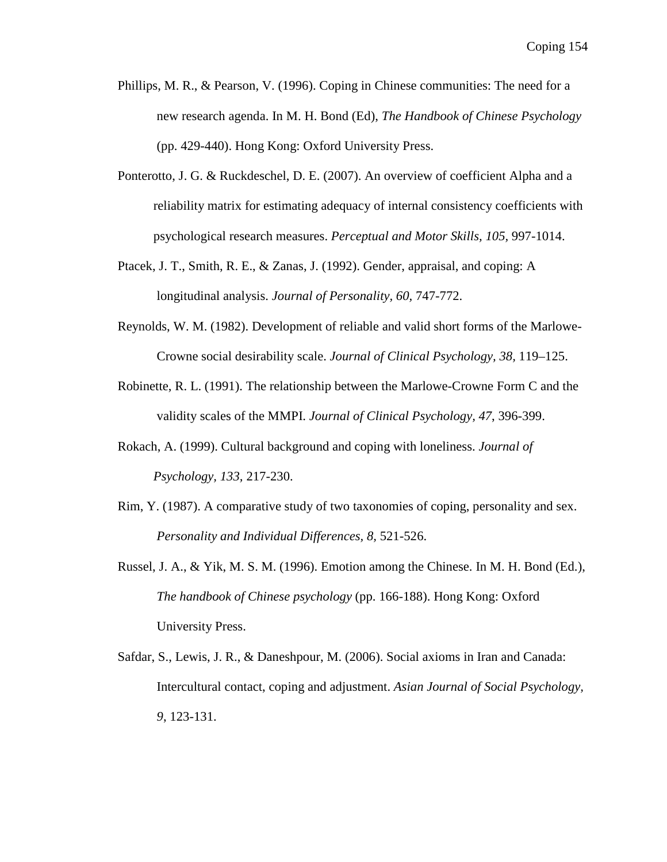- Phillips, M. R., & Pearson, V. (1996). Coping in Chinese communities: The need for a new research agenda. In M. H. Bond (Ed), *The Handbook of Chinese Psychology* (pp. 429-440). Hong Kong: Oxford University Press.
- Ponterotto, J. G. & Ruckdeschel, D. E. (2007). An overview of coefficient Alpha and a reliability matrix for estimating adequacy of internal consistency coefficients with psychological research measures. *Perceptual and Motor Skills, 105,* 997-1014.
- Ptacek, J. T., Smith, R. E., & Zanas, J. (1992). Gender, appraisal, and coping: A longitudinal analysis. *Journal of Personality, 60,* 747-772.
- Reynolds, W. M. (1982). Development of reliable and valid short forms of the Marlowe-Crowne social desirability scale. *Journal of Clinical Psychology, 38,* 119–125.
- Robinette, R. L. (1991). The relationship between the Marlowe-Crowne Form C and the validity scales of the MMPI. *Journal of Clinical Psychology, 47*, 396-399.
- Rokach, A. (1999). Cultural background and coping with loneliness. *Journal of Psychology, 133,* 217-230.
- Rim, Y. (1987). A comparative study of two taxonomies of coping, personality and sex. *Personality and Individual Differences, 8,* 521-526.
- Russel, J. A., & Yik, M. S. M. (1996). Emotion among the Chinese. In M. H. Bond (Ed.), *The handbook of Chinese psychology* (pp. 166-188). Hong Kong: Oxford University Press.
- Safdar, S., Lewis, J. R., & Daneshpour, M. (2006). Social axioms in Iran and Canada: Intercultural contact, coping and adjustment. *Asian Journal of Social Psychology, 9*, 123-131.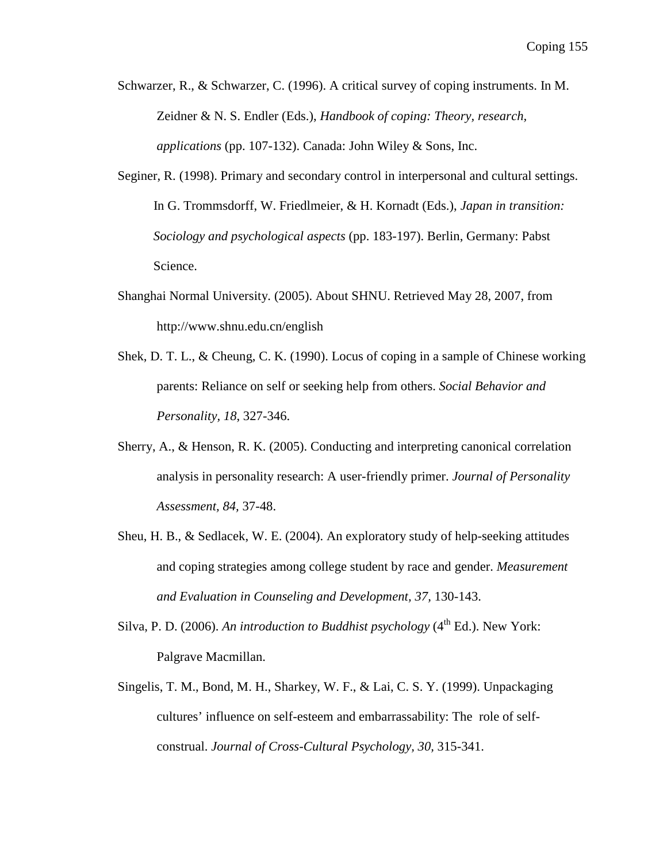- Schwarzer, R., & Schwarzer, C. (1996). A critical survey of coping instruments. In M. Zeidner & N. S. Endler (Eds.), *Handbook of coping: Theory, research, applications* (pp. 107-132). Canada: John Wiley & Sons, Inc.
- Seginer, R. (1998). Primary and secondary control in interpersonal and cultural settings. In G. Trommsdorff, W. Friedlmeier, & H. Kornadt (Eds.), *Japan in transition: Sociology and psychological aspects* (pp. 183-197). Berlin, Germany: Pabst Science.
- Shanghai Normal University. (2005). About SHNU. Retrieved May 28, 2007, from http://www.shnu.edu.cn/english
- Shek, D. T. L., & Cheung, C. K. (1990). Locus of coping in a sample of Chinese working parents: Reliance on self or seeking help from others. *Social Behavior and Personality, 18*, 327-346.
- Sherry, A., & Henson, R. K. (2005). Conducting and interpreting canonical correlation analysis in personality research: A user-friendly primer. *Journal of Personality Assessment, 84,* 37-48.
- Sheu, H. B., & Sedlacek, W. E. (2004). An exploratory study of help-seeking attitudes and coping strategies among college student by race and gender. *Measurement and Evaluation in Counseling and Development, 37,* 130-143.
- Silva, P. D. (2006). An introduction to Buddhist psychology (4<sup>th</sup> Ed.). New York: Palgrave Macmillan.
- Singelis, T. M., Bond, M. H., Sharkey, W. F., & Lai, C. S. Y. (1999). Unpackaging cultures' influence on self-esteem and embarrassability: The role of selfconstrual. *Journal of Cross-Cultural Psychology, 30,* 315-341.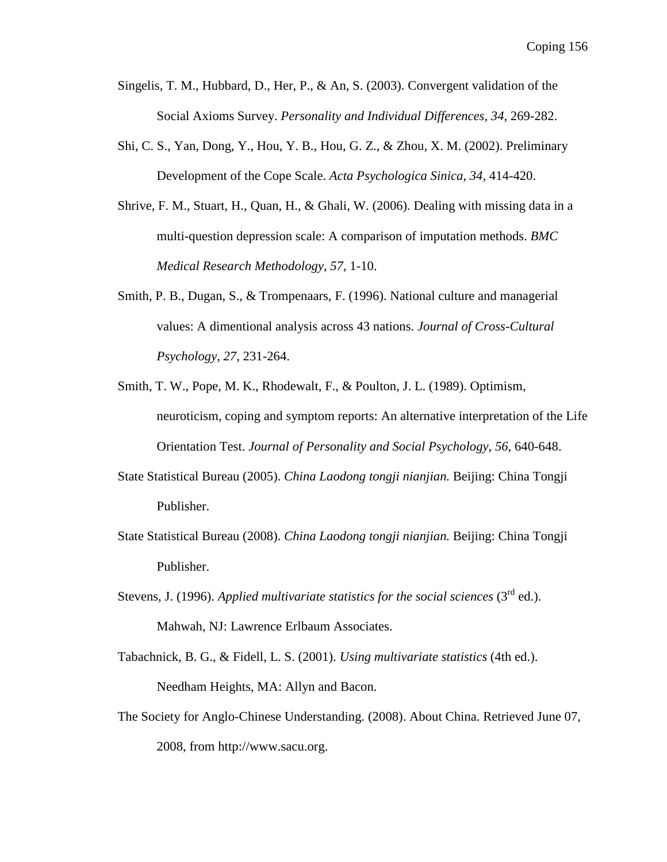- Singelis, T. M., Hubbard, D., Her, P., & An, S. (2003). Convergent validation of the Social Axioms Survey. *Personality and Individual Differences, 34*, 269-282.
- Shi, C. S., Yan, Dong, Y., Hou, Y. B., Hou, G. Z., & Zhou, X. M. (2002). Preliminary Development of the Cope Scale. *Acta Psychologica Sinica, 34,* 414-420.
- Shrive, F. M., Stuart, H., Quan, H., & Ghali, W. (2006). Dealing with missing data in a multi-question depression scale: A comparison of imputation methods. *BMC Medical Research Methodology, 57,* 1-10.
- Smith, P. B., Dugan, S., & Trompenaars, F. (1996). National culture and managerial values: A dimentional analysis across 43 nations. *Journal of Cross-Cultural Psychology, 27*, 231-264.
- Smith, T. W., Pope, M. K., Rhodewalt, F., & Poulton, J. L. (1989). Optimism, neuroticism, coping and symptom reports: An alternative interpretation of the Life Orientation Test. *Journal of Personality and Social Psychology, 56,* 640-648.
- State Statistical Bureau (2005). *China Laodong tongji nianjian.* Beijing: China Tongji Publisher.
- State Statistical Bureau (2008). *China Laodong tongji nianjian.* Beijing: China Tongji Publisher.
- Stevens, J. (1996). *Applied multivariate statistics for the social sciences* ( $3<sup>rd</sup>$  ed.). Mahwah, NJ: Lawrence Erlbaum Associates.
- Tabachnick, B. G., & Fidell, L. S. (2001). *Using multivariate statistics* (4th ed.). Needham Heights, MA: Allyn and Bacon.
- The Society for Anglo-Chinese Understanding. (2008). About China. Retrieved June 07, 2008, from http://www.sacu.org.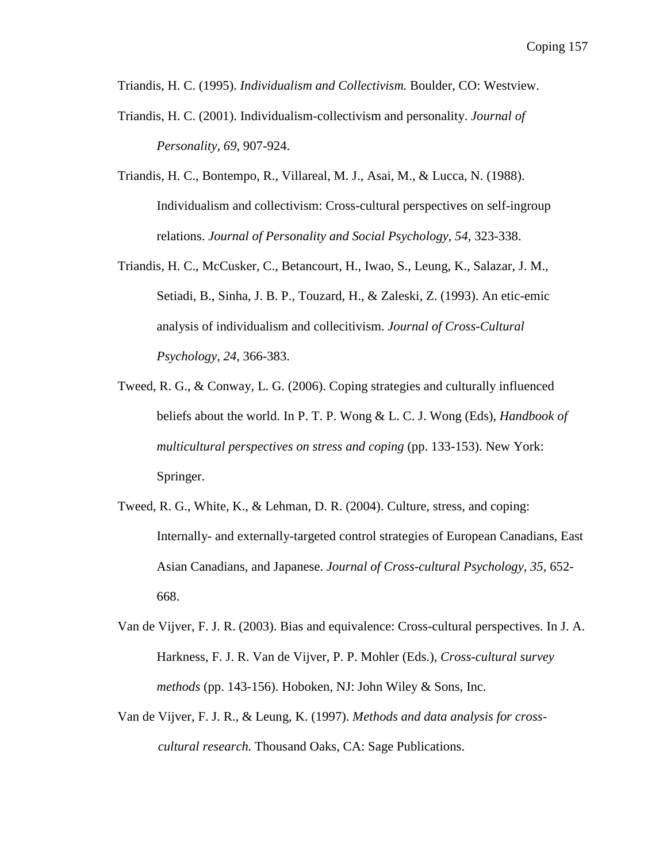Triandis, H. C. (1995). *Individualism and Collectivism.* Boulder, CO: Westview.

- Triandis, H. C. (2001). Individualism-collectivism and personality. *Journal of Personality, 69*, 907-924.
- Triandis, H. C., Bontempo, R., Villareal, M. J., Asai, M., & Lucca, N. (1988). Individualism and collectivism: Cross-cultural perspectives on self-ingroup relations. *Journal of Personality and Social Psychology, 54,* 323-338.
- Triandis, H. C., McCusker, C., Betancourt, H., Iwao, S., Leung, K., Salazar, J. M., Setiadi, B., Sinha, J. B. P., Touzard, H., & Zaleski, Z. (1993). An etic-emic analysis of individualism and collecitivism. *Journal of Cross-Cultural Psychology, 24,* 366-383.
- Tweed, R. G., & Conway, L. G. (2006). Coping strategies and culturally influenced beliefs about the world. In P. T. P. Wong & L. C. J. Wong (Eds), *Handbook of multicultural perspectives on stress and coping* (pp. 133-153). New York: Springer.
- Tweed, R. G., White, K., & Lehman, D. R. (2004). Culture, stress, and coping: Internally- and externally-targeted control strategies of European Canadians, East Asian Canadians, and Japanese. *Journal of Cross-cultural Psychology, 35*, 652- 668.
- Van de Vijver, F. J. R. (2003). Bias and equivalence: Cross-cultural perspectives. In J. A. Harkness, F. J. R. Van de Vijver, P. P. Mohler (Eds.), *Cross-cultural survey methods* (pp. 143-156). Hoboken, NJ: John Wiley & Sons, Inc.
- Van de Vijver, F. J. R., & Leung, K. (1997). *Methods and data analysis for crosscultural research.* Thousand Oaks, CA: Sage Publications.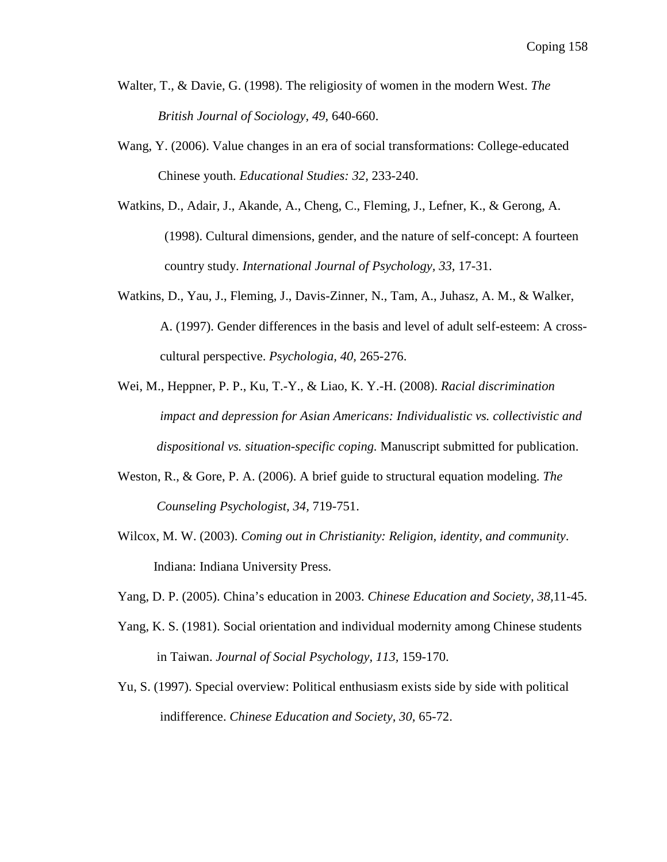- Walter, T., & Davie, G. (1998). The religiosity of women in the modern West. *The British Journal of Sociology, 49,* 640-660.
- Wang, Y. (2006). Value changes in an era of social transformations: College-educated Chinese youth. *Educational Studies: 32,* 233-240.
- Watkins, D., Adair, J., Akande, A., Cheng, C., Fleming, J., Lefner, K., & Gerong, A. (1998). Cultural dimensions, gender, and the nature of self-concept: A fourteen country study. *International Journal of Psychology, 33,* 17-31.
- Watkins, D., Yau, J., Fleming, J., Davis-Zinner, N., Tam, A., Juhasz, A. M., & Walker, A. (1997). Gender differences in the basis and level of adult self-esteem: A cross cultural perspective. *Psychologia, 40,* 265-276.
- Wei, M., Heppner, P. P., Ku, T.-Y., & Liao, K. Y.-H. (2008). *Racial discrimination impact and depression for Asian Americans: Individualistic vs. collectivistic and dispositional vs. situation-specific coping.* Manuscript submitted for publication.
- Weston, R., & Gore, P. A. (2006). A brief guide to structural equation modeling. *The Counseling Psychologist, 34,* 719-751.
- Wilcox, M. W. (2003). *Coming out in Christianity: Religion, identity, and community*. Indiana: Indiana University Press.
- Yang, D. P. (2005). China's education in 2003. *Chinese Education and Society, 38,*11-45.
- Yang, K. S. (1981). Social orientation and individual modernity among Chinese students in Taiwan. *Journal of Social Psychology, 113,* 159-170.
- Yu, S. (1997). Special overview: Political enthusiasm exists side by side with political indifference. *Chinese Education and Society, 30,* 65-72.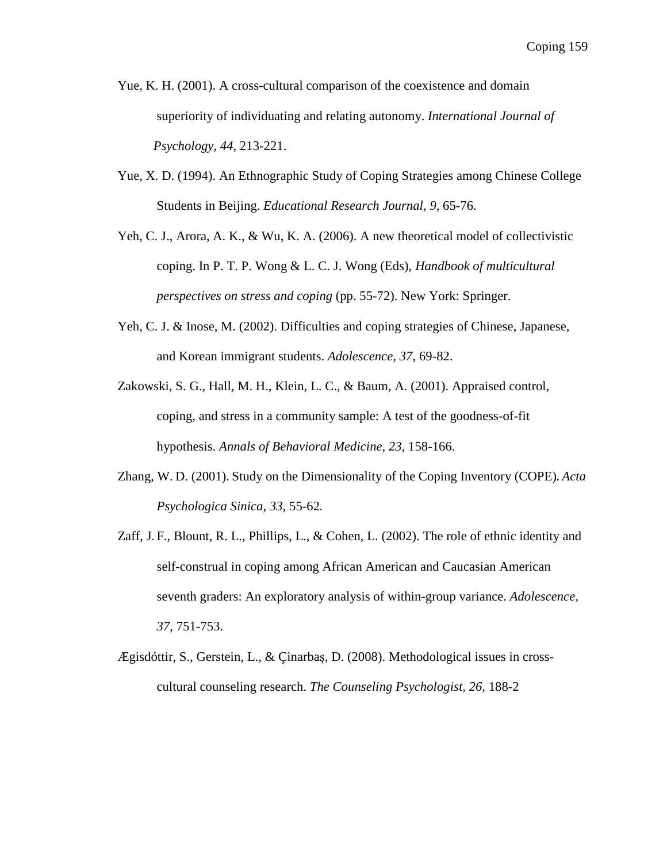- Yue, K. H. (2001). A cross-cultural comparison of the coexistence and domain superiority of individuating and relating autonomy. *International Journal of Psychology, 44,* 213-221.
- Yue, X. D. (1994). An Ethnographic Study of Coping Strategies among Chinese College Students in Beijing. *Educational Research Journal, 9,* 65-76.
- Yeh, C. J., Arora, A. K., & Wu, K. A. (2006). A new theoretical model of collectivistic coping. In P. T. P. Wong & L. C. J. Wong (Eds), *Handbook of multicultural perspectives on stress and coping* (pp. 55-72). New York: Springer.
- Yeh, C. J. & Inose, M. (2002). Difficulties and coping strategies of Chinese, Japanese, and Korean immigrant students. *Adolescence, 37,* 69-82.
- Zakowski, S. G., Hall, M. H., Klein, L. C., & Baum, A. (2001). Appraised control, coping, and stress in a community sample: A test of the goodness-of-fit hypothesis. *Annals of Behavioral Medicine, 23,* 158-166.
- Zhang, W. D. (2001). Study on the Dimensionality of the Coping Inventory (COPE)**.** *Acta Psychologica Sinica, 33,* 55-62**.**
- Zaff, J. F., Blount, R. L., Phillips, L., & Cohen, L. (2002). The role of ethnic identity and self-construal in coping among African American and Caucasian American seventh graders: An exploratory analysis of within-group variance. *Adolescence, 37,* 751-753.
- Ægisdóttir, S., Gerstein, L., & Çinarbaş, D. (2008). Methodological issues in cross cultural counseling research. *The Counseling Psychologist, 26,* 188-2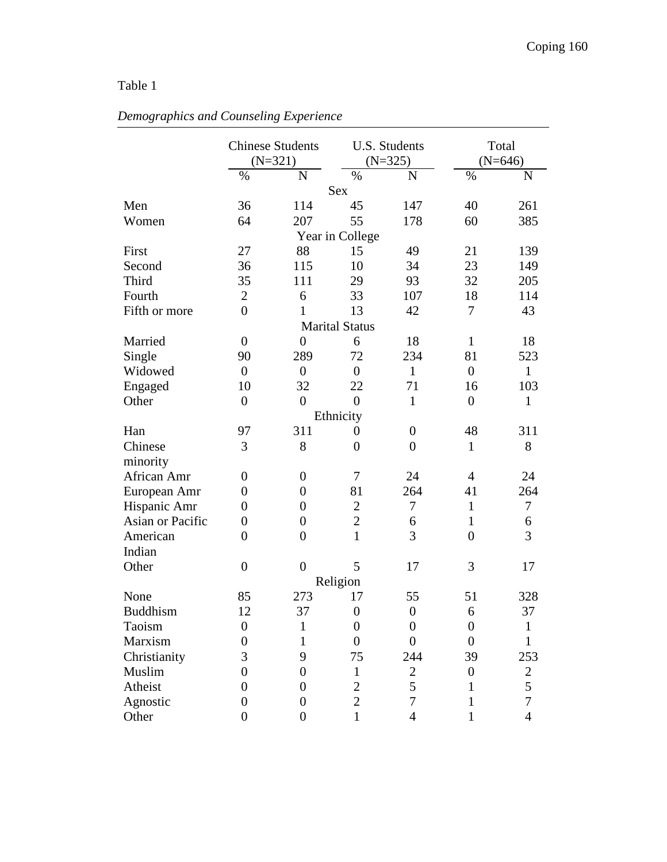|                  |                  | <b>Chinese Students</b><br>$(N=321)$ |                       | U.S. Students<br>$(N=325)$ | Total<br>$(N=646)$ |                |  |
|------------------|------------------|--------------------------------------|-----------------------|----------------------------|--------------------|----------------|--|
|                  | %                | $\overline{N}$                       | $\%$                  | $\mathbf N$                | $\%$               | N              |  |
|                  |                  |                                      | <b>Sex</b>            |                            |                    |                |  |
| Men              | 36               | 114                                  | 45                    | 147                        | 40                 | 261            |  |
| Women            | 64               | 207                                  | 55                    | 178                        | 60                 | 385            |  |
|                  |                  |                                      | Year in College       |                            |                    |                |  |
| First            | 27               | 88                                   | 15                    | 49                         | 21                 | 139            |  |
| Second           | 36               | 115                                  | 10                    | 34                         | 23                 | 149            |  |
| Third            | 35               | 111                                  | 29                    | 93                         | 32                 | 205            |  |
| Fourth           | $\overline{2}$   | 6                                    | 33                    | 107                        | 18                 | 114            |  |
| Fifth or more    | $\overline{0}$   | 1                                    | 13                    | 42                         | 7                  | 43             |  |
|                  |                  |                                      | <b>Marital Status</b> |                            |                    |                |  |
| Married          | $\boldsymbol{0}$ | $\overline{0}$                       | 6                     | 18                         | $\mathbf{1}$       | 18             |  |
| Single           | 90               | 289                                  | 72                    | 234                        | 81                 | 523            |  |
| Widowed          | $\overline{0}$   | $\overline{0}$                       | $\overline{0}$        | $\mathbf{1}$               | $\overline{0}$     | $\mathbf{1}$   |  |
| Engaged          | 10               | 32                                   | 22                    | 71                         | 16                 | 103            |  |
| Other            | $\overline{0}$   | $\overline{0}$                       | $\overline{0}$        | $\mathbf{1}$               | $\overline{0}$     | $\mathbf{1}$   |  |
|                  |                  |                                      | Ethnicity             |                            |                    |                |  |
| Han              | 97               | 311                                  | $\boldsymbol{0}$      | $\overline{0}$             | 48                 | 311            |  |
| Chinese          | 3                | 8                                    | $\overline{0}$        | $\overline{0}$             | $\mathbf{1}$       | 8              |  |
| minority         |                  |                                      |                       |                            |                    |                |  |
| African Amr      | $\boldsymbol{0}$ | $\boldsymbol{0}$                     | $\tau$                | 24                         | $\overline{4}$     | 24             |  |
| European Amr     | 0                | $\overline{0}$                       | 81                    | 264                        | 41                 | 264            |  |
| Hispanic Amr     | $\overline{0}$   | $\overline{0}$                       | $\overline{2}$        | 7                          | $\mathbf{1}$       | $\tau$         |  |
| Asian or Pacific | $\boldsymbol{0}$ | $\overline{0}$                       | $\overline{2}$        | 6                          | $\mathbf{1}$       | 6              |  |
| American         | $\overline{0}$   | $\overline{0}$                       | $\mathbf{1}$          | 3                          | $\overline{0}$     | 3              |  |
| Indian           |                  |                                      |                       |                            |                    |                |  |
| Other            | $\overline{0}$   | $\overline{0}$                       | 5                     | 17                         | 3                  | 17             |  |
|                  |                  |                                      | Religion              |                            |                    |                |  |
| None             | 85               | 273                                  | 17                    | 55                         | 51                 | 328            |  |
| <b>Buddhism</b>  | 12               | 37                                   | $\boldsymbol{0}$      | $\boldsymbol{0}$           | 6                  | 37             |  |
| Taoism           | $\boldsymbol{0}$ | $\mathbf{1}$                         | $\boldsymbol{0}$      | $\boldsymbol{0}$           | $\boldsymbol{0}$   | $\mathbf{1}$   |  |
| Marxism          | 0                | 1                                    | $\overline{0}$        | $\overline{0}$             | $\overline{0}$     | 1              |  |
| Christianity     | 3                | 9                                    | 75                    | 244                        | 39                 | 253            |  |
| Muslim           | 0                | $\overline{0}$                       | $\mathbf{1}$          | $\overline{2}$             | $\boldsymbol{0}$   | $\mathbf{2}$   |  |
| Atheist          | $\overline{0}$   | $\overline{0}$                       | $\overline{2}$        | 5                          | 1                  | 5              |  |
| Agnostic         | $\overline{0}$   | $\overline{0}$                       | $\overline{2}$        | 7                          | $\mathbf{1}$       | $\overline{7}$ |  |
| Other            | $\overline{0}$   | $\overline{0}$                       | $\mathbf{1}$          | $\overline{4}$             | 1                  | $\overline{4}$ |  |

# *Demographics and Counseling Experience*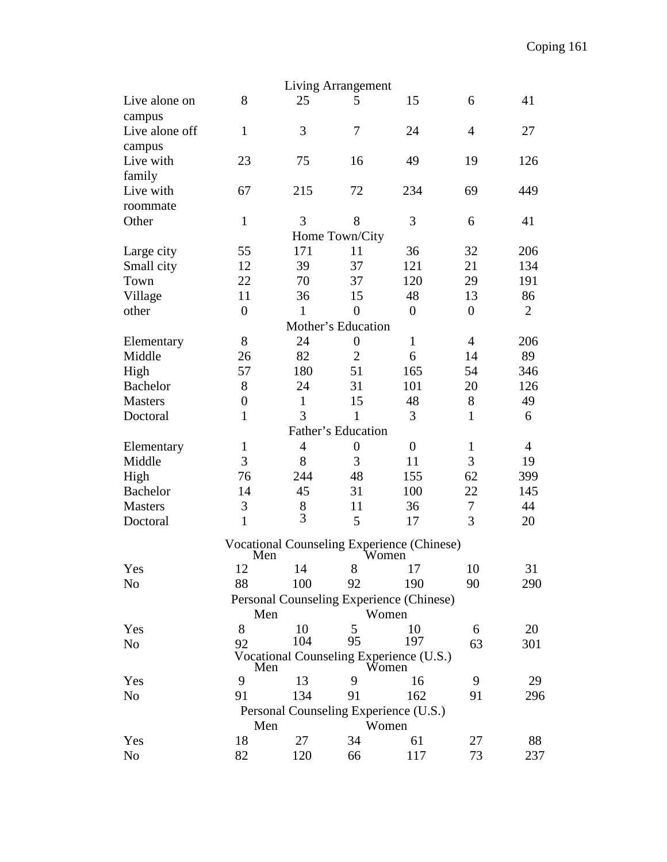|                                                       |                    |                | Living Arrangement |                                                     |                |                |  |  |  |  |  |  |  |
|-------------------------------------------------------|--------------------|----------------|--------------------|-----------------------------------------------------|----------------|----------------|--|--|--|--|--|--|--|
| Live alone on                                         | 8                  | 25             | 5                  | 15                                                  | 6              | 41             |  |  |  |  |  |  |  |
| campus                                                |                    |                |                    |                                                     |                |                |  |  |  |  |  |  |  |
| Live alone off                                        | $\mathbf{1}$       | 3              | 7                  | 24                                                  | $\overline{4}$ | 27             |  |  |  |  |  |  |  |
| campus                                                |                    |                |                    |                                                     |                |                |  |  |  |  |  |  |  |
| Live with                                             | 23                 | 75             | 16                 | 49                                                  | 19             | 126            |  |  |  |  |  |  |  |
| family                                                |                    |                |                    |                                                     |                |                |  |  |  |  |  |  |  |
| Live with                                             | 67                 | 215            | 72                 | 234                                                 | 69             | 449            |  |  |  |  |  |  |  |
| roommate                                              |                    |                |                    |                                                     |                |                |  |  |  |  |  |  |  |
| Other                                                 | $\mathbf{1}$       | 3              | 8                  | 3                                                   | 6              | 41             |  |  |  |  |  |  |  |
|                                                       |                    |                | Home Town/City     |                                                     |                |                |  |  |  |  |  |  |  |
| Large city                                            | 55                 | 171            | 11                 | 36                                                  | 32             | 206            |  |  |  |  |  |  |  |
| Small city                                            | 12                 | 39             | 37                 | 121                                                 | 21             | 134            |  |  |  |  |  |  |  |
| Town                                                  | 22                 | 70             | 37                 | 120                                                 | 29             | 191            |  |  |  |  |  |  |  |
| Village                                               | 11                 | 36             | 15                 | 48                                                  | 13             | 86             |  |  |  |  |  |  |  |
| other                                                 | $\overline{0}$     | $\mathbf{1}$   | $\overline{0}$     | $\boldsymbol{0}$                                    | $\overline{0}$ | $\overline{2}$ |  |  |  |  |  |  |  |
|                                                       |                    |                | Mother's Education |                                                     |                |                |  |  |  |  |  |  |  |
| Elementary                                            | 8                  | 24             | $\boldsymbol{0}$   | $\mathbf{1}$                                        | $\overline{4}$ | 206            |  |  |  |  |  |  |  |
| Middle                                                | 26                 | 82             | $\overline{2}$     | 6                                                   | 14             | 89             |  |  |  |  |  |  |  |
| High                                                  | 57                 | 180            | 51                 | 165                                                 | 54             | 346            |  |  |  |  |  |  |  |
| <b>Bachelor</b>                                       | 8                  | 24             | 31                 | 101                                                 | 20             | 126            |  |  |  |  |  |  |  |
| <b>Masters</b>                                        | $\overline{0}$     | $\mathbf{1}$   | 15                 | 48                                                  | 8              | 49             |  |  |  |  |  |  |  |
| Doctoral                                              | $\mathbf{1}$       | 3              | $\mathbf{1}$       | 3                                                   | $\mathbf{1}$   | 6              |  |  |  |  |  |  |  |
|                                                       | Father's Education |                |                    |                                                     |                |                |  |  |  |  |  |  |  |
| Elementary                                            | $\mathbf{1}$       | $\overline{4}$ | $\boldsymbol{0}$   | $\boldsymbol{0}$                                    | $\mathbf{1}$   | $\overline{4}$ |  |  |  |  |  |  |  |
| Middle                                                | 3                  | 8              | 3                  | 11                                                  | 3              | 19             |  |  |  |  |  |  |  |
| High                                                  | 76                 | 244            | 48                 | 155                                                 | 62             | 399            |  |  |  |  |  |  |  |
| <b>Bachelor</b>                                       | 14                 | 45             | 31                 | 100                                                 | 22             | 145            |  |  |  |  |  |  |  |
| <b>Masters</b>                                        | 3                  | 8              | 11                 | 36                                                  | $\tau$         | 44             |  |  |  |  |  |  |  |
| Doctoral                                              | $\mathbf{1}$       | 3              | 5                  | 17                                                  | 3              | 20             |  |  |  |  |  |  |  |
|                                                       |                    |                |                    |                                                     |                |                |  |  |  |  |  |  |  |
|                                                       | Men                |                |                    | Vocational Counseling Experience (Chinese)<br>Women |                |                |  |  |  |  |  |  |  |
| Yes                                                   | 12                 | 14             | 8                  | 17                                                  | 10             | 31             |  |  |  |  |  |  |  |
| No                                                    | 88                 | 100            | 92                 | 190                                                 | 90             | 290            |  |  |  |  |  |  |  |
|                                                       |                    |                |                    | Personal Counseling Experience (Chinese)            |                |                |  |  |  |  |  |  |  |
|                                                       | Men                |                |                    | Women                                               |                |                |  |  |  |  |  |  |  |
| Yes                                                   | 8                  | 10             | 5                  | 10                                                  | 6              | 20             |  |  |  |  |  |  |  |
| N <sub>0</sub>                                        | 92                 | 104            | 95                 | 197                                                 | 63             | 301            |  |  |  |  |  |  |  |
|                                                       |                    |                |                    | Vocational Counseling Experience (U.S.)             |                |                |  |  |  |  |  |  |  |
| Yes                                                   | Men<br>9           | 13             | 9                  | Women<br>16                                         | 9              | 29             |  |  |  |  |  |  |  |
| N <sub>0</sub>                                        | 91                 | 134            | 91                 | 162                                                 | 91             | 296            |  |  |  |  |  |  |  |
|                                                       |                    |                |                    |                                                     |                |                |  |  |  |  |  |  |  |
| Personal Counseling Experience (U.S.)<br>Women<br>Men |                    |                |                    |                                                     |                |                |  |  |  |  |  |  |  |
| Yes                                                   | 18                 | 27             | 34                 | 61                                                  | 27             | 88             |  |  |  |  |  |  |  |
| N <sub>0</sub>                                        | 82                 | 120            | 66                 | 117                                                 | 73             | 237            |  |  |  |  |  |  |  |
|                                                       |                    |                |                    |                                                     |                |                |  |  |  |  |  |  |  |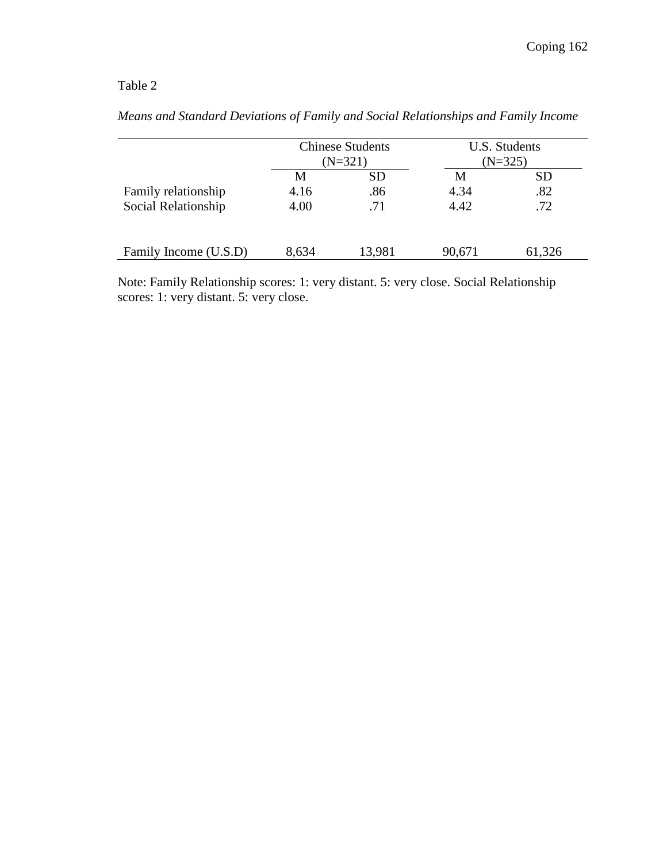|                       |       | <b>Chinese Students</b> | U.S. Students |           |  |  |
|-----------------------|-------|-------------------------|---------------|-----------|--|--|
|                       |       | $(N=321)$               |               | $(N=325)$ |  |  |
|                       | M     | <b>SD</b>               | M             | <b>SD</b> |  |  |
| Family relationship   | 4.16  | .86                     | 4.34          | .82       |  |  |
| Social Relationship   | 4.00  | .71                     | 4.42          | .72       |  |  |
|                       |       |                         |               |           |  |  |
|                       |       |                         |               |           |  |  |
| Family Income (U.S.D) | 8,634 | 13,981                  | 90,671        | 61,326    |  |  |

*Means and Standard Deviations of Family and Social Relationships and Family Income* 

Note: Family Relationship scores: 1: very distant. 5: very close. Social Relationship scores: 1: very distant. 5: very close.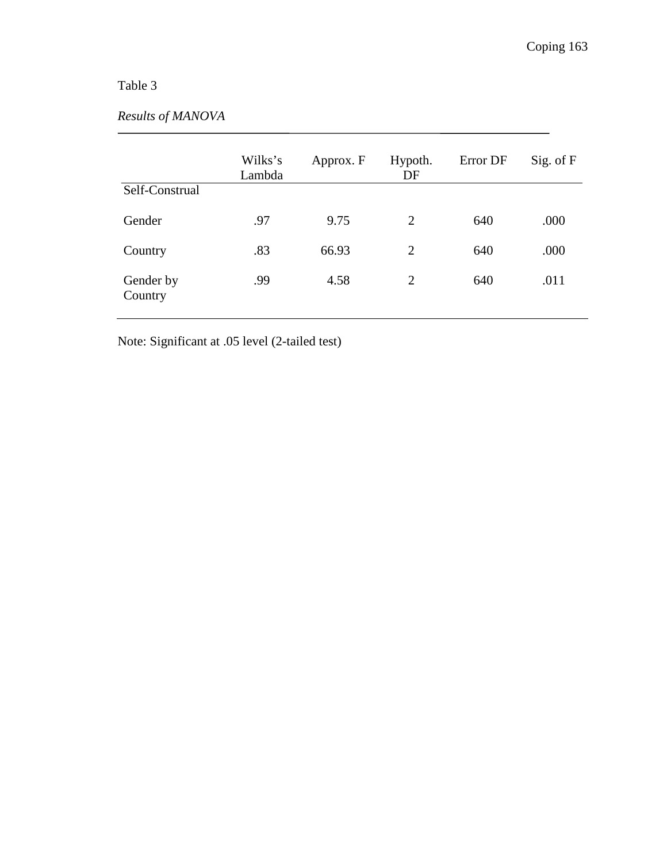## *Results of MANOVA*

|                      | Wilks's<br>Lambda | Approx. F | Hypoth.<br>DF  | Error DF | Sig. of F |
|----------------------|-------------------|-----------|----------------|----------|-----------|
| Self-Construal       |                   |           |                |          |           |
| Gender               | .97               | 9.75      | $\overline{2}$ | 640      | .000      |
| Country              | .83               | 66.93     | 2              | 640      | .000      |
| Gender by<br>Country | .99               | 4.58      | 2              | 640      | .011      |

Note: Significant at .05 level (2-tailed test)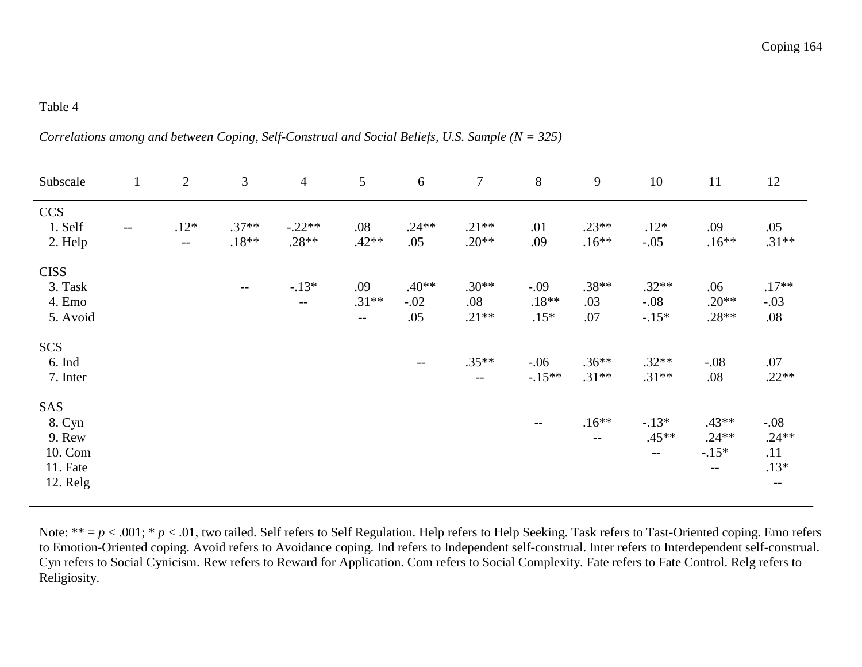*Correlations among and between Coping, Self-Construal and Social Beliefs, U.S. Sample (N = 325)* 

| Subscale                                                   | $\mathbf{1}$ | 2                                 | 3                  | $\overline{4}$                      | 5                      | 6                        | $\overline{7}$                | 8                           | $\mathbf{9}$          | 10                           | 11                                    | 12                                         |
|------------------------------------------------------------|--------------|-----------------------------------|--------------------|-------------------------------------|------------------------|--------------------------|-------------------------------|-----------------------------|-----------------------|------------------------------|---------------------------------------|--------------------------------------------|
| <b>CCS</b><br>1. Self<br>2. Help                           | $ -$         | $.12*$<br>$\mathbb{L} \mathbb{L}$ | $.37**$<br>$.18**$ | $-.22**$<br>$.28**$                 | .08<br>$.42**$         | $.24**$<br>.05           | $.21**$<br>$.20**$            | .01<br>.09                  | $.23**$<br>$.16**$    | $.12*$<br>$-.05$             | .09<br>$.16**$                        | .05<br>$.31**$                             |
| <b>CISS</b><br>3. Task<br>4. Emo<br>5. Avoid               |              |                                   | $\qquad \qquad -$  | $-.13*$<br>$\overline{\phantom{m}}$ | .09<br>$.31**$<br>$--$ | $.40**$<br>$-.02$<br>.05 | $.30**$<br>$.08\,$<br>$.21**$ | $-.09$<br>$.18**$<br>$.15*$ | $.38**$<br>.03<br>.07 | $.32**$<br>$-.08$<br>$-.15*$ | .06<br>$.20**$<br>$.28**$             | $.17**$<br>$-.03$<br>$.08\,$               |
| <b>SCS</b><br>6. Ind<br>7. Inter                           |              |                                   |                    |                                     |                        | $\qquad \qquad -$        | $.35**$<br>$-$                | $-.06$<br>$-.15**$          | $.36**$<br>$.31**$    | $.32**$<br>$.31**$           | $-.08$<br>.08                         | $.07$<br>$.22**$                           |
| SAS<br>8. Cyn<br>9. Rew<br>10. Com<br>11. Fate<br>12. Relg |              |                                   |                    |                                     |                        |                          |                               | $\qquad \qquad -$           | $.16**$<br>$-$        | $-.13*$<br>$.45**$<br>$ -$   | $.43**$<br>$.24**$<br>$-15*$<br>$- -$ | $-.08$<br>$.24**$<br>.11<br>$.13*$<br>$--$ |

Note: \*\* =  $p < .001$ ; \*  $p < .01$ , two tailed. Self refers to Self Regulation. Help refers to Help Seeking. Task refers to Tast-Oriented coping. Emo refers to Emotion-Oriented coping. Avoid refers to Avoidance coping. Ind refers to Independent self-construal. Inter refers to Interdependent self-construal. Cyn refers to Social Cynicism. Rew refers to Reward for Application. Com refers to Social Complexity. Fate refers to Fate Control. Relg refers to Religiosity.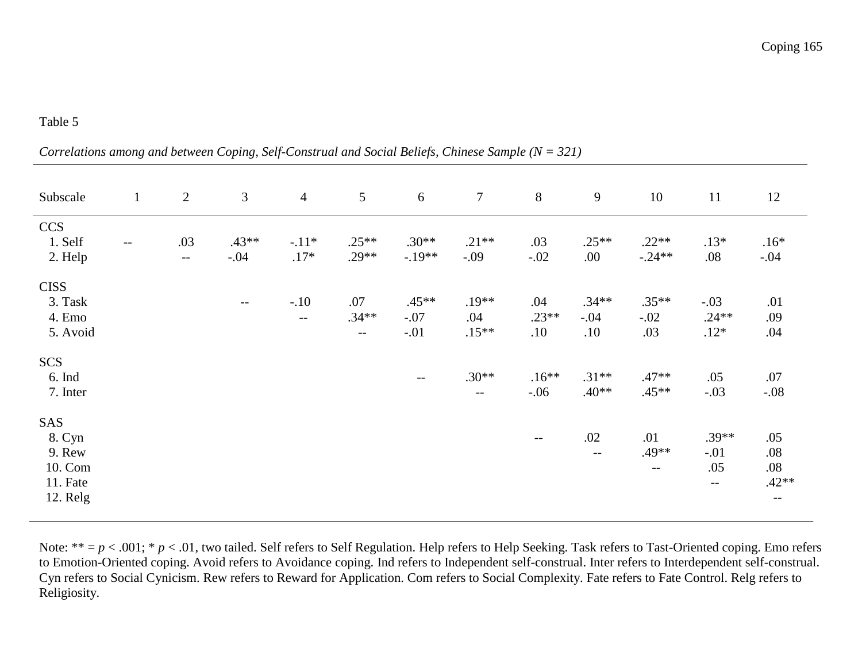*Correlations among and between Coping, Self-Construal and Social Beliefs, Chinese Sample (N = 321)* 

| Subscale                                                   | $\mathbf{1}$ | $\overline{2}$      | 3                 | $\overline{4}$    | 5                                           | 6                           | $\tau$                              | 8                     | 9                        | 10                       | 11                               | 12                                   |
|------------------------------------------------------------|--------------|---------------------|-------------------|-------------------|---------------------------------------------|-----------------------------|-------------------------------------|-----------------------|--------------------------|--------------------------|----------------------------------|--------------------------------------|
| <b>CCS</b><br>1. Self<br>2. Help                           | $- -$        | .03<br>$\mathbf{u}$ | $.43**$<br>$-.04$ | $-.11*$<br>$.17*$ | $.25**$<br>$.29**$                          | $.30**$<br>$-.19**$         | $.21**$<br>$-.09$                   | .03<br>$-.02$         | $.25**$<br>.00           | $.22**$<br>$-.24**$      | $.13*$<br>.08                    | $.16*$<br>$-.04$                     |
| <b>CISS</b><br>3. Task<br>4. Emo<br>5. Avoid               |              |                     | $ -$              | $-.10$<br>$- -$   | .07<br>$.34**$<br>$\mathcal{L} \mathcal{L}$ | $.45**$<br>$-.07$<br>$-.01$ | $.19**$<br>.04<br>$.15**$           | .04<br>$.23**$<br>.10 | $.34**$<br>$-.04$<br>.10 | $.35**$<br>$-.02$<br>.03 | $-.03$<br>$.24**$<br>$.12*$      | .01<br>.09<br>.04                    |
| <b>SCS</b><br>6. Ind<br>7. Inter                           |              |                     |                   |                   |                                             | $- -$                       | $.30**$<br>$\overline{\phantom{m}}$ | $.16**$<br>$-.06$     | $.31**$<br>$.40**$       | $.47**$<br>$.45**$       | .05<br>$-.03$                    | $.07$<br>$-.08$                      |
| SAS<br>8. Cyn<br>9. Rew<br>10. Com<br>11. Fate<br>12. Relg |              |                     |                   |                   |                                             |                             |                                     | $\qquad \qquad -$     | .02<br>$ -$              | .01<br>.49**<br>$- -$    | $.39**$<br>$-.01$<br>.05<br>$--$ | .05<br>.08<br>.08<br>$.42**$<br>$--$ |

Note: \*\* =  $p$  < .001; \*  $p$  < .01, two tailed. Self refers to Self Regulation. Help refers to Help Seeking. Task refers to Tast-Oriented coping. Emo refers to Emotion-Oriented coping. Avoid refers to Avoidance coping. Ind refers to Independent self-construal. Inter refers to Interdependent self-construal. Cyn refers to Social Cynicism. Rew refers to Reward for Application. Com refers to Social Complexity. Fate refers to Fate Control. Relg refers to Religiosity.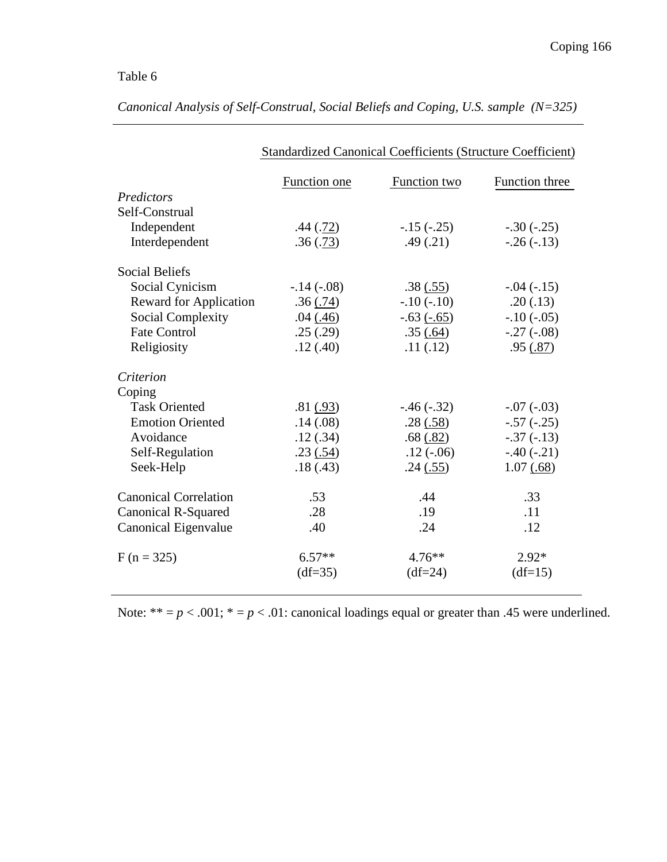|                               | Standardized Canonical Coefficients (Structure Coefficient) |               |                |
|-------------------------------|-------------------------------------------------------------|---------------|----------------|
|                               | Function one                                                | Function two  | Function three |
| Predictors                    |                                                             |               |                |
| Self-Construal                |                                                             |               |                |
| Independent                   | .44(.72)                                                    | $-15(-.25)$   | $-.30(-.25)$   |
| Interdependent                | .36(.73)                                                    | .49(.21)      | $-.26(-.13)$   |
| <b>Social Beliefs</b>         |                                                             |               |                |
| Social Cynicism               | $-.14(-.08)$                                                | .38(.55)      | $-.04(-.15)$   |
| <b>Reward for Application</b> | .36(.74)                                                    | $-.10(-.10)$  | .20(.13)       |
| <b>Social Complexity</b>      | .04(0.46)                                                   | $-.63(-.65)$  | $-.10(-.05)$   |
| <b>Fate Control</b>           | .25(.29)                                                    | .35(.64)      | $-.27(-.08)$   |
| Religiosity                   | .12(.40)                                                    | .11(.12)      | .95(.87)       |
| Criterion                     |                                                             |               |                |
| Coping                        |                                                             |               |                |
| <b>Task Oriented</b>          | .81(.93)                                                    | $-.46(-.32)$  | $-.07(-03)$    |
| <b>Emotion Oriented</b>       | .14(.08)                                                    | .28(.58)      | $-.57(-.25)$   |
| Avoidance                     | .12(.34)                                                    | $.68 \ (.82)$ | $-.37(-.13)$   |
| Self-Regulation               | .23(.54)                                                    | $.12(-.06)$   | $-.40(-.21)$   |
| Seek-Help                     | .18(.43)                                                    | .24(.55)      | 1.07(.68)      |
| <b>Canonical Correlation</b>  | .53                                                         | .44           | .33            |
| Canonical R-Squared           | .28                                                         | .19           | .11            |
| Canonical Eigenvalue          | .40                                                         | .24           | .12            |
| $F (n = 325)$                 | $6.57**$                                                    | $4.76***$     | $2.92*$        |
|                               | $(df=35)$                                                   | $(df=24)$     | $(df=15)$      |

*Canonical Analysis of Self-Construal, Social Beliefs and Coping, U.S. sample (N=325)* 

Note:  $** = p < .001$ ;  $* = p < .01$ : canonical loadings equal or greater than .45 were underlined.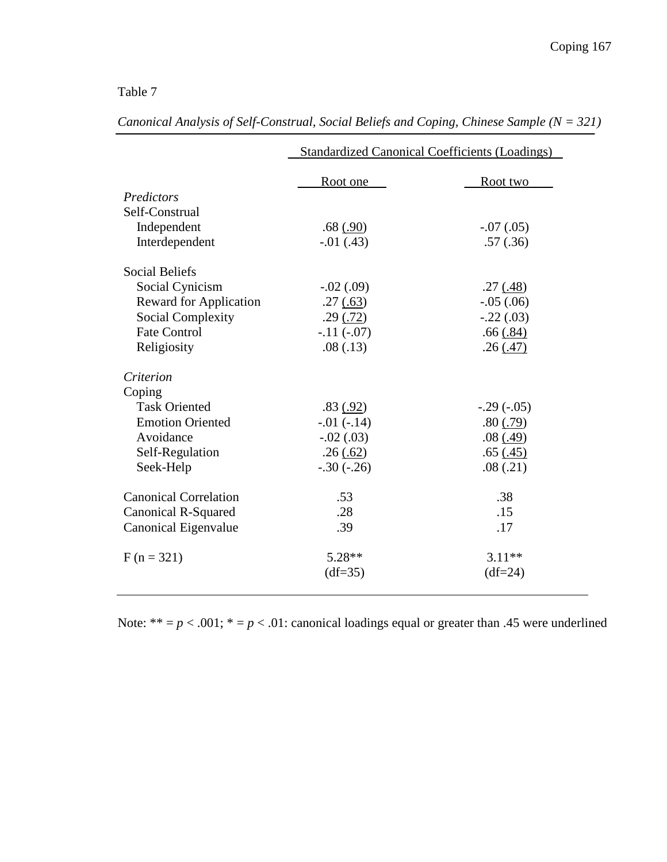|                               |               | <b>Standardized Canonical Coefficients (Loadings)</b> |
|-------------------------------|---------------|-------------------------------------------------------|
|                               | Root one      | Root two                                              |
| Predictors                    |               |                                                       |
| Self-Construal                |               |                                                       |
| Independent                   | .68(.90)      | $-.07(.05)$                                           |
| Interdependent                | $-0.01$ (.43) | .57(.36)                                              |
| <b>Social Beliefs</b>         |               |                                                       |
| Social Cynicism               | $-.02(.09)$   | .27(.48)                                              |
| <b>Reward for Application</b> | .27(.63)      | $-.05(.06)$                                           |
| Social Complexity             | .29(.72)      | $-.22(.03)$                                           |
| <b>Fate Control</b>           | $-.11(-.07)$  | .66(.84)                                              |
| Religiosity                   | .08(.13)      | .26(.47)                                              |
| Criterion                     |               |                                                       |
| Coping                        |               |                                                       |
| <b>Task Oriented</b>          | .83(.92)      | $-.29(-05)$                                           |
| <b>Emotion Oriented</b>       | $-.01(-.14)$  | .80(.79)                                              |
| Avoidance                     | $-.02(.03)$   | .08(.49)                                              |
| Self-Regulation               | .26(.62)      | .65(.45)                                              |
| Seek-Help                     | $-.30(-.26)$  | .08(.21)                                              |
| <b>Canonical Correlation</b>  | .53           | .38                                                   |
| Canonical R-Squared           | .28           | .15                                                   |
| Canonical Eigenvalue          | .39           | .17                                                   |
| $F (n = 321)$                 | $5.28**$      | $3.11**$                                              |
|                               | $(df=35)$     | $(df=24)$                                             |
|                               |               |                                                       |

*Canonical Analysis of Self-Construal, Social Beliefs and Coping, Chinese Sample (N = 321)* 

Note: \*\*  $=p < .001$ ; \*  $=p < .01$ : canonical loadings equal or greater than .45 were underlined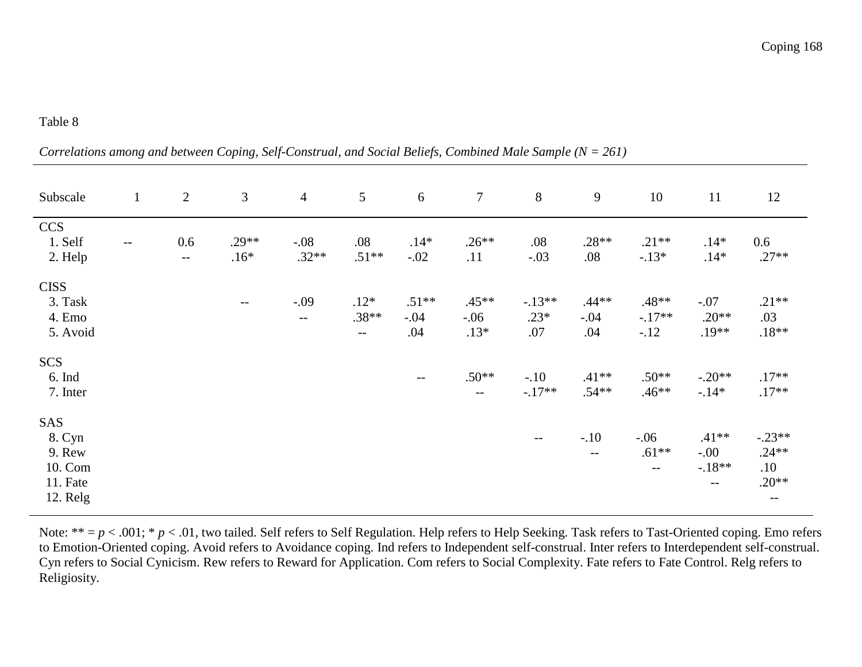*Correlations among and between Coping, Self-Construal, and Social Beliefs, Combined Male Sample (N = 261)* 

| Subscale                                                   | $\mathbf{1}$ | $\overline{2}$ | $\mathfrak{Z}$    | $\overline{4}$    | $5\overline{)}$                                                    | 6                        | $\overline{7}$              | 8                             | 9                        | 10                                                                 | 11                                      | 12                                                         |
|------------------------------------------------------------|--------------|----------------|-------------------|-------------------|--------------------------------------------------------------------|--------------------------|-----------------------------|-------------------------------|--------------------------|--------------------------------------------------------------------|-----------------------------------------|------------------------------------------------------------|
| <b>CCS</b><br>1. Self<br>2. Help                           | $-$          | 0.6<br>$- -$   | $.29**$<br>$.16*$ | $-.08$<br>$.32**$ | .08<br>$.51**$                                                     | $.14*$<br>$-.02$         | $.26**$<br>.11              | .08<br>$-.03$                 | $.28**$<br>$.08$         | $.21**$<br>$-.13*$                                                 | $.14*$<br>$.14*$                        | 0.6<br>$.27**$                                             |
| <b>CISS</b><br>3. Task<br>4. Emo<br>5. Avoid               |              |                | $--$              | $-.09$<br>$- -$   | $.12*$<br>$.38**$<br>$\mathord{\hspace{1pt}\text{--}\hspace{1pt}}$ | $.51**$<br>$-.04$<br>.04 | $.45**$<br>$-.06$<br>$.13*$ | $-.13**$<br>$.23*$<br>$.07\,$ | $.44**$<br>$-.04$<br>.04 | $.48**$<br>$-.17**$<br>$-.12$                                      | $-.07$<br>$.20**$<br>$.19**$            | $.21**$<br>.03<br>$.18**$                                  |
| <b>SCS</b><br>6. Ind<br>7. Inter                           |              |                |                   |                   |                                                                    | $--$                     | $.50**$<br>$ -$             | $-.10$<br>$-.17**$            | $.41**$<br>$.54**$       | $.50**$<br>$.46**$                                                 | $-.20**$<br>$-.14*$                     | $.17**$<br>$.17**$                                         |
| SAS<br>8. Cyn<br>9. Rew<br>10. Com<br>11. Fate<br>12. Relg |              |                |                   |                   |                                                                    |                          |                             | $--$                          | $-.10$<br>$--$           | $-.06$<br>$.61**$<br>$\mathord{\hspace{1pt}\text{--}\hspace{1pt}}$ | $.41**$<br>$-00 -$<br>$-.18**$<br>$- -$ | $-.23**$<br>$.24**$<br>.10<br>$.20**$<br>$\qquad \qquad -$ |

Note: \*\* =  $p < .001$ ; \*  $p < .01$ , two tailed. Self refers to Self Regulation. Help refers to Help Seeking. Task refers to Tast-Oriented coping. Emo refers to Emotion-Oriented coping. Avoid refers to Avoidance coping. Ind refers to Independent self-construal. Inter refers to Interdependent self-construal. Cyn refers to Social Cynicism. Rew refers to Reward for Application. Com refers to Social Complexity. Fate refers to Fate Control. Relg refers to Religiosity.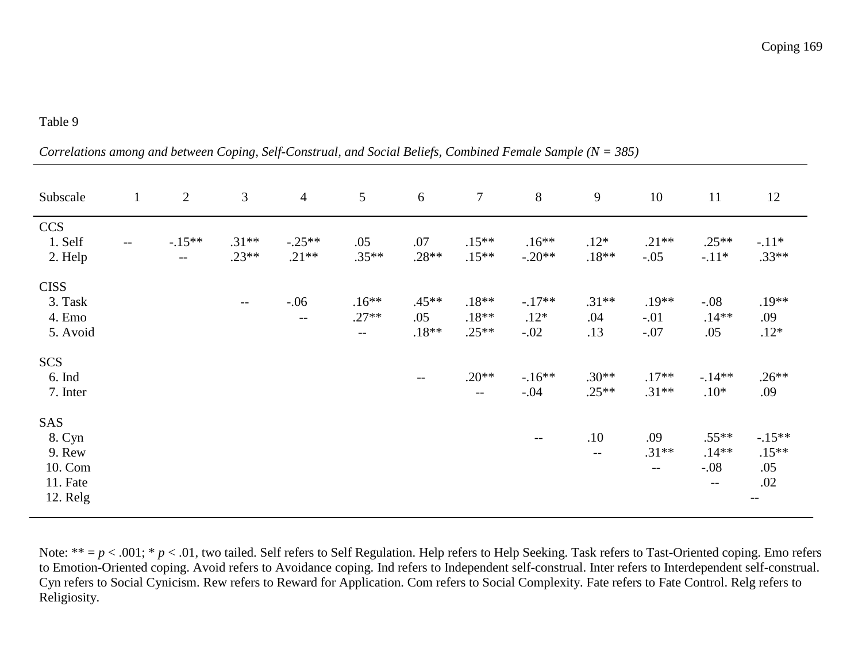*Correlations among and between Coping, Self-Construal, and Social Beliefs, Combined Female Sample (N = 385)* 

| Subscale                                                   | $\mathbf{1}$             | $\overline{2}$   | 3                  | $\overline{4}$      | $\mathfrak{S}$              | 6                         | $\overline{7}$                      | $8\,$                        | 9                     | 10                                 | 11                                                       | 12                               |
|------------------------------------------------------------|--------------------------|------------------|--------------------|---------------------|-----------------------------|---------------------------|-------------------------------------|------------------------------|-----------------------|------------------------------------|----------------------------------------------------------|----------------------------------|
| <b>CCS</b><br>1. Self<br>2. Help                           | $\overline{\phantom{m}}$ | $-15**$<br>$- -$ | $.31**$<br>$.23**$ | $-.25**$<br>$.21**$ | .05<br>$.35**$              | .07<br>$.28**$            | $.15**$<br>$.15**$                  | $.16**$<br>$-.20**$          | $.12*$<br>$.18**$     | $.21**$<br>$-.05$                  | $.25**$<br>$-.11*$                                       | $-.11*$<br>$.33**$               |
| <b>CISS</b><br>3. Task<br>4. Emo<br>5. Avoid               |                          |                  | $- -$              | $-.06$<br>$ -$      | $.16**$<br>$.27**$<br>$- -$ | $.45**$<br>.05<br>$.18**$ | $.18**$<br>$.18**$<br>$.25**$       | $-.17**$<br>$.12*$<br>$-.02$ | $.31**$<br>.04<br>.13 | $.19**$<br>$-.01$<br>$-.07$        | $-.08$<br>$.14**$<br>.05                                 | $.19**$<br>.09<br>$.12*$         |
| <b>SCS</b><br>6. Ind<br>7. Inter                           |                          |                  |                    |                     |                             | $\overline{\phantom{m}}$  | $.20**$<br>$\overline{\phantom{a}}$ | $-.16**$<br>$-.04$           | $.30**$<br>$.25**$    | $.17**$<br>$.31**$                 | $-14**$<br>$.10*$                                        | $.26**$<br>.09                   |
| SAS<br>8. Cyn<br>9. Rew<br>10. Com<br>11. Fate<br>12. Relg |                          |                  |                    |                     |                             |                           |                                     | $\qquad \qquad -$            | .10<br>$--$           | .09<br>$.31**$<br>$\mathrel{{-}-}$ | $.55**$<br>$.14**$<br>$-.08$<br>$\overline{\phantom{m}}$ | $-15**$<br>$.15**$<br>.05<br>.02 |

Note: \*\* =  $p$  < .001; \*  $p$  < .01, two tailed. Self refers to Self Regulation. Help refers to Help Seeking. Task refers to Tast-Oriented coping. Emo refers to Emotion-Oriented coping. Avoid refers to Avoidance coping. Ind refers to Independent self-construal. Inter refers to Interdependent self-construal. Cyn refers to Social Cynicism. Rew refers to Reward for Application. Com refers to Social Complexity. Fate refers to Fate Control. Relg refers to Religiosity.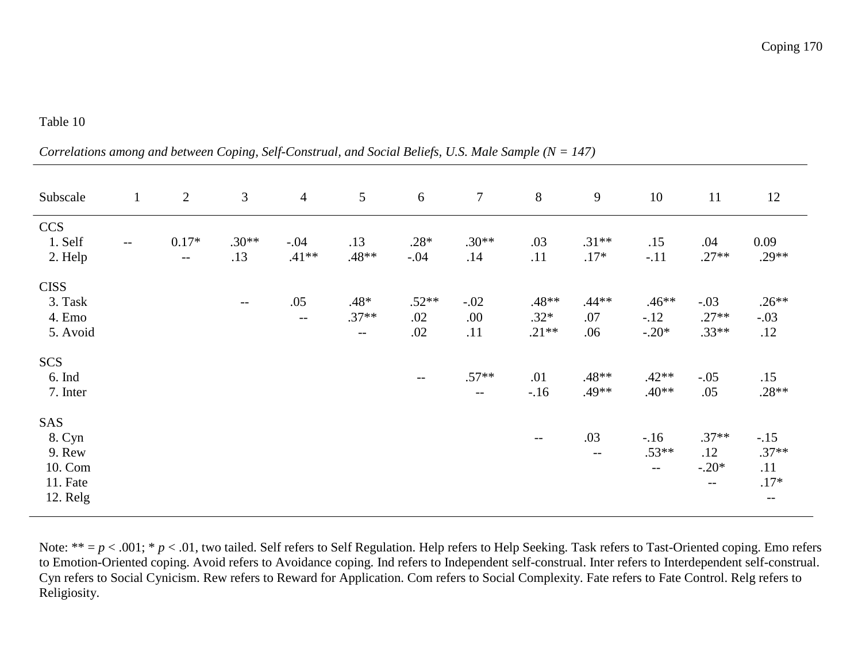*Correlations among and between Coping, Self-Construal, and Social Beliefs, U.S. Male Sample (N = 147)* 

| Subscale                                                   | $\mathbf{1}$ | 2               | 3                                             | $\overline{4}$    | $5\overline{)}$                       | 6                     | $\overline{7}$       | 8                          | 9                     | 10                                                                | 11                                 | 12                                          |
|------------------------------------------------------------|--------------|-----------------|-----------------------------------------------|-------------------|---------------------------------------|-----------------------|----------------------|----------------------------|-----------------------|-------------------------------------------------------------------|------------------------------------|---------------------------------------------|
| <b>CCS</b><br>1. Self<br>2. Help                           | $- -$        | $0.17*$<br>$--$ | $.30**$<br>.13                                | $-.04$<br>$.41**$ | .13<br>.48**                          | $.28*$<br>$-.04$      | $.30**$<br>.14       | .03<br>.11                 | $.31**$<br>$.17*$     | .15<br>$-.11$                                                     | .04<br>$.27**$                     | 0.09<br>$.29**$                             |
| <b>CISS</b><br>3. Task<br>4. Emo<br>5. Avoid               |              |                 | $\mathord{\hspace{1pt}\text{--}\hspace{1pt}}$ | .05<br>$- -$      | $.48*$<br>$.37**$<br>$\mathrel{{-}-}$ | $.52**$<br>.02<br>.02 | $-.02$<br>.00<br>.11 | .48**<br>$.32*$<br>$.21**$ | $.44**$<br>.07<br>.06 | $.46**$<br>$-12$<br>$-.20*$                                       | $-.03$<br>$.27**$<br>$.33**$       | $.26**$<br>$-.03$<br>.12                    |
| <b>SCS</b><br>6. Ind<br>7. Inter                           |              |                 |                                               |                   |                                       | $--$                  | $.57**$<br>$- -$     | .01<br>$-16$               | .48**<br>.49**        | $.42**$<br>$.40**$                                                | $-.05$<br>.05                      | .15<br>$.28**$                              |
| SAS<br>8. Cyn<br>9. Rew<br>10. Com<br>11. Fate<br>12. Relg |              |                 |                                               |                   |                                       |                       |                      | $\qquad \qquad -$          | .03<br>$--$           | $-16$<br>$.53**$<br>$\mathord{\hspace{1pt}\text{--}\hspace{1pt}}$ | $.37**$<br>.12<br>$-.20*$<br>$- -$ | $-.15$<br>$.37**$<br>.11<br>$.17*$<br>$- -$ |

Note: \*\* = *p* < .001; \* *p* < .01, two tailed. Self refers to Self Regulation. Help refers to Help Seeking. Task refers to Tast-Oriented coping. Emo refers to Emotion-Oriented coping. Avoid refers to Avoidance coping. Ind refers to Independent self-construal. Inter refers to Interdependent self-construal. Cyn refers to Social Cynicism. Rew refers to Reward for Application. Com refers to Social Complexity. Fate refers to Fate Control. Relg refers to Religiosity.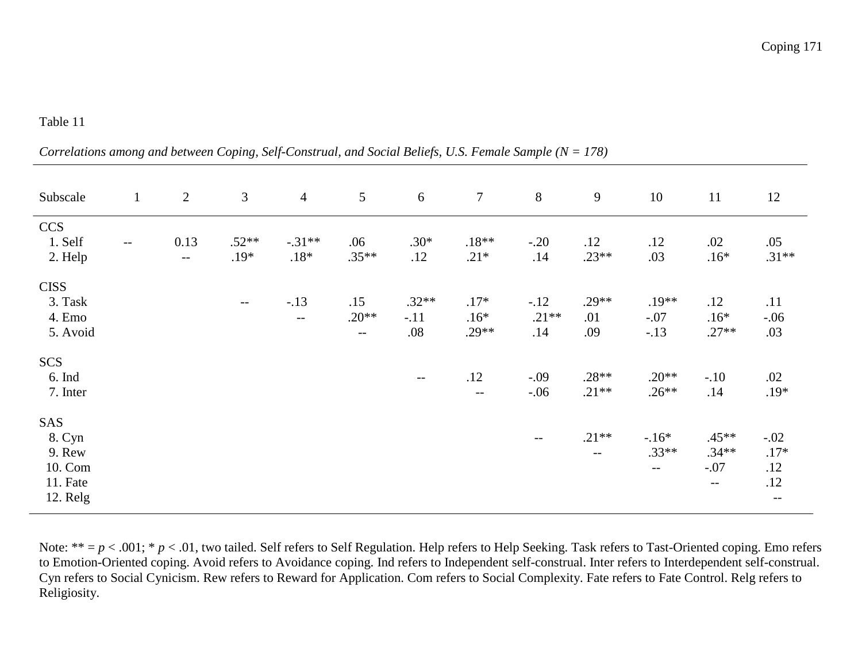*Correlations among and between Coping, Self-Construal, and Social Beliefs, U.S. Female Sample (N = 178)* 

| Subscale                                                   | $\mathbf{1}$             | 2            | $\mathfrak{Z}$    | $\overline{4}$         | $5\phantom{.0}$         | 6                        | $\tau$                          | 8                        | 9                     | 10                          | 11                                   | 12                                    |
|------------------------------------------------------------|--------------------------|--------------|-------------------|------------------------|-------------------------|--------------------------|---------------------------------|--------------------------|-----------------------|-----------------------------|--------------------------------------|---------------------------------------|
| <b>CCS</b><br>1. Self<br>2. Help                           | $\overline{\phantom{m}}$ | 0.13<br>$--$ | $.52**$<br>$.19*$ | $-.31**$<br>$.18*$     | .06<br>$.35**$          | $.30*$<br>.12            | $.18**$<br>$.21*$               | $-.20$<br>.14            | .12<br>$.23**$        | .12<br>.03                  | .02<br>$.16*$                        | .05<br>$.31**$                        |
| <b>CISS</b><br>3. Task<br>4. Emo<br>5. Avoid               |                          |              | $- -$             | $-.13$<br>$\mathbf{u}$ | .15<br>$.20**$<br>$- -$ | $.32**$<br>$-.11$<br>.08 | $.17*$<br>$.16*$<br>$.29**$     | $-.12$<br>$.21**$<br>.14 | $.29**$<br>.01<br>.09 | $.19**$<br>$-.07$<br>$-.13$ | .12<br>$.16*$<br>$.27**$             | .11<br>$-.06$<br>.03                  |
| <b>SCS</b><br>6. Ind<br>7. Inter                           |                          |              |                   |                        |                         | $- -$                    | .12<br>$\overline{\phantom{m}}$ | $-.09$<br>$-.06$         | $.28**$<br>$.21**$    | $.20**$<br>$.26**$          | $-.10$<br>.14                        | .02<br>$.19*$                         |
| SAS<br>8. Cyn<br>9. Rew<br>10. Com<br>11. Fate<br>12. Relg |                          |              |                   |                        |                         |                          |                                 | $\overline{\phantom{m}}$ | $.21**$<br>$- -$      | $-16*$<br>$.33**$<br>$-\,-$ | $.45**$<br>$.34**$<br>$-.07$<br>$--$ | $-.02$<br>$.17*$<br>.12<br>.12<br>$-$ |

Note: \*\* =  $p$  < .001; \*  $p$  < .01, two tailed. Self refers to Self Regulation. Help refers to Help Seeking. Task refers to Tast-Oriented coping. Emo refers to Emotion-Oriented coping. Avoid refers to Avoidance coping. Ind refers to Independent self-construal. Inter refers to Interdependent self-construal. Cyn refers to Social Cynicism. Rew refers to Reward for Application. Com refers to Social Complexity. Fate refers to Fate Control. Relg refers to Religiosity.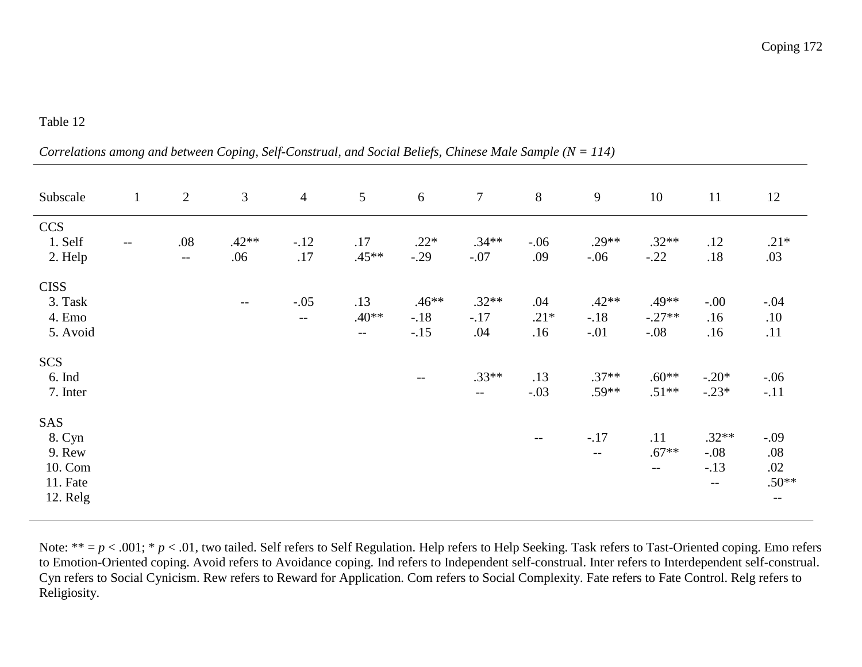*Correlations among and between Coping, Self-Construal, and Social Beliefs, Chinese Male Sample (N = 114)* 

| Subscale                                                   | $\mathbf{1}$             | $\overline{2}$  | 3              | $\overline{4}$  | 5                                                               | 6                           | $\tau$                              | 8                    | 9                           | 10                                                              | 11                                   | 12                                      |
|------------------------------------------------------------|--------------------------|-----------------|----------------|-----------------|-----------------------------------------------------------------|-----------------------------|-------------------------------------|----------------------|-----------------------------|-----------------------------------------------------------------|--------------------------------------|-----------------------------------------|
| <b>CCS</b><br>1. Self<br>2. Help                           | $\overline{\phantom{m}}$ | $.08\,$<br>$--$ | $.42**$<br>.06 | $-.12$<br>$.17$ | .17<br>$.45**$                                                  | $.22*$<br>$-.29$            | $.34**$<br>$-.07$                   | $-.06$<br>.09        | $.29**$<br>$-.06$           | $.32**$<br>$-.22$                                               | .12<br>.18                           | $.21*$<br>.03                           |
| <b>CISS</b><br>3. Task<br>4. Emo<br>5. Avoid               |                          |                 | $--$           | $-.05$<br>$- -$ | .13<br>$.40**$<br>$\mathord{\hspace{1pt}\text{--}\hspace{1pt}}$ | $.46**$<br>$-.18$<br>$-.15$ | $.32**$<br>$-.17$<br>.04            | .04<br>$.21*$<br>.16 | $.42**$<br>$-.18$<br>$-.01$ | .49**<br>$-.27**$<br>$-.08$                                     | $-0.00$<br>.16<br>.16                | $-.04$<br>.10<br>.11                    |
| <b>SCS</b><br>$6.$ Ind<br>7. Inter                         |                          |                 |                |                 |                                                                 | $--$                        | $.33**$<br>$\overline{\phantom{a}}$ | .13<br>$-.03$        | $.37**$<br>$.59**$          | $.60**$<br>$.51**$                                              | $-.20*$<br>$-.23*$                   | $-.06$<br>$-.11$                        |
| SAS<br>8. Cyn<br>9. Rew<br>10. Com<br>11. Fate<br>12. Relg |                          |                 |                |                 |                                                                 |                             |                                     |                      | $-.17$<br>$ -$              | .11<br>$.67**$<br>$\mathord{\hspace{1pt}\text{--}\hspace{1pt}}$ | $.32**$<br>$-.08$<br>$-.13$<br>$- -$ | $-.09$<br>.08<br>.02<br>$.50**$<br>$--$ |

Note: \*\* =  $p$  < .001; \*  $p$  < .01, two tailed. Self refers to Self Regulation. Help refers to Help Seeking. Task refers to Tast-Oriented coping. Emo refers to Emotion-Oriented coping. Avoid refers to Avoidance coping. Ind refers to Independent self-construal. Inter refers to Interdependent self-construal. Cyn refers to Social Cynicism. Rew refers to Reward for Application. Com refers to Social Complexity. Fate refers to Fate Control. Relg refers to Religiosity.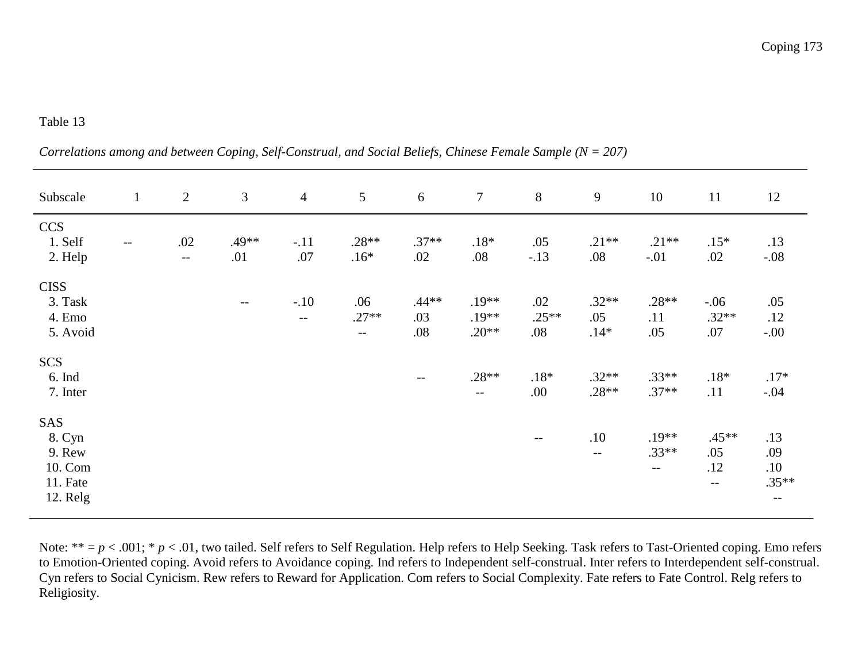|  |  |  | Correlations among and between Coping, Self-Construal, and Social Beliefs, Chinese Female Sample ( $N = 207$ ) |  |
|--|--|--|----------------------------------------------------------------------------------------------------------------|--|
|--|--|--|----------------------------------------------------------------------------------------------------------------|--|

| Subscale                                                   | $\mathbf{1}$ | $\overline{2}$ | $\mathfrak{Z}$ | $\overline{4}$                     | 5                                          | 6                     | $\tau$                        | $8\,$                 | $\mathbf{9}$             | 10                          | 11                            | 12                                   |
|------------------------------------------------------------|--------------|----------------|----------------|------------------------------------|--------------------------------------------|-----------------------|-------------------------------|-----------------------|--------------------------|-----------------------------|-------------------------------|--------------------------------------|
| <b>CCS</b><br>1. Self<br>2. Help                           | $ -$         | .02<br>$\sim$  | .49**<br>.01   | $-.11$<br>.07                      | $.28**$<br>$.16*$                          | $.37**$<br>.02        | $.18*$<br>.08                 | .05<br>$-.13$         | $.21**$<br>.08           | $.21**$<br>$-.01$           | $.15*$<br>.02                 | .13<br>$-.08$                        |
| <b>CISS</b><br>3. Task<br>4. Emo<br>5. Avoid               |              |                | $- -$          | $-.10$<br>$\overline{\phantom{m}}$ | .06<br>$.27**$<br>$\overline{\phantom{a}}$ | $.44**$<br>.03<br>.08 | $.19**$<br>$.19**$<br>$.20**$ | .02<br>$.25**$<br>.08 | $.32**$<br>.05<br>$.14*$ | $.28**$<br>.11<br>.05       | $-.06$<br>$.32**$<br>.07      | .05<br>.12<br>$-.00$                 |
| <b>SCS</b><br>6. Ind<br>7. Inter                           |              |                |                |                                    |                                            | $- -$                 | $.28**$<br>$- -$              | $.18*$<br>.00.        | $.32**$<br>$.28**$       | $.33**$<br>$.37**$          | $.18*$<br>.11                 | $.17*$<br>$-.04$                     |
| SAS<br>8. Cyn<br>9. Rew<br>10. Com<br>11. Fate<br>12. Relg |              |                |                |                                    |                                            |                       |                               | $\qquad \qquad -$     | .10<br>$-$               | $.19**$<br>$.33**$<br>$- -$ | $.45**$<br>.05<br>.12<br>$--$ | .13<br>.09<br>.10<br>$.35**$<br>$--$ |

Note: \*\* = p < .001; \* p < .01, two tailed. Self refers to Self Regulation. Help refers to Help Seeking. Task refers to Tast-Oriented coping. Emo refers<br>to Emotion-Oriented coping. Avoid refers to Avoidance coping. Ind ref Religiosity.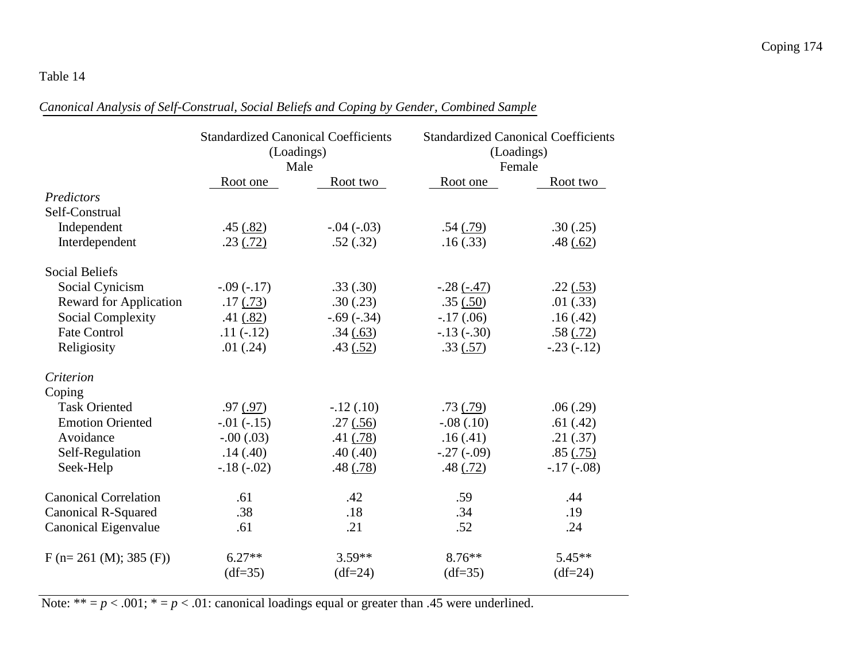# *Canonical Analysis of Self-Construal, Social Beliefs and Coping by Gender, Combined Sample*

|                               | <b>Standardized Canonical Coefficients</b><br>(Loadings)<br>Male |              |              | <b>Standardized Canonical Coefficients</b><br>(Loadings)<br>Female |
|-------------------------------|------------------------------------------------------------------|--------------|--------------|--------------------------------------------------------------------|
|                               | Root one                                                         | Root two     | Root one     | Root two                                                           |
| Predictors                    |                                                                  |              |              |                                                                    |
| Self-Construal                |                                                                  |              |              |                                                                    |
| Independent                   | .45(.82)                                                         | $-.04 (-03)$ | .54(.79)     | .30(.25)                                                           |
| Interdependent                | .23(.72)                                                         | .52(.32)     | .16(.33)     | .48 $(.62)$                                                        |
| <b>Social Beliefs</b>         |                                                                  |              |              |                                                                    |
| Social Cynicism               | $-.09(-.17)$                                                     | .33(.30)     | $-.28(-.47)$ | $.22$ $(.53)$                                                      |
| <b>Reward for Application</b> | .17(0.73)                                                        | .30(.23)     | .35(.50)     | .01(.33)                                                           |
| <b>Social Complexity</b>      | .41 $(.82)$                                                      | $-.69(-.34)$ | $-.17(.06)$  | .16(.42)                                                           |
| <b>Fate Control</b>           | $.11(-.12)$                                                      | .34(.63)     | $-.13(-.30)$ | .58(.72)                                                           |
| Religiosity                   | .01(.24)                                                         | .43(.52)     | .33(.57)     | $-.23(-.12)$                                                       |
| Criterion                     |                                                                  |              |              |                                                                    |
| Coping                        |                                                                  |              |              |                                                                    |
| <b>Task Oriented</b>          | .97(0.97)                                                        | $-.12(.10)$  | .73(.79)     | .06(.29)                                                           |
| <b>Emotion Oriented</b>       | $-.01(-.15)$                                                     | .27(.56)     | $-.08(.10)$  | .61(.42)                                                           |
| Avoidance                     | $-.00(.03)$                                                      | .41(.78)     | .16(.41)     | .21(.37)                                                           |
| Self-Regulation               | .14(.40)                                                         | .40(.40)     | $-.27(-.09)$ | .85( .75)                                                          |
| Seek-Help                     | $-.18(-.02)$                                                     | .48(.78)     | .48(.72)     | $-.17(-.08)$                                                       |
| <b>Canonical Correlation</b>  | .61                                                              | .42          | .59          | .44                                                                |
| <b>Canonical R-Squared</b>    | .38                                                              | .18          | .34          | .19                                                                |
| Canonical Eigenvalue          | .61                                                              | .21          | .52          | .24                                                                |
| $F(n=261 (M); 385 (F))$       | $6.27**$                                                         | $3.59**$     | $8.76***$    | $5.45**$                                                           |
|                               | $(df=35)$                                                        | $(df=24)$    | $(df=35)$    | $(df=24)$                                                          |

Note: \*\*  $= p < .001$ ; \*  $= p < .01$ : canonical loadings equal or greater than .45 were underlined.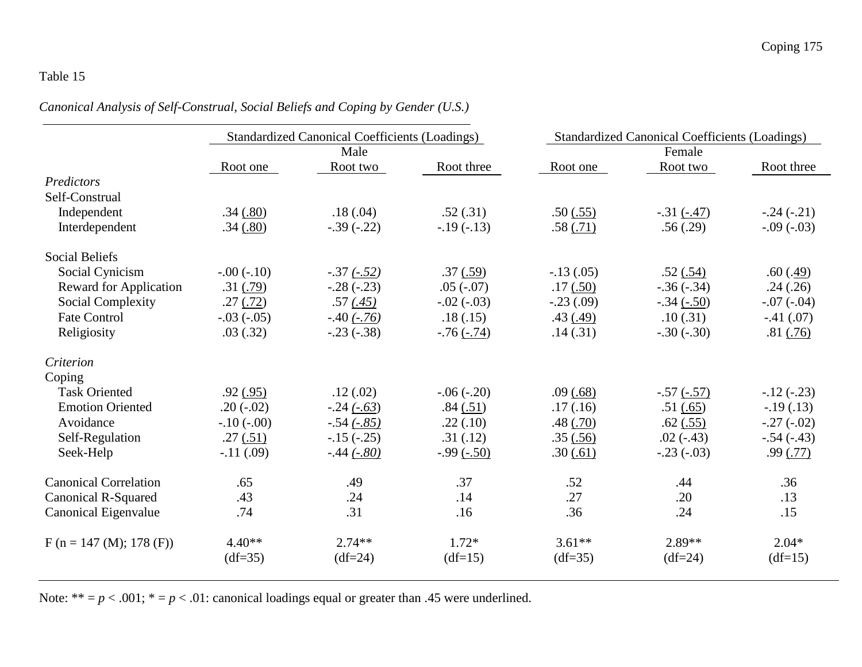*Canonical Analysis of Self-Construal, Social Beliefs and Coping by Gender (U.S.)* 

|                               |               | <b>Standardized Canonical Coefficients (Loadings)</b> |              |             | <b>Standardized Canonical Coefficients (Loadings)</b> |              |  |  |  |
|-------------------------------|---------------|-------------------------------------------------------|--------------|-------------|-------------------------------------------------------|--------------|--|--|--|
|                               |               | Male                                                  |              |             | Female                                                |              |  |  |  |
|                               | Root one      | Root two                                              | Root three   | Root one    | Root two                                              | Root three   |  |  |  |
| Predictors                    |               |                                                       |              |             |                                                       |              |  |  |  |
| Self-Construal                |               |                                                       |              |             |                                                       |              |  |  |  |
| Independent                   | .34(.80)      | .18(.04)                                              | .52(.31)     | .50(.55)    | $-.31 (-.47)$                                         | $-.24(-.21)$ |  |  |  |
| Interdependent                | .34(.80)      | $-.39(-.22)$                                          | $-19(-13)$   | .58(.71)    | .56(.29)                                              | $-.09(-03)$  |  |  |  |
| <b>Social Beliefs</b>         |               |                                                       |              |             |                                                       |              |  |  |  |
| Social Cynicism               | $-.00(-.10)$  | $-.37(-.52)$                                          | .37(.59)     | $-.13(.05)$ | .52(.54)                                              | .60(.49)     |  |  |  |
| <b>Reward for Application</b> | .31(.79)      | $-.28(-.23)$                                          | $.05(-.07)$  | .17(.50)    | $-.36(-.34)$                                          | .24(.26)     |  |  |  |
| <b>Social Complexity</b>      | .27(.72)      | .57(0.45)                                             | $-.02(-.03)$ | $-.23(.09)$ | $-.34(-.50)$                                          | $-.07(-.04)$ |  |  |  |
| <b>Fate Control</b>           | $-.03(-0.05)$ | $-.40(-.76)$                                          | .18(.15)     | .43(.49)    | .10(.31)                                              | $-.41(.07)$  |  |  |  |
| Religiosity                   | .03(.32)      | $-.23(-.38)$                                          | $-76(-74)$   | .14(.31)    | $-.30(-.30)$                                          | .81(.76)     |  |  |  |
| Criterion                     |               |                                                       |              |             |                                                       |              |  |  |  |
| Coping                        |               |                                                       |              |             |                                                       |              |  |  |  |
| <b>Task Oriented</b>          | .92(.95)      | .12(.02)                                              | $-.06(-.20)$ | .09(68)     | $-.57(-.57)$                                          | $-12(-.23)$  |  |  |  |
| <b>Emotion Oriented</b>       | $.20(-.02)$   | $-.24(-.63)$                                          | .84(.51)     | .17(0.16)   | .51(.65)                                              | $-.19(.13)$  |  |  |  |
| Avoidance                     | $-.10(-.00)$  | $-.54(-.85)$                                          | .22(.10)     | .48(.70)    | $.62$ $(.55)$                                         | $-.27(-.02)$ |  |  |  |
| Self-Regulation               | .27(.51)      | $-15(-.25)$                                           | .31(.12)     | .35(.56)    | $.02(-.43)$                                           | $-.54(-.43)$ |  |  |  |
| Seek-Help                     | $-.11(.09)$   | $-.44 (-.80)$                                         | $-.99(-.50)$ | .30(.61)    | $-.23(-.03)$                                          | .99(0.77)    |  |  |  |
| <b>Canonical Correlation</b>  | .65           | .49                                                   | .37          | .52         | .44                                                   | .36          |  |  |  |
| <b>Canonical R-Squared</b>    | .43           | .24                                                   | .14          | .27         | .20                                                   | .13          |  |  |  |
| Canonical Eigenvalue          | .74           | .31                                                   | .16          | .36         | .24                                                   | .15          |  |  |  |
| $F (n = 147 (M); 178 (F))$    | $4.40**$      | $2.74**$                                              | $1.72*$      | $3.61**$    | 2.89**                                                | $2.04*$      |  |  |  |
|                               | $(df=35)$     | $(df=24)$                                             | $(df=15)$    | $(df=35)$   | $(df=24)$                                             | $(df=15)$    |  |  |  |

Note: \*\*  $=p < .001$ ; \*  $=p < .01$ : canonical loadings equal or greater than .45 were underlined.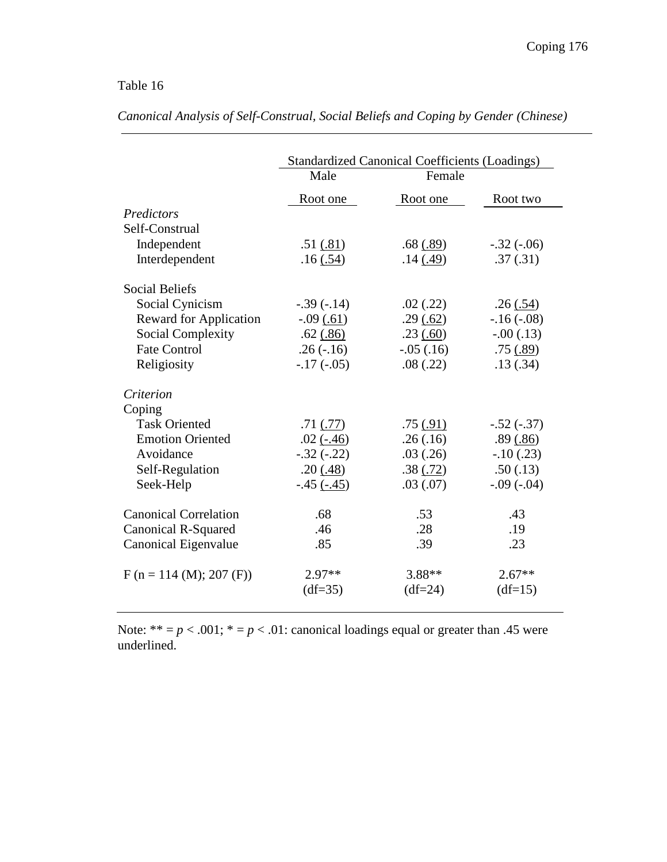|                               |               | <b>Standardized Canonical Coefficients (Loadings)</b> |              |  |  |  |  |  |  |
|-------------------------------|---------------|-------------------------------------------------------|--------------|--|--|--|--|--|--|
|                               | Male          | Female                                                |              |  |  |  |  |  |  |
|                               | Root one      | Root one                                              | Root two     |  |  |  |  |  |  |
| Predictors                    |               |                                                       |              |  |  |  |  |  |  |
| Self-Construal                |               |                                                       |              |  |  |  |  |  |  |
| Independent                   | .51(.81)      | .68(.89)                                              | $-.32(-.06)$ |  |  |  |  |  |  |
| Interdependent                | .16(.54)      | .14(.49)                                              | .37(.31)     |  |  |  |  |  |  |
| <b>Social Beliefs</b>         |               |                                                       |              |  |  |  |  |  |  |
| Social Cynicism               | $-.39(-.14)$  | .02(.22)                                              | .26(.54)     |  |  |  |  |  |  |
| <b>Reward for Application</b> | $-.09(.61)$   | .29(.62)                                              | $-.16(-.08)$ |  |  |  |  |  |  |
| <b>Social Complexity</b>      | $.62$ $(.86)$ | .23(.60)                                              | $-.00(.13)$  |  |  |  |  |  |  |
| <b>Fate Control</b>           | $.26(-.16)$   | $-.05(.16)$                                           | .75(.89)     |  |  |  |  |  |  |
| Religiosity                   | $-17(-05)$    | .08(.22)                                              | .13(.34)     |  |  |  |  |  |  |
| Criterion                     |               |                                                       |              |  |  |  |  |  |  |
| Coping                        |               |                                                       |              |  |  |  |  |  |  |
| <b>Task Oriented</b>          | $.71$ $(.77)$ | .75(.91)                                              | $-.52(-.37)$ |  |  |  |  |  |  |
| <b>Emotion Oriented</b>       | $.02(-.46)$   | .26(.16)                                              | .89(.86)     |  |  |  |  |  |  |
| Avoidance                     | $-.32(-.22)$  | .03(.26)                                              | $-.10(.23)$  |  |  |  |  |  |  |
| Self-Regulation               | .20(.48)      | .38(.72)                                              | .50(.13)     |  |  |  |  |  |  |
| Seek-Help                     | $-.45(-.45)$  | .03(.07)                                              | $-.09(-.04)$ |  |  |  |  |  |  |
| <b>Canonical Correlation</b>  | .68           | .53                                                   | .43          |  |  |  |  |  |  |
| <b>Canonical R-Squared</b>    | .46           | .28                                                   | .19          |  |  |  |  |  |  |
| Canonical Eigenvalue          | .85           | .39                                                   | .23          |  |  |  |  |  |  |
| $F (n = 114 (M); 207 (F))$    | $2.97**$      | $3.88**$                                              | $2.67**$     |  |  |  |  |  |  |
|                               | $(df=35)$     | $(df=24)$                                             | $(df=15)$    |  |  |  |  |  |  |

*Canonical Analysis of Self-Construal, Social Beliefs and Coping by Gender (Chinese)* 

Note:  $** = p < .001$ ;  $* = p < .01$ : canonical loadings equal or greater than .45 were underlined.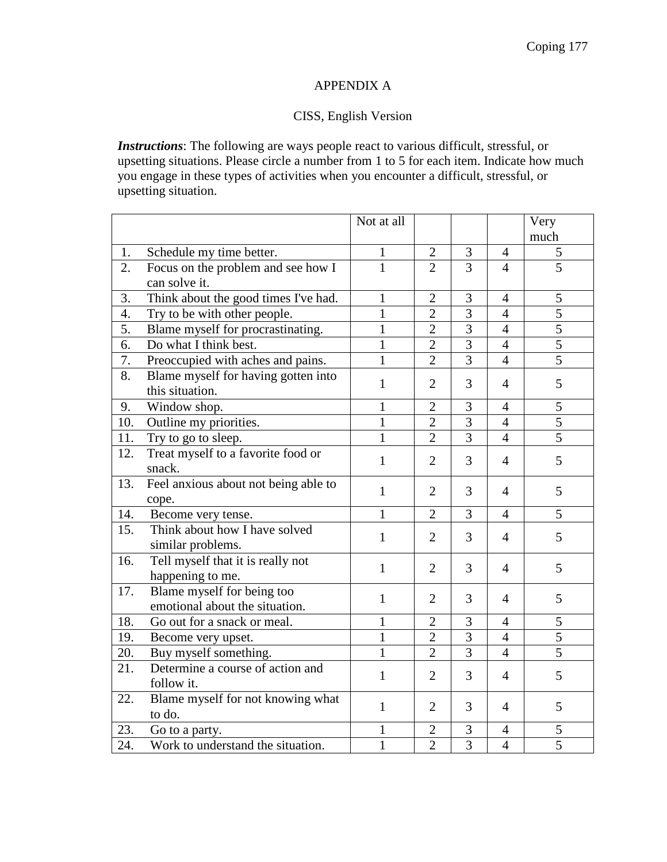## APPENDIX A

## CISS, English Version

*Instructions*: The following are ways people react to various difficult, stressful, or upsetting situations. Please circle a number from 1 to 5 for each item. Indicate how much you engage in these types of activities when you encounter a difficult, stressful, or upsetting situation.

|     |                                      | Not at all   |                |                |                | Very           |
|-----|--------------------------------------|--------------|----------------|----------------|----------------|----------------|
|     |                                      |              |                |                |                | much           |
| 1.  | Schedule my time better.             | 1            | $\overline{2}$ | $\mathfrak{Z}$ | $\overline{4}$ | $\sqrt{5}$     |
| 2.  | Focus on the problem and see how I   | $\mathbf{1}$ | $\overline{2}$ | $\overline{3}$ | $\overline{4}$ | $\overline{5}$ |
|     | can solve it.                        |              |                |                |                |                |
| 3.  | Think about the good times I've had. | $\mathbf{1}$ | $\overline{2}$ | 3              | $\overline{4}$ | 5              |
| 4.  | Try to be with other people.         | $\mathbf{1}$ | $\overline{2}$ | $\overline{3}$ | $\overline{4}$ | $\overline{5}$ |
| 5.  | Blame myself for procrastinating.    | $\mathbf{1}$ | $\overline{2}$ | $\overline{3}$ | $\overline{4}$ | $\overline{5}$ |
| 6.  | Do what I think best.                | $\mathbf{1}$ | $\overline{2}$ | $\overline{3}$ | $\overline{4}$ | $\overline{5}$ |
| 7.  | Preoccupied with aches and pains.    | $\mathbf{1}$ | $\overline{2}$ | $\overline{3}$ | $\overline{4}$ | $\overline{5}$ |
| 8.  | Blame myself for having gotten into  |              |                |                |                | 5              |
|     | this situation.                      | $\mathbf{1}$ | $\overline{2}$ | 3              | $\overline{4}$ |                |
| 9.  | Window shop.                         | $\mathbf{1}$ | $\overline{2}$ | 3              | $\overline{4}$ | 5              |
| 10. | Outline my priorities.               | $\mathbf{1}$ | $\overline{2}$ | $\overline{3}$ | $\overline{4}$ | $\overline{5}$ |
| 11. | Try to go to sleep.                  | $\mathbf{1}$ | $\overline{2}$ | $\overline{3}$ | $\overline{4}$ | $\overline{5}$ |
| 12. | Treat myself to a favorite food or   | $\mathbf{1}$ | $\overline{2}$ | 3              | $\overline{4}$ | 5              |
|     | snack.                               |              |                |                |                |                |
| 13. | Feel anxious about not being able to | $\mathbf{1}$ | 2              | 3              | $\overline{4}$ | 5              |
|     | cope.                                |              |                |                |                |                |
| 14. | Become very tense.                   | $\mathbf{1}$ | $\overline{2}$ | $\overline{3}$ | $\overline{4}$ | $\overline{5}$ |
| 15. | Think about how I have solved        | $\mathbf{1}$ | $\overline{2}$ | 3              | $\overline{4}$ | 5              |
|     | similar problems.                    |              |                |                |                |                |
| 16. | Tell myself that it is really not    | $\mathbf{1}$ | $\overline{2}$ | 3              | $\overline{4}$ | 5              |
|     | happening to me.                     |              |                |                |                |                |
| 17. | Blame myself for being too           | $\mathbf{1}$ | $\overline{2}$ | 3              | $\overline{4}$ | 5              |
|     | emotional about the situation.       |              |                |                |                |                |
| 18. | Go out for a snack or meal.          | $\mathbf{1}$ | $\overline{2}$ | 3              | $\overline{4}$ | 5              |
| 19. | Become very upset.                   | $\mathbf{1}$ | $\overline{2}$ | $\overline{3}$ | $\overline{4}$ | $\overline{5}$ |
| 20. | Buy myself something.                | $\mathbf{1}$ | $\overline{2}$ | $\overline{3}$ | $\overline{4}$ | $\overline{5}$ |
| 21. | Determine a course of action and     | $\mathbf{1}$ | $\overline{2}$ | 3              | $\overline{4}$ | 5              |
|     | follow it.                           |              |                |                |                |                |
| 22. | Blame myself for not knowing what    | $\mathbf{1}$ | $\overline{2}$ | 3              | $\overline{4}$ | 5              |
|     | to do.                               |              |                |                |                |                |
| 23. | Go to a party.                       | $\mathbf{1}$ | $\overline{2}$ | 3              | $\overline{4}$ | 5              |
| 24. | Work to understand the situation.    | $\mathbf{1}$ | $\overline{2}$ | $\overline{3}$ | $\overline{4}$ | $\overline{5}$ |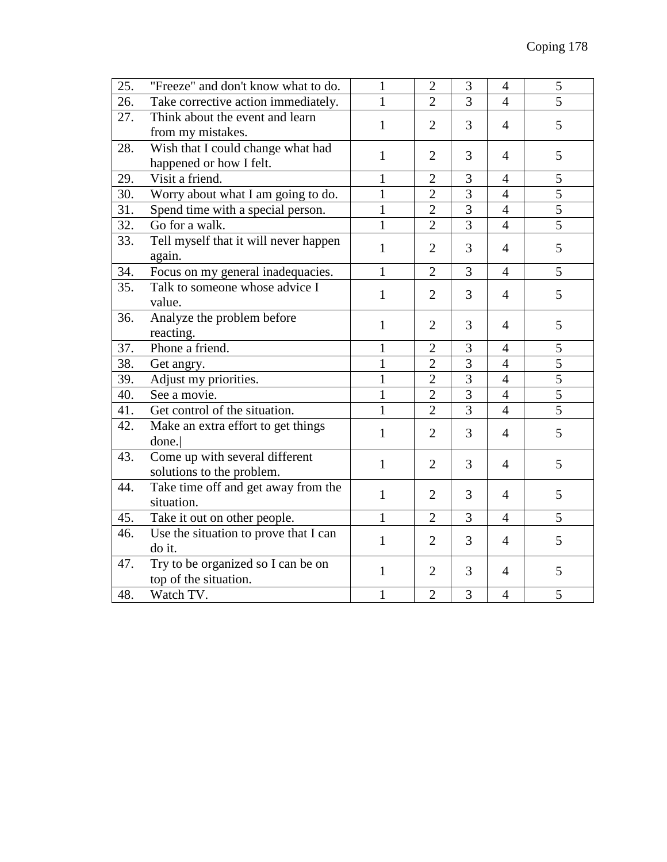| 25. | "Freeze" and don't know what to do.                         | 1            | $\overline{2}$ | 3              | $\overline{4}$ | 5              |
|-----|-------------------------------------------------------------|--------------|----------------|----------------|----------------|----------------|
| 26. | Take corrective action immediately.                         | 1            | $\overline{2}$ | $\overline{3}$ | $\overline{4}$ | $\overline{5}$ |
| 27. | Think about the event and learn                             | $\mathbf{1}$ | $\overline{2}$ | 3              | $\overline{4}$ | 5              |
|     | from my mistakes.                                           |              |                |                |                |                |
| 28. | Wish that I could change what had                           | 1            | $\overline{2}$ | 3              | $\overline{4}$ | 5              |
|     | happened or how I felt.                                     |              |                |                |                |                |
| 29. | Visit a friend.                                             | $\mathbf{1}$ | $\overline{2}$ | 3              | $\overline{4}$ | 5              |
| 30. | Worry about what I am going to do.                          | $\mathbf{1}$ | $\overline{2}$ | $\overline{3}$ | $\overline{4}$ | $\overline{5}$ |
| 31. | Spend time with a special person.                           | $\mathbf{1}$ | $\overline{2}$ | $\overline{3}$ | $\overline{4}$ | $\overline{5}$ |
| 32. | Go for a walk.                                              | 1            | $\overline{2}$ | $\overline{3}$ | $\overline{4}$ | $\overline{5}$ |
| 33. | Tell myself that it will never happen<br>again.             | 1            | $\overline{2}$ | 3              | $\overline{4}$ | 5              |
| 34. | Focus on my general inadequacies.                           | $\mathbf{1}$ | $\overline{2}$ | 3              | $\overline{4}$ | 5              |
| 35. | Talk to someone whose advice I<br>value.                    | 1            | $\overline{2}$ | 3              | $\overline{4}$ | 5              |
| 36. | Analyze the problem before<br>reacting.                     | 1            | $\overline{2}$ | 3              | $\overline{4}$ | 5              |
| 37. | Phone a friend.                                             | $\mathbf{1}$ | $\overline{2}$ | 3              | $\overline{4}$ | 5              |
| 38. | Get angry.                                                  | $\mathbf{1}$ | $\overline{2}$ | $\overline{3}$ | $\overline{4}$ | $\overline{5}$ |
| 39. | Adjust my priorities.                                       | $\mathbf{1}$ | $\overline{2}$ | $\overline{3}$ | $\overline{4}$ | 5              |
| 40. | See a movie.                                                | $\mathbf{1}$ | $\overline{2}$ | $\overline{3}$ | $\overline{4}$ | $\overline{5}$ |
| 41. | Get control of the situation.                               | $\mathbf{1}$ | $\overline{2}$ | $\overline{3}$ | $\overline{4}$ | $\overline{5}$ |
| 42. | Make an extra effort to get things<br>done.                 | $\mathbf{1}$ | $\overline{2}$ | 3              | $\overline{4}$ | 5              |
| 43. | Come up with several different<br>solutions to the problem. | $\mathbf{1}$ | $\overline{2}$ | 3              | $\overline{4}$ | 5              |
| 44. | Take time off and get away from the<br>situation.           | 1            | $\overline{2}$ | 3              | $\overline{4}$ | 5              |
| 45. | Take it out on other people.                                | $\mathbf{1}$ | $\overline{2}$ | 3              | $\overline{4}$ | 5              |
| 46. | Use the situation to prove that I can                       | $\mathbf{1}$ | $\overline{2}$ | 3              | $\overline{4}$ | 5              |
|     | do it.                                                      |              |                |                |                |                |
| 47. | Try to be organized so I can be on<br>top of the situation. | 1            | $\overline{2}$ | 3              | $\overline{4}$ | 5              |
| 48. | Watch TV.                                                   | $\mathbf{1}$ | $\overline{2}$ | 3              | $\overline{4}$ | 5              |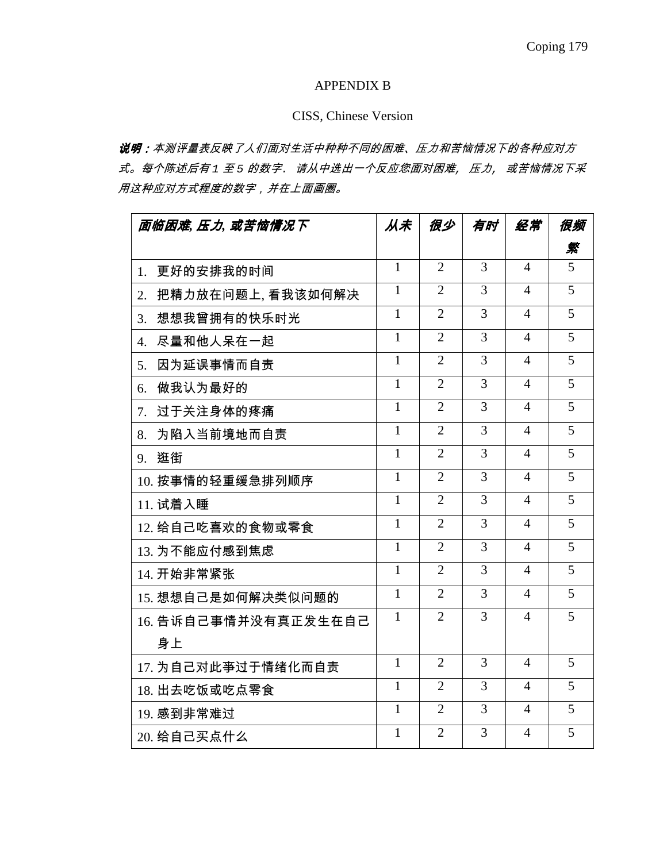#### APPENDIX B

## CISS, Chinese Version

说明:本测评量表反映了人们面对生活中种种不同的困难、压力和苦恼情况下的各种应对方 式。每个陈述后有 1 至 5 的数字. 请从中选出一个反应您面对困难, 压力, 或苦恼情况下采 用这种应对方式程度的数字,并在上面画圈。

| 面临困难 压力 或苦恼情况下              | 从未           | 很少             | 有时             | 经常             | 很频             |
|-----------------------------|--------------|----------------|----------------|----------------|----------------|
|                             |              |                |                |                | 繠              |
| 更好的安排我的时间<br>$1_{-}$        | $\mathbf{1}$ | $\overline{2}$ | $\overline{3}$ | 4              | 5              |
| 把精力放在问题上,看我该如何解决<br>2.      | $\mathbf{1}$ | $\overline{2}$ | 3              | $\overline{4}$ | $\overline{5}$ |
| 想想我曾拥有的快乐时光<br>3.           | $\mathbf{1}$ | $\overline{2}$ | $\overline{3}$ | 4              | 5              |
| 尽量和他人呆在一起<br>4.             | $\mathbf{1}$ | $\overline{2}$ | 3              | $\overline{4}$ | 5              |
| 因为延误事情而自责<br>5 <sub>1</sub> | $\mathbf{1}$ | $\overline{2}$ | 3              | $\overline{4}$ | $\overline{5}$ |
| 做我认为最好的<br>6.               | $\mathbf{1}$ | $\overline{2}$ | 3              | $\overline{4}$ | 5              |
| 过于关注身体的疼痛<br>7.             | 1            | $\overline{2}$ | $\overline{3}$ | 4              | 5              |
| 为陷入当前境地而自责<br>8.            | $\mathbf{1}$ | $\overline{2}$ | 3              | 4              | 5              |
| 逛街<br>9.                    | $\mathbf{1}$ | $\overline{2}$ | 3              | 4              | 5              |
| 10. 按事情的轻重缓急排列顺序            | $\mathbf{1}$ | $\overline{2}$ | 3              | 4              | 5              |
| 11. 试着入睡                    | $\mathbf{1}$ | $\overline{2}$ | $\overline{3}$ | 4              | 5              |
| 12. 给自己吃喜欢的食物或零食            | $\mathbf{1}$ | $\overline{2}$ | $\overline{3}$ | $\overline{4}$ | 5              |
| 13. 为不能应付感到焦虑               | $\mathbf{1}$ | $\overline{2}$ | $\overline{3}$ | $\overline{4}$ | 5              |
| 14. 开始非常紧张                  | $\mathbf{1}$ | $\overline{2}$ | 3              | $\overline{4}$ | 5              |
| 15. 想想自己是如何解决类似问题的          | $\mathbf{1}$ | $\overline{2}$ | $\overline{3}$ | 4              | 5              |
| 16. 告诉自己事情并没有真正发生在自己        | $\mathbf{1}$ | $\overline{2}$ | 3              | 4              | 5              |
| 身上                          |              |                |                |                |                |
| 17. 为自己对此亊过于情绪化而自责          | $\mathbf{1}$ | $\overline{2}$ | 3              | 4              | 5              |
| 18. 出去吃饭或吃点零食               | $\mathbf{1}$ | $\overline{2}$ | 3              | 4              | 5              |
| 19. 感到非常难过                  | $\mathbf{1}$ | $\overline{2}$ | 3              | $\overline{4}$ | 5              |
| 20. 给自己买点什么                 | $\mathbf{1}$ | $\overline{2}$ | 3              | 4              | 5              |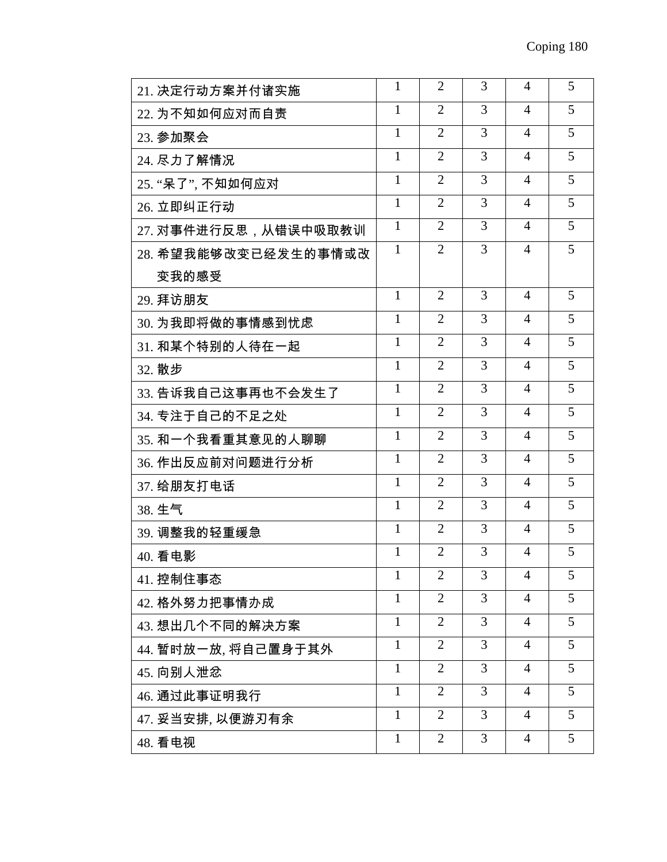| 21. 决定行动方案并付诸实施      | 1            | $\overline{2}$ | 3 | 4              | 5 |
|----------------------|--------------|----------------|---|----------------|---|
| 22. 为不知如何应对而自责       | $\mathbf{1}$ | $\overline{2}$ | 3 | $\overline{4}$ | 5 |
| 23. 参加聚会             | $\mathbf{1}$ | $\overline{2}$ | 3 | 4              | 5 |
| 24. 尽力了解情况           | 1            | $\overline{2}$ | 3 | $\overline{4}$ | 5 |
| 25. "呆了", 不知如何应对     | 1            | $\overline{2}$ | 3 | $\overline{4}$ | 5 |
| 26. 立即纠正行动           | 1            | $\overline{2}$ | 3 | $\overline{4}$ | 5 |
| 27. 对事件进行反思,从错误中吸取教训 | 1            | $\overline{2}$ | 3 | 4              | 5 |
| 28. 希望我能够改变已经发生的事情或改 | $\mathbf{1}$ | $\overline{2}$ | 3 | 4              | 5 |
| 变我的感受                |              |                |   |                |   |
| 29. 拜访朋友             | 1            | $\overline{2}$ | 3 | 4              | 5 |
| 30. 为我即将做的事情感到忧虑     | $\mathbf{1}$ | $\overline{2}$ | 3 | $\overline{4}$ | 5 |
| 31. 和某个特别的人待在一起      | $\mathbf{1}$ | $\overline{2}$ | 3 | 4              | 5 |
| 32. 散步               | 1            | $\overline{2}$ | 3 | $\overline{4}$ | 5 |
| 33. 告诉我自己这事再也不会发生了   | 1            | $\overline{2}$ | 3 | $\overline{4}$ | 5 |
| 34. 专注于自己的不足之处       | $\mathbf{1}$ | $\overline{2}$ | 3 | $\overline{4}$ | 5 |
| 35. 和一个我看重其意见的人聊聊    | $\mathbf{1}$ | $\overline{2}$ | 3 | 4              | 5 |
| 36. 作出反应前对问题进行分析     | $\mathbf{1}$ | $\overline{2}$ | 3 | 4              | 5 |
| 37. 给朋友打电话           | $\mathbf{1}$ | $\overline{2}$ | 3 | $\overline{4}$ | 5 |
| 38. 生气               | 1            | $\overline{2}$ | 3 | 4              | 5 |
| 39. 调整我的轻重缓急         | 1            | $\overline{2}$ | 3 | 4              | 5 |
| 40. 看电影              | 1            | 2              | 3 | 4              | 5 |
| 41. 控制住事态            | 1            | $\overline{2}$ | 3 | 4              | 5 |
| 42. 格外努力把事情办成        | 1            | $\overline{2}$ | 3 | 4              | 5 |
| 43. 想出几个不同的解决方案      | $\mathbf{1}$ | $\overline{2}$ | 3 | $\overline{4}$ | 5 |
| 44. 暂时放一放, 将自己置身于其外  | 1            | $\overline{2}$ | 3 | $\overline{4}$ | 5 |
| 45. 向别人泄忿            | 1            | $\overline{2}$ | 3 | $\overline{4}$ | 5 |
| 46. 通过此事证明我行         | 1            | $\overline{2}$ | 3 | 4              | 5 |
| 47. 妥当安排, 以便游刃有余     | $\mathbf{1}$ | $\overline{2}$ | 3 | 4              | 5 |
| 48. 看电视              | $\mathbf{1}$ | $\overline{2}$ | 3 | $\overline{4}$ | 5 |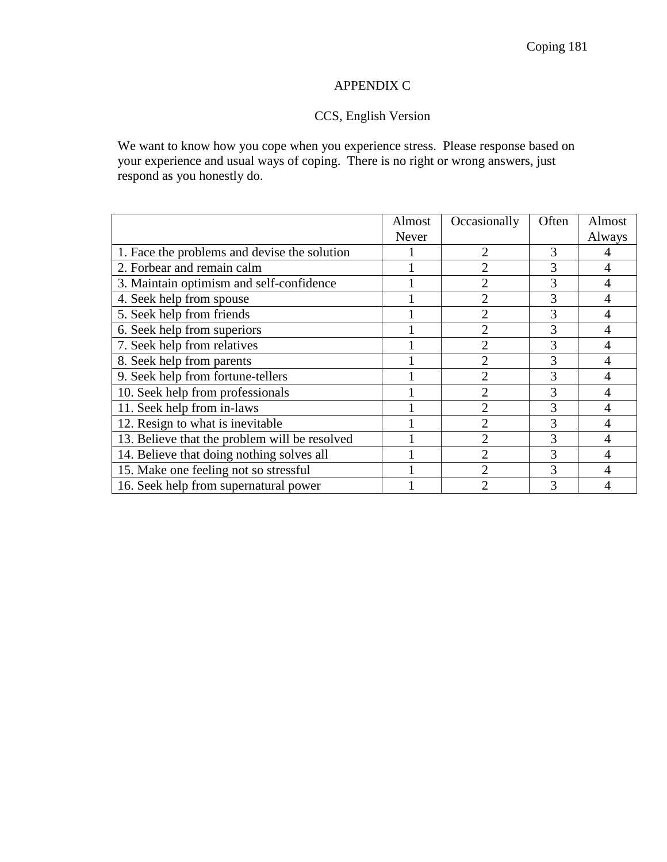## APPENDIX C

# CCS, English Version

We want to know how you cope when you experience stress. Please response based on your experience and usual ways of coping. There is no right or wrong answers, just respond as you honestly do.

|                                               | Almost | Occasionally   | Often | Almost |
|-----------------------------------------------|--------|----------------|-------|--------|
|                                               | Never  |                |       | Always |
| 1. Face the problems and devise the solution  |        | $\mathfrak{D}$ | 3     |        |
| 2. Forbear and remain calm                    |        | 2              |       | 4      |
| 3. Maintain optimism and self-confidence      |        | $\overline{2}$ | 3     | 4      |
| 4. Seek help from spouse                      |        | $\overline{2}$ | 3     | 4      |
| 5. Seek help from friends                     |        | 2              | 3     | 4      |
| 6. Seek help from superiors                   |        | 2              | 3     | 4      |
| 7. Seek help from relatives                   |        | 2              | 3     | 4      |
| 8. Seek help from parents                     |        | 2              | 3     | 4      |
| 9. Seek help from fortune-tellers             |        | 2              | 3     | 4      |
| 10. Seek help from professionals              |        | 2              | 3     | 4      |
| 11. Seek help from in-laws                    |        | $\overline{2}$ | 3     | 4      |
| 12. Resign to what is inevitable              |        | $\overline{2}$ | 3     | 4      |
| 13. Believe that the problem will be resolved |        | $\overline{2}$ | 3     | 4      |
| 14. Believe that doing nothing solves all     |        | $\overline{2}$ | 3     | 4      |
| 15. Make one feeling not so stressful         |        | $\mathfrak{D}$ | 3     | 4      |
| 16. Seek help from supernatural power         |        | ↑              |       |        |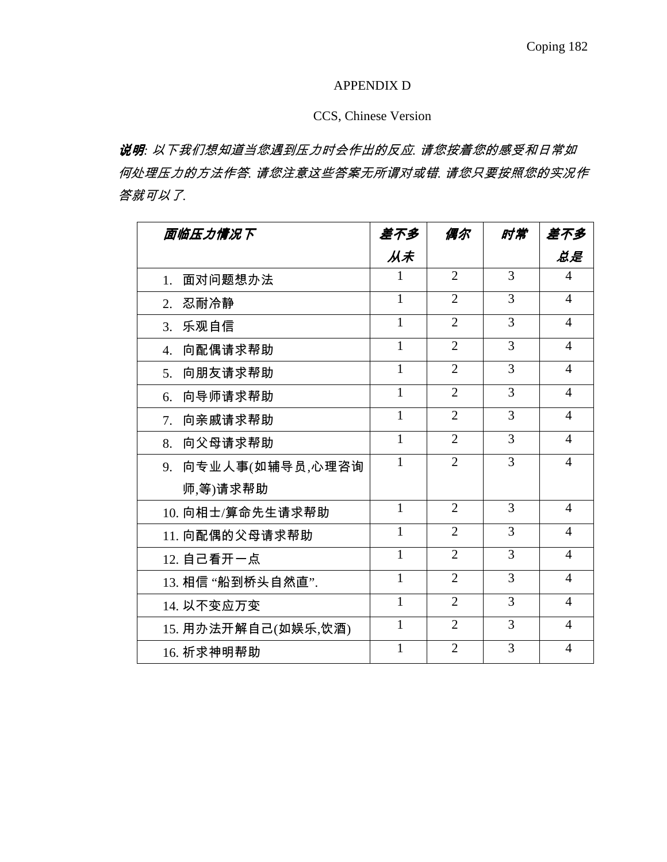### APPENDIX D

## CCS, Chinese Version

说明*:* 以下我们想知道当您遇到压力时会作出的反应*.* 请您按着您的感受和日常如 何处理压力的方法作答*.* 请您注意这些答案无所谓对或错*.* 请您只要按照您的实况作 答就可以了*.* 

| 面临压力情况下             | 差不多          | 偶尔             | 时常             | 差不多            |
|---------------------|--------------|----------------|----------------|----------------|
|                     | 从未           |                |                | 总是             |
| 面对问题想办法<br>1.       |              | $\overline{2}$ | 3              | 4              |
| 忍耐冷静<br>2.          | $\mathbf{1}$ | $\overline{2}$ | 3              | $\overline{4}$ |
| 3. 乐观自信             | $\mathbf{1}$ | $\overline{2}$ | 3              | $\overline{4}$ |
| 向配偶请求帮助<br>4.       | 1            | $\overline{2}$ | 3              | $\overline{4}$ |
| 向朋友请求帮助<br>5.       | 1            | $\overline{2}$ | 3              | $\overline{4}$ |
| 向导师请求帮助<br>6.       | 1            | $\overline{2}$ | 3              | $\overline{4}$ |
| 向亲戚请求帮助<br>7.       | $\mathbf{1}$ | $\overline{2}$ | 3              | $\overline{4}$ |
| 向父母请求帮助<br>8.       | $\mathbf{1}$ | $\overline{2}$ | 3              | $\overline{4}$ |
| 9. 向专业人事(如辅导员,心理咨询  | $\mathbf{1}$ | $\overline{2}$ | 3              | $\overline{4}$ |
| 师,等)请求帮助            |              |                |                |                |
| 10. 向相士/算命先生请求帮助    | $\mathbf{1}$ | $\overline{2}$ | 3              | $\overline{4}$ |
| 11. 向配偶的父母请求帮助      | $\mathbf{1}$ | $\overline{2}$ | 3              | 4              |
| 12. 自己看开一点          | $\mathbf{1}$ | $\overline{2}$ | 3              | $\overline{4}$ |
| 13. 相信 "船到桥头自然直".   | $\mathbf{1}$ | $\overline{2}$ | 3              | 4              |
| 14. 以不变应万变          | $\mathbf{1}$ | $\overline{2}$ | 3              | $\overline{4}$ |
| 15. 用办法开解自己(如娱乐,饮酒) | $\mathbf{1}$ | $\overline{2}$ | 3              | $\overline{4}$ |
| 16. 祈求神明帮助          | $\mathbf{1}$ | $\overline{2}$ | $\overline{3}$ | $\overline{4}$ |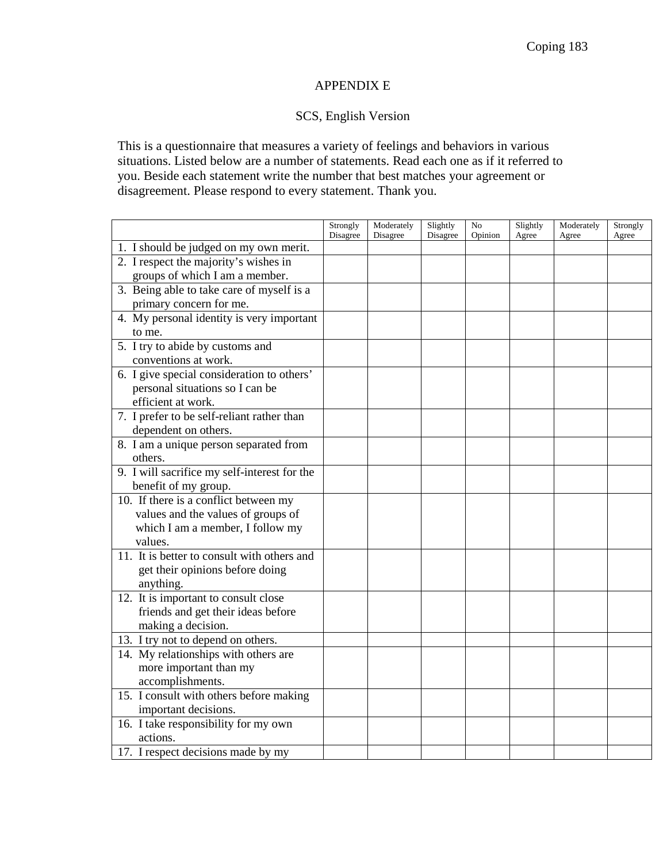## APPENDIX E

## SCS, English Version

This is a questionnaire that measures a variety of feelings and behaviors in various situations. Listed below are a number of statements. Read each one as if it referred to you. Beside each statement write the number that best matches your agreement or disagreement. Please respond to every statement. Thank you.

|                                              | Strongly<br>Disagree | Moderately<br>Disagree | Slightly<br>Disagree | N <sub>0</sub><br>Opinion | Slightly<br>Agree | Moderately<br>Agree | Strongly<br>Agree |
|----------------------------------------------|----------------------|------------------------|----------------------|---------------------------|-------------------|---------------------|-------------------|
| 1. I should be judged on my own merit.       |                      |                        |                      |                           |                   |                     |                   |
| 2. I respect the majority's wishes in        |                      |                        |                      |                           |                   |                     |                   |
| groups of which I am a member.               |                      |                        |                      |                           |                   |                     |                   |
| 3. Being able to take care of myself is a    |                      |                        |                      |                           |                   |                     |                   |
| primary concern for me.                      |                      |                        |                      |                           |                   |                     |                   |
| 4. My personal identity is very important    |                      |                        |                      |                           |                   |                     |                   |
| to me.                                       |                      |                        |                      |                           |                   |                     |                   |
| 5. I try to abide by customs and             |                      |                        |                      |                           |                   |                     |                   |
| conventions at work.                         |                      |                        |                      |                           |                   |                     |                   |
| 6. I give special consideration to others'   |                      |                        |                      |                           |                   |                     |                   |
| personal situations so I can be              |                      |                        |                      |                           |                   |                     |                   |
| efficient at work.                           |                      |                        |                      |                           |                   |                     |                   |
| 7. I prefer to be self-reliant rather than   |                      |                        |                      |                           |                   |                     |                   |
| dependent on others.                         |                      |                        |                      |                           |                   |                     |                   |
| 8. I am a unique person separated from       |                      |                        |                      |                           |                   |                     |                   |
| others.                                      |                      |                        |                      |                           |                   |                     |                   |
| 9. I will sacrifice my self-interest for the |                      |                        |                      |                           |                   |                     |                   |
| benefit of my group.                         |                      |                        |                      |                           |                   |                     |                   |
| 10. If there is a conflict between my        |                      |                        |                      |                           |                   |                     |                   |
| values and the values of groups of           |                      |                        |                      |                           |                   |                     |                   |
| which I am a member, I follow my             |                      |                        |                      |                           |                   |                     |                   |
| values.                                      |                      |                        |                      |                           |                   |                     |                   |
| 11. It is better to consult with others and  |                      |                        |                      |                           |                   |                     |                   |
| get their opinions before doing              |                      |                        |                      |                           |                   |                     |                   |
| anything.                                    |                      |                        |                      |                           |                   |                     |                   |
| 12. It is important to consult close         |                      |                        |                      |                           |                   |                     |                   |
| friends and get their ideas before           |                      |                        |                      |                           |                   |                     |                   |
| making a decision.                           |                      |                        |                      |                           |                   |                     |                   |
| 13. I try not to depend on others.           |                      |                        |                      |                           |                   |                     |                   |
| 14. My relationships with others are         |                      |                        |                      |                           |                   |                     |                   |
| more important than my                       |                      |                        |                      |                           |                   |                     |                   |
| accomplishments.                             |                      |                        |                      |                           |                   |                     |                   |
| 15. I consult with others before making      |                      |                        |                      |                           |                   |                     |                   |
| important decisions.                         |                      |                        |                      |                           |                   |                     |                   |
| 16. I take responsibility for my own         |                      |                        |                      |                           |                   |                     |                   |
| actions.                                     |                      |                        |                      |                           |                   |                     |                   |
| 17. I respect decisions made by my           |                      |                        |                      |                           |                   |                     |                   |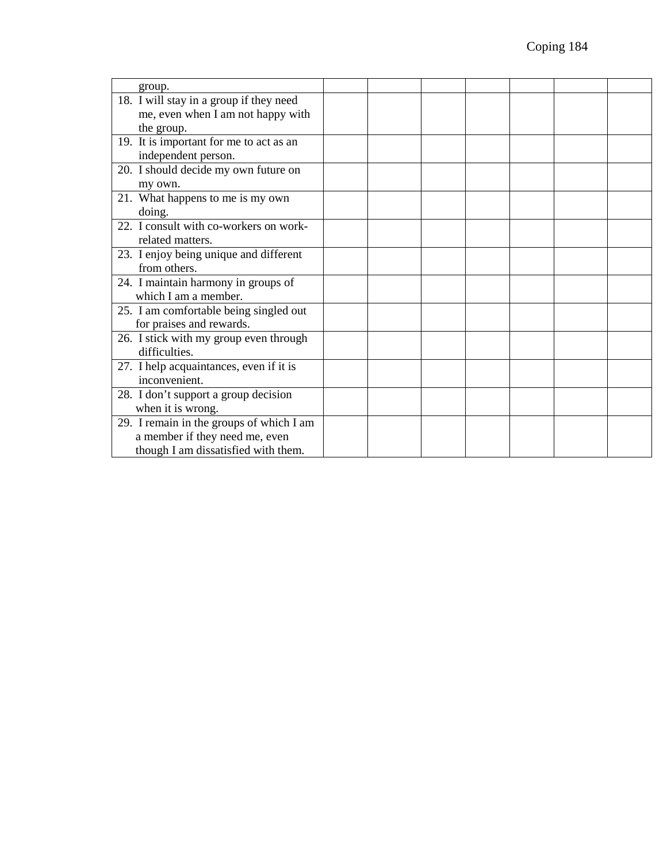| group.                                   |  |  |  |  |
|------------------------------------------|--|--|--|--|
| 18. I will stay in a group if they need  |  |  |  |  |
| me, even when I am not happy with        |  |  |  |  |
| the group.                               |  |  |  |  |
| 19. It is important for me to act as an  |  |  |  |  |
| independent person.                      |  |  |  |  |
| 20. I should decide my own future on     |  |  |  |  |
| my own.                                  |  |  |  |  |
| 21. What happens to me is my own         |  |  |  |  |
| doing.                                   |  |  |  |  |
| 22. I consult with co-workers on work-   |  |  |  |  |
| related matters.                         |  |  |  |  |
| 23. I enjoy being unique and different   |  |  |  |  |
| from others.                             |  |  |  |  |
| 24. I maintain harmony in groups of      |  |  |  |  |
| which I am a member.                     |  |  |  |  |
| 25. I am comfortable being singled out   |  |  |  |  |
| for praises and rewards.                 |  |  |  |  |
| 26. I stick with my group even through   |  |  |  |  |
| difficulties.                            |  |  |  |  |
| 27. I help acquaintances, even if it is  |  |  |  |  |
| inconvenient.                            |  |  |  |  |
| 28. I don't support a group decision     |  |  |  |  |
| when it is wrong.                        |  |  |  |  |
| 29. I remain in the groups of which I am |  |  |  |  |
| a member if they need me, even           |  |  |  |  |
| though I am dissatisfied with them.      |  |  |  |  |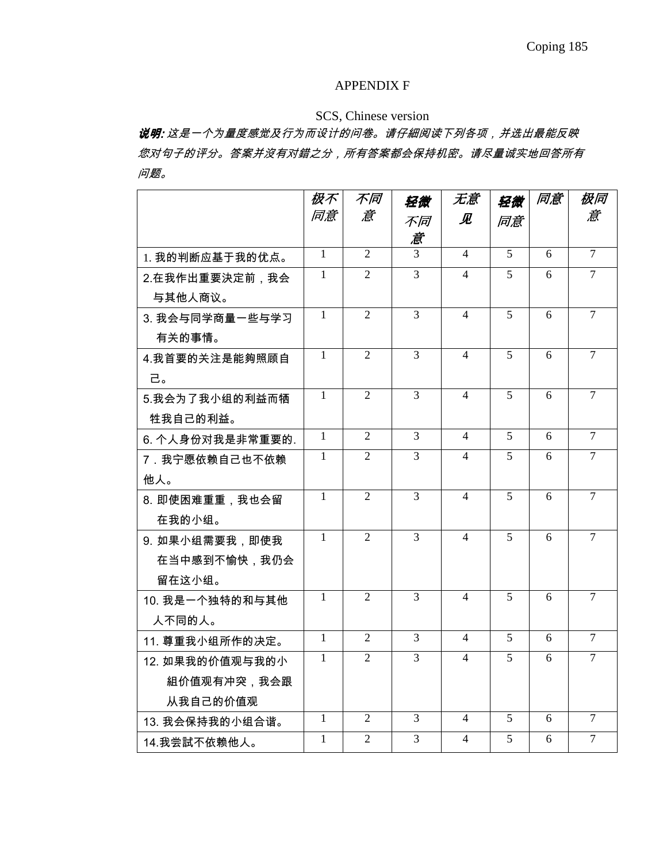### APPENDIX F

## SCS, Chinese version

说明: 这是一个为量度感觉及行为而设计的问卷。请仔細阅读下列各项,并选出最能反映 : 您对句子的评分。答案并沒有对錯之分,所有答案都会保持机密。请尽量诚实地回答所有 问题。

|                  | 极不             | 不同             | 轻微             | 无意                       | 轻微             | 同意             | 极同             |
|------------------|----------------|----------------|----------------|--------------------------|----------------|----------------|----------------|
|                  | 同意             | 意              | 不同             | 见                        | 同意             |                | 意              |
|                  |                |                | 意              |                          |                |                |                |
| 1. 我的判断应基于我的优点。  | $\overline{1}$ | $\overline{2}$ | $\overline{3}$ | $\overline{4}$           | $\overline{5}$ | 6              | $\overline{7}$ |
| 2.在我作出重要決定前, 我会  | 1              | $\overline{2}$ | $\overline{3}$ | $\overline{4}$           | 5              | 6              | $\tau$         |
| 与其他人商议。          |                |                |                |                          |                |                |                |
| 3. 我会与同学商量一些与学习  | $\mathbf{1}$   | $\overline{2}$ | $\overline{3}$ | $\overline{4}$           | $\overline{5}$ | 6              | $\overline{7}$ |
| 有关的事情。           |                |                |                |                          |                |                |                |
| 4.我首要的关注是能夠照顾自   | $\mathbf{1}$   | $\overline{2}$ | $\overline{3}$ | $\overline{\mathcal{L}}$ | $\overline{5}$ | $\overline{6}$ | $\overline{7}$ |
| 己。               |                |                |                |                          |                |                |                |
| 5.我会为了我小组的利益而牺   | $\mathbf{1}$   | $\overline{2}$ | $\overline{3}$ | $\overline{4}$           | 5              | 6              | $\tau$         |
| 牲我自己的利益。         |                |                |                |                          |                |                |                |
| 6. 个人身份对我是非常重要的. | $\overline{1}$ | $\overline{2}$ | $\overline{3}$ | $\overline{4}$           | $\overline{5}$ | 6              | $\overline{7}$ |
| 7. 我宁愿依赖自己也不依赖   | $\mathbf{1}$   | $\overline{2}$ | $\overline{3}$ | $\overline{4}$           | 5              | 6              | $\tau$         |
| 他人。              |                |                |                |                          |                |                |                |
| 8. 即使困难重重, 我也会留  | $\mathbf{1}$   | $\overline{2}$ | 3              | $\overline{4}$           | 5              | 6              | $\overline{7}$ |
| 在我的小组。           |                |                |                |                          |                |                |                |
| 9. 如果小组需要我,即使我   | $\mathbf{1}$   | $\overline{2}$ | $\overline{3}$ | $\overline{4}$           | 5              | 6              | $\overline{7}$ |
| 在当中感到不愉快,我仍会     |                |                |                |                          |                |                |                |
| 留在这小组。           |                |                |                |                          |                |                |                |
| 10. 我是一个独特的和与其他  | 1              | $\overline{2}$ | $\overline{3}$ | $\overline{4}$           | 5              | 6              | $\overline{7}$ |
| 人不同的人。           |                |                |                |                          |                |                |                |
| 11. 尊重我小组所作的决定。  | $\overline{1}$ | $\overline{2}$ | $\overline{3}$ | $\overline{4}$           | 5              | 6              | $\overline{7}$ |
| 12. 如果我的价值观与我的小  | 1              | $\overline{2}$ | $\overline{3}$ | $\overline{4}$           | 5              | 6              | $\tau$         |
| 組价值观有冲突,我会跟      |                |                |                |                          |                |                |                |
| 从我自己的价值观         |                |                |                |                          |                |                |                |
| 13. 我会保持我的小组合谐。  | $\mathbf{1}$   | $\overline{2}$ | $\overline{3}$ | $\overline{4}$           | 5              | 6              | $\overline{7}$ |
| 14.我尝試不依赖他人。     | $\mathbf{1}$   | $\overline{2}$ | $\overline{3}$ | $\overline{4}$           | 5              | 6              | $\overline{7}$ |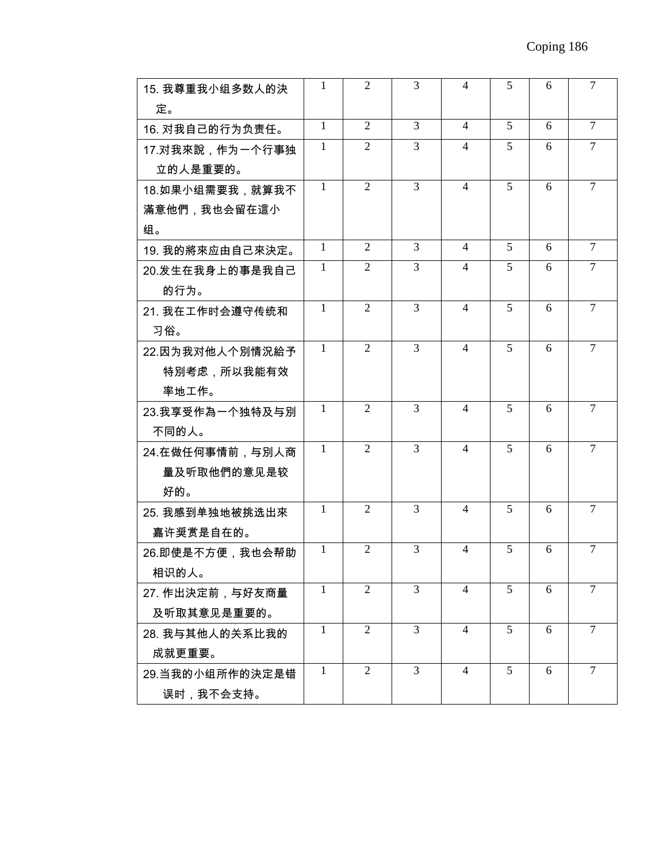| 15. 我尊重我小组多数人的決  | 1            | 2              | 3              | 4                        | 5              | 6 | 7              |
|------------------|--------------|----------------|----------------|--------------------------|----------------|---|----------------|
| 定。               |              |                |                |                          |                |   |                |
| 16. 对我自己的行为负责任。  | $\mathbf{1}$ | 2              | $\overline{3}$ | 4                        | $\overline{5}$ | 6 | 7              |
| 17.对我來說,作为一个行事独  | 1            | 2              | 3              | $\overline{4}$           | 5              | 6 | $\overline{7}$ |
| 立的人是重要的。         |              |                |                |                          |                |   |                |
| 18.如果小组需要我,就算我不  | $\mathbf{1}$ | 2              | 3              | $\overline{4}$           | 5              | 6 | $\tau$         |
| 滿意他們,我也会留在這小     |              |                |                |                          |                |   |                |
| 组。               |              |                |                |                          |                |   |                |
| 19. 我的將來应由自己來決定。 | $\mathbf{1}$ | 2              | $\overline{3}$ | $\overline{4}$           | 5              | 6 | $\overline{7}$ |
| 20.发生在我身上的事是我自己  | 1            | $\overline{2}$ | 3              | 4                        | 5              | 6 | $\tau$         |
| 的行为。             |              |                |                |                          |                |   |                |
| 21. 我在工作时会遵守传统和  | 1            | 2              | 3              | 4                        | 5              | 6 | 7              |
| 习俗。              |              |                |                |                          |                |   |                |
| 22.因为我对他人个別情況給予  | $\mathbf{1}$ | 2              | $\overline{3}$ | $\overline{4}$           | 5              | 6 | $\tau$         |
| 特別考虑,所以我能有效      |              |                |                |                          |                |   |                |
| 率地工作。            |              |                |                |                          |                |   |                |
| 23.我享受作為一个独特及与別  | 1            | $\overline{2}$ | 3              | $\overline{\mathcal{L}}$ | 5              | 6 | $\tau$         |
| 不同的人。            |              |                |                |                          |                |   |                |
| 24.在做任何事情前,与別人商  | $\mathbf{1}$ | 2              | 3              | 4                        | 5              | 6 | $\tau$         |
| 量及听取他們的意见是较      |              |                |                |                          |                |   |                |
| 好的。              |              |                |                |                          |                |   |                |
| 25. 我感到单独地被挑选出來  | $\mathbf{1}$ | 2              | $\overline{3}$ | $\overline{4}$           | 5              | 6 | $\overline{7}$ |
| 嘉许奨赏是自在的。        |              |                |                |                          |                |   |                |
| 26.即使是不方便,我也会帮助  | 1            | 2              | 3              | 4                        | 5              | 6 | 7              |
| 相识的人。            |              |                |                |                          |                |   |                |
| 27. 作出決定前,与好友商量  | 1            | 2              | 3              | $\overline{4}$           | 5              | 6 | $\overline{7}$ |
| 及听取其意见是重要的。      |              |                |                |                          |                |   |                |
| 28. 我与其他人的关系比我的  | 1            | $\overline{2}$ | $\overline{3}$ | $\overline{4}$           | 5              | 6 | $\tau$         |
| 成就更重要。           |              |                |                |                          |                |   |                |
| 29.当我的小组所作的決定是错  | $\mathbf{1}$ | $\overline{2}$ | $\overline{3}$ | $\overline{4}$           | 5              | 6 | $\tau$         |
| 误时,我不会支持。        |              |                |                |                          |                |   |                |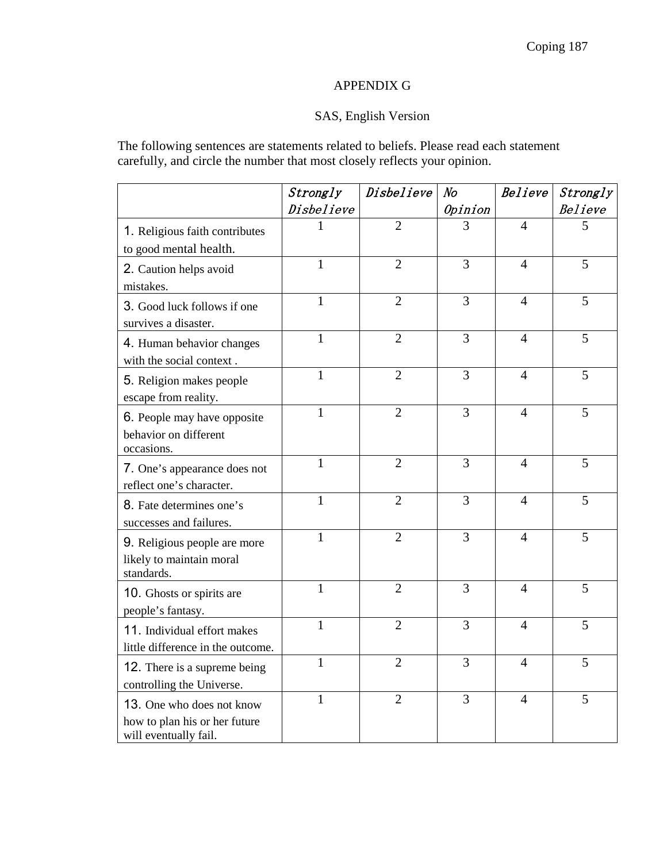## APPENDIX G

# SAS, English Version

The following sentences are statements related to beliefs. Please read each statement carefully, and circle the number that most closely reflects your opinion.

|                                                                                     | Strongly     | Disbelieve     | N <sub>O</sub> | Believe        | Strongly       |
|-------------------------------------------------------------------------------------|--------------|----------------|----------------|----------------|----------------|
|                                                                                     | Disbelieve   |                | Opinion        |                | <b>Believe</b> |
| 1. Religious faith contributes<br>to good mental health.                            | 1            | $\overline{2}$ | 3              | $\overline{4}$ | 5              |
| 2. Caution helps avoid<br>mistakes.                                                 | $\mathbf{1}$ | $\overline{2}$ | $\overline{3}$ | $\overline{4}$ | $\overline{5}$ |
| 3. Good luck follows if one<br>survives a disaster.                                 | $\mathbf{1}$ | $\overline{2}$ | 3              | $\overline{4}$ | 5              |
| 4. Human behavior changes<br>with the social context.                               | $\mathbf{1}$ | $\overline{2}$ | 3              | $\overline{4}$ | 5              |
| 5. Religion makes people<br>escape from reality.                                    | $\mathbf{1}$ | $\overline{2}$ | 3              | $\overline{4}$ | 5              |
| 6. People may have opposite<br>behavior on different<br>occasions.                  | $\mathbf{1}$ | $\overline{2}$ | 3              | $\overline{4}$ | 5              |
| 7. One's appearance does not<br>reflect one's character.                            | $\mathbf{1}$ | $\overline{2}$ | 3              | $\overline{4}$ | 5              |
| 8. Fate determines one's<br>successes and failures.                                 | $\mathbf{1}$ | $\overline{2}$ | 3              | $\overline{4}$ | 5              |
| 9. Religious people are more<br>likely to maintain moral<br>standards.              | $\mathbf{1}$ | $\overline{2}$ | 3              | $\overline{4}$ | 5              |
| 10. Ghosts or spirits are<br>people's fantasy.                                      | $\mathbf{1}$ | $\overline{2}$ | 3              | $\overline{4}$ | 5              |
| 11. Individual effort makes<br>little difference in the outcome.                    | $\mathbf{1}$ | $\overline{2}$ | 3              | $\overline{4}$ | 5              |
| 12. There is a supreme being<br>controlling the Universe.                           | $\mathbf{1}$ | $\overline{2}$ | 3              | $\overline{4}$ | 5              |
| 13. One who does not know<br>how to plan his or her future<br>will eventually fail. | $\mathbf{1}$ | $\overline{2}$ | 3              | $\overline{4}$ | 5              |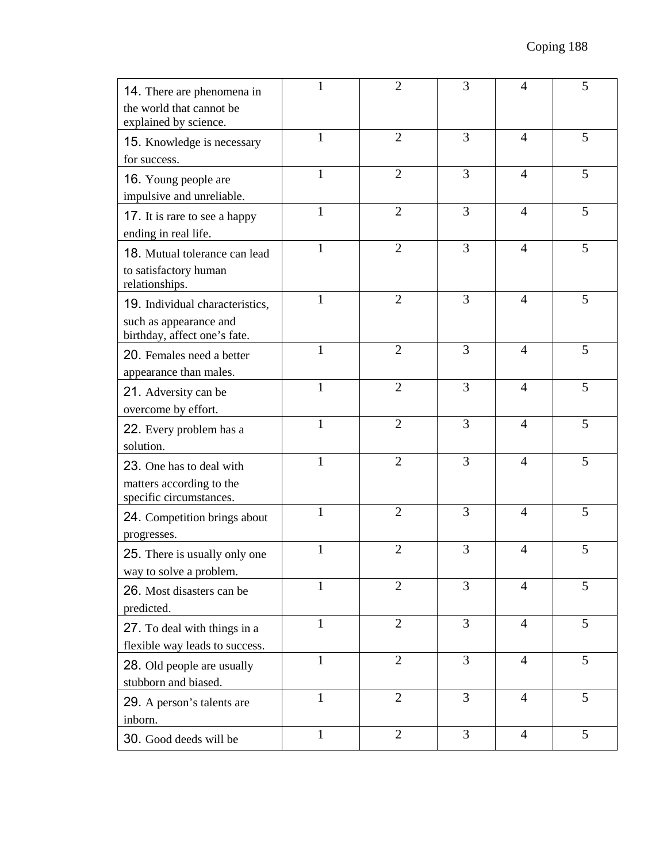| 14. There are phenomena in<br>the world that cannot be<br>explained by science.           |              | $\overline{2}$ | 3 | 4              | 5 |
|-------------------------------------------------------------------------------------------|--------------|----------------|---|----------------|---|
| 15. Knowledge is necessary<br>for success.                                                | $\mathbf{1}$ | $\overline{2}$ | 3 | $\overline{4}$ | 5 |
| 16. Young people are<br>impulsive and unreliable.                                         | $\mathbf{1}$ | $\overline{2}$ | 3 | $\overline{4}$ | 5 |
| 17. It is rare to see a happy<br>ending in real life.                                     | $\mathbf{1}$ | $\overline{2}$ | 3 | $\overline{4}$ | 5 |
| 18. Mutual tolerance can lead<br>to satisfactory human<br>relationships.                  | 1            | $\overline{2}$ | 3 | $\overline{4}$ | 5 |
| 19. Individual characteristics,<br>such as appearance and<br>birthday, affect one's fate. | $\mathbf{1}$ | $\overline{2}$ | 3 | $\overline{4}$ | 5 |
| 20. Females need a better<br>appearance than males.                                       | $\mathbf{1}$ | $\overline{2}$ | 3 | $\overline{4}$ | 5 |
| 21. Adversity can be<br>overcome by effort.                                               | $\mathbf{1}$ | $\overline{2}$ | 3 | $\overline{4}$ | 5 |
| 22. Every problem has a<br>solution.                                                      | $\mathbf{1}$ | $\overline{2}$ | 3 | $\overline{4}$ | 5 |
| 23. One has to deal with<br>matters according to the<br>specific circumstances.           | $\mathbf{1}$ | $\overline{2}$ | 3 | $\overline{4}$ | 5 |
| 24. Competition brings about<br>progresses.                                               | $\mathbf{1}$ | $\overline{2}$ | 3 | $\overline{4}$ | 5 |
| 25. There is usually only one<br>way to solve a problem.                                  | $\mathbf{1}$ | $\overline{2}$ | 3 | $\overline{4}$ | 5 |
| 26. Most disasters can be<br>predicted.                                                   | $\mathbf{1}$ | $\overline{2}$ | 3 | $\overline{4}$ | 5 |
| 27. To deal with things in a<br>flexible way leads to success.                            | $\mathbf{1}$ | $\overline{2}$ | 3 | $\overline{4}$ | 5 |
| 28. Old people are usually<br>stubborn and biased.                                        | $\mathbf{1}$ | $\overline{2}$ | 3 | $\overline{4}$ | 5 |
| 29. A person's talents are<br>inborn.                                                     | $\mathbf{1}$ | $\overline{2}$ | 3 | $\overline{4}$ | 5 |
| 30. Good deeds will be                                                                    | $\mathbf{1}$ | $\overline{2}$ | 3 | $\overline{4}$ | 5 |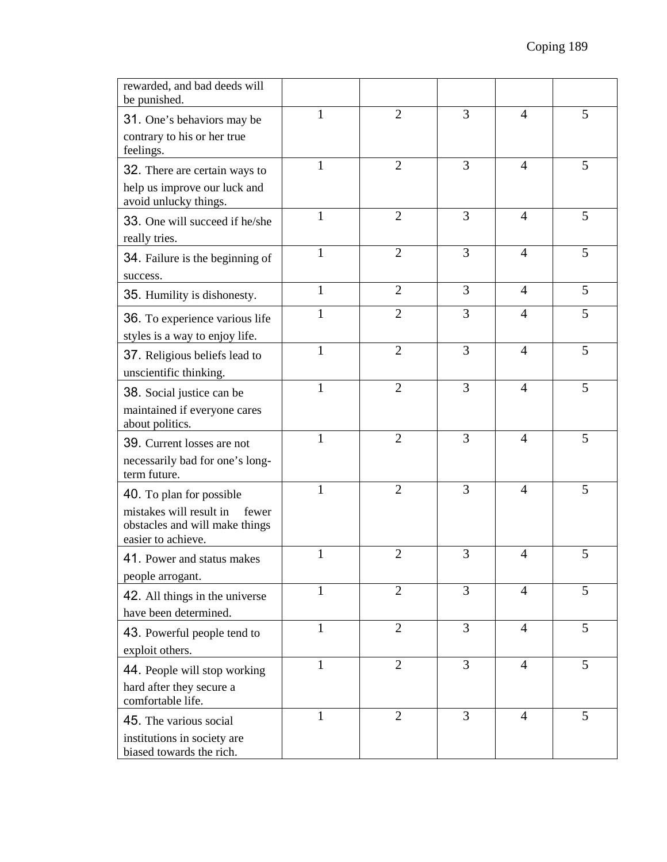| rewarded, and bad deeds will<br>be punished.                                             |              |                |   |                |   |
|------------------------------------------------------------------------------------------|--------------|----------------|---|----------------|---|
| 31. One's behaviors may be                                                               | $\mathbf{1}$ | $\overline{2}$ | 3 | $\overline{4}$ | 5 |
| contrary to his or her true<br>feelings.                                                 |              |                |   |                |   |
| 32. There are certain ways to                                                            | 1            | $\overline{2}$ | 3 | $\overline{4}$ | 5 |
| help us improve our luck and<br>avoid unlucky things.                                    |              |                |   |                |   |
| 33. One will succeed if he/she<br>really tries.                                          | $\mathbf{1}$ | $\overline{2}$ | 3 | $\overline{4}$ | 5 |
| 34. Failure is the beginning of                                                          | $\mathbf{1}$ | $\overline{2}$ | 3 | $\overline{4}$ | 5 |
| success.                                                                                 |              |                |   |                |   |
| 35. Humility is dishonesty.                                                              | $\mathbf{1}$ | $\overline{2}$ | 3 | $\overline{4}$ | 5 |
| 36. To experience various life<br>styles is a way to enjoy life.                         | 1            | $\overline{2}$ | 3 | $\overline{4}$ | 5 |
| 37. Religious beliefs lead to                                                            | $\mathbf{1}$ | $\overline{2}$ | 3 | $\overline{4}$ | 5 |
| unscientific thinking.                                                                   |              |                |   |                |   |
| 38. Social justice can be                                                                | 1            | $\overline{2}$ | 3 | $\overline{4}$ | 5 |
| maintained if everyone cares<br>about politics.                                          |              |                |   |                |   |
| 39. Current losses are not                                                               | $\mathbf{1}$ | $\overline{2}$ | 3 | $\overline{4}$ | 5 |
| necessarily bad for one's long-<br>term future.                                          |              |                |   |                |   |
| 40. To plan for possible                                                                 | 1            | $\overline{2}$ | 3 | $\overline{4}$ | 5 |
| mistakes will result in<br>fewer<br>obstacles and will make things<br>easier to achieve. |              |                |   |                |   |
| 41. Power and status makes                                                               | $\mathbf{1}$ | $\overline{2}$ | 3 | $\overline{4}$ | 5 |
| people arrogant.                                                                         | $\mathbf{1}$ | $\overline{2}$ | 3 | $\overline{4}$ | 5 |
| 42. All things in the universe<br>have been determined.                                  |              |                |   |                |   |
| 43. Powerful people tend to                                                              | $\mathbf{1}$ | $\overline{2}$ | 3 | $\overline{4}$ | 5 |
| exploit others.                                                                          |              |                |   |                |   |
| 44. People will stop working                                                             | $\mathbf{1}$ | $\overline{2}$ | 3 | $\overline{4}$ | 5 |
| hard after they secure a<br>comfortable life.                                            |              |                |   |                |   |
| 45. The various social                                                                   | $\mathbf{1}$ | $\overline{2}$ | 3 | $\overline{4}$ | 5 |
| institutions in society are<br>biased towards the rich.                                  |              |                |   |                |   |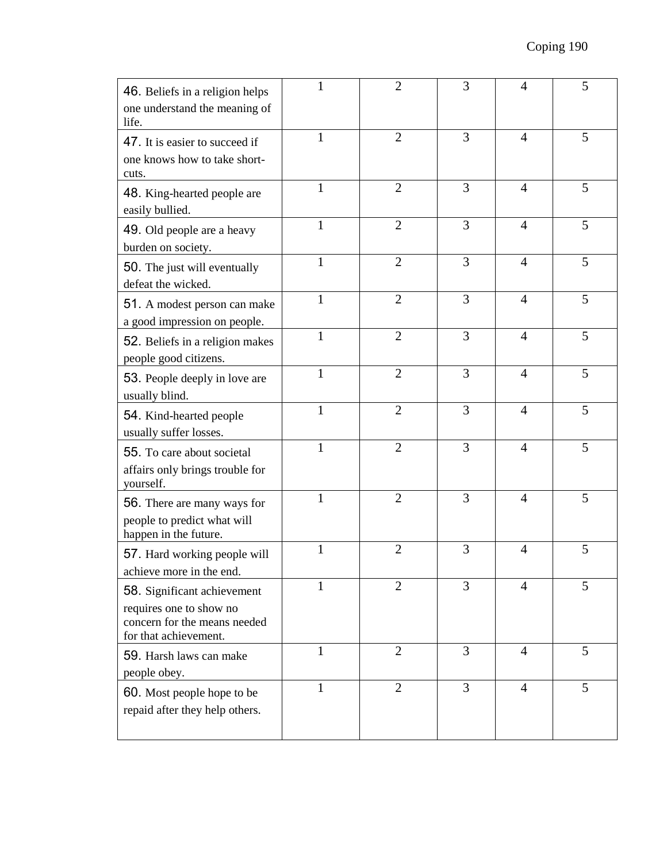| 46. Beliefs in a religion helps<br>one understand the meaning of<br>life.                                       |              | $\overline{2}$ | 3 | $\overline{4}$ | 5 |
|-----------------------------------------------------------------------------------------------------------------|--------------|----------------|---|----------------|---|
| 47. It is easier to succeed if<br>one knows how to take short-<br>cuts.                                         | $\mathbf{1}$ | $\overline{2}$ | 3 | $\overline{4}$ | 5 |
| 48. King-hearted people are<br>easily bullied.                                                                  | $\mathbf{1}$ | $\overline{2}$ | 3 | $\overline{4}$ | 5 |
| 49. Old people are a heavy<br>burden on society.                                                                | $\mathbf{1}$ | $\overline{2}$ | 3 | $\overline{4}$ | 5 |
| 50. The just will eventually<br>defeat the wicked.                                                              | $\mathbf{1}$ | $\overline{2}$ | 3 | $\overline{4}$ | 5 |
| 51. A modest person can make<br>a good impression on people.                                                    | $\mathbf{1}$ | $\overline{2}$ | 3 | $\overline{4}$ | 5 |
| 52. Beliefs in a religion makes<br>people good citizens.                                                        | 1            | $\overline{2}$ | 3 | $\overline{4}$ | 5 |
| 53. People deeply in love are<br>usually blind.                                                                 | $\mathbf{1}$ | $\overline{2}$ | 3 | $\overline{4}$ | 5 |
| 54. Kind-hearted people<br>usually suffer losses.                                                               | 1            | $\overline{2}$ | 3 | $\overline{4}$ | 5 |
| 55. To care about societal<br>affairs only brings trouble for<br>yourself.                                      | $\mathbf{1}$ | $\overline{2}$ | 3 | $\overline{4}$ | 5 |
| 56. There are many ways for<br>people to predict what will<br>happen in the future.                             | $\mathbf{1}$ | $\overline{2}$ | 3 | $\overline{4}$ | 5 |
| 57. Hard working people will<br>achieve more in the end.                                                        | $\mathbf{1}$ | $\overline{2}$ | 3 | $\overline{4}$ | 5 |
| 58. Significant achievement<br>requires one to show no<br>concern for the means needed<br>for that achievement. | $\mathbf{1}$ | $\overline{2}$ | 3 | $\overline{4}$ | 5 |
| 59. Harsh laws can make<br>people obey.                                                                         | $\mathbf{1}$ | $\overline{2}$ | 3 | $\overline{4}$ | 5 |
| 60. Most people hope to be<br>repaid after they help others.                                                    | $\mathbf{1}$ | $\mathfrak{2}$ | 3 | $\overline{4}$ | 5 |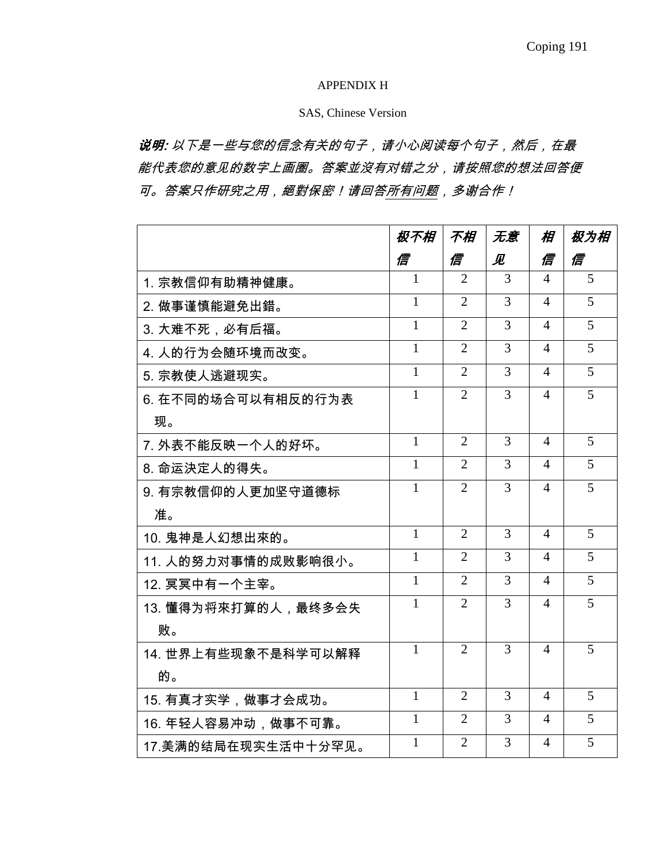#### APPENDIX H

#### SAS, Chinese Version

说明: 以下是一些与您的信念有关的句子, 请小心阅读每个句子, 然后, 在最 能代表您的意见的数字上画圈。答案並沒有对错之分,请按照您的想法回答便 可。答案只作研究之用,絕對保密!请回答所有问题,多谢合作!

|                     | 极不相          | 不相             | 无意 | 相              | 极为相            |
|---------------------|--------------|----------------|----|----------------|----------------|
|                     | 信            | 信              | 见  | 信              | 信              |
| 1. 宗教信仰有助精神健康。      | $\mathbf{1}$ | $\overline{2}$ | 3  | $\Delta$       | $\overline{5}$ |
| 2. 做事谨慎能避免出錯。       | 1            | $\overline{2}$ | 3  | $\overline{4}$ | 5              |
| 3. 大难不死,必有后福。       | $\mathbf{1}$ | $\overline{2}$ | 3  | 4              | 5              |
| 4. 人的行为会随环境而改变。     | 1            | $\overline{2}$ | 3  | 4              | 5              |
| 5. 宗教使人逃避现实。        | 1            | $\overline{2}$ | 3  | 4              | 5              |
| 6. 在不同的场合可以有相反的行为表  | $\mathbf{1}$ | $\overline{2}$ | 3  | 4              | 5              |
| 现。                  |              |                |    |                |                |
| 7. 外表不能反映一个人的好坏。    | $\mathbf{1}$ | $\overline{2}$ | 3  | $\overline{4}$ | 5              |
| 8. 命运決定人的得失。        | $\mathbf{1}$ | $\overline{2}$ | 3  | $\overline{4}$ | 5              |
| 9. 有宗教信仰的人更加坚守道德标   | 1            | $\overline{2}$ | 3  | $\Delta$       | 5              |
| 准。                  |              |                |    |                |                |
| 10. 鬼神是人幻想出來的。      | $\mathbf{1}$ | 2              | 3  | $\overline{4}$ | 5              |
| 11. 人的努力对事情的成败影响很小。 | $\mathbf{1}$ | $\overline{2}$ | 3  | $\Delta$       | 5              |
| 12. 冥冥中有一个主宰。       | $\mathbf{1}$ | $\overline{2}$ | 3  | $\Delta$       | 5              |
| 13. 懂得为将來打算的人,最终多会失 | $\mathbf{1}$ | $\overline{2}$ | 3  | $\overline{4}$ | 5              |
| 败。                  |              |                |    |                |                |
| 14. 世界上有些现象不是科学可以解释 | $\mathbf{1}$ | $\overline{2}$ | 3  | 4              | 5              |
| 的。                  |              |                |    |                |                |
| 15. 有真才实学,做事才会成功。   | $\mathbf{1}$ | $\overline{2}$ | 3  | 4              | 5              |
| 16. 年轻人容易冲动,做事不可靠。  | 1            | $\overline{2}$ | 3  | $\overline{4}$ | 5              |
| 17.美满的结局在现实生活中十分罕见。 | $\mathbf{1}$ | $\overline{2}$ | 3  | 4              | 5              |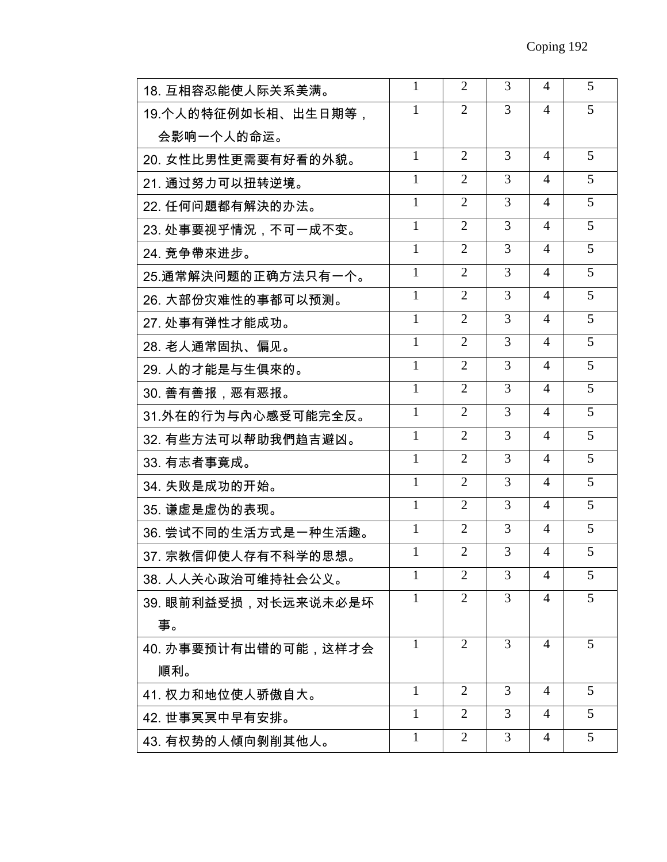| 18. 互相容忍能使人际关系美满。    | 1            | 2              | 3              | 4              | 5 |
|----------------------|--------------|----------------|----------------|----------------|---|
| 19.个人的特征例如长相、出生日期等,  | $\mathbf{1}$ | $\overline{2}$ | 3              | 4              | 5 |
| 会影响一个人的命运。           |              |                |                |                |   |
| 20. 女性比男性更需要有好看的外貌。  | $\mathbf{1}$ | $\overline{2}$ | 3              | $\overline{4}$ | 5 |
| 21. 通过努力可以扭转逆境。      | 1            | $\overline{2}$ | 3              | $\overline{4}$ | 5 |
| 22. 任何问題都有解決的办法。     | 1            | $\overline{2}$ | 3              | $\overline{4}$ | 5 |
| 23. 处事要视乎情況,不可一成不变。  | $\mathbf{1}$ | $\overline{2}$ | 3              | 4              | 5 |
| 24. 竞争帶來进步。          | 1            | 2              | 3              | $\overline{4}$ | 5 |
| 25.通常解決问题的正确方法只有一个。  | $\mathbf{1}$ | $\overline{2}$ | 3              | $\overline{4}$ | 5 |
| 26. 大部份灾难性的事都可以预测。   | 1            | $\overline{2}$ | 3              | $\overline{4}$ | 5 |
| 27. 处事有弹性才能成功。       | $\mathbf{1}$ | $\overline{2}$ | 3              | 4              | 5 |
| 28. 老人通常固执、偏见。       | $\mathbf{1}$ | $\overline{2}$ | 3              | $\overline{4}$ | 5 |
| 29. 人的才能是与生俱來的。      | $\mathbf{1}$ | $\overline{2}$ | $\overline{3}$ | $\overline{4}$ | 5 |
| 30. 善有善报,恶有恶报。       | 1            | $\overline{2}$ | 3              | 4              | 5 |
| 31.外在的行为与內心感受可能完全反。  | 1            | $\overline{2}$ | 3              | 4              | 5 |
| 32. 有些方法可以帮助我們趋吉避凶。  | $\mathbf{1}$ | $\overline{2}$ | 3              | $\overline{4}$ | 5 |
| 33. 有志者事竟成。          | $\mathbf{1}$ | 2              | 3              | $\overline{4}$ | 5 |
| 34. 失败是成功的开始。        | $\mathbf{1}$ | $\overline{2}$ | $\overline{3}$ | $\overline{4}$ | 5 |
| 35. 谦虚是虚伪的表现。        | 1            | $\overline{2}$ | 3              | $\overline{4}$ | 5 |
| 36. 尝试不同的生活方式是一种生活趣。 | 1            | $\overline{2}$ | 3              | $\overline{4}$ | 5 |
| 37. 宗教信仰使人存有不科学的思想。  | 1            | 2              | 3              | 4              | 5 |
| 38. 人人关心政治可维持社会公义。   | 1            | $\overline{2}$ | 3              | 4              | 5 |
| 39. 眼前利益受损,对长远来说未必是坏 | 1            | 2              | 3              | 4              | 5 |
| 事。                   |              |                |                |                |   |
| 40. 办事要预计有出错的可能,这样才会 | $\mathbf{1}$ | 2              | 3              | $\overline{4}$ | 5 |
| 順利。                  |              |                |                |                |   |
| 41. 权力和地位使人骄傲自大。     | 1            | 2              | 3              | 4              | 5 |
| 42. 世事冥冥中早有安排。       | 1            | 2              | 3              | 4              | 5 |
| 43. 有权势的人傾向剝削其他人。    | 1            | 2              | 3              | $\overline{4}$ | 5 |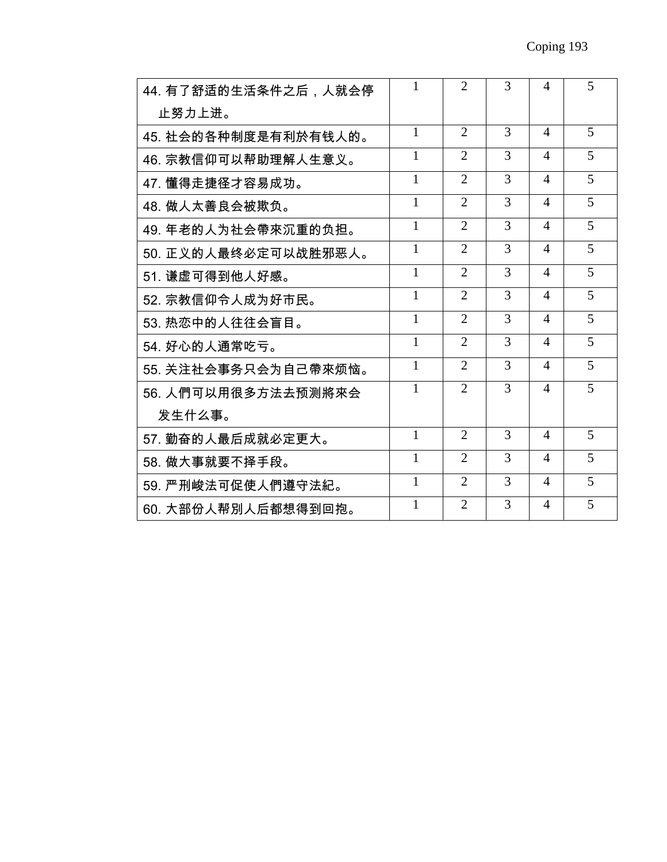| 44. 有了舒适的生活条件之后,人就会停 | L            | $\overline{2}$ | $\mathcal{R}$ | $\overline{4}$ | 5 |
|----------------------|--------------|----------------|---------------|----------------|---|
| 止努力上进。               |              |                |               |                |   |
| 45. 社会的各种制度是有利於有钱人的。 | 1            | $\overline{2}$ | 3             | $\overline{4}$ | 5 |
| 46. 宗教信仰可以帮助理解人生意义。  | 1            | $\overline{2}$ | 3             | $\overline{4}$ | 5 |
| 47. 懂得走捷径才容易成功。      | 1            | $\overline{2}$ | 3             | $\overline{4}$ | 5 |
| 48. 做人太善良会被欺负。       | 1            | $\overline{2}$ | 3             | $\Delta$       | 5 |
| 49. 年老的人为社会帶來沉重的负担。  | 1            | $\overline{2}$ | 3             | $\overline{4}$ | 5 |
| 50. 正义的人最终必定可以战胜邪恶人。 | $\mathbf{1}$ | $\overline{2}$ | 3             | $\overline{4}$ | 5 |
| 51. 谦虚可得到他人好感。       | $\mathbf{1}$ | $\overline{2}$ | 3             | $\overline{4}$ | 5 |
| 52. 宗教信仰令人成为好市民。     | $\mathbf{1}$ | $\overline{2}$ | 3             | $\overline{4}$ | 5 |
| 53. 热恋中的人往往会盲目。      | $\mathbf{1}$ | $\overline{2}$ | 3             | $\overline{4}$ | 5 |
| 54. 好心的人通常吃亏。        | $\mathbf{1}$ | $\overline{2}$ | 3             | $\overline{4}$ | 5 |
| 55. 关注社会事务只会为自己帶來烦恼。 | $\mathbf{1}$ | $\overline{2}$ | 3             | 4              | 5 |
| 56. 人們可以用很多方法去预测將來会  | $\mathbf{1}$ | $\overline{2}$ | 3             | $\overline{4}$ | 5 |
| 发生什么事。               |              |                |               |                |   |
| 57. 勤奋的人最后成就必定更大。    | 1            | $\overline{2}$ | 3             | $\overline{4}$ | 5 |
| 58. 做大事就要不择手段。       | 1            | $\overline{2}$ | 3             | 4              | 5 |
| 59. 严刑峻法可促使人們遵守法紀。   | $\mathbf{1}$ | $\overline{2}$ | 3             | 4              | 5 |
| 60. 大部份人帮別人后都想得到回抱。  | 1            | $\overline{2}$ | 3             | 4              | 5 |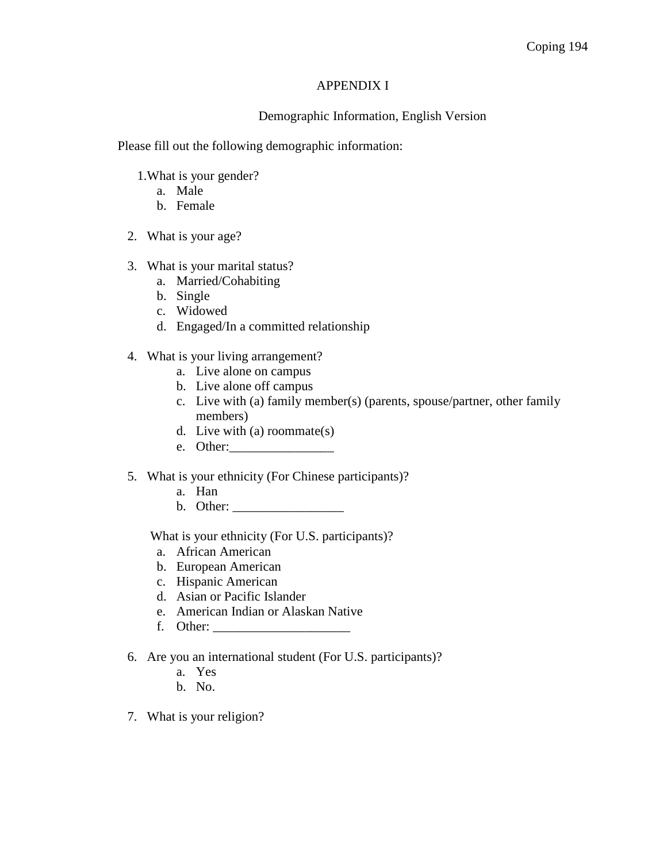#### APPENDIX I

## Demographic Information, English Version

Please fill out the following demographic information:

- 1.What is your gender?
	- a. Male
	- b. Female
- 2. What is your age?
- 3. What is your marital status?
	- a. Married/Cohabiting
	- b. Single
	- c. Widowed
	- d. Engaged/In a committed relationship
- 4. What is your living arrangement?
	- a. Live alone on campus
	- b. Live alone off campus
	- c. Live with (a) family member(s) (parents, spouse/partner, other family members)
	- d. Live with (a) roommate(s)
	- e. Other:\_\_\_\_\_\_\_\_\_\_\_\_\_\_\_\_

## 5. What is your ethnicity (For Chinese participants)?

- a. Han
- b. Other: \_\_\_\_\_\_\_\_\_\_\_\_\_\_\_\_\_

What is your ethnicity (For U.S. participants)?

- a. African American
- b. European American
- c. Hispanic American
- d. Asian or Pacific Islander
- e. American Indian or Alaskan Native
- f. Other: \_\_\_\_\_\_\_\_\_\_\_\_\_\_\_\_\_\_\_\_\_
- 6. Are you an international student (For U.S. participants)?
	- a. Yes
	- b. No.
- 7. What is your religion?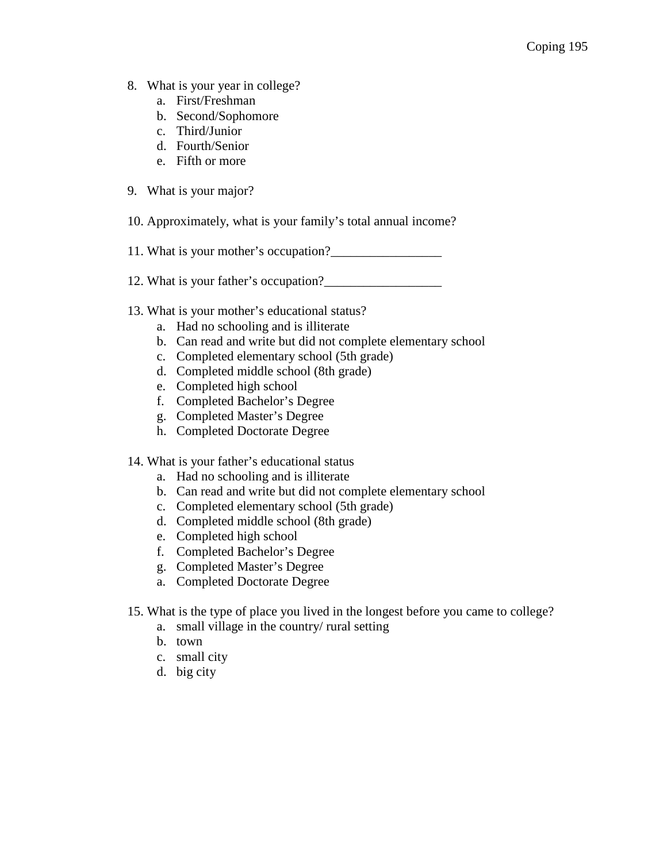- 8. What is your year in college?
	- a. First/Freshman
	- b. Second/Sophomore
	- c. Third/Junior
	- d. Fourth/Senior
	- e. Fifth or more
- 9. What is your major?
- 10. Approximately, what is your family's total annual income?
- 11. What is your mother's occupation?
- 12. What is your father's occupation?\_\_\_\_\_\_\_\_\_\_\_\_\_\_\_\_\_\_
- 13. What is your mother's educational status?
	- a. Had no schooling and is illiterate
	- b. Can read and write but did not complete elementary school
	- c. Completed elementary school (5th grade)
	- d. Completed middle school (8th grade)
	- e. Completed high school
	- f. Completed Bachelor's Degree
	- g. Completed Master's Degree
	- h. Completed Doctorate Degree
- 14. What is your father's educational status
	- a. Had no schooling and is illiterate
	- b. Can read and write but did not complete elementary school
	- c. Completed elementary school (5th grade)
	- d. Completed middle school (8th grade)
	- e. Completed high school
	- f. Completed Bachelor's Degree
	- g. Completed Master's Degree
	- a. Completed Doctorate Degree
- 15. What is the type of place you lived in the longest before you came to college?
	- a. small village in the country/ rural setting
	- b. town
	- c. small city
	- d. big city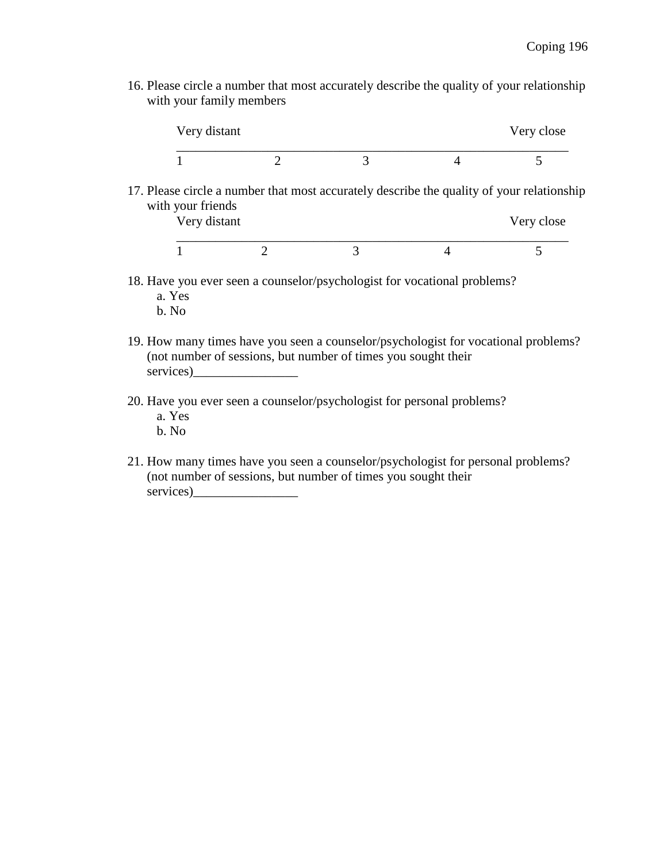16. Please circle a number that most accurately describe the quality of your relationship with your family members

| Very distant |  |  | Very close |  |
|--------------|--|--|------------|--|
|              |  |  |            |  |

17. Please circle a number that most accurately describe the quality of your relationship with your friends<br>
Very distant

| Very distant |  | Very close |  |
|--------------|--|------------|--|
|              |  |            |  |

- 18. Have you ever seen a counselor/psychologist for vocational problems? a. Yes
	- b. No
- 19. How many times have you seen a counselor/psychologist for vocational problems? (not number of sessions, but number of times you sought their services)
- 20. Have you ever seen a counselor/psychologist for personal problems? a. Yes
	- b. No
- 21. How many times have you seen a counselor/psychologist for personal problems? (not number of sessions, but number of times you sought their services)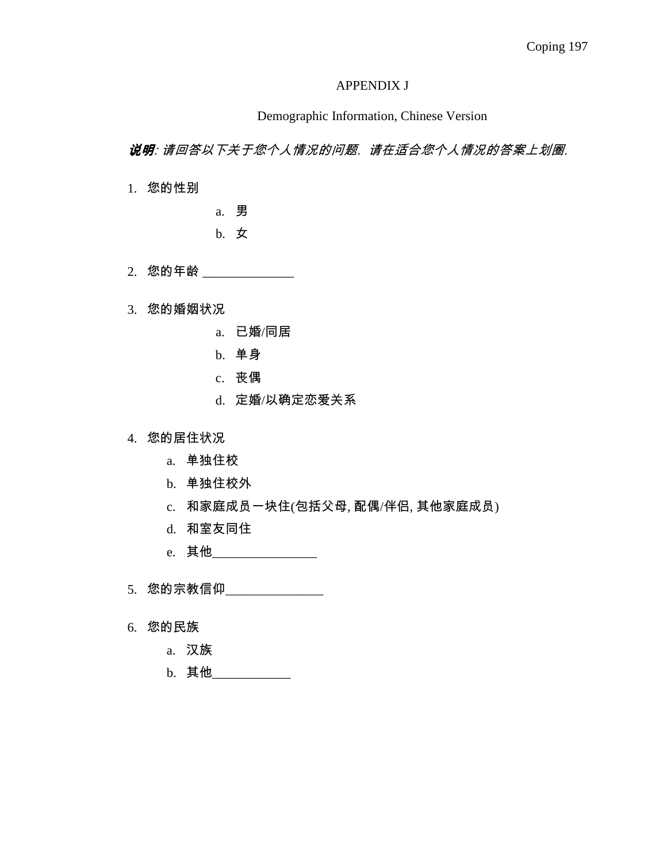### APPENDIX J

## Demographic Information, Chinese Version

说明: 请回答以下关于您个人情况的问题. 请在适合您个人情况的答案上划圈.

1. 您的性别

a. 男

b. 女

2. 您的年龄 \_\_\_\_\_\_

3. 您的婚姻状况

- a. 已婚/同居
- b. 单身
- c. 丧偶
- d. 定婚/以确定恋爱关系

4. 您的居住状况

- a. 单独住校
- b. 单独住校外
- c. 和家庭成员一块住(包括父母, 配偶/伴侣, 其他家庭成员)
- d. 和室友同住
- e. 其他\_\_\_\_\_\_\_\_\_\_\_\_\_\_\_\_\_\_\_\_
- 5. 您的宗教信仰\_\_\_\_\_\_\_\_\_\_\_\_\_\_\_\_
- 6. 您的民族
	- a. 汉族
	- b. 其他\_\_\_\_\_\_\_\_\_\_\_\_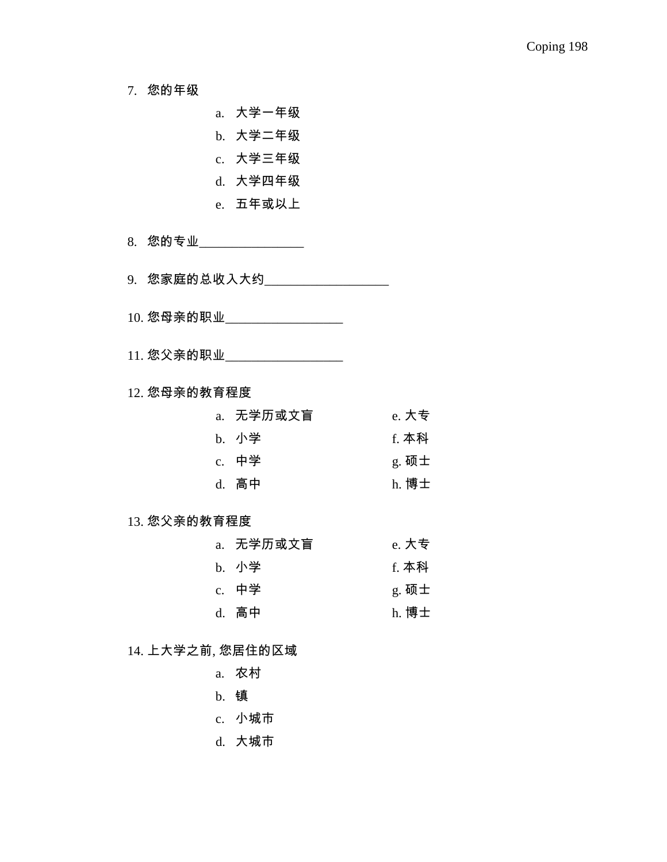7. 您的年级

a. 大学一年级

- b. 大学二年级
- c. 大学三年级
- d. 大学四年级
- e. 五年或以上

8. 您的专业\_\_\_\_\_\_\_\_\_\_\_\_\_\_\_\_\_

9. 您家庭的总收入大约\_\_\_\_\_\_\_\_\_\_\_\_\_\_\_\_\_\_\_\_

- 10. 您母亲的职业\_\_\_\_\_\_\_\_\_\_\_\_\_\_\_\_\_\_\_\_
- 11. 您父亲的职业

12. 您母亲的教育程度

| a. 无学历或文盲 | e. 大专 |
|-----------|-------|
| b. 小学     | f. 本科 |
| c. 中学     | g. 硕士 |
| d. 高中     | h. 博士 |

## 13. 您父亲的教育程度

| a. 无学历或文盲 | e. 大专   |
|-----------|---------|
| b. 小学     | f. 本科   |
| c. 中学     | $g.$ 硕士 |
| d. 高中     | h. 博士   |

#### 14. 上大学之前, 您居住的区域

- a. 农村
- b. 镇
- c. 小城市
- d. 大城市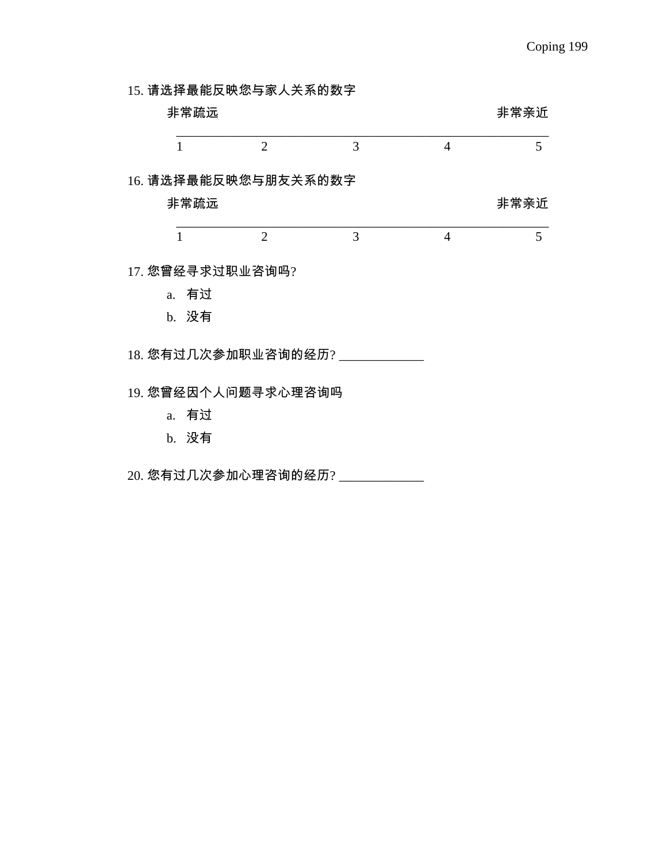15. 请选择最能反映您与家人关系的数字

|                | 非常疏远             |                      |   |                | 非常亲近 |
|----------------|------------------|----------------------|---|----------------|------|
| $\mathbf{1}$   |                  | $\overline{2}$       | 3 | $\overline{4}$ | 5    |
|                |                  | 16. 请选择最能反映您与朋友关系的数字 |   |                |      |
|                | 非常疏远             |                      |   |                | 非常亲近 |
| $\mathbf{1}$   |                  | $\overline{2}$       | 3 | $\overline{4}$ | 5    |
|                | 17. 您曾经寻求过职业咨询吗? |                      |   |                |      |
|                | a. 有过            |                      |   |                |      |
|                | b. 没有            |                      |   |                |      |
|                |                  | 18. 您有过几次参加职业咨询的经历?  |   |                |      |
|                |                  | 19. 您曾经因个人问题寻求心理咨询吗  |   |                |      |
| a <sub>z</sub> | 有过               |                      |   |                |      |
|                | b. 没有            |                      |   |                |      |
|                |                  |                      |   |                |      |

20. 您有过几次参加心理咨询的经历? \_\_\_\_\_\_\_\_\_\_\_\_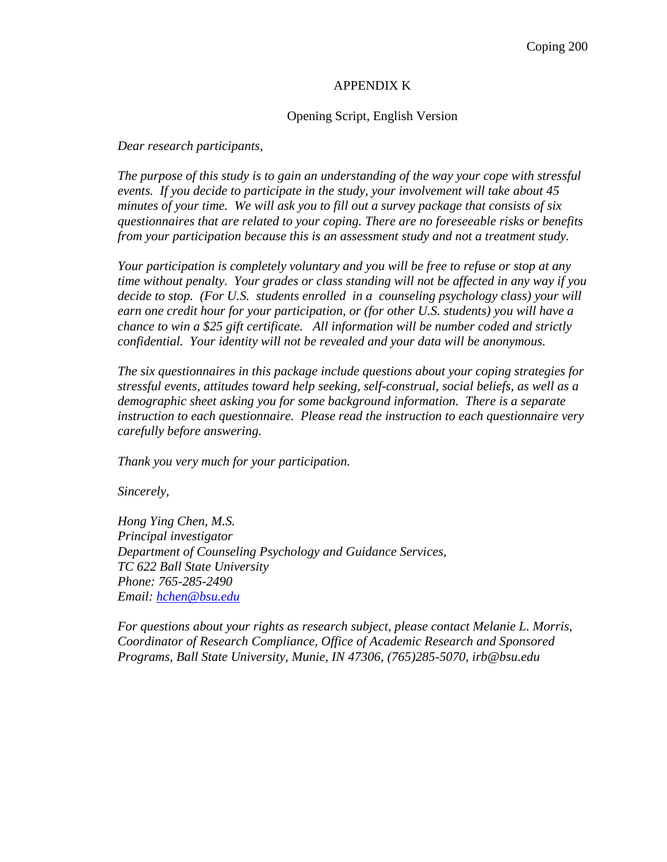#### APPENDIX K

#### Opening Script, English Version

*Dear research participants,* 

*The purpose of this study is to gain an understanding of the way your cope with stressful events. If you decide to participate in the study, your involvement will take about 45 minutes of your time. We will ask you to fill out a survey package that consists of six questionnaires that are related to your coping. There are no foreseeable risks or benefits from your participation because this is an assessment study and not a treatment study.* 

*Your participation is completely voluntary and you will be free to refuse or stop at any time without penalty. Your grades or class standing will not be affected in any way if you decide to stop. (For U.S. students enrolled in a counseling psychology class) your will earn one credit hour for your participation, or (for other U.S. students) you will have a chance to win a \$25 gift certificate. All information will be number coded and strictly confidential. Your identity will not be revealed and your data will be anonymous.* 

*The six questionnaires in this package include questions about your coping strategies for stressful events, attitudes toward help seeking, self-construal, social beliefs, as well as a demographic sheet asking you for some background information. There is a separate instruction to each questionnaire. Please read the instruction to each questionnaire very carefully before answering.* 

*Thank you very much for your participation.* 

*Sincerely,* 

*Hong Ying Chen, M.S. Principal investigator Department of Counseling Psychology and Guidance Services, TC 622 Ball State University Phone: 765-285-2490 Email: hchen@bsu.edu*

*For questions about your rights as research subject, please contact Melanie L. Morris, Coordinator of Research Compliance, Office of Academic Research and Sponsored Programs, Ball State University, Munie, IN 47306, (765)285-5070, irb@bsu.edu*